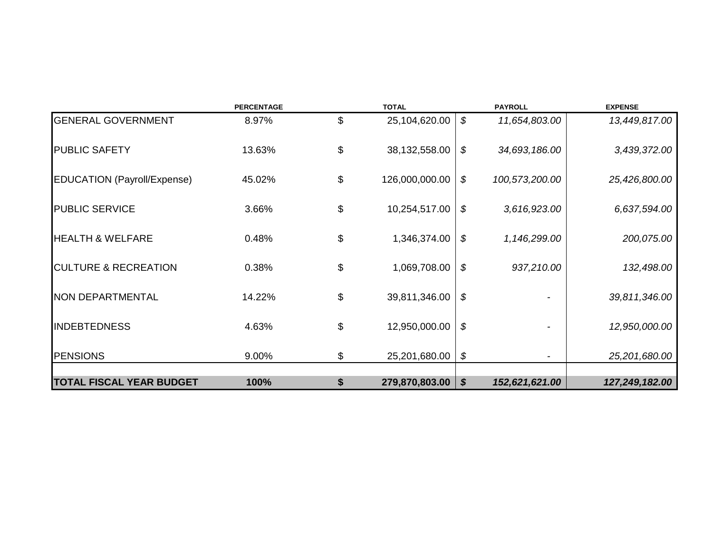|                                    | <b>PERCENTAGE</b> | <b>TOTAL</b>         |                           | <b>PAYROLL</b> | <b>EXPENSE</b> |
|------------------------------------|-------------------|----------------------|---------------------------|----------------|----------------|
| <b>GENERAL GOVERNMENT</b>          | 8.97%             | \$<br>25,104,620.00  | \$                        | 11,654,803.00  | 13,449,817.00  |
| <b>PUBLIC SAFETY</b>               | 13.63%            | \$<br>38,132,558.00  | \$                        | 34,693,186.00  | 3,439,372.00   |
| <b>EDUCATION (Payroll/Expense)</b> | 45.02%            | \$<br>126,000,000.00 | \$                        | 100,573,200.00 | 25,426,800.00  |
| <b>PUBLIC SERVICE</b>              | 3.66%             | \$<br>10,254,517.00  | \$                        | 3,616,923.00   | 6,637,594.00   |
| <b>HEALTH &amp; WELFARE</b>        | 0.48%             | \$<br>1,346,374.00   | \$                        | 1,146,299.00   | 200,075.00     |
| <b>CULTURE &amp; RECREATION</b>    | 0.38%             | \$<br>1,069,708.00   | \$                        | 937,210.00     | 132,498.00     |
| NON DEPARTMENTAL                   | 14.22%            | \$<br>39,811,346.00  | \$                        |                | 39,811,346.00  |
| <b>INDEBTEDNESS</b>                | 4.63%             | \$<br>12,950,000.00  | \$                        |                | 12,950,000.00  |
| <b>PENSIONS</b>                    | 9.00%             | \$<br>25,201,680.00  | \$                        |                | 25,201,680.00  |
| <b>TOTAL FISCAL YEAR BUDGET</b>    | 100%              | \$<br>279,870,803.00 | $\boldsymbol{\mathsf{S}}$ | 152,621,621.00 | 127,249,182.00 |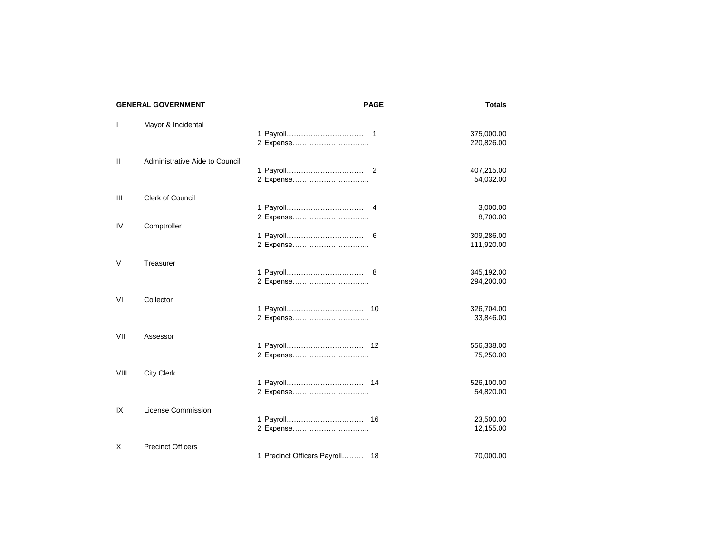|              | <b>GENERAL GOVERNMENT</b>      |                                | <b>PAGE</b> | <b>Totals</b>                        |
|--------------|--------------------------------|--------------------------------|-------------|--------------------------------------|
| $\mathbf{I}$ | Mayor & Incidental             | 2 Expense                      |             | 375,000.00<br>220,826.00             |
| $\mathbf{H}$ | Administrative Aide to Council | 2 Expense                      |             | 407,215.00<br>54,032.00              |
| Ш            | <b>Clerk of Council</b>        |                                |             | 3,000.00                             |
| IV           | Comptroller                    | 2 Expense<br>2 Expense         |             | 8,700.00<br>309,286.00<br>111,920.00 |
| V            | Treasurer                      | 2 Expense                      |             | 345,192.00<br>294,200.00             |
| VI           | Collector                      | 2 Expense                      |             | 326,704.00<br>33,846.00              |
| VII          | Assessor                       | 2 Expense                      |             | 556,338.00<br>75,250.00              |
| VIII         | <b>City Clerk</b>              | 2 Expense                      |             | 526,100.00<br>54,820.00              |
| IX           | License Commission             | 2 Expense                      |             | 23,500.00<br>12,155.00               |
| X            | <b>Precinct Officers</b>       | 1 Precinct Officers Payroll 18 |             | 70,000.00                            |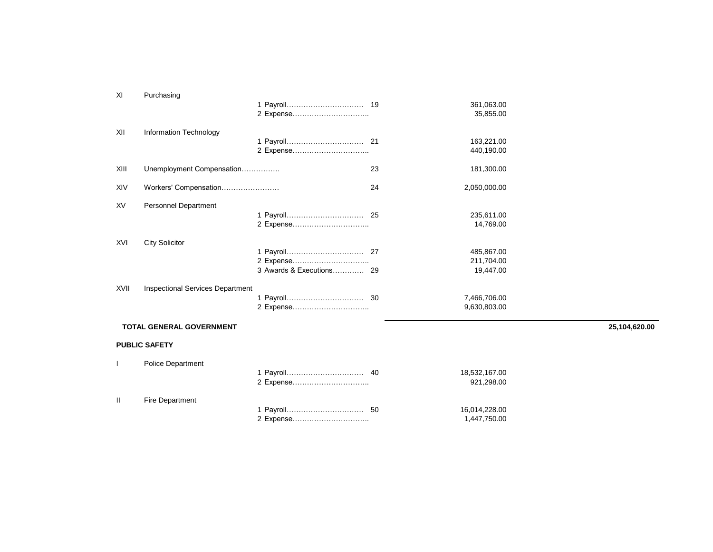| XI   | Purchasing                              |           |    |                                       |               |
|------|-----------------------------------------|-----------|----|---------------------------------------|---------------|
|      |                                         |           |    | 361,063.00<br>35,855.00               |               |
| XII  | Information Technology                  | 2 Expense |    | 163,221.00<br>440,190.00              |               |
| XIII | Unemployment Compensation               |           | 23 | 181,300.00                            |               |
| XIV  | Workers' Compensation                   |           | 24 | 2,050,000.00                          |               |
| XV   | Personnel Department                    |           |    | 235,611.00<br>14,769.00               |               |
| XVI  | <b>City Solicitor</b>                   | 2 Expense |    | 485,867.00<br>211,704.00<br>19,447.00 |               |
| XVII | <b>Inspectional Services Department</b> |           |    | 7,466,706.00<br>9,630,803.00          |               |
|      | TOTAL GENERAL GOVERNMENT                |           |    |                                       | 25,104,620.00 |
|      | <b>PUBLIC SAFETY</b>                    |           |    |                                       |               |
|      | <b>Police Department</b>                |           |    |                                       |               |

|                 | 18,532,167.00<br>921,298.00 |
|-----------------|-----------------------------|
| Fire Department |                             |
|                 | 16,014,228.00               |
|                 | 1.447.750.00                |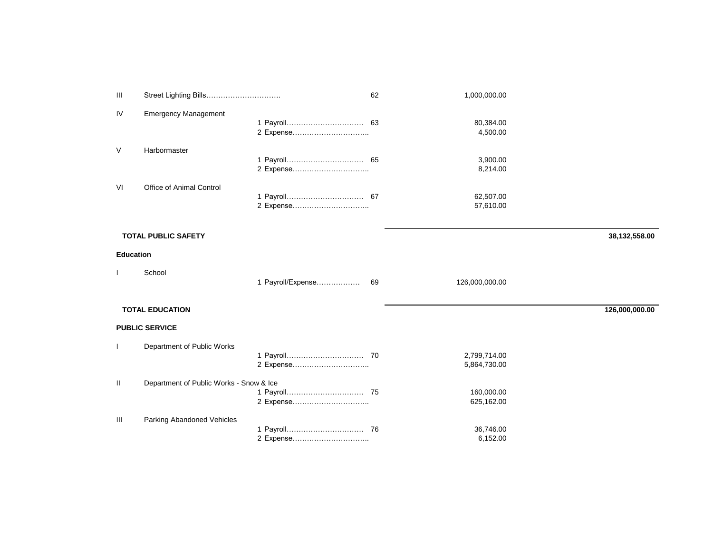| Ш                |                                         |                   | 62 | 1,000,000.00           |                |
|------------------|-----------------------------------------|-------------------|----|------------------------|----------------|
| IV               | <b>Emergency Management</b>             |                   |    | 80,384.00              |                |
|                  |                                         |                   |    | 4,500.00               |                |
| V                | Harbormaster                            |                   |    |                        |                |
|                  |                                         |                   |    | 3,900.00<br>8,214.00   |                |
| VI               | Office of Animal Control                |                   |    |                        |                |
|                  |                                         |                   |    | 62,507.00<br>57,610.00 |                |
|                  |                                         |                   |    |                        |                |
|                  | <b>TOTAL PUBLIC SAFETY</b>              |                   |    |                        | 38,132,558.00  |
| <b>Education</b> |                                         |                   |    |                        |                |
|                  | School                                  |                   |    |                        |                |
|                  |                                         | 1 Payroll/Expense | 69 | 126,000,000.00         |                |
|                  | <b>TOTAL EDUCATION</b>                  |                   |    |                        | 126,000,000.00 |
|                  | <b>PUBLIC SERVICE</b>                   |                   |    |                        |                |
| $\mathbf{I}$     | Department of Public Works              |                   |    |                        |                |
|                  |                                         |                   |    | 2,799,714.00           |                |
|                  |                                         |                   |    | 5,864,730.00           |                |
| Ш                | Department of Public Works - Snow & Ice |                   |    |                        |                |
|                  |                                         |                   |    | 160,000.00             |                |
|                  |                                         | 2 Expense         |    | 625,162.00             |                |
| Ш                | Parking Abandoned Vehicles              |                   |    |                        |                |
|                  |                                         |                   |    | 36,746.00              |                |
|                  |                                         | 2 Expense         |    | 6,152.00               |                |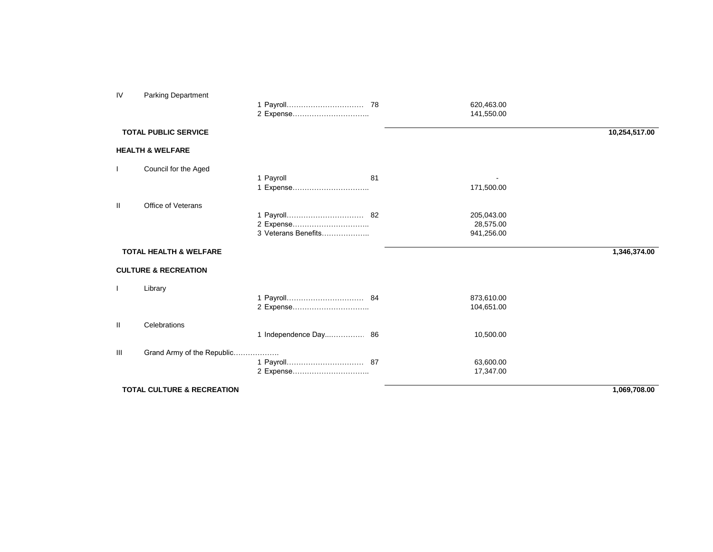| IV | <b>Parking Department</b>             |                                  |    | 620,463.00<br>141,550.00              |               |
|----|---------------------------------------|----------------------------------|----|---------------------------------------|---------------|
|    | <b>TOTAL PUBLIC SERVICE</b>           |                                  |    |                                       | 10,254,517.00 |
|    | <b>HEALTH &amp; WELFARE</b>           |                                  |    |                                       |               |
|    | Council for the Aged                  | 1 Payroll<br>1 Expense           | 81 | 171,500.00                            |               |
| Ш  | Office of Veterans                    | 2 Expense<br>3 Veterans Benefits |    | 205,043.00<br>28,575.00<br>941,256.00 |               |
|    | <b>TOTAL HEALTH &amp; WELFARE</b>     |                                  |    |                                       | 1,346,374.00  |
|    | <b>CULTURE &amp; RECREATION</b>       |                                  |    |                                       |               |
|    | Library                               | 2 Expense                        |    | 873,610.00<br>104,651.00              |               |
| Ш  | Celebrations                          |                                  |    | 10,500.00                             |               |
| Ш  | Grand Army of the Republic            | .<br>2 Expense                   |    | 63,600.00<br>17,347.00                |               |
|    | <b>TOTAL CULTURE &amp; RECREATION</b> |                                  |    |                                       | 1,069,708.00  |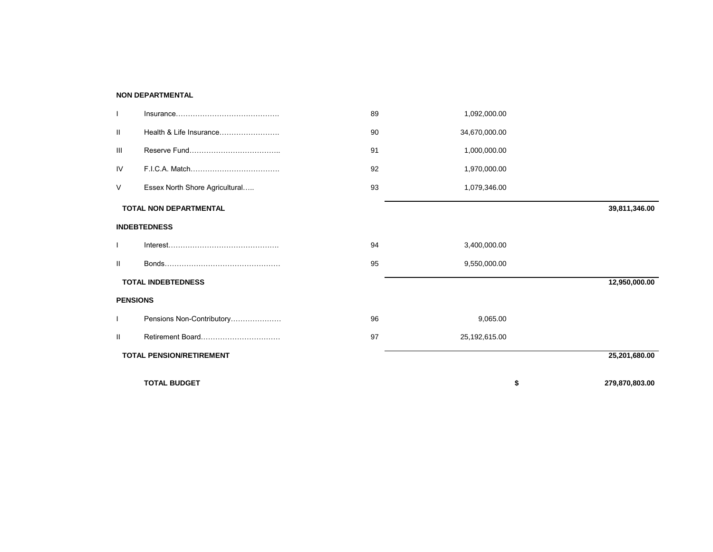## **NON DEPARTMENTAL**

|                 | <b>TOTAL BUDGET</b>             |    |               | \$<br>279,870,803.00 |
|-----------------|---------------------------------|----|---------------|----------------------|
|                 | <b>TOTAL PENSION/RETIREMENT</b> |    |               | 25,201,680.00        |
| Ш               | Retirement Board                | 97 | 25,192,615.00 |                      |
|                 | Pensions Non-Contributory       | 96 | 9,065.00      |                      |
| <b>PENSIONS</b> |                                 |    |               |                      |
|                 | <b>TOTAL INDEBTEDNESS</b>       |    |               | 12,950,000.00        |
| Ш               |                                 | 95 | 9,550,000.00  |                      |
|                 |                                 | 94 | 3,400,000.00  |                      |
|                 | <b>INDEBTEDNESS</b>             |    |               |                      |
|                 | <b>TOTAL NON DEPARTMENTAL</b>   |    |               | 39,811,346.00        |
| V               | Essex North Shore Agricultural  | 93 | 1,079,346.00  |                      |
| IV              |                                 | 92 | 1,970,000.00  |                      |
| Ш               |                                 | 91 | 1,000,000.00  |                      |
| Ш               | Health & Life Insurance         | 90 | 34,670,000.00 |                      |
|                 |                                 | 89 | 1,092,000.00  |                      |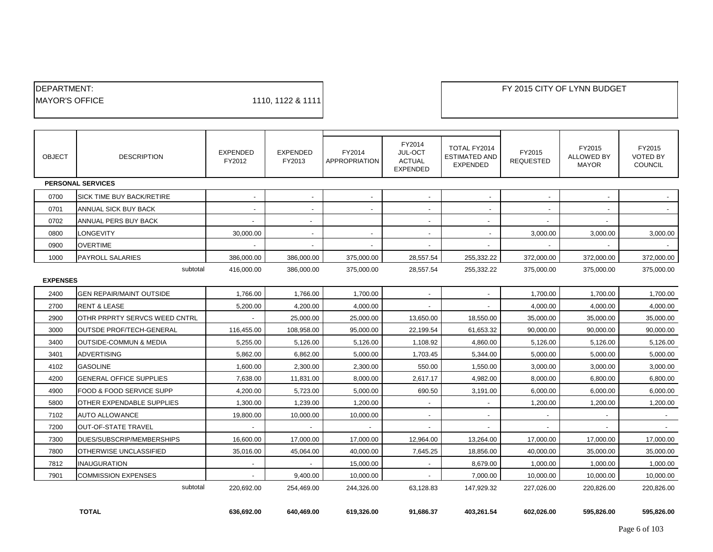| <b>IDEPARTMENT:</b>    |                   |
|------------------------|-------------------|
| <b>IMAYOR'S OFFICE</b> | 1110, 1122 & 1111 |

| <b>OBJECT</b>   | <b>DESCRIPTION</b>                  | <b>EXPENDED</b><br>FY2012 | <b>EXPENDED</b><br>FY2013 | FY2014<br>APPROPRIATION  | FY2014<br>JUL-OCT<br><b>ACTUAL</b><br><b>EXPENDED</b> | TOTAL FY2014<br><b>ESTIMATED AND</b><br><b>EXPENDED</b> | FY2015<br><b>REQUESTED</b> | FY2015<br><b>ALLOWED BY</b><br><b>MAYOR</b> | FY2015<br><b>VOTED BY</b><br><b>COUNCIL</b> |
|-----------------|-------------------------------------|---------------------------|---------------------------|--------------------------|-------------------------------------------------------|---------------------------------------------------------|----------------------------|---------------------------------------------|---------------------------------------------|
|                 | <b>PERSONAL SERVICES</b>            |                           |                           |                          |                                                       |                                                         |                            |                                             |                                             |
| 0700            | SICK TIME BUY BACK/RETIRE           | $\overline{\phantom{a}}$  | $\blacksquare$            | $\sim$                   | $\overline{\phantom{a}}$                              | $\overline{\phantom{a}}$                                | $\overline{\phantom{a}}$   | $\overline{\phantom{a}}$                    |                                             |
| 0701            | ANNUAL SICK BUY BACK                |                           | $\blacksquare$            | $\sim$                   |                                                       |                                                         |                            |                                             |                                             |
| 0702            | ANNUAL PERS BUY BACK                |                           | $\overline{\phantom{a}}$  |                          | $\overline{\phantom{a}}$                              | $\overline{\phantom{a}}$                                |                            | $\overline{\phantom{a}}$                    |                                             |
| 0800            | <b>LONGEVITY</b>                    | 30,000.00                 | $\overline{\phantom{a}}$  | $\overline{\phantom{a}}$ | $\overline{\phantom{a}}$                              |                                                         | 3,000.00                   | 3,000.00                                    | 3,000.00                                    |
| 0900            | <b>OVERTIME</b>                     |                           | $\overline{\phantom{a}}$  | $\sim$                   | $\overline{\phantom{a}}$                              |                                                         |                            |                                             |                                             |
| 1000            | <b>PAYROLL SALARIES</b>             | 386,000.00                | 386,000.00                | 375,000.00               | 28,557.54                                             | 255,332.22                                              | 372,000.00                 | 372,000.00                                  | 372,000.00                                  |
|                 | subtotal                            | 416,000.00                | 386,000.00                | 375,000.00               | 28,557.54                                             | 255,332.22                                              | 375,000.00                 | 375,000.00                                  | 375,000.00                                  |
| <b>EXPENSES</b> |                                     |                           |                           |                          |                                                       |                                                         |                            |                                             |                                             |
| 2400            | <b>GEN REPAIR/MAINT OUTSIDE</b>     | 1,766.00                  | 1,766.00                  | 1,700.00                 | $\blacksquare$                                        | $\overline{\phantom{a}}$                                | 1,700.00                   | 1,700.00                                    | 1,700.00                                    |
| 2700            | <b>RENT &amp; LEASE</b>             | 5.200.00                  | 4.200.00                  | 4,000.00                 | $\overline{\phantom{a}}$                              |                                                         | 4,000.00                   | 4,000.00                                    | 4.000.00                                    |
| 2900            | OTHR PRPRTY SERVCS WEED CNTRL       |                           | 25,000.00                 | 25,000.00                | 13,650.00                                             | 18,550.00                                               | 35,000.00                  | 35,000.00                                   | 35,000.00                                   |
| 3000            | <b>OUTSDE PROF/TECH-GENERAL</b>     | 116,455.00                | 108,958.00                | 95,000.00                | 22,199.54                                             | 61,653.32                                               | 90,000.00                  | 90,000.00                                   | 90,000.00                                   |
| 3400            | <b>OUTSIDE-COMMUN &amp; MEDIA</b>   | 5,255.00                  | 5,126.00                  | 5,126.00                 | 1,108.92                                              | 4,860.00                                                | 5,126.00                   | 5.126.00                                    | 5.126.00                                    |
| 3401            | <b>ADVERTISING</b>                  | 5,862.00                  | 6,862.00                  | 5,000.00                 | 1,703.45                                              | 5,344.00                                                | 5,000.00                   | 5,000.00                                    | 5,000.00                                    |
| 4102            | <b>GASOLINE</b>                     | 1.600.00                  | 2.300.00                  | 2,300.00                 | 550.00                                                | 1,550.00                                                | 3,000.00                   | 3,000.00                                    | 3.000.00                                    |
| 4200            | <b>GENERAL OFFICE SUPPLIES</b>      | 7,638.00                  | 11,831.00                 | 8,000.00                 | 2,617.17                                              | 4,982.00                                                | 8,000.00                   | 6,800.00                                    | 6,800.00                                    |
| 4900            | <b>FOOD &amp; FOOD SERVICE SUPP</b> | 4,200.00                  | 5,723.00                  | 5,000.00                 | 690.50                                                | 3,191.00                                                | 6,000.00                   | 6,000.00                                    | 6,000.00                                    |
| 5800            | <b>OTHER EXPENDABLE SUPPLIES</b>    | 1.300.00                  | 1.239.00                  | 1,200.00                 | $\overline{\phantom{a}}$                              |                                                         | 1,200.00                   | 1,200.00                                    | 1.200.00                                    |
| 7102            | <b>AUTO ALLOWANCE</b>               | 19,800.00                 | 10,000.00                 | 10,000.00                | $\overline{\phantom{a}}$                              | $\overline{\phantom{a}}$                                | $\overline{\phantom{a}}$   | $\blacksquare$                              | $\sim$                                      |
| 7200            | <b>OUT-OF-STATE TRAVEL</b>          |                           |                           |                          |                                                       |                                                         |                            |                                             |                                             |
| 7300            | DUES/SUBSCRIP/MEMBERSHIPS           | 16,600.00                 | 17,000.00                 | 17,000.00                | 12,964.00                                             | 13,264.00                                               | 17,000.00                  | 17,000.00                                   | 17,000.00                                   |
| 7800            | OTHERWISE UNCLASSIFIED              | 35,016.00                 | 45,064.00                 | 40,000.00                | 7,645.25                                              | 18,856.00                                               | 40,000.00                  | 35,000.00                                   | 35,000.00                                   |
| 7812            | <b>INAUGURATION</b>                 |                           | $\overline{\phantom{a}}$  | 15,000.00                | $\overline{\phantom{a}}$                              | 8,679.00                                                | 1,000.00                   | 1,000.00                                    | 1,000.00                                    |
| 7901            | <b>COMMISSION EXPENSES</b>          |                           | 9,400.00                  | 10,000.00                | $\overline{\phantom{a}}$                              | 7,000.00                                                | 10,000.00                  | 10,000.00                                   | 10,000.00                                   |
|                 | subtotal                            | 220.692.00                | 254,469.00                | 244,326.00               | 63,128.83                                             | 147,929.32                                              | 227,026.00                 | 220.826.00                                  | 220,826.00                                  |
|                 |                                     |                           |                           |                          |                                                       |                                                         |                            |                                             |                                             |

 **TOTAL 636,692.00 640,469.00 619,326.00 91,686.37 403,261.54 602,026.00 595,826.00 595,826.00**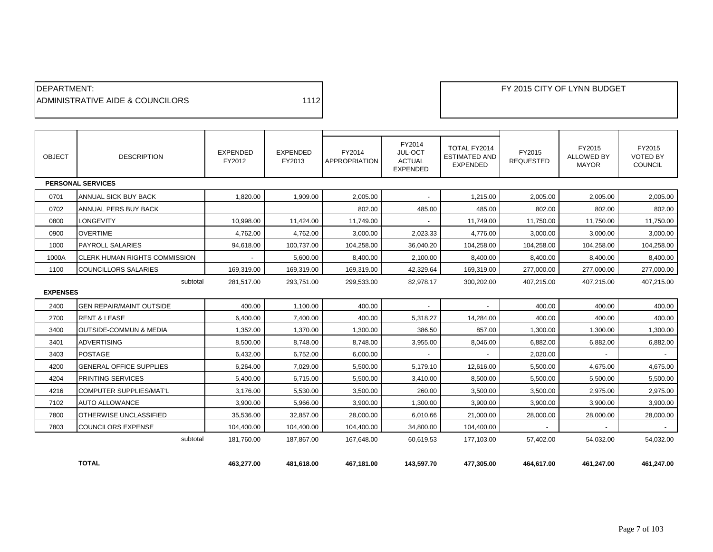| <b>IDEPARTMENT:</b>               |      |
|-----------------------------------|------|
| IADMINISTRATIVE AIDE & COUNCILORS | 1112 |

| <b>OBJECT</b>   | <b>DESCRIPTION</b>                   | <b>EXPENDED</b><br>FY2012 | <b>EXPENDED</b><br>FY2013 | FY2014<br><b>APPROPRIATION</b> | FY2014<br>JUL-OCT<br><b>ACTUAL</b><br><b>EXPENDED</b> | TOTAL FY2014<br><b>ESTIMATED AND</b><br><b>EXPENDED</b> | FY2015<br><b>REQUESTED</b> | FY2015<br><b>ALLOWED BY</b><br><b>MAYOR</b> | FY2015<br><b>VOTED BY</b><br><b>COUNCIL</b> |
|-----------------|--------------------------------------|---------------------------|---------------------------|--------------------------------|-------------------------------------------------------|---------------------------------------------------------|----------------------------|---------------------------------------------|---------------------------------------------|
|                 | <b>PERSONAL SERVICES</b>             |                           |                           |                                |                                                       |                                                         |                            |                                             |                                             |
| 0701            | ANNUAL SICK BUY BACK                 | 1.820.00                  | 1,909.00                  | 2,005.00                       |                                                       | 1,215.00                                                | 2,005.00                   | 2,005.00                                    | 2,005.00                                    |
| 0702            | ANNUAL PERS BUY BACK                 |                           |                           | 802.00                         | 485.00                                                | 485.00                                                  | 802.00                     | 802.00                                      | 802.00                                      |
| 0800            | <b>LONGEVITY</b>                     | 10.998.00                 | 11,424.00                 | 11.749.00                      | $\overline{\phantom{a}}$                              | 11,749.00                                               | 11,750.00                  | 11,750.00                                   | 11,750.00                                   |
| 0900            | <b>OVERTIME</b>                      | 4.762.00                  | 4.762.00                  | 3,000.00                       | 2,023.33                                              | 4,776.00                                                | 3,000.00                   | 3,000.00                                    | 3,000.00                                    |
| 1000            | <b>PAYROLL SALARIES</b>              | 94.618.00                 | 100.737.00                | 104,258.00                     | 36,040.20                                             | 104,258.00                                              | 104,258.00                 | 104,258.00                                  | 104,258.00                                  |
| 1000A           | <b>CLERK HUMAN RIGHTS COMMISSION</b> | $\blacksquare$            | 5,600.00                  | 8.400.00                       | 2,100.00                                              | 8,400.00                                                | 8,400.00                   | 8,400.00                                    | 8,400.00                                    |
| 1100            | <b>COUNCILLORS SALARIES</b>          | 169,319.00                | 169,319.00                | 169,319.00                     | 42,329.64                                             | 169,319.00                                              | 277,000.00                 | 277,000.00                                  | 277,000.00                                  |
|                 | subtotal                             | 281,517.00                | 293,751.00                | 299,533.00                     | 82,978.17                                             | 300,202.00                                              | 407,215.00                 | 407,215.00                                  | 407,215.00                                  |
| <b>EXPENSES</b> |                                      |                           |                           |                                |                                                       |                                                         |                            |                                             |                                             |
| 2400            | <b>GEN REPAIR/MAINT OUTSIDE</b>      | 400.00                    | 1,100.00                  | 400.00                         |                                                       |                                                         | 400.00                     | 400.00                                      | 400.00                                      |
| 2700            | <b>RENT &amp; LEASE</b>              | 6,400.00                  | 7,400.00                  | 400.00                         | 5,318.27                                              | 14,284.00                                               | 400.00                     | 400.00                                      | 400.00                                      |
| 3400            | <b>OUTSIDE-COMMUN &amp; MEDIA</b>    | 1.352.00                  | 1.370.00                  | 1,300.00                       | 386.50                                                | 857.00                                                  | 1,300.00                   | 1,300.00                                    | 1,300.00                                    |
| 3401            | <b>ADVERTISING</b>                   | 8,500.00                  | 8,748.00                  | 8,748.00                       | 3,955.00                                              | 8,046.00                                                | 6,882.00                   | 6,882.00                                    | 6,882.00                                    |
| 3403            | <b>POSTAGE</b>                       | 6,432.00                  | 6.752.00                  | 6,000.00                       |                                                       |                                                         | 2,020.00                   |                                             |                                             |
| 4200            | <b>GENERAL OFFICE SUPPLIES</b>       | 6,264.00                  | 7,029.00                  | 5,500.00                       | 5,179.10                                              | 12,616.00                                               | 5,500.00                   | 4,675.00                                    | 4,675.00                                    |
| 4204            | <b>PRINTING SERVICES</b>             | 5,400.00                  | 6,715.00                  | 5,500.00                       | 3,410.00                                              | 8,500.00                                                | 5,500.00                   | 5,500.00                                    | 5,500.00                                    |
| 4216            | COMPUTER SUPPLIES/MAT'L              | 3,176.00                  | 5,530.00                  | 3,500.00                       | 260.00                                                | 3,500.00                                                | 3,500.00                   | 2,975.00                                    | 2,975.00                                    |
| 7102            | AUTO ALLOWANCE                       | 3,900.00                  | 5,966.00                  | 3,900.00                       | 1,300.00                                              | 3,900.00                                                | 3,900.00                   | 3,900.00                                    | 3,900.00                                    |
| 7800            | OTHERWISE UNCLASSIFIED               | 35,536.00                 | 32,857.00                 | 28,000.00                      | 6,010.66                                              | 21,000.00                                               | 28,000.00                  | 28,000.00                                   | 28,000.00                                   |
| 7803            | <b>COUNCILORS EXPENSE</b>            | 104,400.00                | 104,400.00                | 104,400.00                     | 34,800.00                                             | 104,400.00                                              |                            |                                             |                                             |
|                 | subtotal                             | 181.760.00                | 187.867.00                | 167.648.00                     | 60.619.53                                             | 177.103.00                                              | 57,402.00                  | 54,032.00                                   | 54,032.00                                   |
|                 | <b>TOTAL</b>                         | 463,277.00                | 481,618.00                | 467,181.00                     | 143.597.70                                            | 477,305.00                                              | 464,617.00                 | 461,247.00                                  | 461,247.00                                  |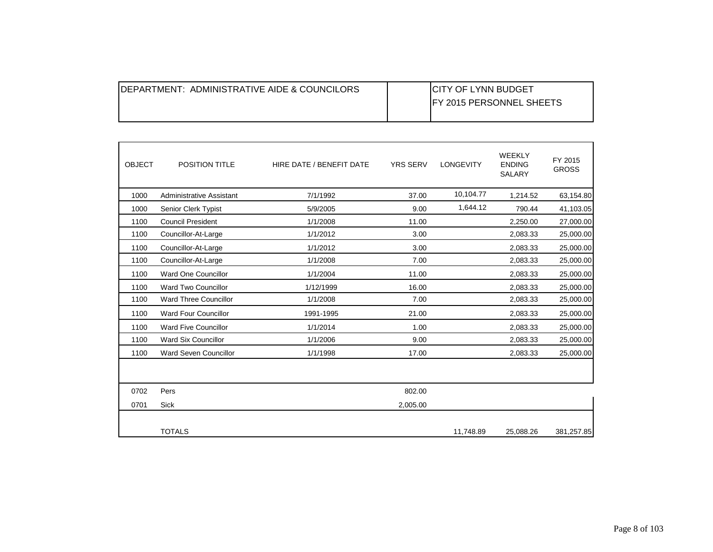| <b>IDEPARTMENT: ADMINISTRATIVE AIDE &amp; COUNCILORS</b> | <b>ICITY OF LYNN BUDGET</b><br><b>IFY 2015 PERSONNEL SHEETS</b> |
|----------------------------------------------------------|-----------------------------------------------------------------|
|                                                          |                                                                 |

| <b>OBJECT</b> | <b>POSITION TITLE</b>           | HIRE DATE / BENEFIT DATE | <b>YRS SERV</b> | LONGEVITY | <b>WEEKLY</b><br><b>ENDING</b><br>SALARY | FY 2015<br><b>GROSS</b> |
|---------------|---------------------------------|--------------------------|-----------------|-----------|------------------------------------------|-------------------------|
| 1000          | <b>Administrative Assistant</b> | 7/1/1992                 | 37.00           | 10,104.77 | 1,214.52                                 | 63,154.80               |
| 1000          | Senior Clerk Typist             | 5/9/2005                 | 9.00            | 1,644.12  | 790.44                                   | 41,103.05               |
| 1100          | <b>Council President</b>        | 1/1/2008                 | 11.00           |           | 2,250.00                                 | 27,000.00               |
| 1100          | Councillor-At-Large             | 1/1/2012                 | 3.00            |           | 2,083.33                                 | 25,000.00               |
| 1100          | Councillor-At-Large             | 1/1/2012                 | 3.00            |           | 2,083.33                                 | 25,000.00               |
| 1100          | Councillor-At-Large             | 1/1/2008                 | 7.00            |           | 2,083.33                                 | 25,000.00               |
| 1100          | Ward One Councillor             | 1/1/2004                 | 11.00           |           | 2,083.33                                 | 25,000.00               |
| 1100          | Ward Two Councillor             | 1/12/1999                | 16.00           |           | 2,083.33                                 | 25,000.00               |
| 1100          | <b>Ward Three Councillor</b>    | 1/1/2008                 | 7.00            |           | 2,083.33                                 | 25,000.00               |
| 1100          | <b>Ward Four Councillor</b>     | 1991-1995                | 21.00           |           | 2,083.33                                 | 25,000.00               |
| 1100          | Ward Five Councillor            | 1/1/2014                 | 1.00            |           | 2,083.33                                 | 25,000.00               |
| 1100          | <b>Ward Six Councillor</b>      | 1/1/2006                 | 9.00            |           | 2,083.33                                 | 25,000.00               |
| 1100          | Ward Seven Councillor           | 1/1/1998                 | 17.00           |           | 2,083.33                                 | 25,000.00               |
|               |                                 |                          |                 |           |                                          |                         |
| 0702          | Pers                            |                          | 802.00          |           |                                          |                         |
| 0701          | <b>Sick</b>                     |                          | 2,005.00        |           |                                          |                         |
|               | <b>TOTALS</b>                   |                          |                 | 11,748.89 | 25.088.26                                | 381,257.85              |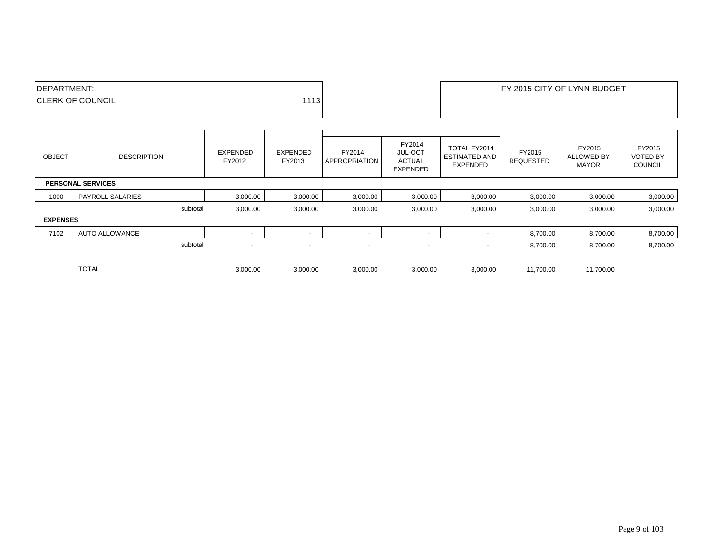| <sup></sup> ' PTMENT:    |       | FY 2015 CITY OF LYNN BUDGET |
|--------------------------|-------|-----------------------------|
| <b>ICLERK OF COUNCIL</b> | 11131 |                             |
|                          |       |                             |

| <b>OBJECT</b>   | <b>DESCRIPTION</b>       | <b>EXPENDED</b><br>FY2012 | EXPENDED<br>FY2013       | FY2014<br><b>APPROPRIATION</b> | FY2014<br><b>JUL-OCT</b><br><b>ACTUAL</b><br><b>EXPENDED</b> | TOTAL FY2014<br><b>ESTIMATED AND</b><br>EXPENDED | FY2015<br>REQUESTED | FY2015<br><b>ALLOWED BY</b><br><b>MAYOR</b> | FY2015<br><b>VOTED BY</b><br><b>COUNCIL</b> |
|-----------------|--------------------------|---------------------------|--------------------------|--------------------------------|--------------------------------------------------------------|--------------------------------------------------|---------------------|---------------------------------------------|---------------------------------------------|
|                 | <b>PERSONAL SERVICES</b> |                           |                          |                                |                                                              |                                                  |                     |                                             |                                             |
| 1000            | <b>PAYROLL SALARIES</b>  | 3,000.00                  | 3,000.00                 | 3,000.00                       | 3,000.00                                                     | 3,000.00                                         | 3,000.00            | 3,000.00                                    | 3,000.00                                    |
|                 | subtotal                 | 3,000.00                  | 3,000.00                 | 3,000.00                       | 3,000.00                                                     | 3,000.00                                         | 3,000.00            | 3,000.00                                    | 3,000.00                                    |
| <b>EXPENSES</b> |                          |                           |                          |                                |                                                              |                                                  |                     |                                             |                                             |
| 7102            | <b>AUTO ALLOWANCE</b>    | $\overline{\phantom{0}}$  |                          | $\overline{\phantom{0}}$       | $\overline{\phantom{a}}$                                     |                                                  | 8,700.00            | 8,700.00                                    | 8,700.00                                    |
|                 | subtotal                 | $\overline{\phantom{a}}$  | $\overline{\phantom{a}}$ | $\overline{\phantom{a}}$       | $\overline{\phantom{a}}$                                     | $\overline{\phantom{a}}$                         | 8,700.00            | 8,700.00                                    | 8,700.00                                    |
|                 | <b>TOTAL</b>             | 3,000.00                  | 3,000.00                 | 3,000.00                       | 3,000.00                                                     | 3,000.00                                         | 11,700.00           | 11,700.00                                   |                                             |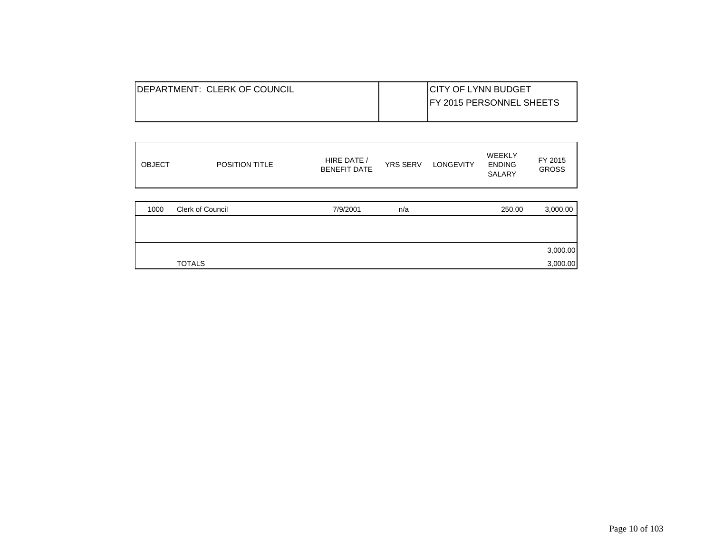| <b>IDEPARTMENT: CLERK OF COUNCIL</b> | <b>ICITY OF LYNN BUDGET</b>      |
|--------------------------------------|----------------------------------|
|                                      | <b>IFY 2015 PERSONNEL SHEETS</b> |
|                                      |                                  |

| <b>OBJECT</b> | POSITION TITLE   | HIRE DATE /<br><b>BENEFIT DATE</b> | <b>YRS SERV</b> | <b>LONGEVITY</b> | <b>WEEKLY</b><br><b>ENDING</b><br><b>SALARY</b> | FY 2015<br><b>GROSS</b> |
|---------------|------------------|------------------------------------|-----------------|------------------|-------------------------------------------------|-------------------------|
| 1000          | Clerk of Council | 7/9/2001                           | n/a             |                  | 250.00                                          | 3,000.00                |
|               |                  |                                    |                 |                  |                                                 |                         |
|               |                  |                                    |                 |                  |                                                 | 3,000.00                |
|               | <b>TOTALS</b>    |                                    |                 |                  |                                                 | 3,000.00                |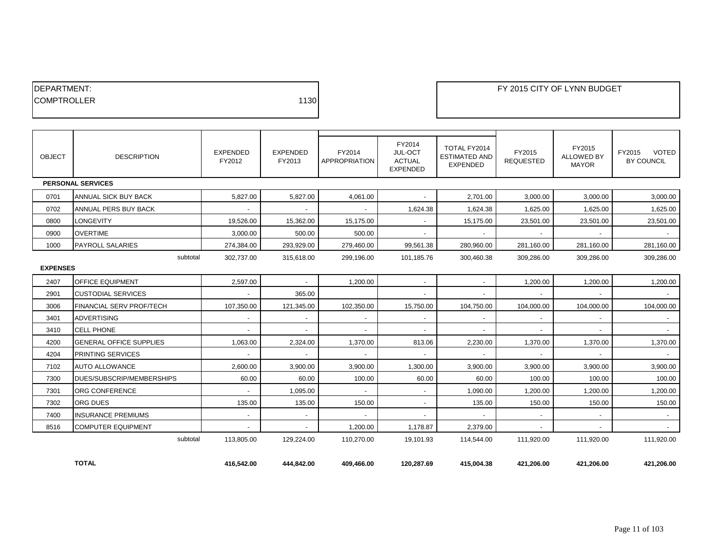| <b>IDEPARTMENT:</b> |      |
|---------------------|------|
| <b>ICOMPTROLLER</b> | 1130 |
|                     |      |

| <b>OBJECT</b>               | <b>DESCRIPTION</b>              | <b>EXPENDED</b><br>FY2012 | <b>EXPENDED</b><br>FY2013 | FY2014<br><b>APPROPRIATION</b> | FY2014<br>JUL-OCT<br><b>ACTUAL</b><br><b>EXPENDED</b> | TOTAL FY2014<br><b>ESTIMATED AND</b><br><b>EXPENDED</b> | FY2015<br><b>REQUESTED</b> | FY2015<br><b>ALLOWED BY</b><br><b>MAYOR</b> | <b>VOTED</b><br>FY2015<br><b>BY COUNCIL</b> |
|-----------------------------|---------------------------------|---------------------------|---------------------------|--------------------------------|-------------------------------------------------------|---------------------------------------------------------|----------------------------|---------------------------------------------|---------------------------------------------|
|                             | <b>PERSONAL SERVICES</b>        |                           |                           |                                |                                                       |                                                         |                            |                                             |                                             |
| 0701                        | ANNUAL SICK BUY BACK            | 5,827.00                  | 5,827.00                  | 4,061.00                       | $\sim$                                                | 2,701.00                                                | 3,000.00                   | 3,000.00                                    | 3,000.00                                    |
| 0702                        | <b>ANNUAL PERS BUY BACK</b>     | $\sim$                    | $\sim$                    | $\sim$                         | 1,624.38                                              | 1,624.38                                                | 1,625.00                   | 1,625.00                                    | 1,625.00                                    |
| 0800                        | <b>LONGEVITY</b>                | 19,526.00                 | 15,362.00                 | 15,175.00                      |                                                       | 15,175.00                                               | 23,501.00                  | 23,501.00                                   | 23,501.00                                   |
| 0900                        | <b>OVERTIME</b>                 | 3,000.00                  | 500.00                    | 500.00                         |                                                       |                                                         |                            |                                             |                                             |
| 1000                        | <b>PAYROLL SALARIES</b>         | 274,384.00                | 293,929.00                | 279,460.00                     | 99,561.38                                             | 280,960.00                                              | 281,160.00                 | 281,160.00                                  | 281,160.00                                  |
| subtotal<br><b>EXPENSES</b> |                                 | 302,737.00                | 315,618.00                | 299,196.00                     | 101,185.76                                            | 300,460.38                                              | 309,286.00                 | 309,286.00                                  | 309,286.00                                  |
| 2407                        | <b>OFFICE EQUIPMENT</b>         | 2,597.00                  |                           | 1,200.00                       | $\blacksquare$                                        | $\sim$                                                  | 1,200.00                   | 1,200.00                                    | 1,200.00                                    |
| 2901                        | <b>CUSTODIAL SERVICES</b>       | $\sim$                    | 365.00                    |                                |                                                       |                                                         |                            |                                             |                                             |
| 3006                        | <b>FINANCIAL SERV PROF/TECH</b> | 107,350.00                | 121,345.00                | 102,350.00                     | 15,750.00                                             | 104,750.00                                              | 104,000.00                 | 104,000.00                                  | 104,000.00                                  |
| 3401                        | <b>ADVERTISING</b>              |                           |                           |                                |                                                       | $\sim$                                                  |                            |                                             |                                             |
| 3410                        | <b>CELL PHONE</b>               | $\sim$                    |                           | $\overline{\phantom{a}}$       |                                                       | $\sim$                                                  |                            |                                             |                                             |
| 4200                        | <b>GENERAL OFFICE SUPPLIES</b>  | 1,063.00                  | 2,324.00                  | 1,370.00                       | 813.06                                                | 2,230.00                                                | 1,370.00                   | 1,370.00                                    | 1,370.00                                    |
| 4204                        | PRINTING SERVICES               | $\sim$                    | $\overline{\phantom{a}}$  | $\sim$                         | $\blacksquare$                                        | $\overline{\phantom{a}}$                                | $\sim$                     | $\sim$                                      | $\sim$                                      |
| 7102                        | <b>AUTO ALLOWANCE</b>           | 2,600.00                  | 3,900.00                  | 3,900.00                       | 1,300.00                                              | 3,900.00                                                | 3.900.00                   | 3,900.00                                    | 3,900.00                                    |
| 7300                        | DUES/SUBSCRIP/MEMBERSHIPS       | 60.00                     | 60.00                     | 100.00                         | 60.00                                                 | 60.00                                                   | 100.00                     | 100.00                                      | 100.00                                      |
| 7301                        | ORG CONFERENCE                  | $\sim$                    | 1,095.00                  | $\sim$                         | $\sim$                                                | 1,090.00                                                | 1,200.00                   | 1,200.00                                    | 1,200.00                                    |
| 7302                        | <b>ORG DUES</b>                 | 135.00                    | 135.00                    | 150.00                         | $\blacksquare$                                        | 135.00                                                  | 150.00                     | 150.00                                      | 150.00                                      |
| 7400                        | <b>INSURANCE PREMIUMS</b>       | $\sim$                    |                           |                                |                                                       |                                                         |                            |                                             |                                             |
| 8516                        | <b>COMPUTER EQUIPMENT</b>       | $\sim$                    |                           | 1.200.00                       | 1.178.87                                              | 2.379.00                                                |                            |                                             |                                             |
|                             | subtotal                        | 113.805.00                | 129.224.00                | 110.270.00                     | 19.101.93                                             | 114.544.00                                              | 111.920.00                 | 111.920.00                                  | 111,920.00                                  |

**TOTAL 416,542.00 444,842.00 409,466.00 120,287.69 415,004.38 421,206.00 421,206.00 421,206.00**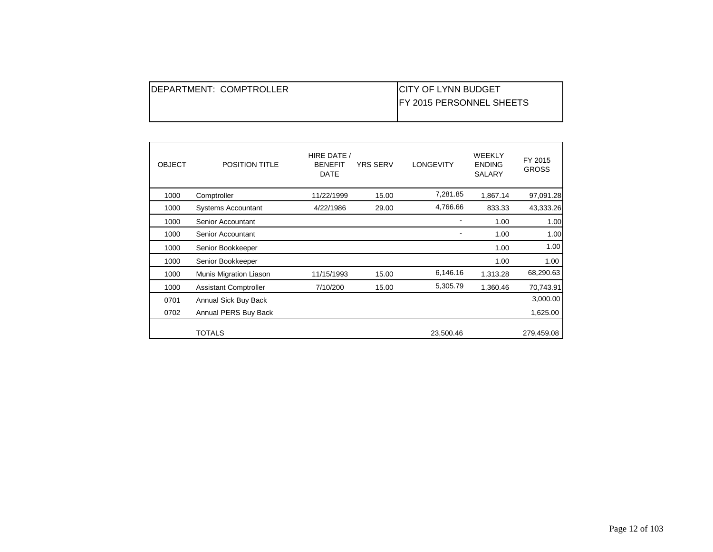| IDEPARTMENT: COMPTROLLER | <b>ICITY OF LYNN BUDGET</b>      |
|--------------------------|----------------------------------|
|                          | <b>IFY 2015 PERSONNEL SHEETS</b> |
|                          |                                  |

| <b>OBJECT</b> | <b>POSITION TITLE</b>        | HIRE DATE /<br><b>BENEFIT</b><br><b>DATE</b> | <b>YRS SERV</b> | <b>LONGEVITY</b> | <b>WEEKLY</b><br><b>ENDING</b><br>SALARY | FY 2015<br><b>GROSS</b> |
|---------------|------------------------------|----------------------------------------------|-----------------|------------------|------------------------------------------|-------------------------|
| 1000          | Comptroller                  | 11/22/1999                                   | 15.00           | 7,281.85         | 1,867.14                                 | 97,091.28               |
| 1000          | <b>Systems Accountant</b>    | 4/22/1986                                    | 29.00           | 4,766.66         | 833.33                                   | 43,333.26               |
| 1000          | Senior Accountant            |                                              |                 |                  | 1.00                                     | 1.00                    |
| 1000          | Senior Accountant            |                                              |                 |                  | 1.00                                     | 1.00                    |
| 1000          | Senior Bookkeeper            |                                              |                 |                  | 1.00                                     | 1.00                    |
| 1000          | Senior Bookkeeper            |                                              |                 |                  | 1.00                                     | 1.00                    |
| 1000          | Munis Migration Liason       | 11/15/1993                                   | 15.00           | 6,146.16         | 1,313.28                                 | 68,290.63               |
| 1000          | <b>Assistant Comptroller</b> | 7/10/200                                     | 15.00           | 5,305.79         | 1,360.46                                 | 70,743.91               |
| 0701          | Annual Sick Buy Back         |                                              |                 |                  |                                          | 3,000.00                |
| 0702          | Annual PERS Buy Back         |                                              |                 |                  |                                          | 1,625.00                |
|               | <b>TOTALS</b>                |                                              |                 | 23,500.46        |                                          | 279,459.08              |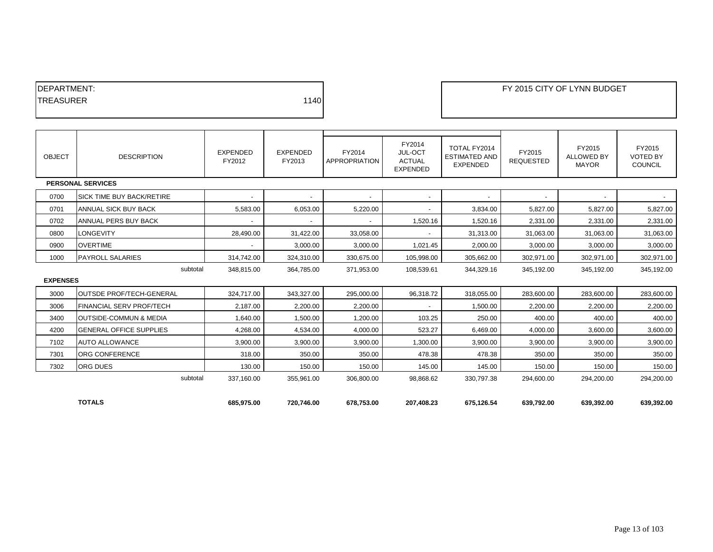| <b>IDEPARTMENT:</b> |      |
|---------------------|------|
| <b>ITREASURER</b>   | 1140 |
|                     |      |

## **DEPARTMENT: FY 2015 CITY OF LYNN BUDGET**

| <b>OBJECT</b>   | <b>DESCRIPTION</b>                | <b>EXPENDED</b><br>FY2012 | EXPENDED<br>FY2013 | FY2014<br><b>APPROPRIATION</b> | FY2014<br>JUL-OCT<br><b>ACTUAL</b><br><b>EXPENDED</b> | TOTAL FY2014<br><b>ESTIMATED AND</b><br><b>EXPENDED</b> | FY2015<br><b>REQUESTED</b> | FY2015<br><b>ALLOWED BY</b><br><b>MAYOR</b> | FY2015<br><b>VOTED BY</b><br><b>COUNCIL</b> |
|-----------------|-----------------------------------|---------------------------|--------------------|--------------------------------|-------------------------------------------------------|---------------------------------------------------------|----------------------------|---------------------------------------------|---------------------------------------------|
|                 | <b>PERSONAL SERVICES</b>          |                           |                    |                                |                                                       |                                                         |                            |                                             |                                             |
| 0700            | <b>SICK TIME BUY BACK/RETIRE</b>  | $\blacksquare$            | $\sim$             | $\blacksquare$                 | $\overline{\phantom{a}}$                              | $\overline{\phantom{a}}$                                | $\overline{\phantom{a}}$   | $\sim$                                      | $\sim$                                      |
| 0701            | ANNUAL SICK BUY BACK              | 5,583.00                  | 6,053.00           | 5,220.00                       |                                                       | 3,834.00                                                | 5,827.00                   | 5,827.00                                    | 5,827.00                                    |
| 0702            | ANNUAL PERS BUY BACK              |                           |                    |                                | 1,520.16                                              | 1,520.16                                                | 2,331.00                   | 2,331.00                                    | 2,331.00                                    |
| 0800            | LONGEVITY                         | 28,490.00                 | 31,422.00          | 33,058.00                      |                                                       | 31.313.00                                               | 31,063.00                  | 31,063.00                                   | 31,063.00                                   |
| 0900            | <b>OVERTIME</b>                   |                           | 3,000.00           | 3,000.00                       | 1,021.45                                              | 2,000.00                                                | 3,000.00                   | 3,000.00                                    | 3,000.00                                    |
| 1000            | <b>PAYROLL SALARIES</b>           | 314.742.00                | 324.310.00         | 330.675.00                     | 105,998.00                                            | 305,662.00                                              | 302.971.00                 | 302,971.00                                  | 302,971.00                                  |
|                 | subtotal                          | 348,815.00                | 364,785.00         | 371,953.00                     | 108,539.61                                            | 344,329.16                                              | 345,192.00                 | 345,192.00                                  | 345,192.00                                  |
| <b>EXPENSES</b> |                                   |                           |                    |                                |                                                       |                                                         |                            |                                             |                                             |
| 3000            | <b>OUTSDE PROF/TECH-GENERAL</b>   | 324,717.00                | 343,327.00         | 295,000.00                     | 96,318.72                                             | 318.055.00                                              | 283,600.00                 | 283,600.00                                  | 283,600.00                                  |
| 3006            | <b>FINANCIAL SERV PROF/TECH</b>   | 2,187.00                  | 2,200.00           | 2,200.00                       |                                                       | 1,500.00                                                | 2,200.00                   | 2,200.00                                    | 2,200.00                                    |
| 3400            | <b>OUTSIDE-COMMUN &amp; MEDIA</b> | 1,640.00                  | 1,500.00           | 1,200.00                       | 103.25                                                | 250.00                                                  | 400.00                     | 400.00                                      | 400.00                                      |
| 4200            | <b>GENERAL OFFICE SUPPLIES</b>    | 4,268.00                  | 4,534.00           | 4,000.00                       | 523.27                                                | 6,469.00                                                | 4,000.00                   | 3,600.00                                    | 3,600.00                                    |
| 7102            | <b>AUTO ALLOWANCE</b>             | 3,900.00                  | 3,900.00           | 3,900.00                       | 1,300.00                                              | 3,900.00                                                | 3,900.00                   | 3,900.00                                    | 3,900.00                                    |
| 7301            | ORG CONFERENCE                    | 318.00                    | 350.00             | 350.00                         | 478.38                                                | 478.38                                                  | 350.00                     | 350.00                                      | 350.00                                      |
| 7302            | ORG DUES                          | 130.00                    | 150.00             | 150.00                         | 145.00                                                | 145.00                                                  | 150.00                     | 150.00                                      | 150.00                                      |
|                 | subtotal                          | 337,160.00                | 355,961.00         | 306,800.00                     | 98,868.62                                             | 330,797.38                                              | 294,600.00                 | 294,200.00                                  | 294,200.00                                  |
|                 |                                   |                           |                    |                                |                                                       |                                                         |                            |                                             |                                             |
|                 | <b>TOTALS</b>                     | 685,975.00                | 720,746.00         | 678,753.00                     | 207,408.23                                            | 675,126.54                                              | 639,792.00                 | 639,392.00                                  | 639,392.00                                  |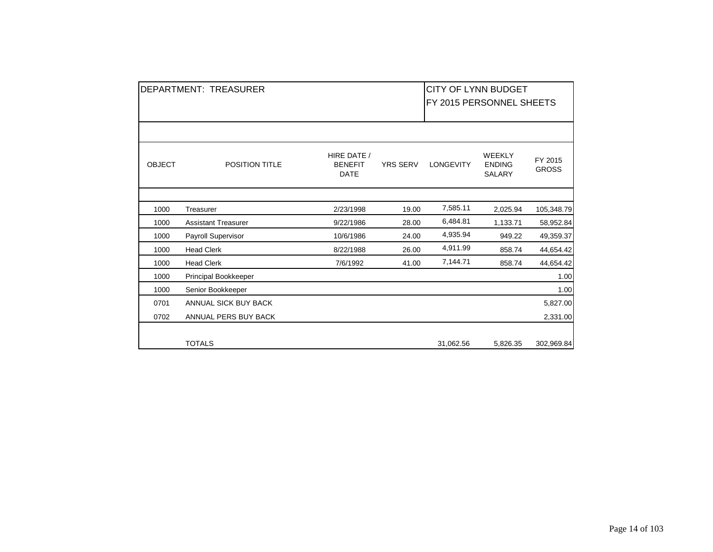|               | DEPARTMENT: TREASURER      |                                              |                 | <b>CITY OF LYNN BUDGET</b><br>FY 2015 PERSONNEL SHEETS |                                                 |                         |
|---------------|----------------------------|----------------------------------------------|-----------------|--------------------------------------------------------|-------------------------------------------------|-------------------------|
|               |                            |                                              |                 |                                                        |                                                 |                         |
| <b>OBJECT</b> | <b>POSITION TITLE</b>      | HIRE DATE /<br><b>BENEFIT</b><br><b>DATE</b> | <b>YRS SERV</b> | <b>LONGEVITY</b>                                       | <b>WEEKLY</b><br><b>ENDING</b><br><b>SALARY</b> | FY 2015<br><b>GROSS</b> |
|               |                            |                                              |                 |                                                        |                                                 |                         |
| 1000          | Treasurer                  | 2/23/1998                                    | 19.00           | 7,585.11                                               | 2,025.94                                        | 105,348.79              |
| 1000          | <b>Assistant Treasurer</b> | 9/22/1986                                    | 28.00           | 6,484.81                                               | 1,133.71                                        | 58,952.84               |
| 1000          | Payroll Supervisor         | 10/6/1986                                    | 24.00           | 4,935.94                                               | 949.22                                          | 49,359.37               |
| 1000          | <b>Head Clerk</b>          | 8/22/1988                                    | 26.00           | 4,911.99                                               | 858.74                                          | 44,654.42               |
| 1000          | <b>Head Clerk</b>          | 7/6/1992                                     | 41.00           | 7,144.71                                               | 858.74                                          | 44,654.42               |
| 1000          | Principal Bookkeeper       |                                              |                 |                                                        |                                                 | 1.00                    |
| 1000          | Senior Bookkeeper          |                                              |                 |                                                        |                                                 | 1.00                    |
| 0701          | ANNUAL SICK BUY BACK       |                                              |                 |                                                        |                                                 | 5,827.00                |
| 0702          | ANNUAL PERS BUY BACK       |                                              |                 |                                                        |                                                 | 2,331.00                |
|               | <b>TOTALS</b>              |                                              |                 | 31,062.56                                              | 5,826.35                                        | 302,969.84              |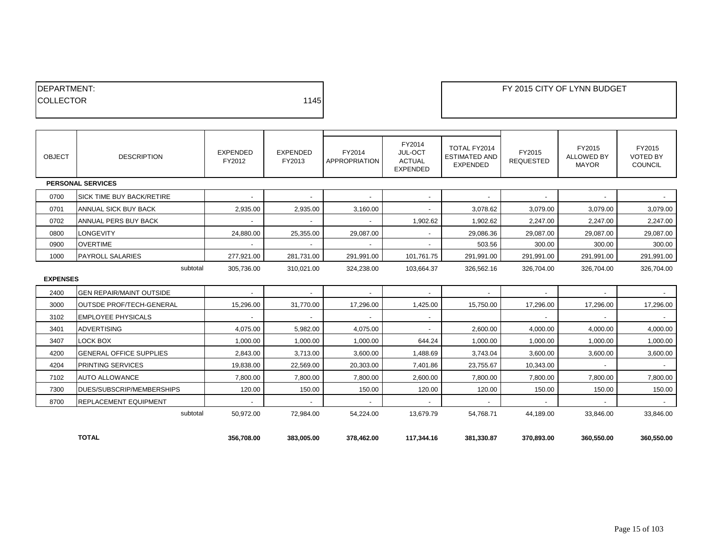| <b>IDEPARTMENT:</b> |      |
|---------------------|------|
| <b>COLLECTOR</b>    | 1145 |
|                     |      |

## **DEPARTMENT: FY 2015 CITY OF LYNN BUDGET**

| <b>OBJECT</b>   | <b>DESCRIPTION</b>               | <b>EXPENDED</b><br>FY2012 | EXPENDED<br>FY2013       | FY2014<br><b>APPROPRIATION</b> | FY2014<br>JUL-OCT<br><b>ACTUAL</b><br><b>EXPENDED</b> | TOTAL FY2014<br><b>ESTIMATED AND</b><br><b>EXPENDED</b> | FY2015<br><b>REQUESTED</b> | FY2015<br><b>ALLOWED BY</b><br><b>MAYOR</b> | FY2015<br><b>VOTED BY</b><br>COUNCIL |
|-----------------|----------------------------------|---------------------------|--------------------------|--------------------------------|-------------------------------------------------------|---------------------------------------------------------|----------------------------|---------------------------------------------|--------------------------------------|
|                 | <b>PERSONAL SERVICES</b>         |                           |                          |                                |                                                       |                                                         |                            |                                             |                                      |
| 0700            | <b>SICK TIME BUY BACK/RETIRE</b> | $\overline{\phantom{a}}$  |                          |                                |                                                       |                                                         |                            | $\sim$                                      |                                      |
| 0701            | ANNUAL SICK BUY BACK             | 2,935.00                  | 2,935.00                 | 3,160.00                       |                                                       | 3,078.62                                                | 3,079.00                   | 3,079.00                                    | 3,079.00                             |
| 0702            | ANNUAL PERS BUY BACK             |                           |                          |                                | 1,902.62                                              | 1,902.62                                                | 2,247.00                   | 2,247.00                                    | 2,247.00                             |
| 0800            | LONGEVITY                        | 24,880.00                 | 25,355.00                | 29,087.00                      |                                                       | 29,086.36                                               | 29,087.00                  | 29,087.00                                   | 29,087.00                            |
| 0900            | <b>OVERTIME</b>                  | $\sim$                    | $\sim$                   | $\sim$                         | $\overline{\phantom{a}}$                              | 503.56                                                  | 300.00                     | 300.00                                      | 300.00                               |
| 1000            | <b>PAYROLL SALARIES</b>          | 277,921.00                | 281,731.00               | 291,991.00                     | 101,761.75                                            | 291,991.00                                              | 291,991.00                 | 291,991.00                                  | 291,991.00                           |
|                 | subtotal                         | 305,736.00                | 310,021.00               | 324,238.00                     | 103.664.37                                            | 326,562.16                                              | 326.704.00                 | 326,704.00                                  | 326,704.00                           |
| <b>EXPENSES</b> |                                  |                           |                          |                                |                                                       |                                                         |                            |                                             |                                      |
| 2400            | <b>GEN REPAIR/MAINT OUTSIDE</b>  | $\sim$                    | $\overline{\phantom{a}}$ | $\overline{a}$                 |                                                       |                                                         | $\mathbf{r}$               | $\blacksquare$                              |                                      |
| 3000            | <b>OUTSDE PROF/TECH-GENERAL</b>  | 15,296.00                 | 31,770.00                | 17,296.00                      | 1,425.00                                              | 15,750.00                                               | 17,296.00                  | 17,296.00                                   | 17,296.00                            |
| 3102            | <b>EMPLOYEE PHYSICALS</b>        | $\sim$                    | $\sim$                   | $\overline{a}$                 | ٠                                                     |                                                         | $\sim$                     | $\sim$                                      | $\sim$                               |
| 3401            | <b>ADVERTISING</b>               | 4,075.00                  | 5,982.00                 | 4,075.00                       | $\overline{\phantom{a}}$                              | 2,600.00                                                | 4,000.00                   | 4,000.00                                    | 4,000.00                             |
| 3407            | LOCK BOX                         | 1,000.00                  | 1,000.00                 | 1,000.00                       | 644.24                                                | 1,000.00                                                | 1,000.00                   | 1,000.00                                    | 1,000.00                             |
| 4200            | <b>GENERAL OFFICE SUPPLIES</b>   | 2,843.00                  | 3,713.00                 | 3,600.00                       | 1,488.69                                              | 3,743.04                                                | 3,600.00                   | 3,600.00                                    | 3,600.00                             |
| 4204            | <b>PRINTING SERVICES</b>         | 19,838.00                 | 22,569.00                | 20,303.00                      | 7,401.86                                              | 23,755.67                                               | 10,343.00                  | $\sim$                                      | $\sim$                               |
| 7102            | <b>AUTO ALLOWANCE</b>            | 7,800.00                  | 7,800.00                 | 7,800.00                       | 2,600.00                                              | 7,800.00                                                | 7,800.00                   | 7,800.00                                    | 7,800.00                             |
| 7300            | DUES/SUBSCRIP/MEMBERSHIPS        | 120.00                    | 150.00                   | 150.00                         | 120.00                                                | 120.00                                                  | 150.00                     | 150.00                                      | 150.00                               |
| 8700            | <b>REPLACEMENT EQUIPMENT</b>     |                           |                          |                                |                                                       |                                                         |                            |                                             | $\mathbf{r}$                         |
|                 | subtotal                         | 50,972.00                 | 72,984.00                | 54,224.00                      | 13,679.79                                             | 54,768.71                                               | 44,189.00                  | 33,846.00                                   | 33,846.00                            |
|                 |                                  |                           |                          |                                |                                                       |                                                         |                            |                                             |                                      |
|                 | <b>TOTAL</b>                     | 356,708.00                | 383,005.00               | 378,462.00                     | 117,344.16                                            | 381,330.87                                              | 370,893.00                 | 360,550.00                                  | 360,550.00                           |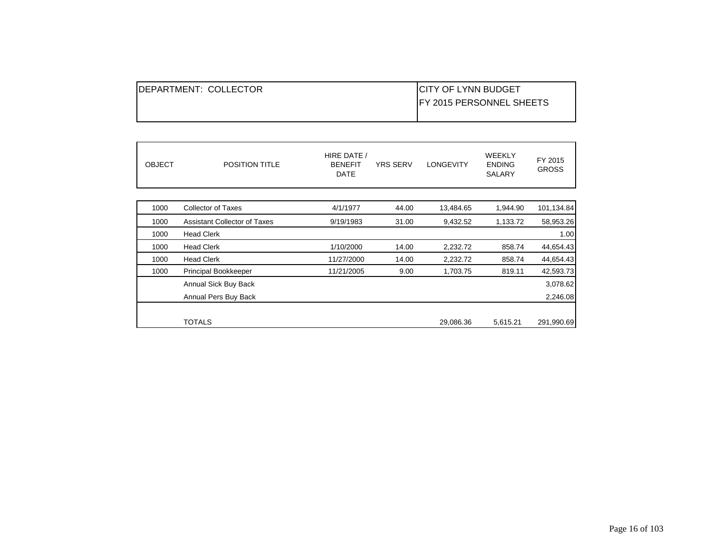| <b>IDEPARTMENT: COLLECTOR</b> | <b>ICITY OF LYNN BUDGET</b>      |
|-------------------------------|----------------------------------|
|                               | <b>IFY 2015 PERSONNEL SHEETS</b> |
|                               |                                  |

| <b>OBJECT</b> | <b>POSITION TITLE</b>               | HIRE DATE /<br><b>BENEFIT</b><br><b>DATE</b> | <b>YRS SERV</b> | <b>LONGEVITY</b> | <b>WEEKLY</b><br><b>ENDING</b><br><b>SALARY</b> | FY 2015<br><b>GROSS</b> |
|---------------|-------------------------------------|----------------------------------------------|-----------------|------------------|-------------------------------------------------|-------------------------|
| 1000          | <b>Collector of Taxes</b>           | 4/1/1977                                     | 44.00           | 13,484.65        | 1,944.90                                        | 101,134.84              |
| 1000          | <b>Assistant Collector of Taxes</b> | 9/19/1983                                    | 31.00           | 9,432.52         | 1,133.72                                        | 58,953.26               |
| 1000          | <b>Head Clerk</b>                   |                                              |                 |                  |                                                 | 1.00                    |
| 1000          | <b>Head Clerk</b>                   | 1/10/2000                                    | 14.00           | 2,232.72         | 858.74                                          | 44,654.43               |
| 1000          | <b>Head Clerk</b>                   | 11/27/2000                                   | 14.00           | 2,232.72         | 858.74                                          | 44,654.43               |
| 1000          | Principal Bookkeeper                | 11/21/2005                                   | 9.00            | 1,703.75         | 819.11                                          | 42,593.73               |
|               | Annual Sick Buy Back                |                                              |                 |                  |                                                 | 3,078.62                |
|               | Annual Pers Buy Back                |                                              |                 |                  |                                                 | 2,246.08                |
|               |                                     |                                              |                 |                  |                                                 |                         |
|               | <b>TOTALS</b>                       |                                              |                 | 29,086.36        | 5,615.21                                        | 291,990.69              |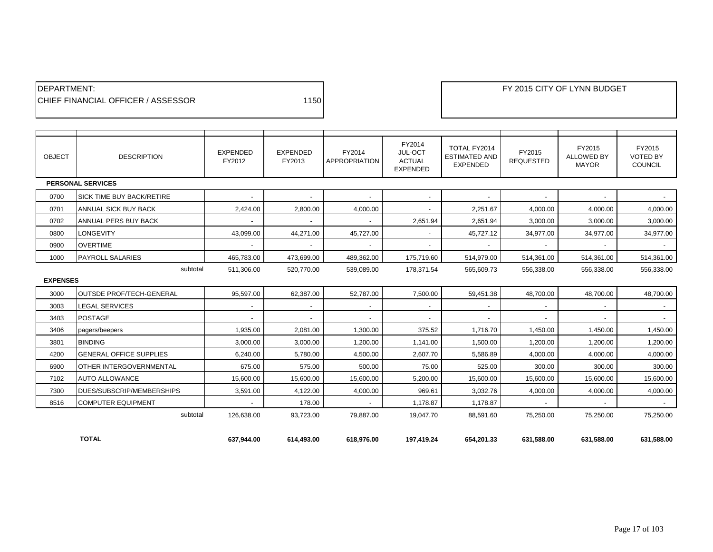| <b>IDEPARTMENT:</b>                        |      |
|--------------------------------------------|------|
| <b>ICHIEF FINANCIAL OFFICER / ASSESSOR</b> | 1150 |

| <b>OBJECT</b>   | <b>DESCRIPTION</b>               | <b>EXPENDED</b><br>FY2012 | <b>EXPENDED</b><br>FY2013 | FY2014<br><b>APPROPRIATION</b> | FY2014<br>JUL-OCT<br><b>ACTUAL</b><br><b>EXPENDED</b> | TOTAL FY2014<br><b>ESTIMATED AND</b><br><b>EXPENDED</b> | FY2015<br><b>REQUESTED</b> | FY2015<br><b>ALLOWED BY</b><br><b>MAYOR</b> | FY2015<br><b>VOTED BY</b><br><b>COUNCIL</b> |
|-----------------|----------------------------------|---------------------------|---------------------------|--------------------------------|-------------------------------------------------------|---------------------------------------------------------|----------------------------|---------------------------------------------|---------------------------------------------|
|                 | <b>PERSONAL SERVICES</b>         |                           |                           |                                |                                                       |                                                         |                            |                                             |                                             |
| 0700            | <b>SICK TIME BUY BACK/RETIRE</b> | $\sim$                    | $\sim$                    | $\sim$                         | $\overline{\phantom{0}}$                              | $\overline{\phantom{a}}$                                | $\overline{\phantom{a}}$   | $\overline{\phantom{a}}$                    | $\overline{\phantom{a}}$                    |
| 0701            | ANNUAL SICK BUY BACK             | 2,424.00                  | 2,800.00                  | 4,000.00                       | $\blacksquare$                                        | 2,251.67                                                | 4,000.00                   | 4,000.00                                    | 4,000.00                                    |
| 0702            | ANNUAL PERS BUY BACK             |                           |                           |                                | 2,651.94                                              | 2,651.94                                                | 3,000.00                   | 3,000.00                                    | 3,000.00                                    |
| 0800            | <b>LONGEVITY</b>                 | 43.099.00                 | 44,271.00                 | 45,727.00                      |                                                       | 45,727.12                                               | 34,977.00                  | 34,977.00                                   | 34,977.00                                   |
| 0900            | <b>OVERTIME</b>                  |                           |                           |                                |                                                       |                                                         |                            |                                             |                                             |
| 1000            | <b>PAYROLL SALARIES</b>          | 465,783.00                | 473,699.00                | 489,362.00                     | 175,719.60                                            | 514,979.00                                              | 514,361.00                 | 514,361.00                                  | 514,361.00                                  |
| subtotal        |                                  | 511,306.00                | 520,770.00                | 539,089.00                     | 178,371.54                                            | 565,609.73                                              | 556,338.00                 | 556,338.00                                  | 556,338.00                                  |
| <b>EXPENSES</b> |                                  |                           |                           |                                |                                                       |                                                         |                            |                                             |                                             |
| 3000            | <b>OUTSDE PROF/TECH-GENERAL</b>  | 95,597.00                 | 62,387.00                 | 52,787.00                      | 7,500.00                                              | 59,451.38                                               | 48,700.00                  | 48,700.00                                   | 48,700.00                                   |
| 3003            | <b>LEGAL SERVICES</b>            | $\overline{\phantom{a}}$  | $\sim$                    | $\overline{\phantom{a}}$       | $\sim$                                                |                                                         | $\sim$                     | $\overline{\phantom{a}}$                    | $\sim$                                      |
| 3403            | <b>POSTAGE</b>                   |                           |                           |                                |                                                       |                                                         |                            |                                             |                                             |
| 3406            | pagers/beepers                   | 1,935.00                  | 2.081.00                  | 1,300.00                       | 375.52                                                | 1,716.70                                                | 1,450.00                   | 1,450.00                                    | 1,450.00                                    |
| 3801            | <b>BINDING</b>                   | 3,000.00                  | 3,000.00                  | 1,200.00                       | 1,141.00                                              | 1,500.00                                                | 1,200.00                   | 1,200.00                                    | 1,200.00                                    |
| 4200            | <b>GENERAL OFFICE SUPPLIES</b>   | 6,240.00                  | 5,780.00                  | 4,500.00                       | 2,607.70                                              | 5,586.89                                                | 4,000.00                   | 4,000.00                                    | 4,000.00                                    |
| 6900            | <b>OTHER INTERGOVERNMENTAL</b>   | 675.00                    | 575.00                    | 500.00                         | 75.00                                                 | 525.00                                                  | 300.00                     | 300.00                                      | 300.00                                      |
| 7102            | <b>AUTO ALLOWANCE</b>            | 15,600.00                 | 15,600.00                 | 15,600.00                      | 5,200.00                                              | 15,600.00                                               | 15,600.00                  | 15,600.00                                   | 15,600.00                                   |
| 7300            | DUES/SUBSCRIP/MEMBERSHIPS        | 3,591.00                  | 4,122.00                  | 4,000.00                       | 969.61                                                | 3,032.76                                                | 4,000.00                   | 4,000.00                                    | 4,000.00                                    |
| 8516            | <b>COMPUTER EQUIPMENT</b>        |                           | 178.00                    |                                | 1.178.87                                              | 1,178.87                                                |                            |                                             |                                             |
|                 | subtotal                         | 126,638.00                | 93,723.00                 | 79,887.00                      | 19,047.70                                             | 88,591.60                                               | 75,250.00                  | 75,250.00                                   | 75,250.00                                   |
|                 |                                  |                           |                           |                                |                                                       |                                                         |                            |                                             |                                             |
|                 | <b>TOTAL</b>                     | 637,944.00                | 614,493.00                | 618,976.00                     | 197,419.24                                            | 654.201.33                                              | 631.588.00                 | 631,588.00                                  | 631.588.00                                  |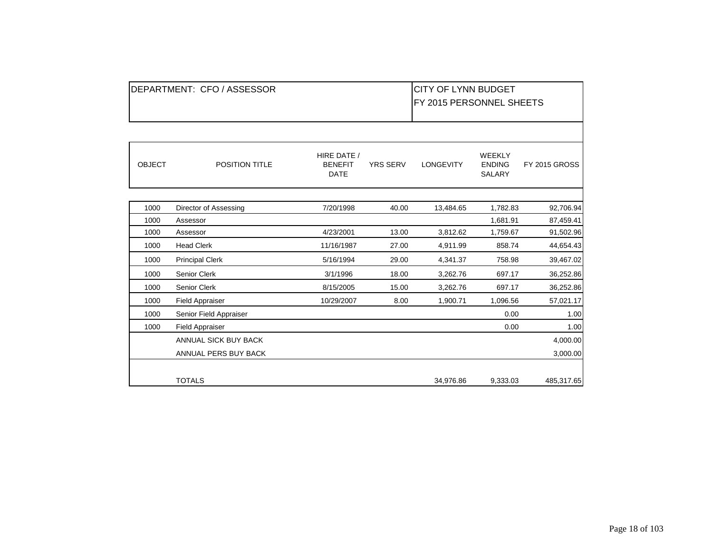|               | DEPARTMENT: CFO / ASSESSOR  |                               |                 | <b>CITY OF LYNN BUDGET</b><br>FY 2015 PERSONNEL SHEETS |                         |                      |
|---------------|-----------------------------|-------------------------------|-----------------|--------------------------------------------------------|-------------------------|----------------------|
|               |                             | HIRE DATE /                   |                 |                                                        | WEEKLY                  |                      |
| <b>OBJECT</b> | POSITION TITLE              | <b>BENEFIT</b><br><b>DATE</b> | <b>YRS SERV</b> | <b>LONGEVITY</b>                                       | <b>ENDING</b><br>SALARY | <b>FY 2015 GROSS</b> |
| 1000          | Director of Assessing       | 7/20/1998                     | 40.00           | 13,484.65                                              | 1,782.83                | 92,706.94            |
| 1000          | Assessor                    |                               |                 |                                                        | 1,681.91                | 87,459.41            |
| 1000          | Assessor                    | 4/23/2001                     | 13.00           | 3,812.62                                               | 1,759.67                | 91,502.96            |
| 1000          | <b>Head Clerk</b>           | 11/16/1987                    | 27.00           | 4,911.99                                               | 858.74                  | 44,654.43            |
| 1000          | <b>Principal Clerk</b>      | 5/16/1994                     | 29.00           | 4,341.37                                               | 758.98                  | 39,467.02            |
| 1000          | Senior Clerk                | 3/1/1996                      | 18.00           | 3,262.76                                               | 697.17                  | 36,252.86            |
| 1000          | Senior Clerk                | 8/15/2005                     | 15.00           | 3,262.76                                               | 697.17                  | 36,252.86            |
| 1000          | <b>Field Appraiser</b>      | 10/29/2007                    | 8.00            | 1,900.71                                               | 1,096.56                | 57,021.17            |
| 1000          | Senior Field Appraiser      |                               |                 |                                                        | 0.00                    | 1.00                 |
| 1000          | <b>Field Appraiser</b>      |                               |                 |                                                        | 0.00                    | 1.00                 |
|               | <b>ANNUAL SICK BUY BACK</b> |                               |                 |                                                        |                         | 4,000.00             |
|               | ANNUAL PERS BUY BACK        |                               |                 |                                                        |                         | 3,000.00             |
|               | <b>TOTALS</b>               |                               |                 | 34,976.86                                              | 9,333.03                | 485,317.65           |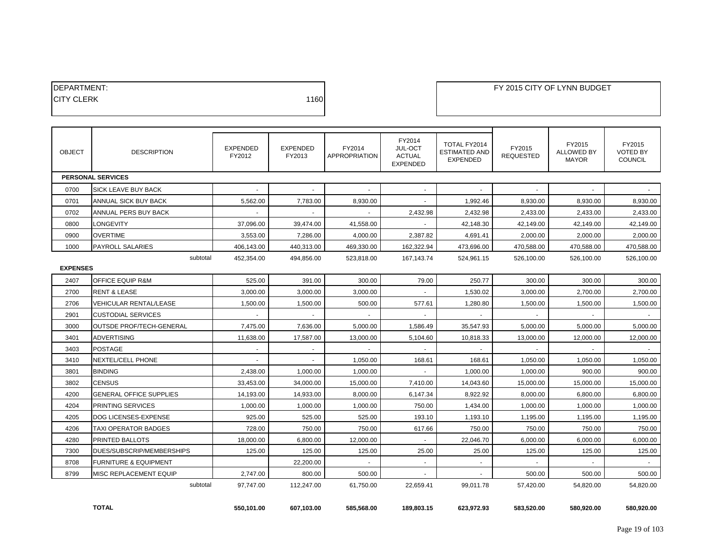| <b>IDEPARTMENT:</b> |      |
|---------------------|------|
| <b>ICITY CLERK</b>  | 1160 |
|                     |      |

| <b>OBJECT</b>   | <b>DESCRIPTION</b>               | <b>EXPENDED</b><br>FY2012 | <b>EXPENDED</b><br>FY2013 | FY2014<br><b>APPROPRIATION</b> | FY2014<br>JUL-OCT<br><b>ACTUAL</b><br><b>EXPENDED</b> | TOTAL FY2014<br><b>ESTIMATED AND</b><br><b>EXPENDED</b> | FY2015<br><b>REQUESTED</b> | FY2015<br><b>ALLOWED BY</b><br><b>MAYOR</b> | FY2015<br><b>VOTED BY</b><br><b>COUNCIL</b> |
|-----------------|----------------------------------|---------------------------|---------------------------|--------------------------------|-------------------------------------------------------|---------------------------------------------------------|----------------------------|---------------------------------------------|---------------------------------------------|
|                 | <b>PERSONAL SERVICES</b>         |                           |                           |                                |                                                       |                                                         |                            |                                             |                                             |
| 0700            | <b>SICK LEAVE BUY BACK</b>       |                           |                           |                                |                                                       |                                                         |                            |                                             |                                             |
| 0701            | ANNUAL SICK BUY BACK             | 5.562.00                  | 7.783.00                  | 8.930.00                       | $\sim$                                                | 1.992.46                                                | 8.930.00                   | 8.930.00                                    | 8.930.00                                    |
| 0702            | ANNUAL PERS BUY BACK             |                           |                           |                                | 2,432.98                                              | 2,432.98                                                | 2,433.00                   | 2,433.00                                    | 2,433.00                                    |
| 0800            | <b>LONGEVITY</b>                 | 37,096.00                 | 39,474.00                 | 41,558.00                      |                                                       | 42,148.30                                               | 42,149.00                  | 42,149.00                                   | 42,149.00                                   |
| 0900            | <b>OVERTIME</b>                  | 3,553.00                  | 7,286.00                  | 4,000.00                       | 2,387.82                                              | 4,691.41                                                | 2,000.00                   | 2,000.00                                    | 2,000.00                                    |
| 1000            | <b>PAYROLL SALARIES</b>          | 406,143.00                | 440.313.00                | 469,330.00                     | 162,322.94                                            | 473,696.00                                              | 470,588.00                 | 470.588.00                                  | 470.588.00                                  |
|                 | subtotal                         | 452.354.00                | 494.856.00                | 523.818.00                     | 167,143.74                                            | 524.961.15                                              | 526.100.00                 | 526.100.00                                  | 526.100.00                                  |
| <b>EXPENSES</b> |                                  |                           |                           |                                |                                                       |                                                         |                            |                                             |                                             |
| 2407            | <b>OFFICE EQUIP R&amp;M</b>      | 525.00                    | 391.00                    | 300.00                         | 79.00                                                 | 250.77                                                  | 300.00                     | 300.00                                      | 300.00                                      |
| 2700            | <b>RENT &amp; LEASE</b>          | 3,000.00                  | 3,000.00                  | 3,000.00                       |                                                       | 1,530.02                                                | 3,000.00                   | 2,700.00                                    | 2,700.00                                    |
| 2706            | VEHICULAR RENTAL/LEASE           | 1,500.00                  | 1,500.00                  | 500.00                         | 577.61                                                | 1,280.80                                                | 1,500.00                   | 1,500.00                                    | 1,500.00                                    |
| 2901            | <b>CUSTODIAL SERVICES</b>        |                           | $\sim$                    | $\sim$                         | $\sim$                                                |                                                         |                            |                                             |                                             |
| 3000            | <b>OUTSDE PROF/TECH-GENERAL</b>  | 7.475.00                  | 7.636.00                  | 5,000.00                       | 1,586.49                                              | 35,547.93                                               | 5,000.00                   | 5.000.00                                    | 5.000.00                                    |
| 3401            | <b>ADVERTISING</b>               | 11,638.00                 | 17,587.00                 | 13,000.00                      | 5,104.60                                              | 10,818.33                                               | 13,000.00                  | 12,000.00                                   | 12,000.00                                   |
| 3403            | POSTAGE                          | $\tilde{\phantom{a}}$     | $\sim$                    | $\sim$                         | $\sim$                                                | $\sim$                                                  | $\sim$                     | $\sim$                                      | $\sim$                                      |
| 3410            | <b>NEXTEL/CELL PHONE</b>         |                           |                           | 1,050.00                       | 168.61                                                | 168.61                                                  | 1,050.00                   | 1,050.00                                    | 1,050.00                                    |
| 3801            | <b>BINDING</b>                   | 2,438.00                  | 1,000.00                  | 1,000.00                       |                                                       | 1,000.00                                                | 1,000.00                   | 900.00                                      | 900.00                                      |
| 3802            | <b>CENSUS</b>                    | 33,453.00                 | 34,000.00                 | 15,000.00                      | 7,410.00                                              | 14,043.60                                               | 15,000.00                  | 15,000.00                                   | 15,000.00                                   |
| 4200            | <b>GENERAL OFFICE SUPPLIES</b>   | 14,193.00                 | 14,933.00                 | 8,000.00                       | 6,147.34                                              | 8,922.92                                                | 8,000.00                   | 6,800.00                                    | 6,800.00                                    |
| 4204            | PRINTING SERVICES                | 1,000.00                  | 1,000.00                  | 1,000.00                       | 750.00                                                | 1,434.00                                                | 1,000.00                   | 1,000.00                                    | 1,000.00                                    |
| 4205            | DOG LICENSES-EXPENSE             | 925.00                    | 525.00                    | 525.00                         | 193.10                                                | 1,193.10                                                | 1,195.00                   | 1,195.00                                    | 1,195.00                                    |
| 4206            | TAXI OPERATOR BADGES             | 728.00                    | 750.00                    | 750.00                         | 617.66                                                | 750.00                                                  | 750.00                     | 750.00                                      | 750.00                                      |
| 4280            | <b>PRINTED BALLOTS</b>           | 18,000.00                 | 6,800.00                  | 12,000.00                      | $\sim$                                                | 22,046.70                                               | 6,000.00                   | 6,000.00                                    | 6,000.00                                    |
| 7300            | DUES/SUBSCRIP/MEMBERSHIPS        | 125.00                    | 125.00                    | 125.00                         | 25.00                                                 | 25.00                                                   | 125.00                     | 125.00                                      | 125.00                                      |
| 8708            | <b>FURNITURE &amp; EQUIPMENT</b> |                           | 22,200.00                 |                                | $\sim$                                                |                                                         |                            |                                             |                                             |
| 8799            | MISC REPLACEMENT EQUIP           | 2,747.00                  | 800.00                    | 500.00                         | $\sim$                                                |                                                         | 500.00                     | 500.00                                      | 500.00                                      |
|                 | subtotal                         | 97,747.00                 | 112,247.00                | 61,750.00                      | 22,659.41                                             | 99,011.78                                               | 57,420.00                  | 54,820.00                                   | 54,820.00                                   |

**TOTAL 550,101.00 607,103.00 585,568.00 189,803.15 623,972.93 583,520.00 580,920.00 580,920.00**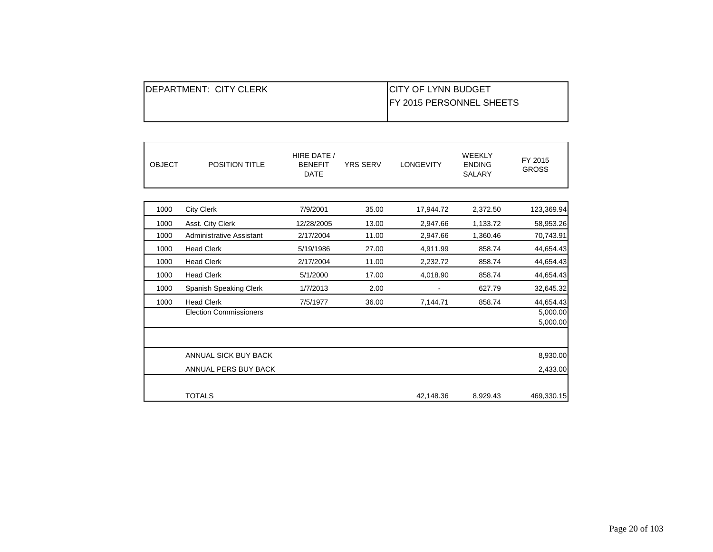| <b>IDEPARTMENT: CITY CLERK</b> | <b>ICITY OF LYNN BUDGET</b>      |
|--------------------------------|----------------------------------|
|                                | <b>IFY 2015 PERSONNEL SHEETS</b> |
|                                |                                  |

| <b>OBJECT</b> | <b>POSITION TITLE</b>         | HIRE DATE /<br><b>BENEFIT</b><br><b>DATE</b> | <b>YRS SERV</b> | <b>LONGEVITY</b> | <b>WEEKLY</b><br><b>ENDING</b><br><b>SALARY</b> | FY 2015<br><b>GROSS</b> |
|---------------|-------------------------------|----------------------------------------------|-----------------|------------------|-------------------------------------------------|-------------------------|
|               |                               |                                              |                 |                  |                                                 |                         |
| 1000          | <b>City Clerk</b>             | 7/9/2001                                     | 35.00           | 17,944.72        | 2,372.50                                        | 123,369.94              |
| 1000          | Asst. City Clerk              | 12/28/2005                                   | 13.00           | 2,947.66         | 1,133.72                                        | 58,953.26               |
| 1000          | Administrative Assistant      | 2/17/2004                                    | 11.00           | 2,947.66         | 1,360.46                                        | 70,743.91               |
| 1000          | <b>Head Clerk</b>             | 5/19/1986                                    | 27.00           | 4,911.99         | 858.74                                          | 44,654.43               |
| 1000          | <b>Head Clerk</b>             | 2/17/2004                                    | 11.00           | 2,232.72         | 858.74                                          | 44,654.43               |
| 1000          | <b>Head Clerk</b>             | 5/1/2000                                     | 17.00           | 4,018.90         | 858.74                                          | 44,654.43               |
| 1000          | Spanish Speaking Clerk        | 1/7/2013                                     | 2.00            |                  | 627.79                                          | 32,645.32               |
| 1000          | <b>Head Clerk</b>             | 7/5/1977                                     | 36.00           | 7,144.71         | 858.74                                          | 44,654.43               |
|               | <b>Election Commissioners</b> |                                              |                 |                  |                                                 | 5,000.00                |
|               |                               |                                              |                 |                  |                                                 | 5,000.00                |
|               |                               |                                              |                 |                  |                                                 |                         |
|               | ANNUAL SICK BUY BACK          |                                              |                 |                  |                                                 | 8,930.00                |
|               | ANNUAL PERS BUY BACK          |                                              |                 |                  |                                                 | 2,433.00                |
|               |                               |                                              |                 |                  |                                                 |                         |
|               | <b>TOTALS</b>                 |                                              |                 | 42,148.36        | 8,929.43                                        | 469,330.15              |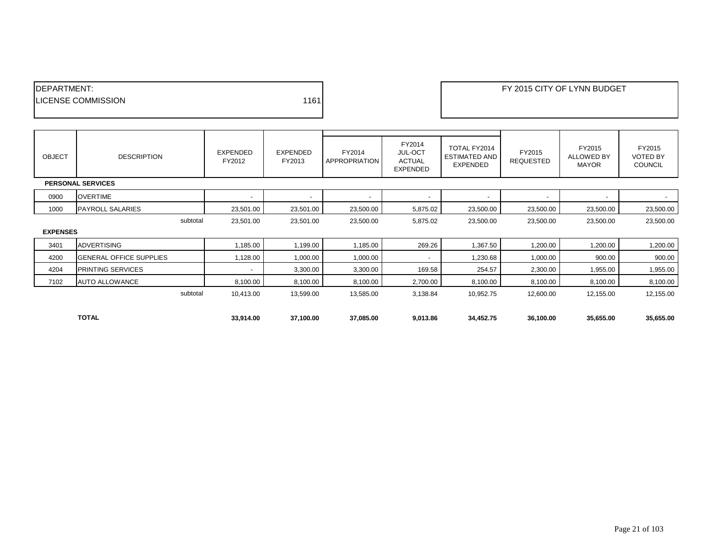| <b>IDEPARTMENT:</b>        |      |
|----------------------------|------|
| <b>ILICENSE COMMISSION</b> | 1161 |
|                            |      |

EXAMPLE THE REPORT OF LYNN BUDGET

| <b>OBJECT</b>   | <b>DESCRIPTION</b>             | EXPENDED<br>FY2012       | EXPENDED<br>FY2013 | FY2014<br>APPROPRIATION | FY2014<br><b>JUL-OCT</b><br><b>ACTUAL</b><br><b>EXPENDED</b> | TOTAL FY2014<br><b>ESTIMATED AND</b><br><b>EXPENDED</b> | FY2015<br><b>REQUESTED</b> | FY2015<br><b>ALLOWED BY</b><br><b>MAYOR</b> | FY2015<br><b>VOTED BY</b><br><b>COUNCIL</b> |
|-----------------|--------------------------------|--------------------------|--------------------|-------------------------|--------------------------------------------------------------|---------------------------------------------------------|----------------------------|---------------------------------------------|---------------------------------------------|
|                 | <b>PERSONAL SERVICES</b>       |                          |                    |                         |                                                              |                                                         |                            |                                             |                                             |
| 0900            | <b>OVERTIME</b>                | $\overline{\phantom{a}}$ |                    | $\blacksquare$          |                                                              | $\overline{\phantom{a}}$                                |                            | $\overline{\phantom{a}}$                    |                                             |
| 1000            | <b>PAYROLL SALARIES</b>        | 23,501.00                | 23,501.00          | 23,500.00               | 5,875.02                                                     | 23,500.00                                               | 23,500.00                  | 23,500.00                                   | 23,500.00                                   |
|                 | subtotal                       | 23,501.00                | 23,501.00          | 23,500.00               | 5,875.02                                                     | 23,500.00                                               | 23,500.00                  | 23,500.00                                   | 23,500.00                                   |
| <b>EXPENSES</b> |                                |                          |                    |                         |                                                              |                                                         |                            |                                             |                                             |
| 3401            | <b>ADVERTISING</b>             | 1,185.00                 | 1,199.00           | 1,185.00                | 269.26                                                       | 1,367.50                                                | 1,200.00                   | 1,200.00                                    | 1,200.00                                    |
| 4200            | <b>GENERAL OFFICE SUPPLIES</b> | 1,128.00                 | 1,000.00           | 1,000.00                | $\overline{\phantom{a}}$                                     | 1,230.68                                                | 1,000.00                   | 900.00                                      | 900.00                                      |
| 4204            | PRINTING SERVICES              | $\overline{\phantom{a}}$ | 3,300.00           | 3,300.00                | 169.58                                                       | 254.57                                                  | 2,300.00                   | 1,955.00                                    | 1,955.00                                    |
| 7102            | <b>AUTO ALLOWANCE</b>          | 8,100.00                 | 8,100.00           | 8,100.00                | 2,700.00                                                     | 8,100.00                                                | 8,100.00                   | 8,100.00                                    | 8,100.00                                    |
|                 | subtotal                       | 10,413.00                | 13,599.00          | 13,585.00               | 3,138.84                                                     | 10,952.75                                               | 12,600.00                  | 12,155.00                                   | 12,155.00                                   |
|                 |                                |                          |                    |                         |                                                              |                                                         |                            |                                             |                                             |
|                 | <b>TOTAL</b>                   | 33,914.00                | 37,100.00          | 37,085.00               | 9,013.86                                                     | 34,452.75                                               | 36,100.00                  | 35,655.00                                   | 35,655.00                                   |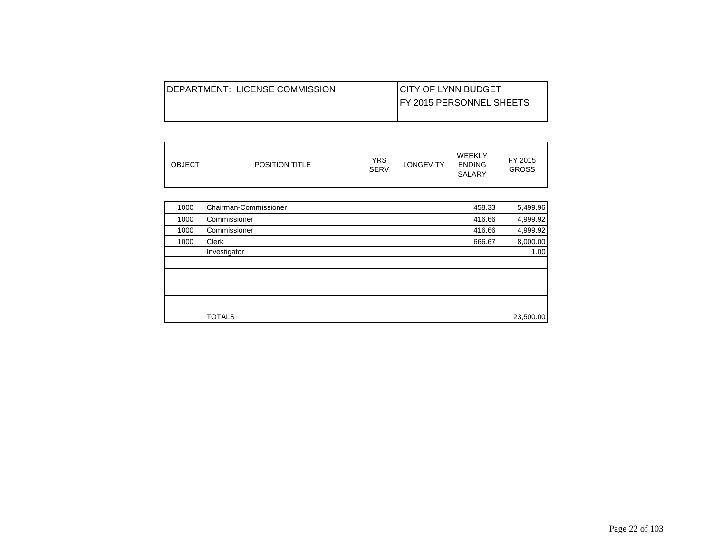| <b>IDEPARTMENT: LICENSE COMMISSION</b> | <b>ICITY OF LYNN BUDGET</b>      |
|----------------------------------------|----------------------------------|
|                                        | <b>IFY 2015 PERSONNEL SHEETS</b> |
|                                        |                                  |

| <b>OBJECT</b><br><b>POSITION TITLE</b> | YRS<br><b>SERV</b> | <b>LONGEVITY</b> | WEEKLY<br><b>ENDING</b><br><b>SALARY</b> | FY 2015<br><b>GROSS</b> |
|----------------------------------------|--------------------|------------------|------------------------------------------|-------------------------|
|----------------------------------------|--------------------|------------------|------------------------------------------|-------------------------|

| 1000 | Chairman-Commissioner | 458.33 | 5,499.96  |
|------|-----------------------|--------|-----------|
| 1000 | Commissioner          | 416.66 | 4,999.92  |
| 1000 | Commissioner          | 416.66 | 4,999.92  |
| 1000 | Clerk                 | 666.67 | 8,000.00  |
|      | Investigator          |        | 1.00      |
|      |                       |        |           |
|      |                       |        |           |
|      |                       |        |           |
|      |                       |        |           |
|      |                       |        |           |
|      | <b>TOTALS</b>         |        | 23,500.00 |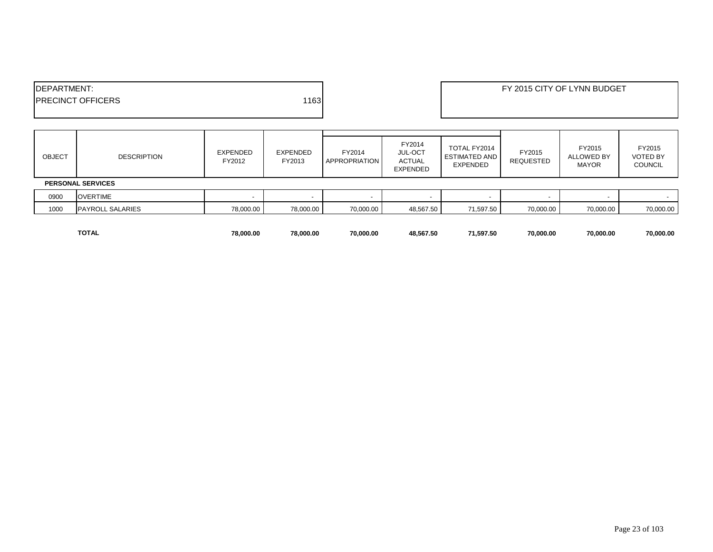| <b>IDEPARTMENT:</b>       |      | FY 2015 CITY OF LYNN BUDGET |
|---------------------------|------|-----------------------------|
| <b>IPRECINCT OFFICERS</b> | 1163 |                             |
|                           |      |                             |

| <b>OBJECT</b> | <b>DESCRIPTION</b>       | EXPENDED<br>FY2012 | EXPENDED<br>FY2013 | FY2014<br><b>APPROPRIATION</b> | FY2014<br><b>JUL-OCT</b><br><b>ACTUAL</b><br><b>EXPENDED</b> | TOTAL FY2014<br><b>ESTIMATED AND</b><br>EXPENDED | FY2015<br>REQUESTED | FY2015<br>ALLOWED BY<br><b>MAYOR</b> | FY2015<br><b>VOTED BY</b><br><b>COUNCIL</b> |  |
|---------------|--------------------------|--------------------|--------------------|--------------------------------|--------------------------------------------------------------|--------------------------------------------------|---------------------|--------------------------------------|---------------------------------------------|--|
|               | <b>PERSONAL SERVICES</b> |                    |                    |                                |                                                              |                                                  |                     |                                      |                                             |  |
| 0900          | <b>OVERTIME</b>          |                    |                    | . .                            |                                                              |                                                  |                     |                                      |                                             |  |
| 1000          | <b>PAYROLL SALARIES</b>  | 78,000.00          | 78,000.00          | 70,000.00                      | 48,567.50                                                    | 71,597.50                                        | 70,000.00           | 70,000.00                            | 70,000.00                                   |  |
|               |                          |                    |                    |                                |                                                              |                                                  |                     |                                      |                                             |  |

**TOTAL 78,000.00 78,000.00 70,000.00 48,567.50 71,597.50 70,000.00 70,000.00 70,000.00**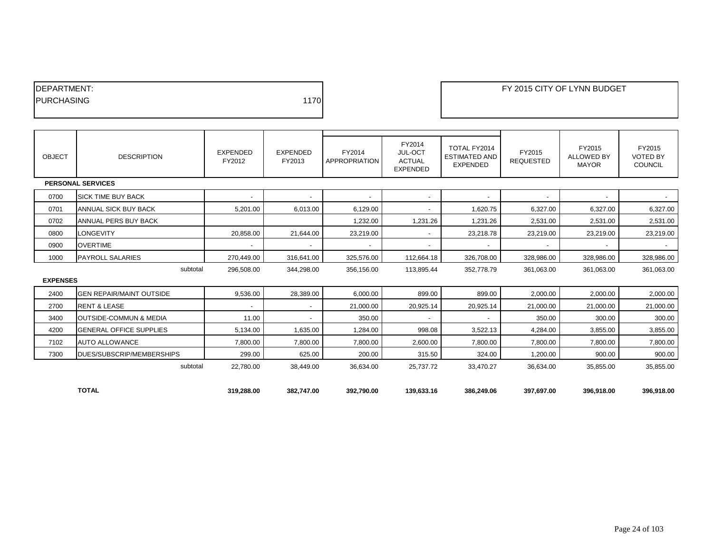| <b>IDEPARTMENT:</b> |      |
|---------------------|------|
| <b>IPURCHASING</b>  | 1170 |
|                     |      |

| <b>OBJECT</b>   | <b>DESCRIPTION</b>                | EXPENDED<br>FY2012       | <b>EXPENDED</b><br>FY2013 | FY2014<br><b>APPROPRIATION</b> | FY2014<br>JUL-OCT<br><b>ACTUAL</b><br><b>EXPENDED</b> | TOTAL FY2014<br><b>ESTIMATED AND</b><br><b>EXPENDED</b> | FY2015<br><b>REQUESTED</b> | FY2015<br><b>ALLOWED BY</b><br><b>MAYOR</b> | FY2015<br><b>VOTED BY</b><br><b>COUNCIL</b> |
|-----------------|-----------------------------------|--------------------------|---------------------------|--------------------------------|-------------------------------------------------------|---------------------------------------------------------|----------------------------|---------------------------------------------|---------------------------------------------|
|                 | <b>PERSONAL SERVICES</b>          |                          |                           |                                |                                                       |                                                         |                            |                                             |                                             |
| 0700            | <b>SICK TIME BUY BACK</b>         |                          | $\overline{\phantom{a}}$  | $\sim$                         | ٠                                                     |                                                         |                            | $\overline{\phantom{a}}$                    |                                             |
| 0701            | ANNUAL SICK BUY BACK              | 5,201.00                 | 6,013.00                  | 6,129.00                       | $\overline{\phantom{a}}$                              | 1,620.75                                                | 6,327.00                   | 6,327.00                                    | 6,327.00                                    |
| 0702            | ANNUAL PERS BUY BACK              |                          |                           | 1,232.00                       | 1,231.26                                              | 1,231.26                                                | 2,531.00                   | 2,531.00                                    | 2,531.00                                    |
| 0800            | <b>LONGEVITY</b>                  | 20,858.00                | 21,644.00                 | 23,219.00                      | $\overline{\phantom{a}}$                              | 23,218.78                                               | 23,219.00                  | 23,219.00                                   | 23,219.00                                   |
| 0900            | <b>OVERTIME</b>                   | $\overline{\phantom{a}}$ | $\overline{\phantom{a}}$  | $\sim$                         | $\overline{\phantom{a}}$                              | $\overline{\phantom{a}}$                                | $\overline{\phantom{a}}$   | $\overline{\phantom{a}}$                    | $\sim$                                      |
| 1000            | <b>PAYROLL SALARIES</b>           | 270,449.00               | 316,641.00                | 325,576.00                     | 112,664.18                                            | 326,708.00                                              | 328,986.00                 | 328,986.00                                  | 328,986.00                                  |
|                 | subtotal                          | 296,508.00               | 344,298.00                | 356,156.00                     | 113,895.44                                            | 352.778.79                                              | 361,063.00                 | 361.063.00                                  | 361,063.00                                  |
| <b>EXPENSES</b> |                                   |                          |                           |                                |                                                       |                                                         |                            |                                             |                                             |
| 2400            | <b>GEN REPAIR/MAINT OUTSIDE</b>   | 9,536.00                 | 28,389.00                 | 6,000.00                       | 899.00                                                | 899.00                                                  | 2,000.00                   | 2,000.00                                    | 2,000.00                                    |
| 2700            | <b>RENT &amp; LEASE</b>           | $\overline{\phantom{a}}$ | $\overline{\phantom{a}}$  | 21,000.00                      | 20,925.14                                             | 20,925.14                                               | 21,000.00                  | 21,000.00                                   | 21,000.00                                   |
| 3400            | <b>OUTSIDE-COMMUN &amp; MEDIA</b> | 11.00                    | $\overline{\phantom{a}}$  | 350.00                         | $\overline{\phantom{a}}$                              |                                                         | 350.00                     | 300.00                                      | 300.00                                      |
| 4200            | <b>GENERAL OFFICE SUPPLIES</b>    | 5,134.00                 | 1,635.00                  | 1,284.00                       | 998.08                                                | 3,522.13                                                | 4,284.00                   | 3,855.00                                    | 3,855.00                                    |
| 7102            | <b>AUTO ALLOWANCE</b>             | 7,800.00                 | 7,800.00                  | 7,800.00                       | 2,600.00                                              | 7,800.00                                                | 7,800.00                   | 7,800.00                                    | 7,800.00                                    |
| 7300            | DUES/SUBSCRIP/MEMBERSHIPS         | 299.00                   | 625.00                    | 200.00                         | 315.50                                                | 324.00                                                  | 1,200.00                   | 900.00                                      | 900.00                                      |
|                 | subtotal                          | 22,780.00                | 38,449.00                 | 36,634.00                      | 25,737.72                                             | 33,470.27                                               | 36,634.00                  | 35,855.00                                   | 35,855.00                                   |
|                 |                                   |                          |                           |                                |                                                       |                                                         |                            |                                             |                                             |
|                 | <b>TOTAL</b>                      | 319,288.00               | 382,747.00                | 392,790.00                     | 139,633.16                                            | 386,249.06                                              | 397,697.00                 | 396,918.00                                  | 396,918.00                                  |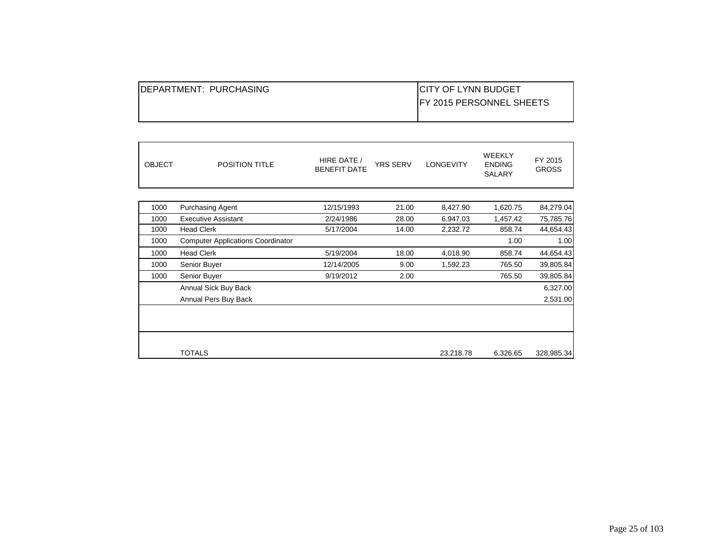| IDEPARTMENT: PURCHASING | <b>ICITY OF LYNN BUDGET</b>      |
|-------------------------|----------------------------------|
|                         | <b>IFY 2015 PERSONNEL SHEETS</b> |
|                         |                                  |

| <b>OBJECT</b> | <b>POSITION TITLE</b>                    | HIRE DATE /<br><b>BENEFIT DATE</b> | <b>YRS SERV</b> | <b>LONGEVITY</b> | <b>WEEKLY</b><br><b>ENDING</b><br>SALARY | FY 2015<br><b>GROSS</b> |
|---------------|------------------------------------------|------------------------------------|-----------------|------------------|------------------------------------------|-------------------------|
|               |                                          |                                    |                 |                  |                                          |                         |
| 1000          | <b>Purchasing Agent</b>                  | 12/15/1993                         | 21.00           | 8,427.90         | 1,620.75                                 | 84,279.04               |
| 1000          | <b>Executive Assistant</b>               | 2/24/1986                          | 28.00           | 6,947.03         | 1,457.42                                 | 75,785.76               |
| 1000          | <b>Head Clerk</b>                        | 5/17/2004                          | 14.00           | 2,232.72         | 858.74                                   | 44,654.43               |
| 1000          | <b>Computer Applications Coordinator</b> |                                    |                 |                  | 1.00                                     | 1.00                    |
| 1000          | <b>Head Clerk</b>                        | 5/19/2004                          | 18.00           | 4,018.90         | 858.74                                   | 44,654.43               |
| 1000          | Senior Buyer                             | 12/14/2005                         | 9.00            | 1,592.23         | 765.50                                   | 39,805.84               |
| 1000          | Senior Buyer                             | 9/19/2012                          | 2.00            |                  | 765.50                                   | 39,805.84               |
|               | Annual Sick Buy Back                     |                                    |                 |                  |                                          | 6,327.00                |
|               | Annual Pers Buy Back                     |                                    |                 |                  |                                          | 2,531.00                |
|               |                                          |                                    |                 |                  |                                          |                         |
|               |                                          |                                    |                 |                  |                                          |                         |
|               | <b>TOTALS</b>                            |                                    |                 | 23,218.78        | 6,326.65                                 | 328,985.34              |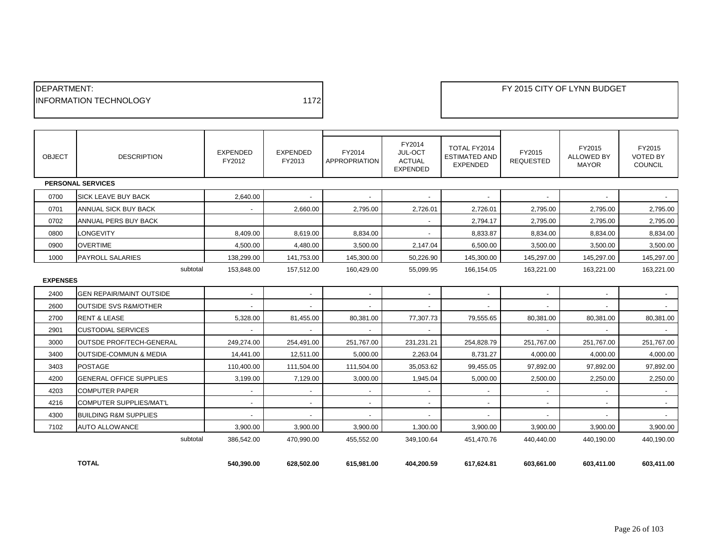| <b>IDEPARTMENT:</b>            |      |
|--------------------------------|------|
| <b>IINFORMATION TECHNOLOGY</b> | 1172 |
|                                |      |

| <b>OBJECT</b>               | <b>DESCRIPTION</b>                | <b>EXPENDED</b><br>FY2012 | EXPENDED<br>FY2013       | FY2014<br><b>APPROPRIATION</b> | FY2014<br>JUL-OCT<br><b>ACTUAL</b><br><b>EXPENDED</b> | TOTAL FY2014<br><b>ESTIMATED AND</b><br><b>EXPENDED</b> | FY2015<br><b>REQUESTED</b> | FY2015<br><b>ALLOWED BY</b><br><b>MAYOR</b> | FY2015<br><b>VOTED BY</b><br><b>COUNCIL</b> |
|-----------------------------|-----------------------------------|---------------------------|--------------------------|--------------------------------|-------------------------------------------------------|---------------------------------------------------------|----------------------------|---------------------------------------------|---------------------------------------------|
|                             | <b>PERSONAL SERVICES</b>          |                           |                          |                                |                                                       |                                                         |                            |                                             |                                             |
| 0700                        | <b>SICK LEAVE BUY BACK</b>        | 2,640.00                  |                          |                                |                                                       |                                                         |                            |                                             |                                             |
| 0701                        | ANNUAL SICK BUY BACK              |                           | 2,660.00                 | 2,795.00                       | 2,726.01                                              | 2,726.01                                                | 2,795.00                   | 2,795.00                                    | 2,795.00                                    |
| 0702                        | ANNUAL PERS BUY BACK              |                           |                          |                                | $\sim$                                                | 2,794.17                                                | 2,795.00                   | 2,795.00                                    | 2,795.00                                    |
| 0800                        | <b>LONGEVITY</b>                  | 8,409.00                  | 8,619.00                 | 8.834.00                       |                                                       | 8,833.87                                                | 8,834.00                   | 8,834.00                                    | 8,834.00                                    |
| 0900                        | <b>OVERTIME</b>                   | 4,500.00                  | 4,480.00                 | 3,500.00                       | 2,147.04                                              | 6,500.00                                                | 3,500.00                   | 3,500.00                                    | 3,500.00                                    |
| 1000                        | <b>PAYROLL SALARIES</b>           | 138,299.00                | 141,753.00               | 145,300.00                     | 50,226.90                                             | 145,300.00                                              | 145,297.00                 | 145,297.00                                  | 145,297.00                                  |
| subtotal<br><b>EXPENSES</b> |                                   | 153,848.00                | 157,512.00               | 160,429.00                     | 55,099.95                                             | 166,154.05                                              | 163,221.00                 | 163,221.00                                  | 163,221.00                                  |
| 2400                        | <b>GEN REPAIR/MAINT OUTSIDE</b>   | $\sim$                    | $\sim$                   | $\sim$                         | $\overline{\phantom{a}}$                              | $\blacksquare$                                          | $\sim$                     | $\sim$                                      | $\sim$                                      |
| 2600                        | <b>OUTSIDE SVS R&amp;M/OTHER</b>  |                           |                          |                                |                                                       |                                                         |                            |                                             |                                             |
| 2700                        | <b>RENT &amp; LEASE</b>           | 5,328.00                  | 81,455.00                | 80,381.00                      | 77,307.73                                             | 79,555.65                                               | 80,381.00                  | 80,381.00                                   | 80,381.00                                   |
| 2901                        | <b>CUSTODIAL SERVICES</b>         | $\sim$                    | $\sim$                   | $\sim$                         | $\overline{\phantom{a}}$                              |                                                         | $\sim$                     | $\overline{\phantom{a}}$                    | $\sim$                                      |
| 3000                        | <b>OUTSDE PROF/TECH-GENERAL</b>   | 249,274.00                | 254,491.00               | 251,767.00                     | 231,231.21                                            | 254,828.79                                              | 251,767.00                 | 251,767.00                                  | 251,767.00                                  |
| 3400                        | <b>OUTSIDE-COMMUN &amp; MEDIA</b> | 14,441.00                 | 12,511.00                | 5,000.00                       | 2,263.04                                              | 8,731.27                                                | 4,000.00                   | 4,000.00                                    | 4,000.00                                    |
| 3403                        | <b>POSTAGE</b>                    | 110,400.00                | 111,504.00               | 111,504.00                     | 35,053.62                                             | 99,455.05                                               | 97,892.00                  | 97,892.00                                   | 97,892.00                                   |
| 4200                        | <b>GENERAL OFFICE SUPPLIES</b>    | 3,199.00                  | 7,129.00                 | 3,000.00                       | 1,945.04                                              | 5,000.00                                                | 2,500.00                   | 2,250.00                                    | 2,250.00                                    |
| 4203                        | <b>COMPUTER PAPER</b>             | $\overline{a}$            | $\overline{\phantom{a}}$ |                                | $\overline{\phantom{a}}$                              |                                                         |                            | $\overline{\phantom{a}}$                    | $\sim$                                      |
| 4216                        | COMPUTER SUPPLIES/MAT'L           | $\overline{\phantom{a}}$  | $\overline{\phantom{a}}$ | $\overline{\phantom{a}}$       |                                                       |                                                         |                            | $\overline{\phantom{a}}$                    | $\sim$                                      |
| 4300                        | <b>BUILDING R&amp;M SUPPLIES</b>  | $\sim$                    | $\sim$                   | $\overline{\phantom{a}}$       | $\overline{\phantom{a}}$                              | $\overline{\phantom{a}}$                                | $\overline{\phantom{a}}$   | $\overline{\phantom{a}}$                    |                                             |
| 7102                        | <b>AUTO ALLOWANCE</b>             | 3,900.00                  | 3,900.00                 | 3,900.00                       | 1,300.00                                              | 3,900.00                                                | 3,900.00                   | 3,900.00                                    | 3,900.00                                    |
|                             | subtotal                          | 386,542.00                | 470.990.00               | 455.552.00                     | 349.100.64                                            | 451.470.76                                              | 440.440.00                 | 440.190.00                                  | 440.190.00                                  |
|                             | <b>TOTAL</b>                      | 540,390.00                | 628,502.00               | 615.981.00                     | 404,200.59                                            | 617,624.81                                              | 603,661.00                 | 603,411.00                                  | 603,411.00                                  |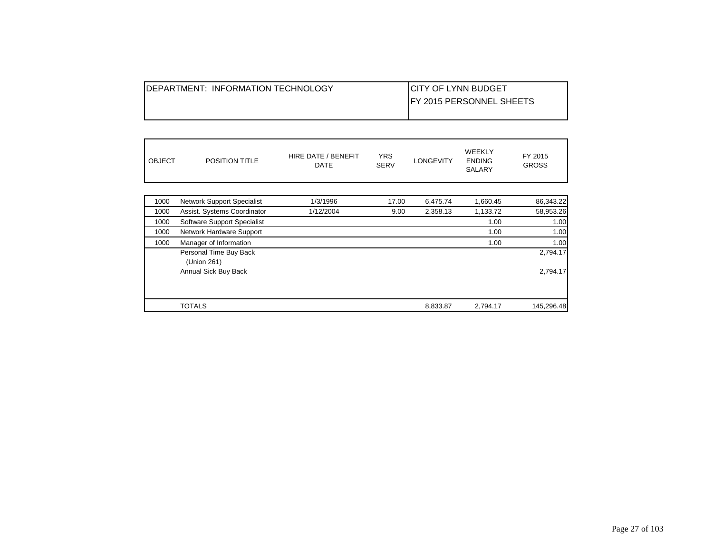|--|

| <b>OBJECT</b><br><b>POSITION TITLE</b> | <b>YRS</b><br>HIRE DATE / BENEFIT<br><b>SERV</b><br>DATE | LONGEVITY | <b>WEEKLY</b><br>FY 2015<br><b>ENDING</b><br><b>GROSS</b><br><b>SALARY</b> |
|----------------------------------------|----------------------------------------------------------|-----------|----------------------------------------------------------------------------|
|----------------------------------------|----------------------------------------------------------|-----------|----------------------------------------------------------------------------|

| 1000 | <b>Network Support Specialist</b> | 1/3/1996  | 17.00 | 6.475.74 | 1,660.45 | 86,343.22  |
|------|-----------------------------------|-----------|-------|----------|----------|------------|
| 1000 | Assist. Systems Coordinator       | 1/12/2004 | 9.00  | 2,358.13 | 1,133.72 | 58,953.26  |
| 1000 | Software Support Specialist       |           |       |          | 1.00     | 1.00       |
| 1000 | Network Hardware Support          |           |       |          | 1.00     | 1.00       |
| 1000 | Manager of Information            |           |       |          | 1.00     | 1.00       |
|      | Personal Time Buy Back            |           |       |          |          | 2,794.17   |
|      | (Union 261)                       |           |       |          |          |            |
|      | Annual Sick Buy Back              |           |       |          |          | 2,794.17   |
|      |                                   |           |       |          |          |            |
|      | <b>TOTALS</b>                     |           |       | 8,833.87 | 2,794.17 | 145,296.48 |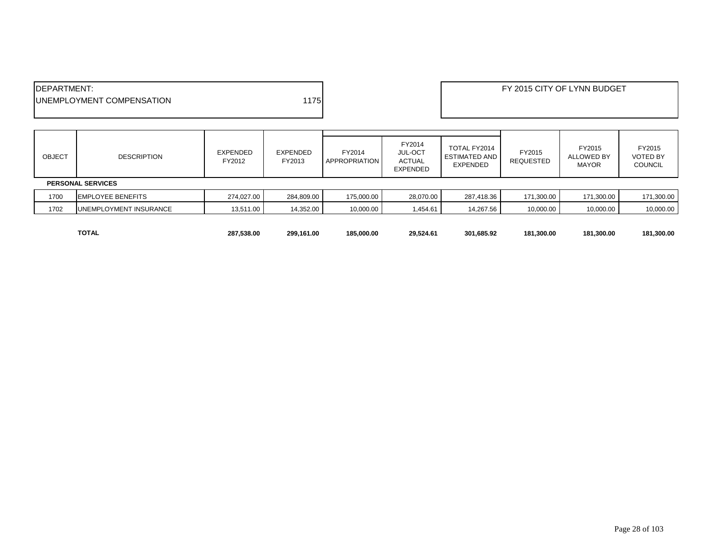| <b>IDEPARTMENT:</b>               |     | FY 2015 CITY OF LYNN BUDGET |
|-----------------------------------|-----|-----------------------------|
| <b>JUNEMPLOYMENT COMPENSATION</b> | 175 |                             |
|                                   |     |                             |

| <b>OBJECT</b>            | <b>DESCRIPTION</b>       | <b>EXPENDED</b><br>FY2012 | EXPENDED<br>FY2013 | FY2014<br><b>APPROPRIATION</b> | FY2014<br>JUL-OCT<br><b>ACTUAL</b><br><b>EXPENDED</b> | TOTAL FY2014<br>ESTIMATED AND<br><b>EXPENDED</b> | FY2015<br><b>REQUESTED</b> | FY2015<br>ALLOWED BY<br><b>MAYOR</b> | FY2015<br><b>VOTED BY</b><br><b>COUNCIL</b> |
|--------------------------|--------------------------|---------------------------|--------------------|--------------------------------|-------------------------------------------------------|--------------------------------------------------|----------------------------|--------------------------------------|---------------------------------------------|
| <b>PERSONAL SERVICES</b> |                          |                           |                    |                                |                                                       |                                                  |                            |                                      |                                             |
| 1700                     | <b>EMPLOYEE BENEFITS</b> | 274.027.00                | 284,809.00         | 175,000.00                     | 28,070.00                                             | 287,418.36                                       | 171,300.00                 | 171,300.00                           | 171,300.00                                  |
| 1702                     | UNEMPLOYMENT INSURANCE   | 13,511.00                 | 14,352.00          | 10,000.00                      | 1,454.61                                              | 14,267.56                                        | 10,000.00                  | 10,000.00                            | 10,000.00                                   |
|                          |                          |                           |                    |                                |                                                       |                                                  |                            |                                      |                                             |

**TOTAL 287,538.00 299,161.00 185,000.00 29,524.61 301,685.92 181,300.00 181,300.00 181,300.00**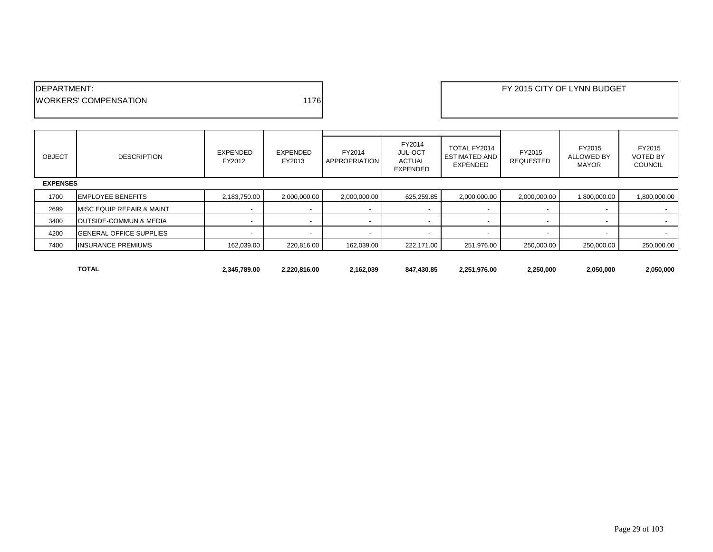| <b>IDEPARTMENT:</b>           |       |
|-------------------------------|-------|
| <b>IWORKERS' COMPENSATION</b> | 11761 |
|                               |       |

| <b>OBJECT</b> | <b>DESCRIPTION</b>                | EXPENDED<br>FY2012       | EXPENDED<br>FY2013       | FY2014<br><b>APPROPRIATION</b> | FY2014<br><b>JUL-OCT</b><br>ACTUAL<br>EXPENDED | TOTAL FY2014<br><b>ESTIMATED AND</b><br>EXPENDED | FY2015<br><b>REQUESTED</b> | FY2015<br><b>ALLOWED BY</b><br><b>MAYOR</b> | FY2015<br><b>VOTED BY</b><br><b>COUNCIL</b> |
|---------------|-----------------------------------|--------------------------|--------------------------|--------------------------------|------------------------------------------------|--------------------------------------------------|----------------------------|---------------------------------------------|---------------------------------------------|
|               | <b>EXPENSES</b>                   |                          |                          |                                |                                                |                                                  |                            |                                             |                                             |
| 1700          | <b>EMPLOYEE BENEFITS</b>          | 2,183,750.00             | 2,000,000.00             | 2,000,000.00                   | 625,259.85                                     | 2,000,000.00                                     | 2,000,000.00               | 1,800,000.00                                | 1,800,000.00                                |
| 2699          | MISC EQUIP REPAIR & MAINT         | $\overline{\phantom{0}}$ | $\overline{\phantom{a}}$ |                                |                                                |                                                  | $\overline{\phantom{0}}$   | $\overline{\phantom{a}}$                    | $\sim$                                      |
| 3400          | <b>OUTSIDE-COMMUN &amp; MEDIA</b> | $\sim$                   | $\overline{\phantom{a}}$ |                                | $\overline{\phantom{a}}$                       | $\overline{\phantom{a}}$                         | $\overline{\phantom{a}}$   | $\overline{\phantom{a}}$                    | $\sim$                                      |
| 4200          | <b>GENERAL OFFICE SUPPLIES</b>    | $\overline{\phantom{0}}$ | $\overline{\phantom{a}}$ |                                | ۰                                              |                                                  |                            | $\overline{\phantom{a}}$                    |                                             |
| 7400          | <b>INSURANCE PREMIUMS</b>         | 162,039.00               | 220,816.00               | 162,039.00                     | 222,171.00                                     | 251,976.00                                       | 250,000.00                 | 250,000.00                                  | 250,000.00                                  |
|               |                                   |                          |                          |                                |                                                |                                                  |                            |                                             |                                             |

**TOTAL 2,345,789.00 2,220,816.00 2,162,039 847,430.85 2,251,976.00 2,250,000 2,050,000 2,050,000**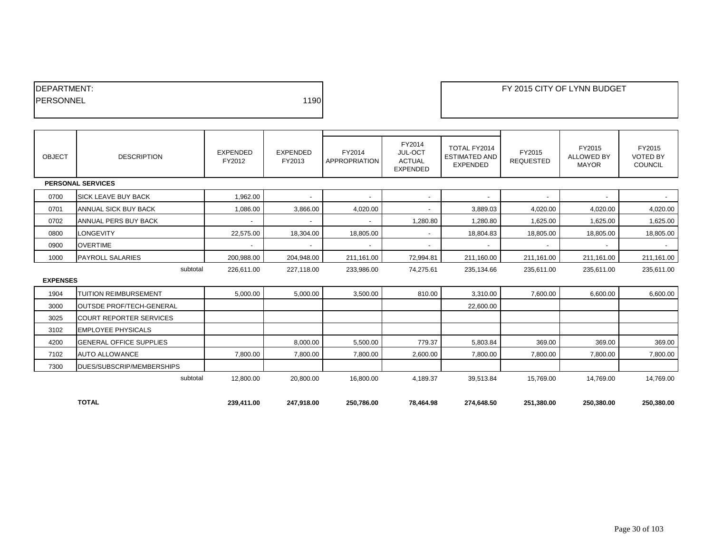| <b>IDEPARTMENT:</b> |      |
|---------------------|------|
| <b>IPERSONNEL</b>   | 1190 |
|                     |      |

| OBJECT          | <b>DESCRIPTION</b>             | <b>EXPENDED</b><br>FY2012 | <b>EXPENDED</b><br>FY2013 | FY2014<br><b>APPROPRIATION</b> | FY2014<br>JUL-OCT<br><b>ACTUAL</b><br><b>EXPENDED</b> | TOTAL FY2014<br><b>ESTIMATED AND</b><br><b>EXPENDED</b> | FY2015<br><b>REQUESTED</b> | FY2015<br><b>ALLOWED BY</b><br><b>MAYOR</b> | FY2015<br><b>VOTED BY</b><br><b>COUNCIL</b> |
|-----------------|--------------------------------|---------------------------|---------------------------|--------------------------------|-------------------------------------------------------|---------------------------------------------------------|----------------------------|---------------------------------------------|---------------------------------------------|
|                 | <b>PERSONAL SERVICES</b>       |                           |                           |                                |                                                       |                                                         |                            |                                             |                                             |
| 0700            | <b>SICK LEAVE BUY BACK</b>     | 1,962.00                  | $\overline{\phantom{a}}$  | $\blacksquare$                 | $\overline{\phantom{a}}$                              | $\overline{\phantom{a}}$                                |                            |                                             |                                             |
| 0701            | ANNUAL SICK BUY BACK           | 1,086.00                  | 3,866.00                  | 4,020.00                       | $\sim$                                                | 3,889.03                                                | 4,020.00                   | 4,020.00                                    | 4,020.00                                    |
| 0702            | ANNUAL PERS BUY BACK           |                           | $\overline{\phantom{a}}$  | $\blacksquare$                 | 1,280.80                                              | 1,280.80                                                | 1,625.00                   | 1,625.00                                    | 1,625.00                                    |
| 0800            | <b>LONGEVITY</b>               | 22,575.00                 | 18,304.00                 | 18,805.00                      |                                                       | 18,804.83                                               | 18,805.00                  | 18,805.00                                   | 18,805.00                                   |
| 0900            | <b>OVERTIME</b>                | $\overline{\phantom{a}}$  | $\overline{\phantom{a}}$  | $\overline{\phantom{a}}$       | $\sim$                                                | $\sim$                                                  |                            |                                             | $\sim$                                      |
| 1000            | <b>PAYROLL SALARIES</b>        | 200,988.00                | 204,948.00                | 211,161.00                     | 72,994.81                                             | 211,160.00                                              | 211,161.00                 | 211,161.00                                  | 211,161.00                                  |
|                 | subtotal                       | 226,611.00                | 227.118.00                | 233,986.00                     | 74.275.61                                             | 235,134.66                                              | 235,611.00                 | 235,611.00                                  | 235,611.00                                  |
| <b>EXPENSES</b> |                                |                           |                           |                                |                                                       |                                                         |                            |                                             |                                             |
| 1904            | <b>TUITION REIMBURSEMENT</b>   | 5,000.00                  | 5,000.00                  | 3,500.00                       | 810.00                                                | 3.310.00                                                | 7,600.00                   | 6.600.00                                    | 6,600.00                                    |
| 3000            | OUTSDE PROF/TECH-GENERAL       |                           |                           |                                |                                                       | 22,600.00                                               |                            |                                             |                                             |
| 3025            | <b>COURT REPORTER SERVICES</b> |                           |                           |                                |                                                       |                                                         |                            |                                             |                                             |
| 3102            | <b>EMPLOYEE PHYSICALS</b>      |                           |                           |                                |                                                       |                                                         |                            |                                             |                                             |
| 4200            | <b>GENERAL OFFICE SUPPLIES</b> |                           | 8,000.00                  | 5,500.00                       | 779.37                                                | 5,803.84                                                | 369.00                     | 369.00                                      | 369.00                                      |
| 7102            | <b>AUTO ALLOWANCE</b>          | 7,800.00                  | 7,800.00                  | 7,800.00                       | 2,600.00                                              | 7.800.00                                                | 7,800.00                   | 7,800.00                                    | 7,800.00                                    |
| 7300            | DUES/SUBSCRIP/MEMBERSHIPS      |                           |                           |                                |                                                       |                                                         |                            |                                             |                                             |
|                 | subtotal                       | 12,800.00                 | 20,800.00                 | 16,800.00                      | 4,189.37                                              | 39,513.84                                               | 15,769.00                  | 14,769.00                                   | 14,769.00                                   |
|                 | <b>TOTAL</b>                   | 239,411.00                | 247,918.00                | 250,786.00                     | 78,464.98                                             | 274,648.50                                              | 251,380.00                 | 250,380.00                                  | 250,380.00                                  |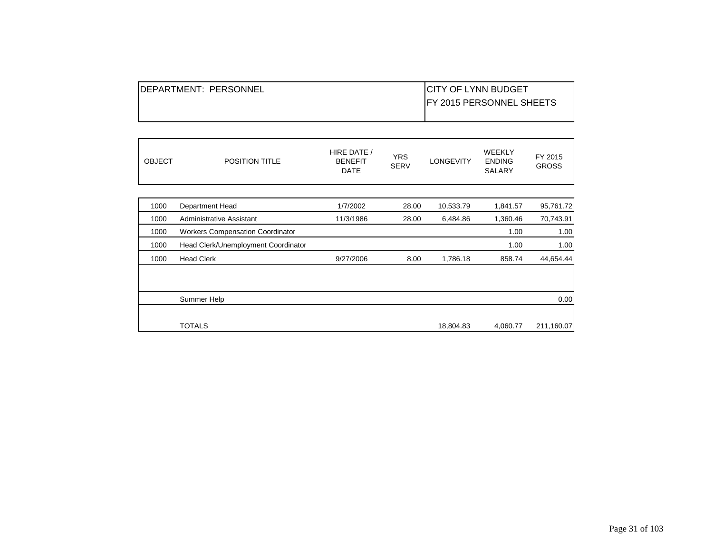| <b>IDEPARTMENT: PERSONNEL</b> | <b>ICITY OF LYNN BUDGET</b>      |
|-------------------------------|----------------------------------|
|                               | <b>IFY 2015 PERSONNEL SHEETS</b> |
|                               |                                  |

| <b>OBJECT</b> | <b>POSITION TITLE</b>                   | HIRE DATE /<br><b>BENEFIT</b><br><b>DATE</b> | <b>YRS</b><br><b>SERV</b> | <b>LONGEVITY</b> | <b>WEEKLY</b><br><b>ENDING</b><br><b>SALARY</b> | FY 2015<br><b>GROSS</b> |
|---------------|-----------------------------------------|----------------------------------------------|---------------------------|------------------|-------------------------------------------------|-------------------------|
| 1000          | Department Head                         | 1/7/2002                                     | 28.00                     | 10,533.79        | 1,841.57                                        | 95,761.72               |
| 1000          | Administrative Assistant                | 11/3/1986                                    | 28.00                     | 6,484.86         | 1,360.46                                        | 70,743.91               |
| 1000          | <b>Workers Compensation Coordinator</b> |                                              |                           |                  | 1.00                                            | 1.00                    |
| 1000          | Head Clerk/Unemployment Coordinator     |                                              |                           |                  | 1.00                                            | 1.00                    |
| 1000          | <b>Head Clerk</b>                       | 9/27/2006                                    | 8.00                      | 1,786.18         | 858.74                                          | 44,654.44               |
|               |                                         |                                              |                           |                  |                                                 |                         |
|               |                                         |                                              |                           |                  |                                                 |                         |
|               | Summer Help                             |                                              |                           |                  |                                                 | 0.00                    |
|               |                                         |                                              |                           |                  |                                                 |                         |
|               | <b>TOTALS</b>                           |                                              |                           | 18,804.83        | 4,060.77                                        | 211,160.07              |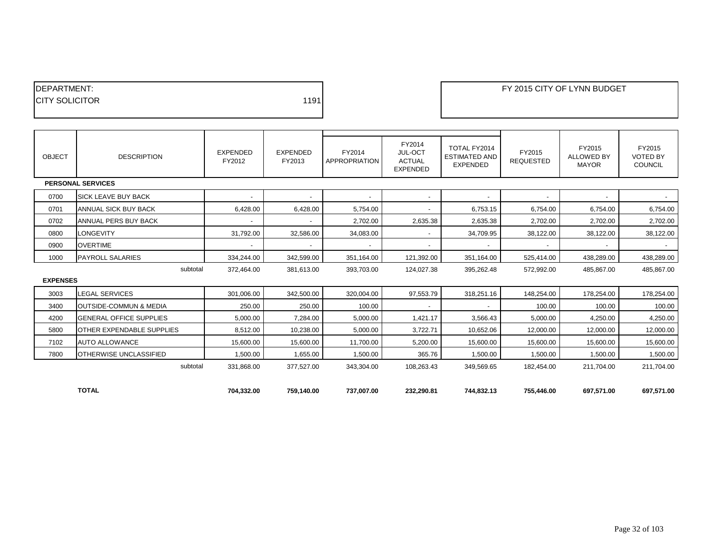| <b>IDEPARTMENT:</b>    |      |
|------------------------|------|
| <b>ICITY SOLICITOR</b> | 1191 |
|                        |      |

PARTMENT: FY 2015 CITY OF LYNN BUDGET

| OBJECT          | <b>DESCRIPTION</b>                | EXPENDED<br>FY2012       | <b>EXPENDED</b><br>FY2013 | FY2014<br>APPROPRIATION  | FY2014<br>JUL-OCT<br><b>ACTUAL</b><br><b>EXPENDED</b> | TOTAL FY2014<br><b>ESTIMATED AND</b><br><b>EXPENDED</b> | FY2015<br><b>REQUESTED</b> | FY2015<br><b>ALLOWED BY</b><br><b>MAYOR</b> | FY2015<br><b>VOTED BY</b><br><b>COUNCIL</b> |
|-----------------|-----------------------------------|--------------------------|---------------------------|--------------------------|-------------------------------------------------------|---------------------------------------------------------|----------------------------|---------------------------------------------|---------------------------------------------|
|                 | <b>PERSONAL SERVICES</b>          |                          |                           |                          |                                                       |                                                         |                            |                                             |                                             |
| 0700            | <b>SICK LEAVE BUY BACK</b>        | $\blacksquare$           | $\overline{\phantom{a}}$  | $\overline{\phantom{a}}$ | $\overline{\phantom{a}}$                              |                                                         |                            | $\overline{\phantom{a}}$                    |                                             |
| 0701            | ANNUAL SICK BUY BACK              | 6,428.00                 | 6,428.00                  | 5,754.00                 | $\overline{\phantom{a}}$                              | 6,753.15                                                | 6,754.00                   | 6,754.00                                    | 6,754.00                                    |
| 0702            | ANNUAL PERS BUY BACK              |                          |                           | 2,702.00                 | 2,635.38                                              | 2,635.38                                                | 2,702.00                   | 2,702.00                                    | 2,702.00                                    |
| 0800            | <b>LONGEVITY</b>                  | 31,792.00                | 32,586.00                 | 34,083.00                |                                                       | 34,709.95                                               | 38,122.00                  | 38,122.00                                   | 38,122.00                                   |
| 0900            | <b>OVERTIME</b>                   | $\overline{\phantom{0}}$ | $\overline{\phantom{a}}$  | $\sim$                   | $\overline{\phantom{0}}$                              |                                                         | $\overline{a}$             | $\overline{\phantom{a}}$                    | $\sim$                                      |
| 1000            | <b>PAYROLL SALARIES</b>           | 334,244.00               | 342,599.00                | 351,164.00               | 121,392.00                                            | 351,164.00                                              | 525,414.00                 | 438,289.00                                  | 438,289.00                                  |
|                 | subtotal                          | 372.464.00               | 381.613.00                | 393,703.00               | 124,027.38                                            | 395,262.48                                              | 572,992.00                 | 485.867.00                                  | 485,867.00                                  |
| <b>EXPENSES</b> |                                   |                          |                           |                          |                                                       |                                                         |                            |                                             |                                             |
| 3003            | <b>LEGAL SERVICES</b>             | 301,006.00               | 342,500.00                | 320,004.00               | 97,553.79                                             | 318,251.16                                              | 148,254.00                 | 178,254.00                                  | 178,254.00                                  |
| 3400            | <b>OUTSIDE-COMMUN &amp; MEDIA</b> | 250.00                   | 250.00                    | 100.00                   |                                                       |                                                         | 100.00                     | 100.00                                      | 100.00                                      |
| 4200            | <b>GENERAL OFFICE SUPPLIES</b>    | 5,000.00                 | 7,284.00                  | 5,000.00                 | 1,421.17                                              | 3,566.43                                                | 5,000.00                   | 4,250.00                                    | 4,250.00                                    |
| 5800            | OTHER EXPENDABLE SUPPLIES         | 8,512.00                 | 10,238.00                 | 5,000.00                 | 3,722.71                                              | 10,652.06                                               | 12,000.00                  | 12,000.00                                   | 12,000.00                                   |
| 7102            | <b>AUTO ALLOWANCE</b>             | 15,600.00                | 15,600.00                 | 11,700.00                | 5,200.00                                              | 15,600.00                                               | 15,600.00                  | 15,600.00                                   | 15,600.00                                   |
| 7800            | OTHERWISE UNCLASSIFIED            | 1,500.00                 | 1,655.00                  | 1,500.00                 | 365.76                                                | 1,500.00                                                | 1,500.00                   | 1,500.00                                    | 1,500.00                                    |
|                 | subtotal                          | 331,868.00               | 377,527.00                | 343,304.00               | 108,263.43                                            | 349,569.65                                              | 182,454.00                 | 211,704.00                                  | 211,704.00                                  |
|                 |                                   |                          |                           |                          |                                                       |                                                         |                            |                                             |                                             |
|                 | <b>TOTAL</b>                      | 704,332.00               | 759,140.00                | 737,007.00               | 232,290.81                                            | 744,832.13                                              | 755,446.00                 | 697,571.00                                  | 697,571.00                                  |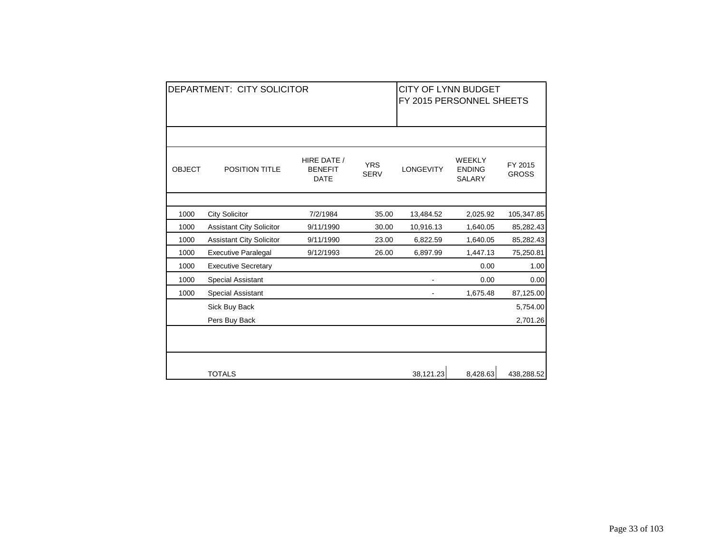|               | <b>DEPARTMENT: CITY SOLICITOR</b> | CITY OF LYNN BUDGET<br>FY 2015 PERSONNEL SHEETS |                           |                  |                                                 |                         |
|---------------|-----------------------------------|-------------------------------------------------|---------------------------|------------------|-------------------------------------------------|-------------------------|
|               |                                   |                                                 |                           |                  |                                                 |                         |
| <b>OBJECT</b> | <b>POSITION TITLE</b>             | HIRE DATE /<br><b>BENEFIT</b><br><b>DATE</b>    | <b>YRS</b><br><b>SERV</b> | <b>LONGEVITY</b> | <b>WEEKLY</b><br><b>ENDING</b><br><b>SALARY</b> | FY 2015<br><b>GROSS</b> |
|               |                                   |                                                 |                           |                  |                                                 |                         |
| 1000          | <b>City Solicitor</b>             | 7/2/1984                                        | 35.00                     | 13,484.52        | 2,025.92                                        | 105,347.85              |
| 1000          | <b>Assistant City Solicitor</b>   | 9/11/1990                                       | 30.00                     | 10,916.13        | 1,640.05                                        | 85,282.43               |
| 1000          | <b>Assistant City Solicitor</b>   | 9/11/1990                                       | 23.00                     | 6,822.59         | 1,640.05                                        | 85,282.43               |
| 1000          | <b>Executive Paralegal</b>        | 9/12/1993                                       | 26.00                     | 6,897.99         | 1,447.13                                        | 75,250.81               |
| 1000          | <b>Executive Secretary</b>        |                                                 |                           |                  | 0.00                                            | 1.00                    |
| 1000          | <b>Special Assistant</b>          |                                                 |                           |                  | 0.00                                            | 0.00                    |
| 1000          | Special Assistant                 |                                                 |                           |                  | 1,675.48                                        | 87,125.00               |
|               | Sick Buy Back                     |                                                 |                           |                  |                                                 | 5,754.00                |
|               | Pers Buy Back                     |                                                 |                           |                  |                                                 | 2,701.26                |
|               |                                   |                                                 |                           |                  |                                                 |                         |
|               | <b>TOTALS</b>                     |                                                 |                           | 38,121.23        | 8,428.63                                        | 438,288.52              |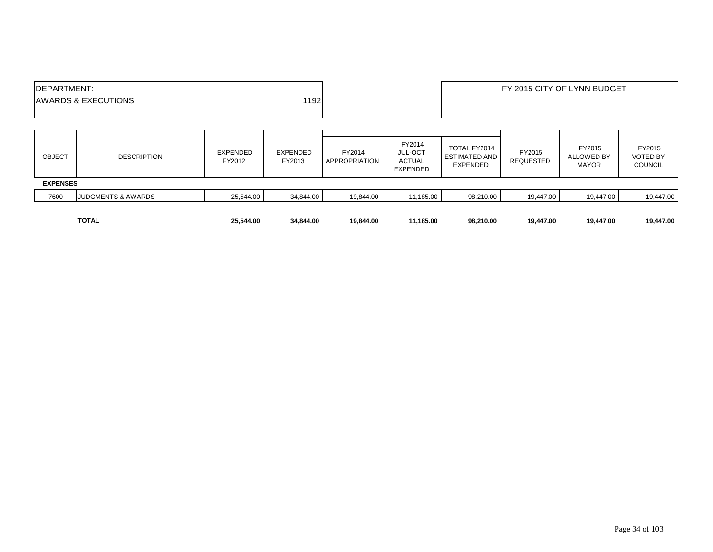|                     | <b>TOTAL</b>                   | 25,544.00                 | 34,844.00                 | 19,844.00               | 11,185.00                                                    | 98,210.00                                        | 19,447.00                  | 19,447.00                                   | 19,447.00                                   |
|---------------------|--------------------------------|---------------------------|---------------------------|-------------------------|--------------------------------------------------------------|--------------------------------------------------|----------------------------|---------------------------------------------|---------------------------------------------|
| 7600                | <b>JUDGMENTS &amp; AWARDS</b>  | 25,544.00                 | 34,844.00                 | 19,844.00               | 11,185.00                                                    | 98,210.00                                        | 19,447.00                  | 19,447.00                                   | 19,447.00                                   |
| <b>EXPENSES</b>     |                                |                           |                           |                         |                                                              |                                                  |                            |                                             |                                             |
| <b>OBJECT</b>       | <b>DESCRIPTION</b>             | <b>EXPENDED</b><br>FY2012 | <b>EXPENDED</b><br>FY2013 | FY2014<br>APPROPRIATION | FY2014<br><b>JUL-OCT</b><br><b>ACTUAL</b><br><b>EXPENDED</b> | TOTAL FY2014<br><b>ESTIMATED AND</b><br>EXPENDED | FY2015<br><b>REQUESTED</b> | FY2015<br><b>ALLOWED BY</b><br><b>MAYOR</b> | FY2015<br><b>VOTED BY</b><br><b>COUNCIL</b> |
| <b>IDEPARTMENT:</b> | <b>AWARDS &amp; EXECUTIONS</b> |                           | 1192                      |                         |                                                              | FY 2015 CITY OF LYNN BUDGET                      |                            |                                             |                                             |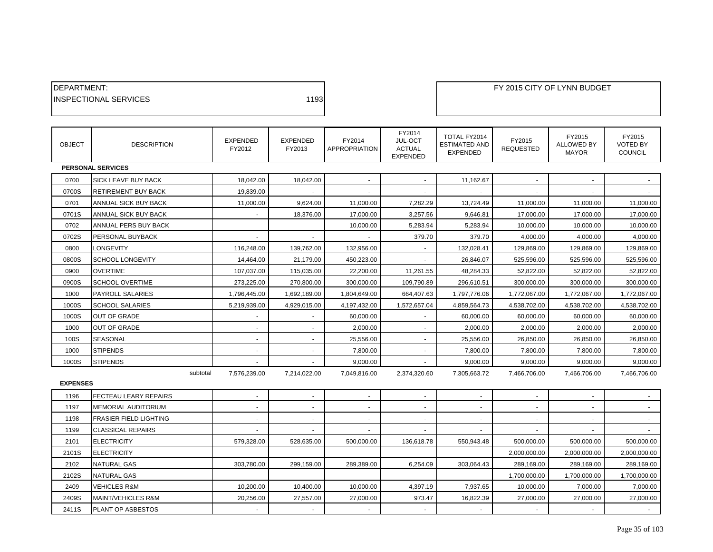| DEPARTMENT:<br><b>INSPECTIONAL SERVICES</b> |                               |                           |                       | 1193                      |                         |                                                       | FY 2015 CITY OF LYNN BUDGET                             |                            |                                             |                                             |
|---------------------------------------------|-------------------------------|---------------------------|-----------------------|---------------------------|-------------------------|-------------------------------------------------------|---------------------------------------------------------|----------------------------|---------------------------------------------|---------------------------------------------|
| <b>OBJECT</b>                               | <b>DESCRIPTION</b>            | <b>EXPENDED</b><br>FY2012 |                       | <b>EXPENDED</b><br>FY2013 | FY2014<br>APPROPRIATION | FY2014<br>JUL-OCT<br><b>ACTUAL</b><br><b>EXPENDED</b> | TOTAL FY2014<br><b>ESTIMATED AND</b><br><b>EXPENDED</b> | FY2015<br><b>REQUESTED</b> | FY2015<br><b>ALLOWED BY</b><br><b>MAYOR</b> | FY2015<br><b>VOTED BY</b><br><b>COUNCIL</b> |
|                                             | <b>PERSONAL SERVICES</b>      |                           |                       |                           |                         |                                                       |                                                         |                            |                                             |                                             |
| 0700                                        | SICK LEAVE BUY BACK           |                           | 18,042.00             | 18,042.00                 |                         |                                                       | 11,162.67                                               |                            |                                             |                                             |
| 0700S                                       | RETIREMENT BUY BACK           |                           | 19,839.00             |                           |                         |                                                       |                                                         |                            |                                             |                                             |
| 0701                                        | ANNUAL SICK BUY BACK          |                           | 11,000.00             | 9,624.00                  | 11,000.00               | 7,282.29                                              | 13,724.49                                               | 11,000.00                  | 11,000.00                                   | 11,000.00                                   |
| 0701S                                       | ANNUAL SICK BUY BACK          |                           |                       | 18,376.00                 | 17,000.00               | 3,257.56                                              | 9,646.81                                                | 17,000.00                  | 17,000.00                                   | 17,000.00                                   |
| 0702                                        | ANNUAL PERS BUY BACK          |                           |                       |                           | 10,000.00               | 5,283.94                                              | 5,283.94                                                | 10,000.00                  | 10,000.00                                   | 10,000.00                                   |
| 0702S                                       | PERSONAL BUYBACK              |                           |                       |                           |                         | 379.70                                                | 379.70                                                  | 4,000.00                   | 4,000.00                                    | 4,000.00                                    |
| 0800                                        | LONGEVITY                     |                           | 116,248.00            | 139,762.00                | 132,956.00              |                                                       | 132,028.41                                              | 129,869.00                 | 129,869.00                                  | 129,869.00                                  |
| 0800S                                       | SCHOOL LONGEVITY              |                           | 14,464.00             | 21,179.00                 | 450,223.00              |                                                       | 26,846.07                                               | 525,596.00                 | 525,596.00                                  | 525,596.00                                  |
| 0900                                        | <b>OVERTIME</b>               |                           | 107,037.00            | 115,035.00                | 22,200.00               | 11,261.55                                             | 48,284.33                                               | 52,822.00                  | 52,822.00                                   | 52,822.00                                   |
| 0900S                                       | <b>SCHOOL OVERTIME</b>        |                           | 273,225.00            | 270,800.00                | 300,000.00              | 109,790.89                                            | 296,610.51                                              | 300,000.00                 | 300,000.00                                  | 300,000.00                                  |
| 1000                                        | <b>PAYROLL SALARIES</b>       | 1,796,445.00              |                       | 1,692,189.00              | 1,804,649.00            | 664,407.63                                            | 1,797,776.06                                            | 1,772,067.00               | 1,772,067.00                                | 1,772,067.00                                |
| 1000S                                       | <b>SCHOOL SALARIES</b>        | 5,219,939.00              |                       | 4,929,015.00              | 4,197,432.00            | 1,572,657.04                                          | 4,859,564.73                                            | 4,538,702.00               | 4,538,702.00                                | 4,538,702.00                                |
| 1000S                                       | OUT OF GRADE                  |                           |                       | $\sim$                    | 60,000.00               | $\sim$                                                | 60,000.00                                               | 60,000.00                  | 60,000.00                                   | 60,000.00                                   |
| 1000                                        | OUT OF GRADE                  |                           |                       | $\sim$                    | 2,000.00                | $\sim$                                                | 2,000.00                                                | 2,000.00                   | 2,000.00                                    | 2,000.00                                    |
| 100S                                        | SEASONAL                      |                           | $\blacksquare$        | $\blacksquare$            | 25,556.00               | $\sim$                                                | 25,556.00                                               | 26,850.00                  | 26,850.00                                   | 26,850.00                                   |
| 1000                                        | <b>STIPENDS</b>               |                           |                       | $\sim$                    | 7,800.00                |                                                       | 7,800.00                                                | 7,800.00                   | 7,800.00                                    | 7,800.00                                    |
| 1000S                                       | <b>STIPENDS</b>               |                           |                       |                           | 9,000.00                |                                                       | 9,000.00                                                | 9,000.00                   | 9,000.00                                    | 9,000.00                                    |
| <b>EXPENSES</b>                             |                               | subtotal<br>7,576,239.00  |                       | 7,214,022.00              | 7,049,816.00            | 2,374,320.60                                          | 7,305,663.72                                            | 7,466,706.00               | 7,466,706.00                                | 7,466,706.00                                |
| 1196                                        | FECTEAU LEARY REPAIRS         |                           |                       | $\blacksquare$            |                         |                                                       |                                                         |                            |                                             |                                             |
| 1197                                        | <b>MEMORIAL AUDITORIUM</b>    |                           |                       |                           |                         |                                                       |                                                         |                            |                                             |                                             |
| 1198                                        | <b>FRASIER FIELD LIGHTING</b> |                           |                       |                           |                         |                                                       |                                                         |                            |                                             |                                             |
| 1199                                        | <b>CLASSICAL REPAIRS</b>      |                           |                       |                           |                         |                                                       |                                                         |                            |                                             |                                             |
| 2101                                        | <b>ELECTRICITY</b>            |                           | 579,328.00            | 528,635.00                | 500,000.00              | 136,618.78                                            | 550,943.48                                              | 500,000.00                 | 500,000.00                                  | 500,000.00                                  |
| 2101S                                       | <b>ELECTRICITY</b>            |                           |                       |                           |                         |                                                       |                                                         | 2,000,000.00               | 2,000,000.00                                | 2,000,000.00                                |
| 2102                                        | <b>NATURAL GAS</b>            |                           | 303,780.00            | 299,159.00                | 289,389.00              | 6,254.09                                              | 303,064.43                                              | 289,169.00                 | 289,169.00                                  | 289,169.00                                  |
| 2102S                                       | <b>NATURAL GAS</b>            |                           |                       |                           |                         |                                                       |                                                         | 1,700,000.00               | 1,700,000.00                                | 1,700,000.00                                |
| 2409                                        | <b>VEHICLES R&amp;M</b>       |                           | 10,200.00             | 10,400.00                 | 10,000.00               | 4,397.19                                              | 7,937.65                                                | 10,000.00                  | 7,000.00                                    | 7,000.00                                    |
| 2409S                                       | MAINT/VEHICLES R&M            |                           | 20,256.00             | 27,557.00                 | 27,000.00               | 973.47                                                | 16,822.39                                               | 27,000.00                  | 27,000.00                                   | 27,000.00                                   |
| 2411S                                       | PLANT OP ASBESTOS             |                           | $\tilde{\phantom{a}}$ | $\mathbf{r}$              | $\sim$                  | $\sim$                                                |                                                         | $\sim$                     |                                             |                                             |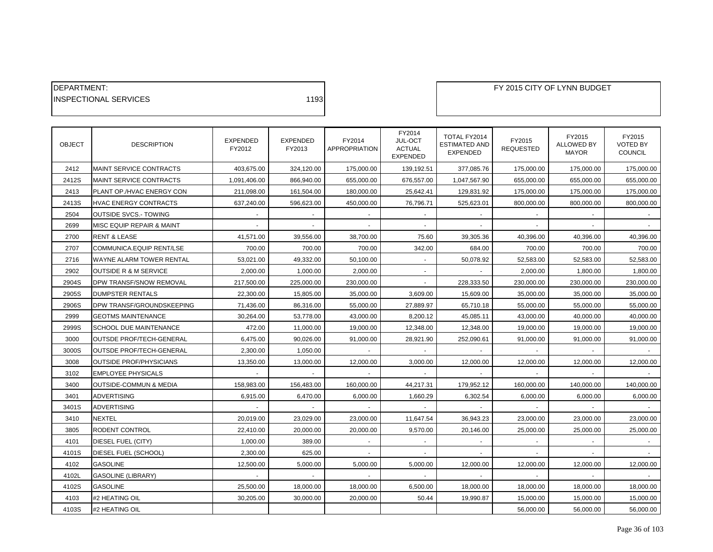| 1193 |
|------|
|      |

| <b>OBJECT</b> | <b>DESCRIPTION</b>                | EXPENDED<br>FY2012 | <b>EXPENDED</b><br>FY2013 | FY2014<br>APPROPRIATION | FY2014<br>JUL-OCT<br><b>ACTUAL</b><br><b>EXPENDED</b> | TOTAL FY2014<br><b>ESTIMATED AND</b><br><b>EXPENDED</b> | FY2015<br><b>REQUESTED</b> | FY2015<br>ALLOWED BY<br><b>MAYOR</b> | FY2015<br><b>VOTED BY</b><br><b>COUNCIL</b> |
|---------------|-----------------------------------|--------------------|---------------------------|-------------------------|-------------------------------------------------------|---------------------------------------------------------|----------------------------|--------------------------------------|---------------------------------------------|
| 2412          | MAINT SERVICE CONTRACTS           | 403,675.00         | 324,120.00                | 175,000.00              | 139,192.51                                            | 377,085.76                                              | 175,000.00                 | 175,000.00                           | 175,000.00                                  |
| 2412S         | MAINT SERVICE CONTRACTS           | 1,091,406.00       | 866,940.00                | 655,000.00              | 676,557.00                                            | 1,047,567.90                                            | 655,000.00                 | 655,000.00                           | 655,000.00                                  |
| 2413          | PLANT OP./HVAC ENERGY CON         | 211,098.00         | 161,504.00                | 180,000.00              | 25,642.41                                             | 129,831.92                                              | 175,000.00                 | 175,000.00                           | 175,000.00                                  |
| 2413S         | <b>HVAC ENERGY CONTRACTS</b>      | 637.240.00         | 596,623.00                | 450,000.00              | 76,796.71                                             | 525,623.01                                              | 800,000.00                 | 800,000.00                           | 800,000.00                                  |
| 2504          | <b>OUTSIDE SVCS.- TOWING</b>      |                    |                           |                         |                                                       |                                                         |                            |                                      |                                             |
| 2699          | MISC EQUIP REPAIR & MAINT         |                    |                           |                         |                                                       |                                                         |                            |                                      |                                             |
| 2700          | <b>RENT &amp; LEASE</b>           | 41,571.00          | 39,556.00                 | 38,700.00               | 75.60                                                 | 39,305.36                                               | 40,396.00                  | 40,396.00                            | 40,396.00                                   |
| 2707          | COMMUNICA.EQUIP RENT/LSE          | 700.00             | 700.00                    | 700.00                  | 342.00                                                | 684.00                                                  | 700.00                     | 700.00                               | 700.00                                      |
| 2716          | WAYNE ALARM TOWER RENTAL          | 53,021.00          | 49,332.00                 | 50,100.00               | $\sim$                                                | 50,078.92                                               | 52,583.00                  | 52,583.00                            | 52,583.00                                   |
| 2902          | <b>OUTSIDE R &amp; M SERVICE</b>  | 2,000.00           | 1,000.00                  | 2,000.00                |                                                       |                                                         | 2,000.00                   | 1,800.00                             | 1,800.00                                    |
| 2904S         | DPW TRANSF/SNOW REMOVAL           | 217,500.00         | 225,000.00                | 230,000.00              |                                                       | 228,333.50                                              | 230,000.00                 | 230,000.00                           | 230,000.00                                  |
| 2905S         | <b>DUMPSTER RENTALS</b>           | 22,300.00          | 15,805.00                 | 35,000.00               | 3,609.00                                              | 15,609.00                                               | 35,000.00                  | 35,000.00                            | 35,000.00                                   |
| 2906S         | DPW TRANSF/GROUNDSKEEPING         | 71,436.00          | 86,316.00                 | 55,000.00               | 27,889.97                                             | 65,710.18                                               | 55,000.00                  | 55,000.00                            | 55,000.00                                   |
| 2999          | <b>GEOTMS MAINTENANCE</b>         | 30,264.00          | 53,778.00                 | 43,000.00               | 8,200.12                                              | 45,085.11                                               | 43,000.00                  | 40,000.00                            | 40,000.00                                   |
| 2999S         | <b>SCHOOL DUE MAINTENANCE</b>     | 472.00             | 11,000.00                 | 19,000.00               | 12,348.00                                             | 12,348.00                                               | 19,000.00                  | 19,000.00                            | 19,000.00                                   |
| 3000          | OUTSDE PROF/TECH-GENERAL          | 6,475.00           | 90,026.00                 | 91,000.00               | 28,921.90                                             | 252,090.61                                              | 91,000.00                  | 91,000.00                            | 91,000.00                                   |
| 3000S         | OUTSDE PROF/TECH-GENERAL          | 2,300.00           | 1,050.00                  |                         |                                                       |                                                         |                            |                                      |                                             |
| 3008          | <b>OUTSIDE PROF/PHYSICIANS</b>    | 13,350.00          | 13,000.00                 | 12,000.00               | 3,000.00                                              | 12,000.00                                               | 12,000.00                  | 12,000.00                            | 12,000.00                                   |
| 3102          | <b>EMPLOYEE PHYSICALS</b>         |                    |                           |                         |                                                       |                                                         |                            |                                      |                                             |
| 3400          | <b>OUTSIDE-COMMUN &amp; MEDIA</b> | 158,983.00         | 156,483.00                | 160,000.00              | 44,217.31                                             | 179,952.12                                              | 160,000.00                 | 140,000.00                           | 140,000.00                                  |
| 3401          | <b>ADVERTISING</b>                | 6,915.00           | 6,470.00                  | 6,000.00                | 1,660.29                                              | 6,302.54                                                | 6,000.00                   | 6,000.00                             | 6,000.00                                    |
| 3401S         | <b>ADVERTISING</b>                |                    |                           |                         |                                                       |                                                         |                            |                                      |                                             |
| 3410          | <b>NEXTEL</b>                     | 20,019.00          | 23,029.00                 | 23,000.00               | 11,647.54                                             | 36,943.23                                               | 23,000.00                  | 23,000.00                            | 23,000.00                                   |
| 3805          | RODENT CONTROL                    | 22,410.00          | 20,000.00                 | 20,000.00               | 9,570.00                                              | 20,146.00                                               | 25,000.00                  | 25,000.00                            | 25,000.00                                   |
| 4101          | DIESEL FUEL (CITY)                | 1,000.00           | 389.00                    | $\sim$                  | ÷.                                                    |                                                         | $\sim$                     | $\sim$                               | $\omega$                                    |
| 4101S         | DIESEL FUEL (SCHOOL)              | 2,300.00           | 625.00                    |                         |                                                       |                                                         |                            |                                      |                                             |
| 4102          | <b>GASOLINE</b>                   | 12,500.00          | 5,000.00                  | 5,000.00                | 5,000.00                                              | 12,000.00                                               | 12,000.00                  | 12,000.00                            | 12,000.00                                   |
| 4102L         | <b>GASOLINE (LIBRARY)</b>         |                    |                           |                         |                                                       |                                                         |                            |                                      |                                             |
| 4102S         | <b>GASOLINE</b>                   | 25,500.00          | 18,000.00                 | 18,000.00               | 6,500.00                                              | 18,000.00                                               | 18,000.00                  | 18,000.00                            | 18,000.00                                   |
| 4103          | #2 HEATING OIL                    | 30,205.00          | 30,000.00                 | 20,000.00               | 50.44                                                 | 19,990.87                                               | 15,000.00                  | 15,000.00                            | 15,000.00                                   |
| 4103S         | #2 HEATING OIL                    |                    |                           |                         |                                                       |                                                         | 56,000.00                  | 56,000.00                            | 56,000.00                                   |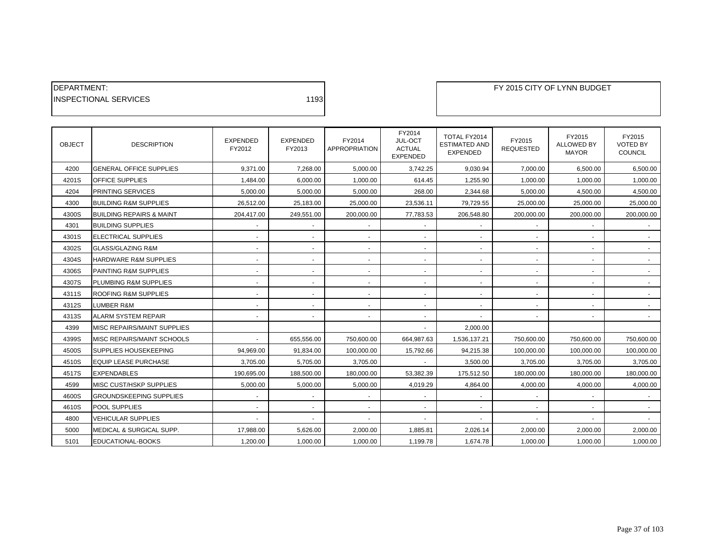| <b>IDEPARTMENT:</b>           |      |
|-------------------------------|------|
| <b>IINSPECTIONAL SERVICES</b> | 1193 |
|                               |      |

| <b>OBJECT</b> | <b>DESCRIPTION</b>                  | <b>EXPENDED</b><br>FY2012 | <b>EXPENDED</b><br>FY2013 | FY2014<br><b>APPROPRIATION</b> | FY2014<br>JUL-OCT<br><b>ACTUAL</b><br><b>EXPENDED</b> | TOTAL FY2014<br><b>ESTIMATED AND</b><br><b>EXPENDED</b> | FY2015<br><b>REQUESTED</b> | FY2015<br><b>ALLOWED BY</b><br><b>MAYOR</b> | FY2015<br><b>VOTED BY</b><br><b>COUNCIL</b> |
|---------------|-------------------------------------|---------------------------|---------------------------|--------------------------------|-------------------------------------------------------|---------------------------------------------------------|----------------------------|---------------------------------------------|---------------------------------------------|
| 4200          | <b>GENERAL OFFICE SUPPLIES</b>      | 9.371.00                  | 7.268.00                  | 5,000.00                       | 3,742.25                                              | 9,030.94                                                | 7,000.00                   | 6,500.00                                    | 6,500.00                                    |
| 4201S         | <b>OFFICE SUPPLIES</b>              | 1,484.00                  | 6,000.00                  | 1,000.00                       | 614.45                                                | 1,255.90                                                | 1,000.00                   | 1,000.00                                    | 1,000.00                                    |
| 4204          | PRINTING SERVICES                   | 5.000.00                  | 5,000.00                  | 5,000.00                       | 268.00                                                | 2,344.68                                                | 5,000.00                   | 4,500.00                                    | 4,500.00                                    |
| 4300          | <b>BUILDING R&amp;M SUPPLIES</b>    | 26,512.00                 | 25,183.00                 | 25,000.00                      | 23,536.11                                             | 79,729.55                                               | 25,000.00                  | 25,000.00                                   | 25,000.00                                   |
| 4300S         | <b>BUILDING REPAIRS &amp; MAINT</b> | 204,417.00                | 249,551.00                | 200,000.00                     | 77,783.53                                             | 206,548.80                                              | 200,000.00                 | 200,000.00                                  | 200,000.00                                  |
| 4301          | <b>BUILDING SUPPLIES</b>            |                           | $\blacksquare$            |                                |                                                       |                                                         |                            |                                             |                                             |
| 4301S         | ELECTRICAL SUPPLIES                 | $\overline{\phantom{a}}$  | $\sim$                    | $\sim$                         | $\sim$                                                |                                                         |                            | $\sim$                                      | $\sim$                                      |
| 4302S         | <b>GLASS/GLAZING R&amp;M</b>        | $\overline{\phantom{a}}$  | $\sim$                    | $\sim$                         | $\sim$                                                | $\blacksquare$                                          |                            | $\sim$                                      | $\sim$                                      |
| 4304S         | HARDWARE R&M SUPPLIES               | $\overline{\phantom{a}}$  | $\sim$                    | $\sim$                         |                                                       |                                                         |                            | $\sim$                                      |                                             |
| 4306S         | PAINTING R&M SUPPLIES               | $\overline{\phantom{a}}$  | $\sim$                    | ٠                              |                                                       |                                                         |                            | $\sim$                                      |                                             |
| 4307S         | PLUMBING R&M SUPPLIES               | $\overline{\phantom{a}}$  | $\sim$                    | $\sim$                         | $\sim$                                                | $\blacksquare$                                          |                            | $\blacksquare$                              | $\sim$                                      |
| 4311S         | ROOFING R&M SUPPLIES                |                           | ٠                         |                                |                                                       |                                                         |                            | ä,                                          | $\sim$                                      |
| 4312S         | <b>LUMBER R&amp;M</b>               |                           | $\blacksquare$            |                                |                                                       |                                                         |                            |                                             |                                             |
| 4313S         | <b>ALARM SYSTEM REPAIR</b>          | $\blacksquare$            | $\sim$                    | $\sim$                         |                                                       |                                                         |                            | $\blacksquare$                              | $\sim$                                      |
| 4399          | MISC REPAIRS/MAINT SUPPLIES         |                           |                           |                                |                                                       | 2,000.00                                                |                            |                                             |                                             |
| 4399S         | MISC REPAIRS/MAINT SCHOOLS          |                           | 655,556.00                | 750,600.00                     | 664,987.63                                            | 1,536,137.21                                            | 750,600.00                 | 750,600.00                                  | 750,600.00                                  |
| 4500S         | SUPPLIES HOUSEKEEPING               | 94,969.00                 | 91,834.00                 | 100,000.00                     | 15,792.66                                             | 94,215.38                                               | 100,000.00                 | 100,000.00                                  | 100,000.00                                  |
| 4510S         | <b>EQUIP LEASE PURCHASE</b>         | 3,705.00                  | 5,705.00                  | 3,705.00                       |                                                       | 3,500.00                                                | 3,705.00                   | 3,705.00                                    | 3,705.00                                    |
| 4517S         | <b>EXPENDABLES</b>                  | 190,695.00                | 188,500.00                | 180,000.00                     | 53,382.39                                             | 175,512.50                                              | 180,000.00                 | 180,000.00                                  | 180,000.00                                  |
| 4599          | MISC CUST/HSKP SUPPLIES             | 5,000.00                  | 5,000.00                  | 5,000.00                       | 4,019.29                                              | 4,864.00                                                | 4,000.00                   | 4,000.00                                    | 4,000.00                                    |
| 4600S         | <b>GROUNDSKEEPING SUPPLIES</b>      | $\blacksquare$            | $\sim$                    | $\sim$                         |                                                       |                                                         |                            | ٠                                           |                                             |
| 4610S         | <b>POOL SUPPLIES</b>                | $\blacksquare$            | $\sim$                    | $\sim$                         |                                                       |                                                         |                            | $\sim$                                      | $\sim$                                      |
| 4800          | <b>VEHICULAR SUPPLIES</b>           |                           | $\sim$                    |                                |                                                       |                                                         |                            |                                             |                                             |
| 5000          | MEDICAL & SURGICAL SUPP.            | 17,988.00                 | 5,626.00                  | 2,000.00                       | 1,885.81                                              | 2,026.14                                                | 2,000.00                   | 2,000.00                                    | 2,000.00                                    |
| 5101          | EDUCATIONAL-BOOKS                   | 1,200.00                  | 1,000.00                  | 1,000.00                       | 1,199.78                                              | 1,674.78                                                | 1,000.00                   | 1,000.00                                    | 1,000.00                                    |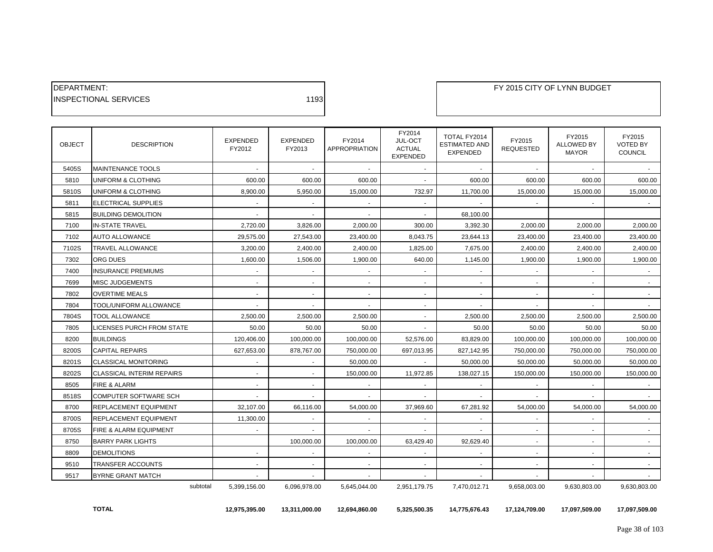| <b>IDEPARTMENT:</b>           |      |
|-------------------------------|------|
| <b>IINSPECTIONAL SERVICES</b> | 1193 |

| <b>OBJECT</b> | <b>DESCRIPTION</b>               | <b>EXPENDED</b><br>FY2012 | <b>EXPENDED</b><br>FY2013 | FY2014<br><b>APPROPRIATION</b> | FY2014<br>JUL-OCT<br><b>ACTUAL</b><br><b>EXPENDED</b> | TOTAL FY2014<br><b>ESTIMATED AND</b><br><b>EXPENDED</b> | FY2015<br><b>REQUESTED</b> | FY2015<br><b>ALLOWED BY</b><br><b>MAYOR</b> | FY2015<br><b>VOTED BY</b><br><b>COUNCIL</b> |
|---------------|----------------------------------|---------------------------|---------------------------|--------------------------------|-------------------------------------------------------|---------------------------------------------------------|----------------------------|---------------------------------------------|---------------------------------------------|
| 5405S         | <b>MAINTENANCE TOOLS</b>         |                           |                           | $\sim$                         |                                                       |                                                         |                            |                                             |                                             |
| 5810          | UNIFORM & CLOTHING               | 600.00                    | 600.00                    | 600.00                         |                                                       | 600.00                                                  | 600.00                     | 600.00                                      | 600.00                                      |
| 5810S         | UNIFORM & CLOTHING               | 8,900.00                  | 5,950.00                  | 15,000.00                      | 732.97                                                | 11,700.00                                               | 15,000.00                  | 15,000.00                                   | 15,000.00                                   |
| 5811          | ELECTRICAL SUPPLIES              | $\sim$                    | $\sim$                    |                                |                                                       |                                                         |                            |                                             |                                             |
| 5815          | <b>BUILDING DEMOLITION</b>       |                           |                           |                                |                                                       | 68,100.00                                               |                            |                                             |                                             |
| 7100          | <b>IN-STATE TRAVEL</b>           | 2.720.00                  | 3,826.00                  | 2.000.00                       | 300.00                                                | 3.392.30                                                | 2,000.00                   | 2,000.00                                    | 2,000.00                                    |
| 7102          | <b>AUTO ALLOWANCE</b>            | 29,575.00                 | 27,543.00                 | 23,400.00                      | 8,043.75                                              | 23,644.13                                               | 23,400.00                  | 23,400.00                                   | 23,400.00                                   |
| 7102S         | TRAVEL ALLOWANCE                 | 3,200.00                  | 2,400.00                  | 2,400.00                       | 1,825.00                                              | 7,675.00                                                | 2,400.00                   | 2,400.00                                    | 2,400.00                                    |
| 7302          | ORG DUES                         | 1.600.00                  | 1,506.00                  | 1,900.00                       | 640.00                                                | 1,145.00                                                | 1,900.00                   | 1,900.00                                    | 1.900.00                                    |
| 7400          | <b>INSURANCE PREMIUMS</b>        | $\blacksquare$            | $\sim$                    | $\sim$                         |                                                       |                                                         |                            |                                             |                                             |
| 7699          | <b>MISC JUDGEMENTS</b>           | $\blacksquare$            | $\sim$                    | $\sim$                         |                                                       | $\sim$                                                  |                            | $\sim$                                      | $\sim$                                      |
| 7802          | <b>OVERTIME MEALS</b>            | $\blacksquare$            |                           |                                |                                                       |                                                         |                            |                                             |                                             |
| 7804          | TOOL/UNIFORM ALLOWANCE           | $\sim$                    | $\sim$                    | $\sim$                         | $\sim$                                                | $\sim$                                                  | $\sim$                     | <b>A</b>                                    |                                             |
| 7804S         | TOOL ALLOWANCE                   | 2,500.00                  | 2,500.00                  | 2,500.00                       |                                                       | 2,500.00                                                | 2,500.00                   | 2,500.00                                    | 2,500.00                                    |
| 7805          | <b>LICENSES PURCH FROM STATE</b> | 50.00                     | 50.00                     | 50.00                          | $\sim$                                                | 50.00                                                   | 50.00                      | 50.00                                       | 50.00                                       |
| 8200          | <b>BUILDINGS</b>                 | 120,406.00                | 100,000.00                | 100,000.00                     | 52,576.00                                             | 83,829.00                                               | 100,000.00                 | 100,000.00                                  | 100,000.00                                  |
| 8200S         | <b>CAPITAL REPAIRS</b>           | 627,653.00                | 878,767.00                | 750,000.00                     | 697,013.95                                            | 827,142.95                                              | 750,000.00                 | 750,000.00                                  | 750,000.00                                  |
| 8201S         | <b>CLASSICAL MONITORING</b>      |                           |                           | 50.000.00                      |                                                       | 50.000.00                                               | 50.000.00                  | 50.000.00                                   | 50.000.00                                   |
| 8202S         | <b>CLASSICAL INTERIM REPAIRS</b> | $\blacksquare$            | $\sim$                    | 150,000.00                     | 11,972.85                                             | 138,027.15                                              | 150,000.00                 | 150,000.00                                  | 150,000.00                                  |
| 8505          | FIRE & ALARM                     | $\overline{\phantom{a}}$  |                           |                                |                                                       |                                                         |                            |                                             |                                             |
| 8518S         | <b>COMPUTER SOFTWARE SCH</b>     | $\mathbf{r}$              | $\sim$                    | $\sim$                         |                                                       |                                                         |                            |                                             |                                             |
| 8700          | REPLACEMENT EQUIPMENT            | 32,107.00                 | 66,116.00                 | 54,000.00                      | 37,969.60                                             | 67,281.92                                               | 54,000.00                  | 54,000.00                                   | 54,000.00                                   |
| 8700S         | REPLACEMENT EQUIPMENT            | 11,300.00                 | $\sim$                    |                                |                                                       | $\blacksquare$                                          |                            | $\sim$                                      | $\sim$                                      |
| 8705S         | FIRE & ALARM EQUIPMENT           |                           |                           |                                |                                                       |                                                         |                            |                                             |                                             |
| 8750          | <b>BARRY PARK LIGHTS</b>         |                           | 100,000.00                | 100,000.00                     | 63,429.40                                             | 92,629.40                                               |                            | ٠                                           |                                             |
| 8809          | <b>DEMOLITIONS</b>               | $\overline{\phantom{a}}$  | $\sim$                    | $\sim$                         |                                                       | $\overline{\phantom{a}}$                                | $\overline{a}$             | $\sim$                                      | $\sim$                                      |
| 9510          | TRANSFER ACCOUNTS                | $\blacksquare$            |                           |                                |                                                       |                                                         |                            |                                             |                                             |
| 9517          | <b>BYRNE GRANT MATCH</b>         |                           | $\sim$                    |                                |                                                       | ٠                                                       |                            |                                             |                                             |
|               | subtotal                         | 5,399,156.00              | 6,096,978.00              | 5,645,044.00                   | 2,951,179.75                                          | 7,470,012.71                                            | 9,658,003.00               | 9,630,803.00                                | 9,630,803.00                                |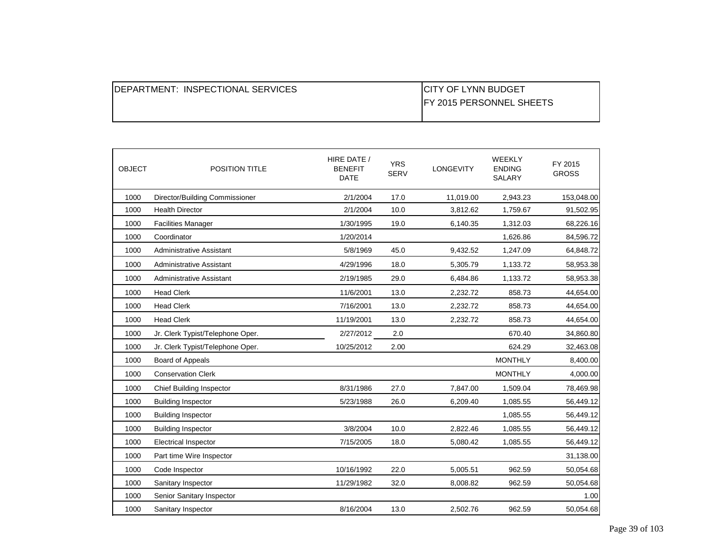| <b>IDEPARTMENT: INSPECTIONAL SERVICES</b> | ICITY OF LYNN BUDGET             |
|-------------------------------------------|----------------------------------|
|                                           | <b>IFY 2015 PERSONNEL SHEETS</b> |
|                                           |                                  |

| <b>OBJECT</b> | POSITION TITLE                   | HIRE DATE /<br><b>BENEFIT</b><br><b>DATE</b> | <b>YRS</b><br><b>SERV</b> | <b>LONGEVITY</b> | WEEKLY<br><b>ENDING</b><br><b>SALARY</b> | FY 2015<br><b>GROSS</b> |
|---------------|----------------------------------|----------------------------------------------|---------------------------|------------------|------------------------------------------|-------------------------|
| 1000          | Director/Building Commissioner   | 2/1/2004                                     | 17.0                      | 11,019.00        | 2,943.23                                 | 153,048.00              |
| 1000          | <b>Health Director</b>           | 2/1/2004                                     | 10.0                      | 3,812.62         | 1,759.67                                 | 91,502.95               |
| 1000          | <b>Facilities Manager</b>        | 1/30/1995                                    | 19.0                      | 6,140.35         | 1,312.03                                 | 68,226.16               |
| 1000          | Coordinator                      | 1/20/2014                                    |                           |                  | 1,626.86                                 | 84,596.72               |
| 1000          | <b>Administrative Assistant</b>  | 5/8/1969                                     | 45.0                      | 9,432.52         | 1,247.09                                 | 64,848.72               |
| 1000          | <b>Administrative Assistant</b>  | 4/29/1996                                    | 18.0                      | 5,305.79         | 1,133.72                                 | 58,953.38               |
| 1000          | <b>Administrative Assistant</b>  | 2/19/1985                                    | 29.0                      | 6,484.86         | 1,133.72                                 | 58,953.38               |
| 1000          | <b>Head Clerk</b>                | 11/6/2001                                    | 13.0                      | 2,232.72         | 858.73                                   | 44,654.00               |
| 1000          | <b>Head Clerk</b>                | 7/16/2001                                    | 13.0                      | 2,232.72         | 858.73                                   | 44,654.00               |
| 1000          | <b>Head Clerk</b>                | 11/19/2001                                   | 13.0                      | 2,232.72         | 858.73                                   | 44,654.00               |
| 1000          | Jr. Clerk Typist/Telephone Oper. | 2/27/2012                                    | 2.0                       |                  | 670.40                                   | 34,860.80               |
| 1000          | Jr. Clerk Typist/Telephone Oper. | 10/25/2012                                   | 2.00                      |                  | 624.29                                   | 32,463.08               |
| 1000          | Board of Appeals                 |                                              |                           |                  | <b>MONTHLY</b>                           | 8,400.00                |
| 1000          | <b>Conservation Clerk</b>        |                                              |                           |                  | <b>MONTHLY</b>                           | 4,000.00                |
| 1000          | <b>Chief Building Inspector</b>  | 8/31/1986                                    | 27.0                      | 7,847.00         | 1,509.04                                 | 78,469.98               |
| 1000          | <b>Building Inspector</b>        | 5/23/1988                                    | 26.0                      | 6,209.40         | 1,085.55                                 | 56,449.12               |
| 1000          | <b>Building Inspector</b>        |                                              |                           |                  | 1,085.55                                 | 56,449.12               |
| 1000          | <b>Building Inspector</b>        | 3/8/2004                                     | 10.0                      | 2,822.46         | 1,085.55                                 | 56,449.12               |
| 1000          | <b>Electrical Inspector</b>      | 7/15/2005                                    | 18.0                      | 5,080.42         | 1,085.55                                 | 56,449.12               |
| 1000          | Part time Wire Inspector         |                                              |                           |                  |                                          | 31,138.00               |
| 1000          | Code Inspector                   | 10/16/1992                                   | 22.0                      | 5,005.51         | 962.59                                   | 50,054.68               |
| 1000          | Sanitary Inspector               | 11/29/1982                                   | 32.0                      | 8,008.82         | 962.59                                   | 50,054.68               |
| 1000          | Senior Sanitary Inspector        |                                              |                           |                  |                                          | 1.00                    |
| 1000          | Sanitary Inspector               | 8/16/2004                                    | 13.0                      | 2,502.76         | 962.59                                   | 50,054.68               |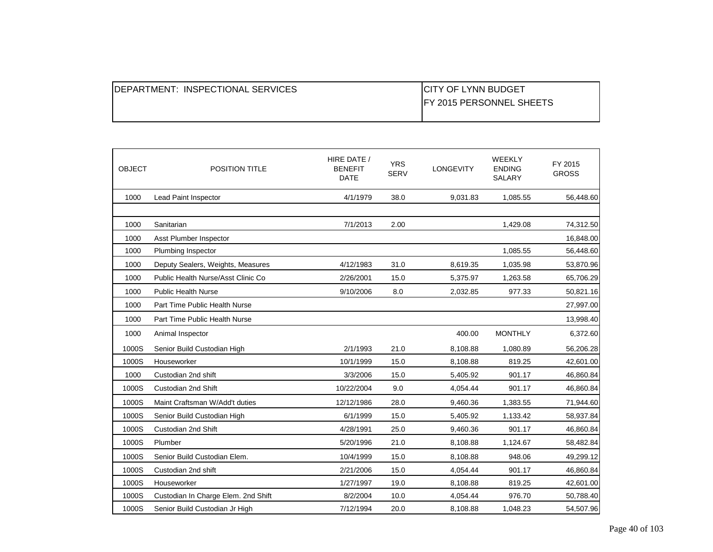| <b>IDEPARTMENT: INSPECTIONAL SERVICES</b> | <b>ICITY OF LYNN BUDGET</b>      |
|-------------------------------------------|----------------------------------|
|                                           | <b>IFY 2015 PERSONNEL SHEETS</b> |
|                                           |                                  |

| <b>OBJECT</b> | POSITION TITLE                      | HIRE DATE /<br><b>BENEFIT</b><br><b>DATE</b> | <b>YRS</b><br><b>SERV</b> | <b>LONGEVITY</b> | <b>WEEKLY</b><br><b>ENDING</b><br>SALARY | FY 2015<br><b>GROSS</b> |
|---------------|-------------------------------------|----------------------------------------------|---------------------------|------------------|------------------------------------------|-------------------------|
| 1000          | Lead Paint Inspector                | 4/1/1979                                     | 38.0                      | 9,031.83         | 1,085.55                                 | 56,448.60               |
|               |                                     |                                              |                           |                  |                                          |                         |
| 1000          | Sanitarian                          | 7/1/2013                                     | 2.00                      |                  | 1,429.08                                 | 74,312.50               |
| 1000          | Asst Plumber Inspector              |                                              |                           |                  |                                          | 16,848.00               |
| 1000          | Plumbing Inspector                  |                                              |                           |                  | 1,085.55                                 | 56,448.60               |
| 1000          | Deputy Sealers, Weights, Measures   | 4/12/1983                                    | 31.0                      | 8,619.35         | 1,035.98                                 | 53,870.96               |
| 1000          | Public Health Nurse/Asst Clinic Co  | 2/26/2001                                    | 15.0                      | 5,375.97         | 1,263.58                                 | 65,706.29               |
| 1000          | <b>Public Health Nurse</b>          | 9/10/2006                                    | 8.0                       | 2,032.85         | 977.33                                   | 50,821.16               |
| 1000          | Part Time Public Health Nurse       |                                              |                           |                  |                                          | 27,997.00               |
| 1000          | Part Time Public Health Nurse       |                                              |                           |                  |                                          | 13,998.40               |
| 1000          | Animal Inspector                    |                                              |                           | 400.00           | <b>MONTHLY</b>                           | 6,372.60                |
| 1000S         | Senior Build Custodian High         | 2/1/1993                                     | 21.0                      | 8,108.88         | 1,080.89                                 | 56,206.28               |
| 1000S         | Houseworker                         | 10/1/1999                                    | 15.0                      | 8,108.88         | 819.25                                   | 42,601.00               |
| 1000          | Custodian 2nd shift                 | 3/3/2006                                     | 15.0                      | 5,405.92         | 901.17                                   | 46,860.84               |
| 1000S         | Custodian 2nd Shift                 | 10/22/2004                                   | 9.0                       | 4,054.44         | 901.17                                   | 46,860.84               |
| 1000S         | Maint Craftsman W/Add't duties      | 12/12/1986                                   | 28.0                      | 9,460.36         | 1,383.55                                 | 71,944.60               |
| 1000S         | Senior Build Custodian High         | 6/1/1999                                     | 15.0                      | 5,405.92         | 1,133.42                                 | 58,937.84               |
| 1000S         | Custodian 2nd Shift                 | 4/28/1991                                    | 25.0                      | 9,460.36         | 901.17                                   | 46,860.84               |
| 1000S         | Plumber                             | 5/20/1996                                    | 21.0                      | 8,108.88         | 1,124.67                                 | 58,482.84               |
| 1000S         | Senior Build Custodian Elem.        | 10/4/1999                                    | 15.0                      | 8,108.88         | 948.06                                   | 49,299.12               |
| 1000S         | Custodian 2nd shift                 | 2/21/2006                                    | 15.0                      | 4,054.44         | 901.17                                   | 46,860.84               |
| 1000S         | Houseworker                         | 1/27/1997                                    | 19.0                      | 8,108.88         | 819.25                                   | 42,601.00               |
| 1000S         | Custodian In Charge Elem. 2nd Shift | 8/2/2004                                     | 10.0                      | 4,054.44         | 976.70                                   | 50,788.40               |
| 1000S         | Senior Build Custodian Jr High      | 7/12/1994                                    | 20.0                      | 8,108.88         | 1,048.23                                 | 54,507.96               |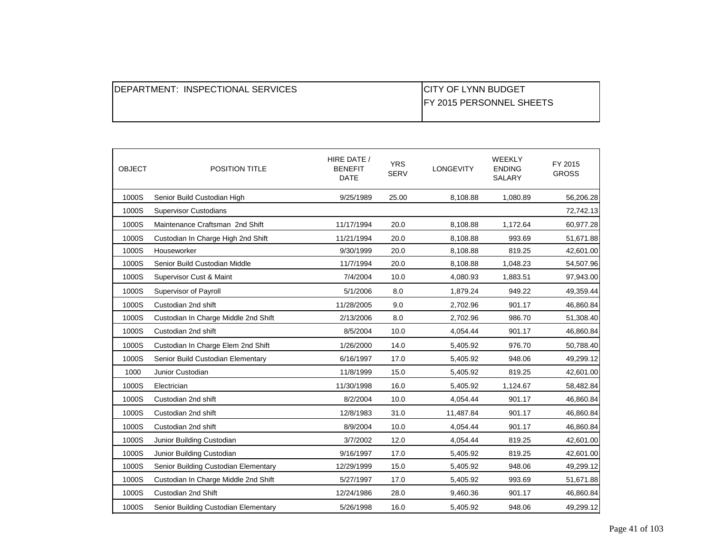| <b>IDEPARTMENT: INSPECTIONAL SERVICES</b> | <b>CITY OF LYNN BUDGET</b>       |
|-------------------------------------------|----------------------------------|
|                                           | <b>IFY 2015 PERSONNEL SHEETS</b> |
|                                           |                                  |

| <b>OBJECT</b> | POSITION TITLE                       | HIRE DATE /<br><b>BENEFIT</b><br><b>DATE</b> | <b>YRS</b><br><b>SERV</b> | <b>LONGEVITY</b> | <b>WEEKLY</b><br><b>ENDING</b><br>SALARY | FY 2015<br><b>GROSS</b> |
|---------------|--------------------------------------|----------------------------------------------|---------------------------|------------------|------------------------------------------|-------------------------|
| 1000S         | Senior Build Custodian High          | 9/25/1989                                    | 25.00                     | 8,108.88         | 1,080.89                                 | 56,206.28               |
| 1000S         | Supervisor Custodians                |                                              |                           |                  |                                          | 72,742.13               |
| 1000S         | Maintenance Craftsman 2nd Shift      | 11/17/1994                                   | 20.0                      | 8,108.88         | 1,172.64                                 | 60,977.28               |
| 1000S         | Custodian In Charge High 2nd Shift   | 11/21/1994                                   | 20.0                      | 8,108.88         | 993.69                                   | 51,671.88               |
| 1000S         | Houseworker                          | 9/30/1999                                    | 20.0                      | 8,108.88         | 819.25                                   | 42,601.00               |
| 1000S         | Senior Build Custodian Middle        | 11/7/1994                                    | 20.0                      | 8,108.88         | 1,048.23                                 | 54,507.96               |
| 1000S         | Supervisor Cust & Maint              | 7/4/2004                                     | 10.0                      | 4,080.93         | 1,883.51                                 | 97,943.00               |
| 1000S         | Supervisor of Payroll                | 5/1/2006                                     | 8.0                       | 1,879.24         | 949.22                                   | 49,359.44               |
| 1000S         | Custodian 2nd shift                  | 11/28/2005                                   | 9.0                       | 2,702.96         | 901.17                                   | 46,860.84               |
| 1000S         | Custodian In Charge Middle 2nd Shift | 2/13/2006                                    | 8.0                       | 2,702.96         | 986.70                                   | 51,308.40               |
| 1000S         | Custodian 2nd shift                  | 8/5/2004                                     | 10.0                      | 4,054.44         | 901.17                                   | 46,860.84               |
| 1000S         | Custodian In Charge Elem 2nd Shift   | 1/26/2000                                    | 14.0                      | 5,405.92         | 976.70                                   | 50,788.40               |
| 1000S         | Senior Build Custodian Elementary    | 6/16/1997                                    | 17.0                      | 5,405.92         | 948.06                                   | 49,299.12               |
| 1000          | Junior Custodian                     | 11/8/1999                                    | 15.0                      | 5,405.92         | 819.25                                   | 42,601.00               |
| 1000S         | Electrician                          | 11/30/1998                                   | 16.0                      | 5,405.92         | 1,124.67                                 | 58,482.84               |
| 1000S         | Custodian 2nd shift                  | 8/2/2004                                     | 10.0                      | 4,054.44         | 901.17                                   | 46,860.84               |
| 1000S         | Custodian 2nd shift                  | 12/8/1983                                    | 31.0                      | 11,487.84        | 901.17                                   | 46,860.84               |
| 1000S         | Custodian 2nd shift                  | 8/9/2004                                     | 10.0                      | 4,054.44         | 901.17                                   | 46,860.84               |
| 1000S         | Junior Building Custodian            | 3/7/2002                                     | 12.0                      | 4,054.44         | 819.25                                   | 42,601.00               |
| 1000S         | Junior Building Custodian            | 9/16/1997                                    | 17.0                      | 5,405.92         | 819.25                                   | 42,601.00               |
| 1000S         | Senior Building Custodian Elementary | 12/29/1999                                   | 15.0                      | 5,405.92         | 948.06                                   | 49,299.12               |
| 1000S         | Custodian In Charge Middle 2nd Shift | 5/27/1997                                    | 17.0                      | 5,405.92         | 993.69                                   | 51,671.88               |
| 1000S         | Custodian 2nd Shift                  | 12/24/1986                                   | 28.0                      | 9,460.36         | 901.17                                   | 46,860.84               |
| 1000S         | Senior Building Custodian Elementary | 5/26/1998                                    | 16.0                      | 5,405.92         | 948.06                                   | 49,299.12               |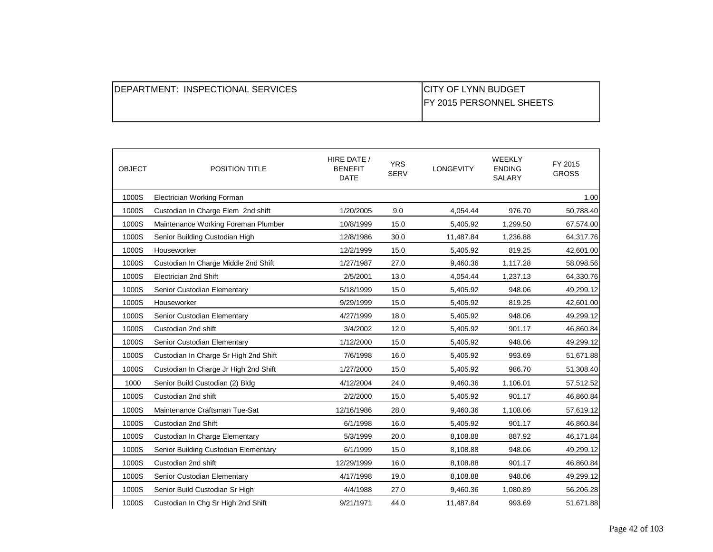| <b>IDEPARTMENT: INSPECTIONAL SERVICES</b> | <b>CITY OF LYNN BUDGET</b>       |
|-------------------------------------------|----------------------------------|
|                                           | <b>IFY 2015 PERSONNEL SHEETS</b> |
|                                           |                                  |

| <b>OBJECT</b> | <b>POSITION TITLE</b>                 | HIRE DATE /<br><b>BENEFIT</b><br><b>DATE</b> | <b>YRS</b><br><b>SERV</b> | <b>LONGEVITY</b> | <b>WEEKLY</b><br><b>ENDING</b><br>SALARY | FY 2015<br><b>GROSS</b> |
|---------------|---------------------------------------|----------------------------------------------|---------------------------|------------------|------------------------------------------|-------------------------|
| 1000S         | Electrician Working Forman            |                                              |                           |                  |                                          | 1.00                    |
| 1000S         | Custodian In Charge Elem 2nd shift    | 1/20/2005                                    | 9.0                       | 4,054.44         | 976.70                                   | 50,788.40               |
| 1000S         | Maintenance Working Foreman Plumber   | 10/8/1999                                    | 15.0                      | 5,405.92         | 1,299.50                                 | 67,574.00               |
| 1000S         | Senior Building Custodian High        | 12/8/1986                                    | 30.0                      | 11,487.84        | 1,236.88                                 | 64,317.76               |
| 1000S         | Houseworker                           | 12/2/1999                                    | 15.0                      | 5,405.92         | 819.25                                   | 42,601.00               |
| 1000S         | Custodian In Charge Middle 2nd Shift  | 1/27/1987                                    | 27.0                      | 9,460.36         | 1,117.28                                 | 58,098.56               |
| 1000S         | <b>Electrician 2nd Shift</b>          | 2/5/2001                                     | 13.0                      | 4,054.44         | 1,237.13                                 | 64,330.76               |
| 1000S         | Senior Custodian Elementary           | 5/18/1999                                    | 15.0                      | 5,405.92         | 948.06                                   | 49,299.12               |
| 1000S         | Houseworker                           | 9/29/1999                                    | 15.0                      | 5,405.92         | 819.25                                   | 42,601.00               |
| 1000S         | Senior Custodian Elementary           | 4/27/1999                                    | 18.0                      | 5,405.92         | 948.06                                   | 49,299.12               |
| 1000S         | Custodian 2nd shift                   | 3/4/2002                                     | 12.0                      | 5,405.92         | 901.17                                   | 46,860.84               |
| 1000S         | Senior Custodian Elementary           | 1/12/2000                                    | 15.0                      | 5,405.92         | 948.06                                   | 49,299.12               |
| 1000S         | Custodian In Charge Sr High 2nd Shift | 7/6/1998                                     | 16.0                      | 5,405.92         | 993.69                                   | 51,671.88               |
| 1000S         | Custodian In Charge Jr High 2nd Shift | 1/27/2000                                    | 15.0                      | 5,405.92         | 986.70                                   | 51,308.40               |
| 1000          | Senior Build Custodian (2) Bldg       | 4/12/2004                                    | 24.0                      | 9,460.36         | 1,106.01                                 | 57,512.52               |
| 1000S         | Custodian 2nd shift                   | 2/2/2000                                     | 15.0                      | 5,405.92         | 901.17                                   | 46,860.84               |
| 1000S         | Maintenance Craftsman Tue-Sat         | 12/16/1986                                   | 28.0                      | 9,460.36         | 1,108.06                                 | 57,619.12               |
| 1000S         | Custodian 2nd Shift                   | 6/1/1998                                     | 16.0                      | 5,405.92         | 901.17                                   | 46,860.84               |
| 1000S         | Custodian In Charge Elementary        | 5/3/1999                                     | 20.0                      | 8,108.88         | 887.92                                   | 46,171.84               |
| 1000S         | Senior Building Custodian Elementary  | 6/1/1999                                     | 15.0                      | 8,108.88         | 948.06                                   | 49,299.12               |
| 1000S         | Custodian 2nd shift                   | 12/29/1999                                   | 16.0                      | 8,108.88         | 901.17                                   | 46,860.84               |
| 1000S         | Senior Custodian Elementary           | 4/17/1998                                    | 19.0                      | 8,108.88         | 948.06                                   | 49,299.12               |
| 1000S         | Senior Build Custodian Sr High        | 4/4/1988                                     | 27.0                      | 9,460.36         | 1,080.89                                 | 56,206.28               |
| 1000S         | Custodian In Chg Sr High 2nd Shift    | 9/21/1971                                    | 44.0                      | 11,487.84        | 993.69                                   | 51,671.88               |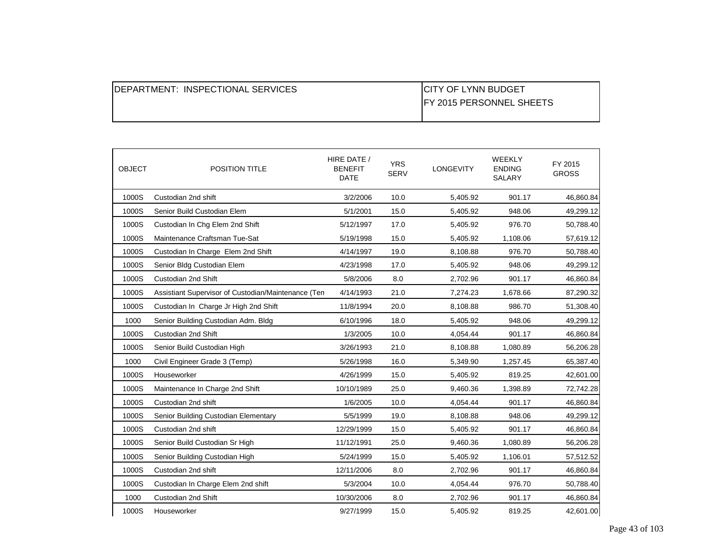| <b>IDEPARTMENT: INSPECTIONAL SERVICES</b> | <b>CITY OF LYNN BUDGET</b>       |
|-------------------------------------------|----------------------------------|
|                                           | <b>IFY 2015 PERSONNEL SHEETS</b> |
|                                           |                                  |

| <b>OBJECT</b> | POSITION TITLE                                      | HIRE DATE /<br><b>BENEFIT</b><br><b>DATE</b> | <b>YRS</b><br><b>SERV</b> | LONGEVITY | <b>WEEKLY</b><br><b>ENDING</b><br>SALARY | FY 2015<br><b>GROSS</b> |
|---------------|-----------------------------------------------------|----------------------------------------------|---------------------------|-----------|------------------------------------------|-------------------------|
| 1000S         | Custodian 2nd shift                                 | 3/2/2006                                     | 10.0                      | 5,405.92  | 901.17                                   | 46,860.84               |
| 1000S         | Senior Build Custodian Elem                         | 5/1/2001                                     | 15.0                      | 5,405.92  | 948.06                                   | 49,299.12               |
| 1000S         | Custodian In Chg Elem 2nd Shift                     | 5/12/1997                                    | 17.0                      | 5,405.92  | 976.70                                   | 50,788.40               |
| 1000S         | Maintenance Craftsman Tue-Sat                       | 5/19/1998                                    | 15.0                      | 5,405.92  | 1,108.06                                 | 57,619.12               |
| 1000S         | Custodian In Charge Elem 2nd Shift                  | 4/14/1997                                    | 19.0                      | 8,108.88  | 976.70                                   | 50,788.40               |
| 1000S         | Senior Bldg Custodian Elem                          | 4/23/1998                                    | 17.0                      | 5,405.92  | 948.06                                   | 49,299.12               |
| 1000S         | Custodian 2nd Shift                                 | 5/8/2006                                     | 8.0                       | 2,702.96  | 901.17                                   | 46,860.84               |
| 1000S         | Assistiant Supervisor of Custodian/Maintenance (Ten | 4/14/1993                                    | 21.0                      | 7,274.23  | 1,678.66                                 | 87,290.32               |
| 1000S         | Custodian In Charge Jr High 2nd Shift               | 11/8/1994                                    | 20.0                      | 8,108.88  | 986.70                                   | 51,308.40               |
| 1000          | Senior Building Custodian Adm. Bldg                 | 6/10/1996                                    | 18.0                      | 5,405.92  | 948.06                                   | 49,299.12               |
| 1000S         | Custodian 2nd Shift                                 | 1/3/2005                                     | 10.0                      | 4,054.44  | 901.17                                   | 46,860.84               |
| 1000S         | Senior Build Custodian High                         | 3/26/1993                                    | 21.0                      | 8,108.88  | 1,080.89                                 | 56,206.28               |
| 1000          | Civil Engineer Grade 3 (Temp)                       | 5/26/1998                                    | 16.0                      | 5,349.90  | 1,257.45                                 | 65,387.40               |
| 1000S         | Houseworker                                         | 4/26/1999                                    | 15.0                      | 5,405.92  | 819.25                                   | 42,601.00               |
| 1000S         | Maintenance In Charge 2nd Shift                     | 10/10/1989                                   | 25.0                      | 9,460.36  | 1,398.89                                 | 72,742.28               |
| 1000S         | Custodian 2nd shift                                 | 1/6/2005                                     | 10.0                      | 4,054.44  | 901.17                                   | 46,860.84               |
| 1000S         | Senior Building Custodian Elementary                | 5/5/1999                                     | 19.0                      | 8,108.88  | 948.06                                   | 49,299.12               |
| 1000S         | Custodian 2nd shift                                 | 12/29/1999                                   | 15.0                      | 5,405.92  | 901.17                                   | 46,860.84               |
| 1000S         | Senior Build Custodian Sr High                      | 11/12/1991                                   | 25.0                      | 9,460.36  | 1,080.89                                 | 56,206.28               |
| 1000S         | Senior Building Custodian High                      | 5/24/1999                                    | 15.0                      | 5,405.92  | 1,106.01                                 | 57,512.52               |
| 1000S         | Custodian 2nd shift                                 | 12/11/2006                                   | 8.0                       | 2,702.96  | 901.17                                   | 46,860.84               |
| 1000S         | Custodian In Charge Elem 2nd shift                  | 5/3/2004                                     | 10.0                      | 4,054.44  | 976.70                                   | 50,788.40               |
| 1000          | Custodian 2nd Shift                                 | 10/30/2006                                   | 8.0                       | 2,702.96  | 901.17                                   | 46,860.84               |
| 1000S         | Houseworker                                         | 9/27/1999                                    | 15.0                      | 5,405.92  | 819.25                                   | 42,601.00               |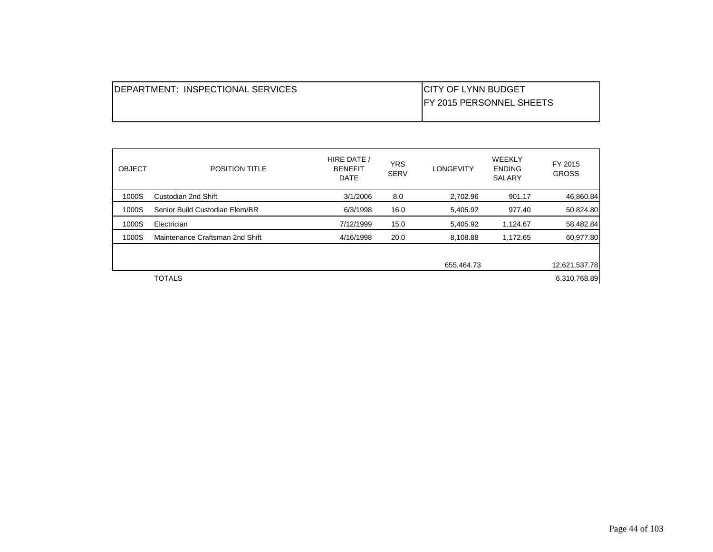| IDEPARTMENT: INSPECTIONAL SERVICES | <b>ICITY OF LYNN BUDGET</b>      |
|------------------------------------|----------------------------------|
|                                    | <b>IFY 2015 PERSONNEL SHEETS</b> |
|                                    |                                  |

| <b>OBJECT</b> | <b>POSITION TITLE</b>           | HIRE DATE /<br><b>BENEFIT</b><br><b>DATE</b> | <b>YRS</b><br><b>SERV</b> | <b>LONGEVITY</b> | WEEKLY<br><b>ENDING</b><br><b>SALARY</b> | FY 2015<br><b>GROSS</b> |
|---------------|---------------------------------|----------------------------------------------|---------------------------|------------------|------------------------------------------|-------------------------|
| 1000S         | Custodian 2nd Shift             | 3/1/2006                                     | 8.0                       | 2,702.96         | 901.17                                   | 46,860.84               |
| 1000S         | Senior Build Custodian Elem/BR  | 6/3/1998                                     | 16.0                      | 5,405.92         | 977.40                                   | 50,824.80               |
| 1000S         | Electrician                     | 7/12/1999                                    | 15.0                      | 5,405.92         | 1,124.67                                 | 58,482.84               |
| 1000S         | Maintenance Craftsman 2nd Shift | 4/16/1998                                    | 20.0                      | 8,108.88         | 1,172.65                                 | 60,977.80               |
|               |                                 |                                              |                           |                  |                                          |                         |
|               |                                 |                                              |                           | 655,464.73       |                                          | 12,621,537.78           |
|               | <b>TOTALS</b>                   |                                              |                           |                  |                                          | 6,310,768.89            |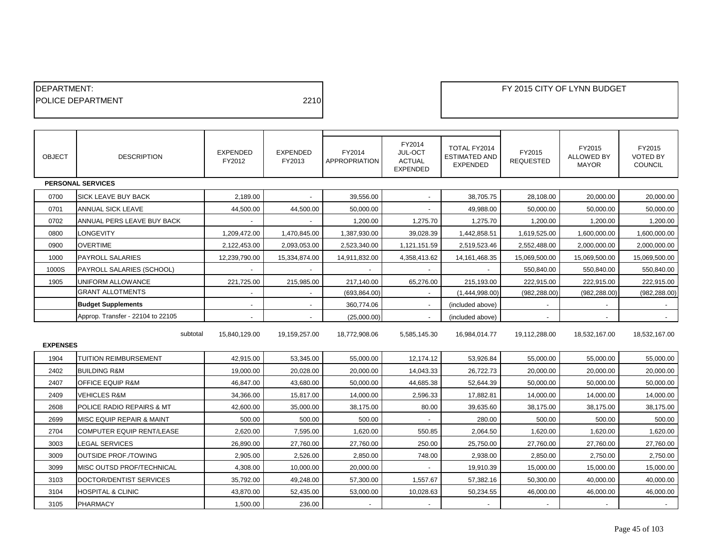| <b>IDEPARTMENT:</b>       |      |
|---------------------------|------|
| <b>IPOLICE DEPARTMENT</b> | 2210 |
|                           |      |

| <b>OBJECT</b>   | <b>DESCRIPTION</b>                | <b>EXPENDED</b><br>FY2012 | <b>EXPENDED</b><br>FY2013 | FY2014<br><b>APPROPRIATION</b> | FY2014<br>JUL-OCT<br><b>ACTUAL</b><br><b>EXPENDED</b> | TOTAL FY2014<br><b>ESTIMATED AND</b><br><b>EXPENDED</b> | FY2015<br><b>REQUESTED</b> | FY2015<br><b>ALLOWED BY</b><br><b>MAYOR</b> | FY2015<br><b>VOTED BY</b><br><b>COUNCIL</b> |
|-----------------|-----------------------------------|---------------------------|---------------------------|--------------------------------|-------------------------------------------------------|---------------------------------------------------------|----------------------------|---------------------------------------------|---------------------------------------------|
|                 | <b>PERSONAL SERVICES</b>          |                           |                           |                                |                                                       |                                                         |                            |                                             |                                             |
| 0700            | <b>SICK LEAVE BUY BACK</b>        | 2.189.00                  |                           | 39.556.00                      |                                                       | 38,705.75                                               | 28,108.00                  | 20,000.00                                   | 20.000.00                                   |
| 0701            | <b>ANNUAL SICK LEAVE</b>          | 44,500.00                 | 44,500.00                 | 50,000.00                      | $\overline{\phantom{a}}$                              | 49,988.00                                               | 50,000.00                  | 50,000.00                                   | 50,000.00                                   |
| 0702            | ANNUAL PERS LEAVE BUY BACK        |                           |                           | 1,200.00                       | 1,275.70                                              | 1,275.70                                                | 1,200.00                   | 1,200.00                                    | 1,200.00                                    |
| 0800            | LONGEVITY                         | 1,209,472.00              | 1,470,845.00              | 1,387,930.00                   | 39,028.39                                             | 1,442,858.51                                            | 1,619,525.00               | 1,600,000.00                                | 1,600,000.00                                |
| 0900            | <b>OVERTIME</b>                   | 2,122,453.00              | 2,093,053.00              | 2,523,340.00                   | 1,121,151.59                                          | 2,519,523.46                                            | 2,552,488.00               | 2,000,000.00                                | 2,000,000.00                                |
| 1000            | <b>PAYROLL SALARIES</b>           | 12,239,790.00             | 15,334,874.00             | 14,911,832.00                  | 4,358,413.62                                          | 14, 161, 468. 35                                        | 15,069,500.00              | 15,069,500.00                               | 15,069,500.00                               |
| 1000S           | PAYROLL SALARIES (SCHOOL)         |                           |                           |                                |                                                       |                                                         | 550,840.00                 | 550,840.00                                  | 550.840.00                                  |
| 1905            | UNIFORM ALLOWANCE                 | 221,725.00                | 215,985.00                | 217,140.00                     | 65,276.00                                             | 215,193.00                                              | 222,915.00                 | 222,915.00                                  | 222,915.00                                  |
|                 | <b>GRANT ALLOTMENTS</b>           |                           | $\blacksquare$            | (693, 864.00)                  |                                                       | (1,444,998.00)                                          | (982, 288.00)              | (982, 288.00)                               | (982, 288.00)                               |
|                 | <b>Budget Supplements</b>         | $\overline{\phantom{a}}$  | $\overline{\phantom{a}}$  | 360,774.06                     | $\overline{\phantom{a}}$                              | (included above)                                        | $\blacksquare$             | $\overline{\phantom{a}}$                    | $\sim$                                      |
|                 | Approp. Transfer - 22104 to 22105 |                           |                           | (25,000.00)                    |                                                       | (included above)                                        |                            |                                             |                                             |
| <b>EXPENSES</b> | subtotal                          | 15,840,129.00             | 19,159,257.00             | 18,772,908.06                  | 5,585,145.30                                          | 16,984,014.77                                           | 19,112,288.00              | 18,532,167.00                               | 18,532,167.00                               |
| 1904            | <b>TUITION REIMBURSEMENT</b>      | 42,915.00                 | 53,345.00                 | 55,000.00                      | 12,174.12                                             | 53,926.84                                               | 55,000.00                  | 55,000.00                                   | 55,000.00                                   |
| 2402            | <b>BUILDING R&amp;M</b>           | 19,000.00                 | 20,028.00                 | 20,000.00                      | 14,043.33                                             | 26,722.73                                               | 20,000.00                  | 20,000.00                                   | 20,000.00                                   |
| 2407            | <b>OFFICE EQUIP R&amp;M</b>       | 46.847.00                 | 43,680.00                 | 50,000.00                      | 44,685.38                                             | 52,644.39                                               | 50,000.00                  | 50,000.00                                   | 50,000.00                                   |
| 2409            | <b>VEHICLES R&amp;M</b>           | 34,366.00                 | 15,817.00                 | 14,000.00                      | 2,596.33                                              | 17,882.81                                               | 14,000.00                  | 14,000.00                                   | 14,000.00                                   |
| 2608            | POLICE RADIO REPAIRS & MT         | 42,600.00                 | 35,000.00                 | 38,175.00                      | 80.00                                                 | 39,635.60                                               | 38,175.00                  | 38,175.00                                   | 38,175.00                                   |
| 2699            | MISC EQUIP REPAIR & MAINT         | 500.00                    | 500.00                    | 500.00                         |                                                       | 280.00                                                  | 500.00                     | 500.00                                      | 500.00                                      |
| 2704            | COMPUTER EQUIP RENT/LEASE         | 2,620.00                  | 7,595.00                  | 1,620.00                       | 550.85                                                | 2,064.50                                                | 1,620.00                   | 1,620.00                                    | 1,620.00                                    |
| 3003            | LEGAL SERVICES                    | 26,890.00                 | 27,760.00                 | 27,760.00                      | 250.00                                                | 25,750.00                                               | 27,760.00                  | 27,760.00                                   | 27,760.00                                   |
| 3009            | <b>OUTSIDE PROF./TOWING</b>       | 2,905.00                  | 2,526.00                  | 2,850.00                       | 748.00                                                | 2,938.00                                                | 2,850.00                   | 2,750.00                                    | 2,750.00                                    |
| 3099            | MISC OUTSD PROF/TECHNICAL         | 4,308.00                  | 10,000.00                 | 20,000.00                      |                                                       | 19,910.39                                               | 15,000.00                  | 15,000.00                                   | 15,000.00                                   |
| 3103            | DOCTOR/DENTIST SERVICES           | 35,792.00                 | 49,248.00                 | 57,300.00                      | 1,557.67                                              | 57,382.16                                               | 50,300.00                  | 40,000.00                                   | 40,000.00                                   |
| 3104            | <b>HOSPITAL &amp; CLINIC</b>      | 43,870.00                 | 52,435.00                 | 53,000.00                      | 10,028.63                                             | 50,234.55                                               | 46,000.00                  | 46,000.00                                   | 46,000.00                                   |
| 3105            | PHARMACY                          | 1,500.00                  | 236.00                    | $\blacksquare$                 |                                                       |                                                         |                            |                                             |                                             |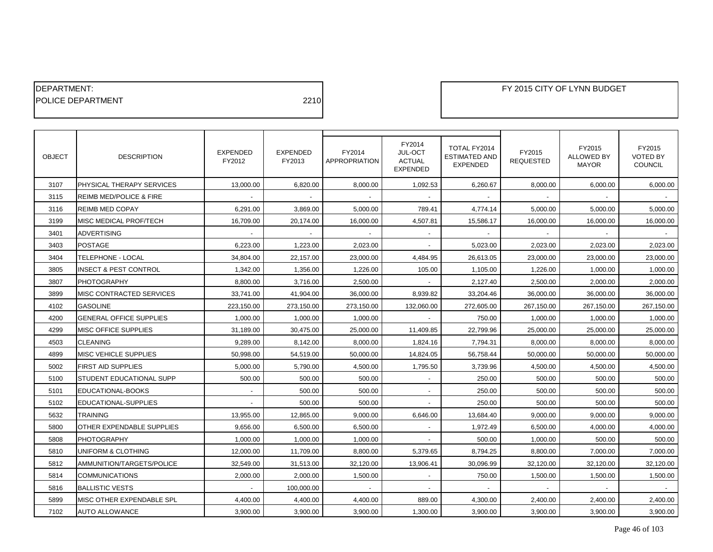| <b>IDEPARTMENT:</b>       |      |
|---------------------------|------|
| <b>IPOLICE DEPARTMENT</b> | 2210 |

| <b>OBJECT</b> | <b>DESCRIPTION</b>                 | <b>EXPENDED</b><br>FY2012 | <b>EXPENDED</b><br>FY2013 | FY2014<br>APPROPRIATION | FY2014<br>JUL-OCT<br><b>ACTUAL</b><br><b>EXPENDED</b> | TOTAL FY2014<br><b>ESTIMATED AND</b><br><b>EXPENDED</b> | FY2015<br><b>REQUESTED</b> | FY2015<br>ALLOWED BY<br><b>MAYOR</b> | FY2015<br><b>VOTED BY</b><br><b>COUNCIL</b> |
|---------------|------------------------------------|---------------------------|---------------------------|-------------------------|-------------------------------------------------------|---------------------------------------------------------|----------------------------|--------------------------------------|---------------------------------------------|
| 3107          | PHYSICAL THERAPY SERVICES          | 13,000.00                 | 6,820.00                  | 8,000.00                | 1,092.53                                              | 6,260.67                                                | 8,000.00                   | 6,000.00                             | 6,000.00                                    |
| 3115          | <b>REIMB MED/POLICE &amp; FIRE</b> |                           |                           |                         |                                                       |                                                         |                            |                                      |                                             |
| 3116          | <b>REIMB MED COPAY</b>             | 6,291.00                  | 3,869.00                  | 5,000.00                | 789.41                                                | 4,774.14                                                | 5,000.00                   | 5,000.00                             | 5,000.00                                    |
| 3199          | MISC MEDICAL PROF/TECH             | 16,709.00                 | 20,174.00                 | 16,000.00               | 4,507.81                                              | 15,586.17                                               | 16,000.00                  | 16,000.00                            | 16,000.00                                   |
| 3401          | <b>ADVERTISING</b>                 |                           |                           |                         |                                                       |                                                         |                            |                                      |                                             |
| 3403          | <b>POSTAGE</b>                     | 6,223.00                  | 1,223.00                  | 2,023.00                |                                                       | 5,023.00                                                | 2,023.00                   | 2,023.00                             | 2,023.00                                    |
| 3404          | TELEPHONE - LOCAL                  | 34,804.00                 | 22,157.00                 | 23,000.00               | 4,484.95                                              | 26,613.05                                               | 23,000.00                  | 23,000.00                            | 23,000.00                                   |
| 3805          | INSECT & PEST CONTROL              | 1,342.00                  | 1,356.00                  | 1,226.00                | 105.00                                                | 1,105.00                                                | 1,226.00                   | 1,000.00                             | 1,000.00                                    |
| 3807          | <b>PHOTOGRAPHY</b>                 | 8,800.00                  | 3,716.00                  | 2,500.00                |                                                       | 2,127.40                                                | 2,500.00                   | 2,000.00                             | 2,000.00                                    |
| 3899          | MISC CONTRACTED SERVICES           | 33,741.00                 | 41,904.00                 | 36,000.00               | 8,939.82                                              | 33,204.46                                               | 36,000.00                  | 36,000.00                            | 36,000.00                                   |
| 4102          | <b>GASOLINE</b>                    | 223,150.00                | 273,150.00                | 273,150.00              | 132,060.00                                            | 272,605.00                                              | 267,150.00                 | 267,150.00                           | 267,150.00                                  |
| 4200          | <b>GENERAL OFFICE SUPPLIES</b>     | 1,000.00                  | 1,000.00                  | 1,000.00                |                                                       | 750.00                                                  | 1,000.00                   | 1,000.00                             | 1,000.00                                    |
| 4299          | <b>MISC OFFICE SUPPLIES</b>        | 31,189.00                 | 30,475.00                 | 25,000.00               | 11,409.85                                             | 22,799.96                                               | 25,000.00                  | 25,000.00                            | 25,000.00                                   |
| 4503          | <b>CLEANING</b>                    | 9,289.00                  | 8,142.00                  | 8,000.00                | 1,824.16                                              | 7,794.31                                                | 8,000.00                   | 8,000.00                             | 8,000.00                                    |
| 4899          | MISC VEHICLE SUPPLIES              | 50,998.00                 | 54,519.00                 | 50,000.00               | 14,824.05                                             | 56,758.44                                               | 50,000.00                  | 50,000.00                            | 50,000.00                                   |
| 5002          | <b>FIRST AID SUPPLIES</b>          | 5,000.00                  | 5,790.00                  | 4,500.00                | 1,795.50                                              | 3,739.96                                                | 4,500.00                   | 4,500.00                             | 4,500.00                                    |
| 5100          | <b>STUDENT EDUCATIONAL SUPP</b>    | 500.00                    | 500.00                    | 500.00                  |                                                       | 250.00                                                  | 500.00                     | 500.00                               | 500.00                                      |
| 5101          | EDUCATIONAL-BOOKS                  |                           | 500.00                    | 500.00                  |                                                       | 250.00                                                  | 500.00                     | 500.00                               | 500.00                                      |
| 5102          | EDUCATIONAL-SUPPLIES               |                           | 500.00                    | 500.00                  |                                                       | 250.00                                                  | 500.00                     | 500.00                               | 500.00                                      |
| 5632          | <b>TRAINING</b>                    | 13,955.00                 | 12,865.00                 | 9,000.00                | 6,646.00                                              | 13,684.40                                               | 9,000.00                   | 9,000.00                             | 9,000.00                                    |
| 5800          | OTHER EXPENDABLE SUPPLIES          | 9,656.00                  | 6,500.00                  | 6,500.00                |                                                       | 1,972.49                                                | 6,500.00                   | 4,000.00                             | 4,000.00                                    |
| 5808          | <b>PHOTOGRAPHY</b>                 | 1,000.00                  | 1,000.00                  | 1,000.00                |                                                       | 500.00                                                  | 1,000.00                   | 500.00                               | 500.00                                      |
| 5810          | UNIFORM & CLOTHING                 | 12,000.00                 | 11,709.00                 | 8,800.00                | 5,379.65                                              | 8,794.25                                                | 8,800.00                   | 7,000.00                             | 7,000.00                                    |
| 5812          | AMMUNITION/TARGETS/POLICE          | 32,549.00                 | 31,513.00                 | 32,120.00               | 13,906.41                                             | 30,096.99                                               | 32,120.00                  | 32,120.00                            | 32,120.00                                   |
| 5814          | <b>COMMUNICATIONS</b>              | 2,000.00                  | 2,000.00                  | 1,500.00                |                                                       | 750.00                                                  | 1,500.00                   | 1,500.00                             | 1,500.00                                    |
| 5816          | <b>BALLISTIC VESTS</b>             |                           | 100,000.00                |                         |                                                       |                                                         |                            |                                      |                                             |
| 5899          | MISC OTHER EXPENDABLE SPL          | 4,400.00                  | 4,400.00                  | 4,400.00                | 889.00                                                | 4,300.00                                                | 2,400.00                   | 2,400.00                             | 2,400.00                                    |
| 7102          | <b>AUTO ALLOWANCE</b>              | 3,900.00                  | 3,900.00                  | 3,900.00                | 1,300.00                                              | 3,900.00                                                | 3,900.00                   | 3,900.00                             | 3,900.00                                    |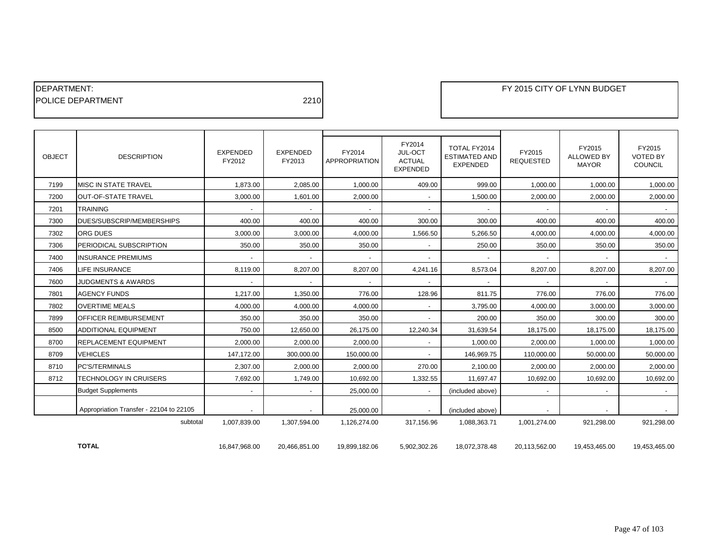| <b>IDEPARTMENT:</b>       |      |
|---------------------------|------|
| <b>IPOLICE DEPARTMENT</b> | 2210 |

П

| <b>OBJECT</b> | <b>DESCRIPTION</b>                      | <b>EXPENDED</b><br>FY2012 | <b>EXPENDED</b><br>FY2013 | FY2014<br><b>APPROPRIATION</b> | FY2014<br>JUL-OCT<br><b>ACTUAL</b><br><b>EXPENDED</b> | TOTAL FY2014<br><b>ESTIMATED AND</b><br><b>EXPENDED</b> | FY2015<br><b>REQUESTED</b> | FY2015<br><b>ALLOWED BY</b><br><b>MAYOR</b> | FY2015<br><b>VOTED BY</b><br><b>COUNCIL</b> |
|---------------|-----------------------------------------|---------------------------|---------------------------|--------------------------------|-------------------------------------------------------|---------------------------------------------------------|----------------------------|---------------------------------------------|---------------------------------------------|
| 7199          | MISC IN STATE TRAVEL                    | 1.873.00                  | 2,085.00                  | 1.000.00                       | 409.00                                                | 999.00                                                  | 1.000.00                   | 1.000.00                                    | 1,000.00                                    |
| 7200          | <b>OUT-OF-STATE TRAVEL</b>              | 3,000.00                  | 1,601.00                  | 2,000.00                       |                                                       | 1,500.00                                                | 2,000.00                   | 2,000.00                                    | 2,000.00                                    |
| 7201          | <b>TRAINING</b>                         | $\blacksquare$            | $\overline{\phantom{a}}$  |                                |                                                       |                                                         |                            | $\blacksquare$                              | $\sim$                                      |
| 7300          | DUES/SUBSCRIP/MEMBERSHIPS               | 400.00                    | 400.00                    | 400.00                         | 300.00                                                | 300.00                                                  | 400.00                     | 400.00                                      | 400.00                                      |
| 7302          | ORG DUES                                | 3,000.00                  | 3,000.00                  | 4.000.00                       | 1,566.50                                              | 5,266.50                                                | 4,000.00                   | 4.000.00                                    | 4,000.00                                    |
| 7306          | PERIODICAL SUBSCRIPTION                 | 350.00                    | 350.00                    | 350.00                         |                                                       | 250.00                                                  | 350.00                     | 350.00                                      | 350.00                                      |
| 7400          | <b>INSURANCE PREMIUMS</b>               |                           | $\blacksquare$            |                                |                                                       |                                                         |                            |                                             |                                             |
| 7406          | <b>LIFE INSURANCE</b>                   | 8,119.00                  | 8,207.00                  | 8,207.00                       | 4,241.16                                              | 8,573.04                                                | 8,207.00                   | 8,207.00                                    | 8,207.00                                    |
| 7600          | <b>JUDGMENTS &amp; AWARDS</b>           | $\blacksquare$            | $\sim$                    |                                |                                                       |                                                         |                            | $\overline{\phantom{a}}$                    | $\sim$                                      |
| 7801          | <b>AGENCY FUNDS</b>                     | 1,217.00                  | 1,350.00                  | 776.00                         | 128.96                                                | 811.75                                                  | 776.00                     | 776.00                                      | 776.00                                      |
| 7802          | <b>OVERTIME MEALS</b>                   | 4,000.00                  | 4,000.00                  | 4,000.00                       |                                                       | 3,795.00                                                | 4,000.00                   | 3,000.00                                    | 3,000.00                                    |
| 7899          | OFFICER REIMBURSEMENT                   | 350.00                    | 350.00                    | 350.00                         |                                                       | 200.00                                                  | 350.00                     | 300.00                                      | 300.00                                      |
| 8500          | ADDITIONAL EQUIPMENT                    | 750.00                    | 12,650.00                 | 26,175.00                      | 12,240.34                                             | 31,639.54                                               | 18,175.00                  | 18,175.00                                   | 18,175.00                                   |
| 8700          | REPLACEMENT EQUIPMENT                   | 2,000.00                  | 2,000.00                  | 2,000.00                       |                                                       | 1,000.00                                                | 2,000.00                   | 1,000.00                                    | 1,000.00                                    |
| 8709          | <b>VEHICLES</b>                         | 147,172.00                | 300,000.00                | 150,000.00                     |                                                       | 146,969.75                                              | 110,000.00                 | 50,000.00                                   | 50,000.00                                   |
| 8710          | PC'S/TERMINALS                          | 2,307.00                  | 2,000.00                  | 2,000.00                       | 270.00                                                | 2,100.00                                                | 2,000.00                   | 2,000.00                                    | 2,000.00                                    |
| 8712          | <b>TECHNOLOGY IN CRUISERS</b>           | 7,692.00                  | 1,749.00                  | 10,692.00                      | 1,332.55                                              | 11,697.47                                               | 10,692.00                  | 10,692.00                                   | 10,692.00                                   |
|               | <b>Budget Supplements</b>               |                           |                           | 25,000.00                      |                                                       | (included above)                                        |                            |                                             |                                             |
|               | Appropriation Transfer - 22104 to 22105 | $\blacksquare$            | $\overline{\phantom{a}}$  | 25,000.00                      | $\overline{\phantom{a}}$                              | (included above)                                        |                            |                                             | $\sim$ $-$                                  |
|               | subtotal                                | 1,007,839.00              | 1,307,594.00              | 1,126,274.00                   | 317,156.96                                            | 1,088,363.71                                            | 1,001,274.00               | 921,298.00                                  | 921,298.00                                  |
|               | <b>TOTAL</b>                            | 16,847,968.00             | 20,466,851.00             | 19,899,182.06                  | 5,902,302.26                                          | 18,072,378.48                                           | 20,113,562.00              | 19,453,465.00                               | 19,453,465.00                               |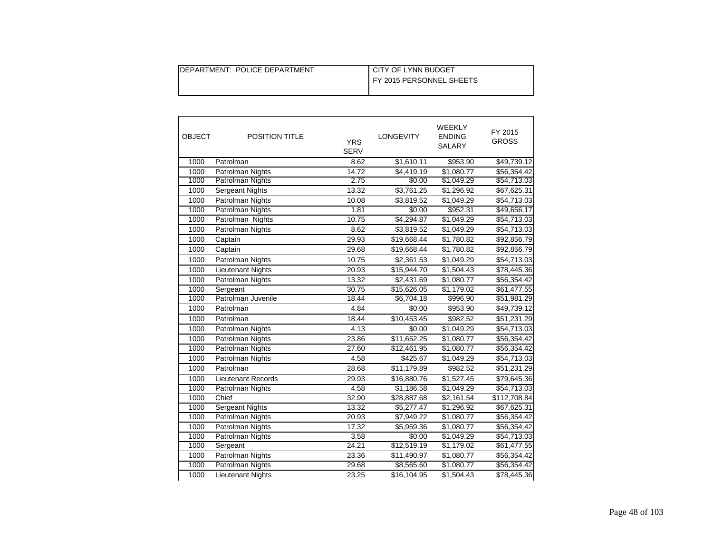| DEPARTMENT: POLICE DEPARTMENT | I CITY OF LYNN BUDGET    |
|-------------------------------|--------------------------|
|                               | FY 2015 PERSONNEL SHEETS |
|                               |                          |

| <b>OBJECT</b> | POSITION TITLE           | <b>YRS</b><br><b>SERV</b> | <b>LONGEVITY</b>   | WEEKLY<br><b>ENDING</b><br>SALARY | FY 2015<br><b>GROSS</b> |
|---------------|--------------------------|---------------------------|--------------------|-----------------------------------|-------------------------|
| 1000          | Patrolman                | 8.62                      | \$1,610.11         | \$953.90                          | \$49,739.12             |
| 1000          | Patrolman Nights         | 14.72                     | \$4,419.19         | \$1,080.77                        | \$56,354.42             |
| 1000          | Patrolman Nights         | 2.75                      | \$0.00             | \$1,049.29                        | \$54,713.03             |
| 1000          | Sergeant Nights          | 13.32                     | \$3,761.25         | \$1,296.92                        | \$67,625.31             |
| 1000          | Patrolman Nights         | 10.08                     | \$3,819.52         | \$1,049.29                        | \$54,713.03             |
| 1000          | Patrolman Nights         | 1.81                      | \$0.00             | \$952.31                          | \$49,656.17             |
| 1000          | Patrolman Nights         | 10.75                     | \$4,294.87         | \$1,049.29                        | \$54,713.03             |
| 1000          | Patrolman Nights         | 8.62                      | \$3,819.52         | \$1,049.29                        | \$54,713.03             |
| 1000          | Captain                  | 29.93                     | \$19,668.44        | \$1,780.82                        | \$92,856.79             |
| 1000          | Captain                  | 29.68                     | \$19,668.44        | \$1,780.82                        | \$92,856.79             |
| 1000          | Patrolman Nights         | 10.75                     | \$2,361.53         | \$1,049.29                        | \$54,713.03             |
| 1000          | <b>Lieutenant Nights</b> | 20.93                     | \$15,944.70        | \$1,504.43                        | \$78,445.36             |
| 1000          | Patrolman Nights         | 13.32                     | \$2,431.69         | \$1,080.77                        | \$56,354.42             |
| 1000          | Sergeant                 | 30.75                     | \$15,626.05        | \$1,179.02                        | \$61,477.55             |
| 1000          | Patrolman Juvenile       | 18.44                     | \$6,704.18         | \$996.90                          | \$51,981.29             |
| 1000          | Patrolman                | 4.84                      | $\overline{$}0.00$ | \$953.90                          | \$49,739.12             |
| 1000          | Patrolman                | 18.44                     | \$10,453.45        | \$982.52                          | \$51,231.29             |
| 1000          | Patrolman Nights         | 4.13                      | \$0.00             | \$1,049.29                        | \$54,713.03             |
| 1000          | Patrolman Nights         | 23.86                     | \$11,652.25        | \$1,080.77                        | \$56,354.42             |
| 1000          | Patrolman Nights         | 27.60                     | \$12,461.95        | \$1,080.77                        | \$56,354.42             |
| 1000          | Patrolman Nights         | 4.58                      | \$425.67           | \$1,049.29                        | \$54,713.03             |
| 1000          | Patrolman                | 28.68                     | \$11,179.89        | \$982.52                          | \$51,231.29             |
| 1000          | Lieutenant Records       | 29.93                     | \$16,880.76        | \$1,527.45                        | \$79,645.36             |
| 1000          | Patrolman Nights         | 4.58                      | \$1,186.58         | \$1,049.29                        | \$54,713.03             |
| 1000          | Chief                    | 32.90                     | \$28,887.68        | \$2,161.54                        | \$112,708.84            |
| 1000          | <b>Sergeant Nights</b>   | 13.32                     | \$5,277.47         | \$1,296.92                        | \$67,625.31             |
| 1000          | Patrolman Nights         | 20.93                     | \$7,949.22         | \$1,080.77                        | \$56,354.42             |
| 1000          | Patrolman Nights         | 17.32                     | \$5,959.36         | \$1,080.77                        | \$56,354.42             |
| 1000          | Patrolman Nights         | 3.58                      | \$0.00             | \$1,049.29                        | \$54,713.03             |
| 1000          | Sergeant                 | 24.21                     | \$12,519.19        | \$1,179.02                        | \$61,477.55             |
| 1000          | Patrolman Nights         | 23.36                     | \$11,490.97        | \$1,080.77                        | \$56,354.42             |
| 1000          | Patrolman Nights         | 29.68                     | \$8,565.60         | \$1,080.77                        | \$56,354.42             |
| 1000          | <b>Lieutenant Nights</b> | 23.25                     | \$16,104.95        | \$1,504.43                        | \$78,445.36             |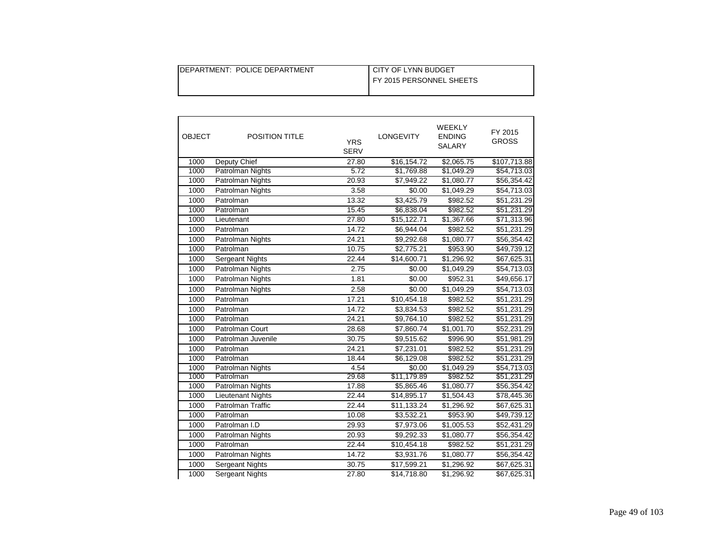| DEPARTMENT: POLICE DEPARTMENT | I CITY OF LYNN BUDGET    |
|-------------------------------|--------------------------|
|                               | FY 2015 PERSONNEL SHEETS |
|                               |                          |

| <b>OBJECT</b> | <b>POSITION TITLE</b>    | <b>YRS</b><br><b>SERV</b> | <b>LONGEVITY</b> | WEEKLY<br><b>ENDING</b><br>SALARY | FY 2015<br><b>GROSS</b> |
|---------------|--------------------------|---------------------------|------------------|-----------------------------------|-------------------------|
| 1000          | Deputy Chief             | 27.80                     | \$16,154.72      | \$2,065.75                        | \$107,713.88            |
| 1000          | Patrolman Nights         | 5.72                      | \$1,769.88       | \$1,049.29                        | \$54,713.03             |
| 1000          | Patrolman Nights         | 20.93                     | \$7,949.22       | \$1,080.77                        | \$56,354.42             |
| 1000          | Patrolman Nights         | 3.58                      | \$0.00           | \$1,049.29                        | \$54,713.03             |
| 1000          | Patrolman                | 13.32                     | \$3,425.79       | \$982.52                          | \$51,231.29             |
| 1000          | Patrolman                | 15.45                     | \$6,838.04       | \$982.52                          | \$51,231.29             |
| 1000          | Lieutenant               | 27.80                     | \$15,122.71      | \$1,367.66                        | \$71,313.96             |
| 1000          | Patrolman                | 14.72                     | \$6,944.04       | \$982.52                          | \$51,231.29             |
| 1000          | Patrolman Nights         | 24.21                     | \$9,292.68       | \$1,080.77                        | \$56,354.42             |
| 1000          | Patrolman                | 10.75                     | \$2,775.21       | \$953.90                          | \$49,739.12             |
| 1000          | Sergeant Nights          | 22.44                     | \$14,600.71      | \$1,296.92                        | \$67,625.31             |
| 1000          | Patrolman Nights         | 2.75                      | \$0.00           | \$1,049.29                        | \$54,713.03             |
| 1000          | Patrolman Nights         | 1.81                      | \$0.00           | \$952.31                          | \$49,656.17             |
| 1000          | Patrolman Nights         | 2.58                      | \$0.00           | \$1,049.29                        | \$54,713.03             |
| 1000          | Patrolman                | 17.21                     | \$10,454.18      | \$982.52                          | \$51,231.29             |
| 1000          | Patrolman                | 14.72                     | \$3,834.53       | \$982.52                          | \$51,231.29             |
| 1000          | Patrolman                | 24.21                     | \$9,764.10       | \$982.52                          | \$51,231.29             |
| 1000          | Patrolman Court          | 28.68                     | \$7,860.74       | \$1,001.70                        | \$52,231.29             |
| 1000          | Patrolman Juvenile       | 30.75                     | \$9,515.62       | \$996.90                          | \$51,981.29             |
| 1000          | Patrolman                | 24.21                     | \$7,231.01       | \$982.52                          | \$51,231.29             |
| 1000          | Patrolman                | 18.44                     | \$6,129.08       | \$982.52                          | \$51,231.29             |
| 1000          | Patrolman Nights         | 4.54                      | \$0.00           | \$1,049.29                        | \$54,713.03             |
| 1000          | Patrolman                | 29.68                     | \$11,179.89      | \$982.52                          | \$51,231.29             |
| 1000          | <b>Patrolman Nights</b>  | 17.88                     | \$5,865.46       | \$1,080.77                        | \$56,354.42             |
| 1000          | <b>Lieutenant Nights</b> | 22.44                     | \$14,895.17      | \$1,504.43                        | \$78,445.36             |
| 1000          | Patrolman Traffic        | 22.44                     | \$11,133.24      | \$1,296.92                        | \$67,625.31             |
| 1000          | Patrolman                | 10.08                     | \$3,532.21       | \$953.90                          | \$49,739.12             |
| 1000          | Patrolman I.D            | 29.93                     | \$7,973.06       | \$1,005.53                        | \$52,431.29             |
| 1000          | Patrolman Nights         | 20.93                     | \$9,292.33       | \$1,080.77                        | \$56,354.42             |
| 1000          | Patrolman                | 22.44                     | \$10,454.18      | \$982.52                          | \$51,231.29             |
| 1000          | Patrolman Nights         | 14.72                     | \$3,931.76       | \$1,080.77                        | \$56,354.42             |
| 1000          | <b>Sergeant Nights</b>   | 30.75                     | \$17,599.21      | \$1,296.92                        | \$67,625.31             |
| 1000          | <b>Sergeant Nights</b>   | 27.80                     | \$14,718.80      | \$1,296.92                        | \$67,625.31             |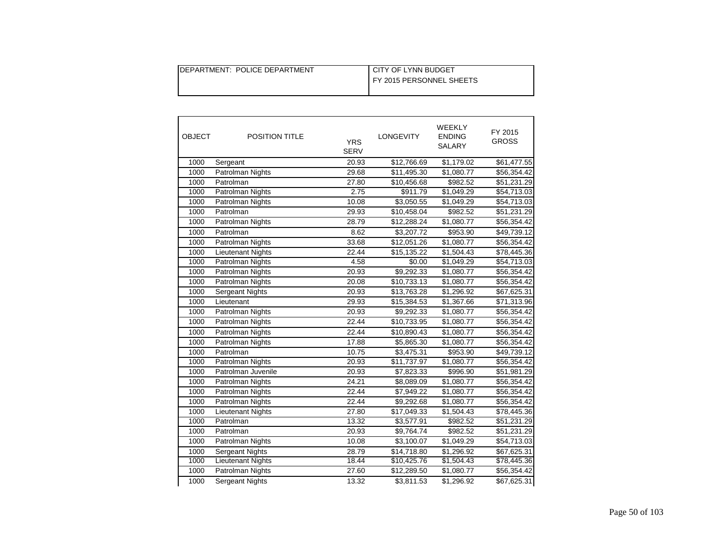| DEPARTMENT: POLICE DEPARTMENT | I CITY OF LYNN BUDGET    |
|-------------------------------|--------------------------|
|                               | FY 2015 PERSONNEL SHEETS |
|                               |                          |

| <b>OBJECT</b> | POSITION TITLE           | <b>YRS</b><br><b>SERV</b> | <b>LONGEVITY</b> | WEEKLY<br><b>ENDING</b><br>SALARY | FY 2015<br><b>GROSS</b> |
|---------------|--------------------------|---------------------------|------------------|-----------------------------------|-------------------------|
| 1000          | Sergeant                 | 20.93                     | \$12,766.69      | \$1,179.02                        | \$61,477.55             |
| 1000          | Patrolman Nights         | 29.68                     | \$11,495.30      | \$1,080.77                        | \$56,354.42             |
| 1000          | Patrolman                | 27.80                     | \$10,456.68      | \$982.52                          | \$51,231.29             |
| 1000          | Patrolman Nights         | 2.75                      | \$911.79         | \$1,049.29                        | \$54,713.03             |
| 1000          | Patrolman Nights         | 10.08                     | \$3,050.55       | \$1,049.29                        | \$54,713.03             |
| 1000          | Patrolman                | 29.93                     | \$10,458.04      | \$982.52                          | \$51,231.29             |
| 1000          | Patrolman Nights         | 28.79                     | \$12,288.24      | \$1,080.77                        | \$56,354.42             |
| 1000          | Patrolman                | 8.62                      | \$3,207.72       | \$953.90                          | \$49,739.12             |
| 1000          | Patrolman Nights         | 33.68                     | \$12,051.26      | \$1,080.77                        | \$56,354.42             |
| 1000          | Lieutenant Nights        | 22.44                     | \$15,135.22      | \$1,504.43                        | \$78,445.36             |
| 1000          | Patrolman Nights         | 4.58                      | \$0.00           | \$1,049.29                        | \$54,713.03             |
| 1000          | Patrolman Nights         | 20.93                     | \$9,292.33       | \$1,080.77                        | \$56,354.42             |
| 1000          | Patrolman Nights         | 20.08                     | \$10,733.13      | \$1,080.77                        | \$56,354.42             |
| 1000          | Sergeant Nights          | 20.93                     | \$13,763.28      | \$1,296.92                        | \$67,625.31             |
| 1000          | Lieutenant               | 29.93                     | \$15,384.53      | \$1,367.66                        | \$71,313.96             |
| 1000          | Patrolman Nights         | 20.93                     | \$9,292.33       | \$1,080.77                        | \$56,354.42             |
| 1000          | Patrolman Nights         | 22.44                     | \$10,733.95      | \$1,080.77                        | \$56,354.42             |
| 1000          | Patrolman Nights         | 22.44                     | \$10,890.43      | \$1,080.77                        | \$56,354.42             |
| 1000          | Patrolman Nights         | 17.88                     | \$5,865.30       | \$1,080.77                        | \$56,354.42             |
| 1000          | Patrolman                | 10.75                     | \$3,475.31       | \$953.90                          | \$49,739.12             |
| 1000          | <b>Patrolman Nights</b>  | 20.93                     | \$11,737.97      | \$1,080.77                        | \$56,354.42             |
| 1000          | Patrolman Juvenile       | 20.93                     | \$7,823.33       | \$996.90                          | \$51,981.29             |
| 1000          | Patrolman Nights         | 24.21                     | \$8,089.09       | \$1,080.77                        | \$56,354.42             |
| 1000          | Patrolman Nights         | 22.44                     | \$7,949.22       | \$1,080.77                        | \$56,354.42             |
| 1000          | Patrolman Nights         | 22.44                     | \$9,292.68       | \$1,080.77                        | \$56,354.42             |
| 1000          | <b>Lieutenant Nights</b> | 27.80                     | \$17,049.33      | \$1,504.43                        | \$78,445.36             |
| 1000          | Patrolman                | 13.32                     | \$3,577.91       | \$982.52                          | \$51,231.29             |
| 1000          | Patrolman                | 20.93                     | \$9,764.74       | \$982.52                          | \$51,231.29             |
| 1000          | Patrolman Nights         | 10.08                     | \$3,100.07       | \$1,049.29                        | \$54,713.03             |
| 1000          | Sergeant Nights          | 28.79                     | \$14,718.80      | \$1,296.92                        | \$67,625.31             |
| 1000          | <b>Lieutenant Nights</b> | 18.44                     | \$10,425.76      | \$1,504.43                        | \$78,445.36             |
| 1000          | Patrolman Nights         | 27.60                     | \$12,289.50      | \$1,080.77                        | \$56,354.42             |
| 1000          | <b>Sergeant Nights</b>   | 13.32                     | \$3,811.53       | \$1,296.92                        | \$67,625.31             |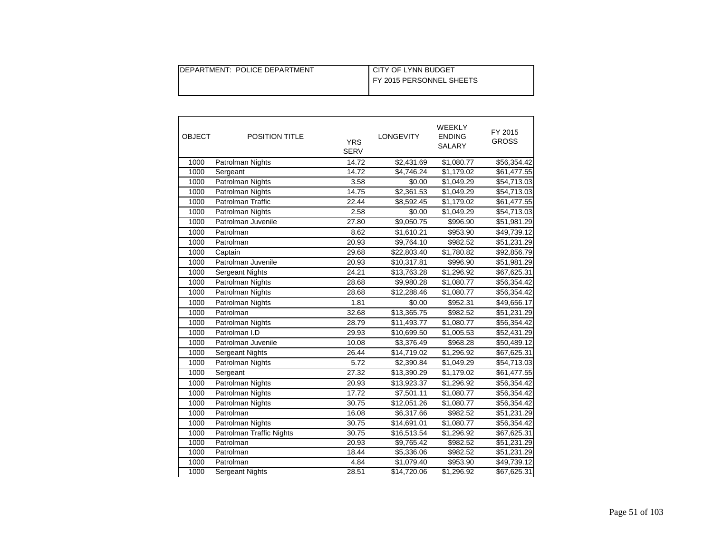| DEPARTMENT: POLICE DEPARTMENT | I CITY OF LYNN BUDGET    |
|-------------------------------|--------------------------|
|                               | FY 2015 PERSONNEL SHEETS |
|                               |                          |

| <b>OBJECT</b> | POSITION TITLE           | <b>YRS</b><br><b>SERV</b> | <b>LONGEVITY</b> | WEEKLY<br><b>ENDING</b><br>SALARY | FY 2015<br><b>GROSS</b> |
|---------------|--------------------------|---------------------------|------------------|-----------------------------------|-------------------------|
| 1000          | Patrolman Nights         | 14.72                     | \$2,431.69       | \$1,080.77                        | \$56,354.42             |
| 1000          | Sergeant                 | 14.72                     | \$4,746.24       | \$1,179.02                        | \$61,477.55             |
| 1000          | Patrolman Nights         | 3.58                      | \$0.00           | \$1,049.29                        | \$54,713.03             |
| 1000          | Patrolman Nights         | 14.75                     | \$2,361.53       | \$1,049.29                        | \$54,713.03             |
| 1000          | Patrolman Traffic        | 22.44                     | \$8,592.45       | \$1,179.02                        | \$61,477.55             |
| 1000          | Patrolman Nights         | 2.58                      | \$0.00           | \$1,049.29                        | \$54,713.03             |
| 1000          | Patrolman Juvenile       | 27.80                     | \$9,050.75       | \$996.90                          | \$51,981.29             |
| 1000          | Patrolman                | 8.62                      | \$1,610.21       | \$953.90                          | \$49,739.12             |
| 1000          | Patrolman                | 20.93                     | \$9,764.10       | \$982.52                          | \$51,231.29             |
| 1000          | Captain                  | 29.68                     | \$22,803.40      | \$1,780.82                        | \$92,856.79             |
| 1000          | Patrolman Juvenile       | 20.93                     | \$10,317.81      | \$996.90                          | \$51,981.29             |
| 1000          | Sergeant Nights          | 24.21                     | \$13,763.28      | \$1,296.92                        | \$67,625.31             |
| 1000          | Patrolman Nights         | 28.68                     | \$9,980.28       | \$1,080.77                        | \$56,354.42             |
| 1000          | Patrolman Nights         | 28.68                     | \$12,288.46      | \$1,080.77                        | \$56,354.42             |
| 1000          | Patrolman Nights         | 1.81                      | \$0.00           | \$952.31                          | \$49,656.17             |
| 1000          | Patrolman                | 32.68                     | \$13,365.75      | \$982.52                          | \$51,231.29             |
| 1000          | Patrolman Nights         | 28.79                     | \$11,493.77      | \$1,080.77                        | \$56,354.42             |
| 1000          | Patrolman I.D            | 29.93                     | \$10,699.50      | \$1,005.53                        | \$52,431.29             |
| 1000          | Patrolman Juvenile       | 10.08                     | \$3,376.49       | \$968.28                          | \$50,489.12             |
| 1000          | Sergeant Nights          | 26.44                     | \$14,719.02      | \$1,296.92                        | \$67,625.31             |
| 1000          | Patrolman Nights         | 5.72                      | \$2,390.84       | \$1,049.29                        | \$54,713.03             |
| 1000          | Sergeant                 | 27.32                     | \$13,390.29      | \$1,179.02                        | \$61,477.55             |
| 1000          | Patrolman Nights         | 20.93                     | \$13,923.37      | \$1,296.92                        | \$56,354.42             |
| 1000          | Patrolman Nights         | 17.72                     | \$7,501.11       | \$1,080.77                        | \$56,354.42             |
| 1000          | Patrolman Nights         | 30.75                     | \$12,051.26      | \$1,080.77                        | \$56,354.42             |
| 1000          | Patrolman                | 16.08                     | \$6,317.66       | \$982.52                          | \$51,231.29             |
| 1000          | Patrolman Nights         | 30.75                     | \$14,691.01      | \$1,080.77                        | \$56,354.42             |
| 1000          | Patrolman Traffic Nights | 30.75                     | \$16,513.54      | \$1,296.92                        | \$67,625.31             |
| 1000          | Patrolman                | 20.93                     | \$9,765.42       | \$982.52                          | \$51,231.29             |
| 1000          | Patrolman                | 18.44                     | \$5,336.06       | \$982.52                          | \$51,231.29             |
| 1000          | Patrolman                | 4.84                      | \$1,079.40       | \$953.90                          | \$49,739.12             |
| 1000          | Sergeant Nights          | 28.51                     | \$14,720.06      | \$1,296.92                        | \$67,625.31             |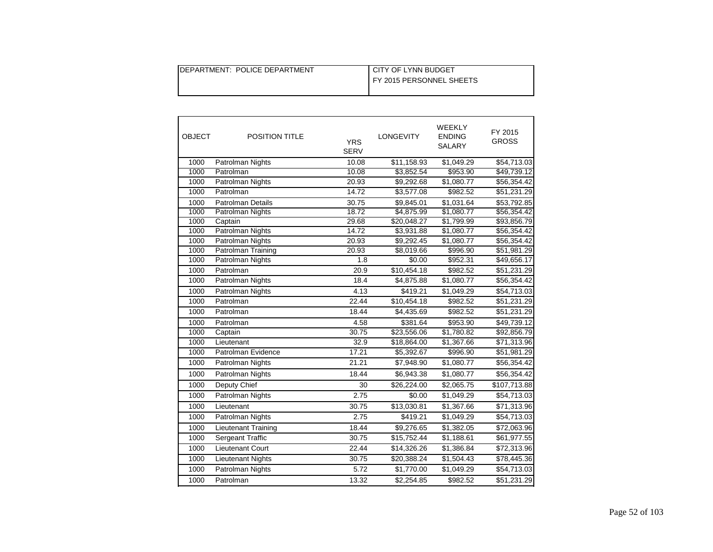| DEPARTMENT: POLICE DEPARTMENT | I CITY OF LYNN BUDGET    |
|-------------------------------|--------------------------|
|                               | FY 2015 PERSONNEL SHEETS |
|                               |                          |

| <b>OBJECT</b> | <b>POSITION TITLE</b>    | <b>YRS</b><br><b>SERV</b> | <b>LONGEVITY</b> | WEEKLY<br><b>ENDING</b><br>SALARY | FY 2015<br><b>GROSS</b> |
|---------------|--------------------------|---------------------------|------------------|-----------------------------------|-------------------------|
| 1000          | Patrolman Nights         | 10.08                     | \$11,158.93      | \$1,049.29                        | \$54,713.03             |
| 1000          | Patrolman                | 10.08                     | \$3,852.54       | \$953.90                          | \$49,739.12             |
| 1000          | Patrolman Nights         | 20.93                     | \$9,292.68       | \$1,080.77                        | \$56,354.42             |
| 1000          | Patrolman                | 14.72                     | \$3,577.08       | \$982.52                          | \$51,231.29             |
| 1000          | <b>Patrolman Details</b> | 30.75                     | \$9,845.01       | \$1,031.64                        | \$53,792.85             |
| 1000          | Patrolman Nights         | 18.72                     | \$4,875.99       | \$1,080.77                        | \$56,354.42             |
| 1000          | Captain                  | 29.68                     | \$20,048.27      | \$1,799.99                        | \$93,856.79             |
| 1000          | Patrolman Nights         | 14.72                     | \$3,931.88       | \$1,080.77                        | \$56,354.42             |
| 1000          | Patrolman Nights         | 20.93                     | \$9,292.45       | \$1,080.77                        | \$56,354.42             |
| 1000          | Patrolman Training       | 20.93                     | \$8,019.66       | \$996.90                          | \$51,981.29             |
| 1000          | Patrolman Nights         | 1.8                       | \$0.00           | \$952.31                          | \$49,656.17             |
| 1000          | Patrolman                | 20.9                      | \$10,454.18      | \$982.52                          | \$51,231.29             |
| 1000          | Patrolman Nights         | 18.4                      | \$4,875.88       | \$1,080.77                        | \$56,354.42             |
| 1000          | Patrolman Nights         | 4.13                      | \$419.21         | \$1,049.29                        | \$54,713.03             |
| 1000          | Patrolman                | 22.44                     | \$10,454.18      | \$982.52                          | \$51,231.29             |
| 1000          | Patrolman                | 18.44                     | \$4,435.69       | \$982.52                          | \$51,231.29             |
| 1000          | Patrolman                | 4.58                      | \$381.64         | \$953.90                          | \$49,739.12             |
| 1000          | Captain                  | 30.75                     | \$23,556.06      | \$1,780.82                        | \$92,856.79             |
| 1000          | Lieutenant               | 32.9                      | \$18,864.00      | \$1,367.66                        | \$71,313.96             |
| 1000          | Patrolman Evidence       | 17.21                     | \$5,392.67       | \$996.90                          | \$51,981.29             |
| 1000          | Patrolman Nights         | 21.21                     | \$7,948.90       | \$1,080.77                        | \$56,354.42             |
| 1000          | Patrolman Nights         | 18.44                     | \$6,943.38       | \$1,080.77                        | \$56,354.42             |
| 1000          | Deputy Chief             | 30                        | \$26,224.00      | \$2,065.75                        | \$107,713.88            |
| 1000          | Patrolman Nights         | 2.75                      | \$0.00           | \$1,049.29                        | \$54,713.03             |
| 1000          | Lieutenant               | 30.75                     | \$13,030.81      | \$1,367.66                        | \$71,313.96             |
| 1000          | Patrolman Nights         | 2.75                      | \$419.21         | \$1,049.29                        | \$54,713.03             |
| 1000          | Lieutenant Training      | 18.44                     | \$9,276.65       | \$1,382.05                        | \$72,063.96             |
| 1000          | Sergeant Traffic         | 30.75                     | \$15,752.44      | \$1,188.61                        | \$61,977.55             |
| 1000          | Lieutenant Court         | 22.44                     | \$14,326.26      | \$1,386.84                        | \$72,313.96             |
| 1000          | <b>Lieutenant Nights</b> | 30.75                     | \$20,388.24      | $\overline{1,504.43}$             | \$78,445.36             |
| 1000          | <b>Patrolman Nights</b>  | 5.72                      | \$1,770.00       | \$1,049.29                        | \$54,713.03             |
| 1000          | Patrolman                | 13.32                     | \$2,254.85       | \$982.52                          | \$51,231.29             |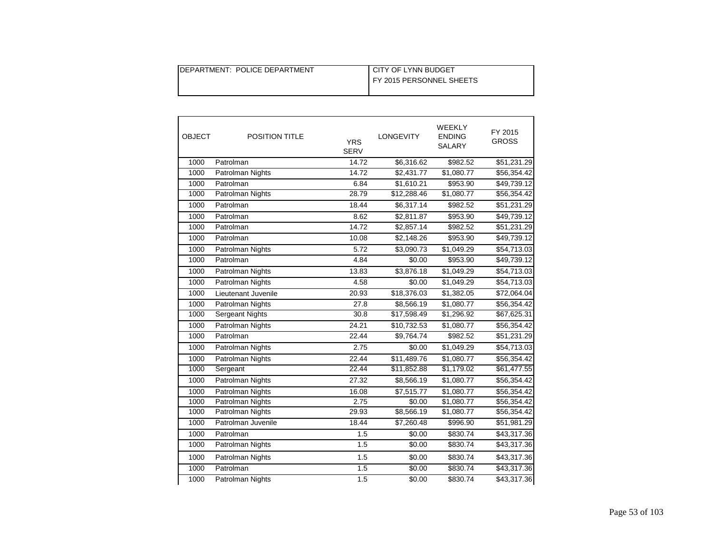| DEPARTMENT: POLICE DEPARTMENT | CITY OF LYNN BUDGET      |
|-------------------------------|--------------------------|
|                               | FY 2015 PERSONNEL SHEETS |
|                               |                          |

| <b>OBJECT</b> | <b>POSITION TITLE</b>  | <b>YRS</b><br><b>SERV</b> | <b>LONGEVITY</b>   | <b>WEEKLY</b><br><b>ENDING</b><br><b>SALARY</b> | FY 2015<br><b>GROSS</b> |
|---------------|------------------------|---------------------------|--------------------|-------------------------------------------------|-------------------------|
| 1000          | Patrolman              | 14.72                     | \$6,316.62         | \$982.52                                        | \$51,231.29             |
| 1000          | Patrolman Nights       | 14.72                     | \$2,431.77         | \$1,080.77                                      | \$56,354.42             |
| 1000          | Patrolman              | 6.84                      | \$1,610.21         | \$953.90                                        | \$49,739.12             |
| 1000          | Patrolman Nights       | 28.79                     | \$12,288.46        | \$1,080.77                                      | \$56,354.42             |
| 1000          | Patrolman              | 18.44                     | \$6,317.14         | \$982.52                                        | \$51,231.29             |
| 1000          | Patrolman              | 8.62                      | \$2,811.87         | \$953.90                                        | \$49,739.12             |
| 1000          | Patrolman              | 14.72                     | \$2,857.14         | \$982.52                                        | \$51,231.29             |
| 1000          | Patrolman              | 10.08                     | \$2,148.26         | \$953.90                                        | \$49,739.12             |
| 1000          | Patrolman Nights       | 5.72                      | \$3,090.73         | \$1,049.29                                      | \$54,713.03             |
| 1000          | Patrolman              | 4.84                      | \$0.00             | \$953.90                                        | \$49,739.12             |
| 1000          | Patrolman Nights       | 13.83                     | \$3,876.18         | \$1,049.29                                      | \$54,713.03             |
| 1000          | Patrolman Nights       | 4.58                      | \$0.00             | \$1,049.29                                      | \$54,713.03             |
| 1000          | Lieutenant Juvenile    | 20.93                     | \$18,376.03        | \$1,382.05                                      | \$72,064.04             |
| 1000          | Patrolman Nights       | 27.8                      | \$8,566.19         | \$1,080.77                                      | \$56,354.42             |
| 1000          | <b>Sergeant Nights</b> | 30.8                      | \$17,598.49        | \$1,296.92                                      | \$67,625.31             |
| 1000          | Patrolman Nights       | 24.21                     | \$10,732.53        | \$1,080.77                                      | \$56,354.42             |
| 1000          | Patrolman              | 22.44                     | \$9,764.74         | \$982.52                                        | \$51,231.29             |
| 1000          | Patrolman Nights       | 2.75                      | \$0.00             | \$1,049.29                                      | \$54,713.03             |
| 1000          | Patrolman Nights       | 22.44                     | \$11,489.76        | \$1,080.77                                      | \$56,354.42             |
| 1000          | Sergeant               | 22.44                     | \$11,852.88        | \$1,179.02                                      | \$61,477.55             |
| 1000          | Patrolman Nights       | 27.32                     | \$8,566.19         | \$1,080.77                                      | \$56,354.42             |
| 1000          | Patrolman Nights       | 16.08                     | \$7,515.77         | \$1,080.77                                      | \$56,354.42             |
| 1000          | Patrolman Nights       | 2.75                      | \$0.00             | \$1,080.77                                      | \$56,354.42             |
| 1000          | Patrolman Nights       | 29.93                     | \$8,566.19         | \$1,080.77                                      | \$56,354.42             |
| 1000          | Patrolman Juvenile     | 18.44                     | \$7,260.48         | \$996.90                                        | \$51,981.29             |
| 1000          | Patrolman              | 1.5                       | \$0.00             | \$830.74                                        | \$43,317.36             |
| 1000          | Patrolman Nights       | 1.5                       | \$0.00             | \$830.74                                        | \$43,317.36             |
| 1000          | Patrolman Nights       | 1.5                       | \$0.00             | \$830.74                                        | \$43,317.36             |
| 1000          | Patrolman              | 1.5                       | \$0.00             | \$830.74                                        | \$43,317.36             |
| 1000          | Patrolman Nights       | 1.5                       | $\overline{$}0.00$ | \$830.74                                        | \$43,317.36             |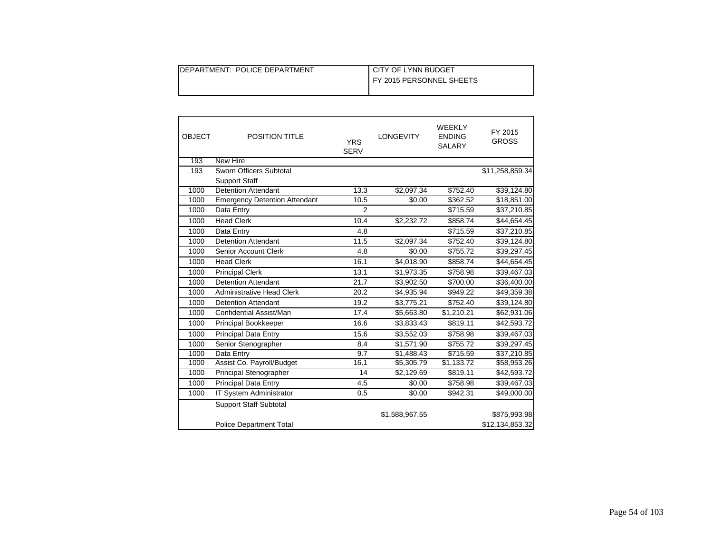| DEPARTMENT: POLICE DEPARTMENT | I CITY OF LYNN BUDGET    |
|-------------------------------|--------------------------|
|                               | FY 2015 PERSONNEL SHEETS |
|                               |                          |

| <b>OBJECT</b> | <b>POSITION TITLE</b>                | <b>YRS</b><br><b>SERV</b> | <b>LONGEVITY</b> | WEEKLY<br><b>ENDING</b><br><b>SALARY</b> | FY 2015<br><b>GROSS</b> |
|---------------|--------------------------------------|---------------------------|------------------|------------------------------------------|-------------------------|
| 193           | <b>New Hire</b>                      |                           |                  |                                          |                         |
| 193           | Sworn Officers Subtotal              |                           |                  |                                          | \$11,258,859.34         |
|               | <b>Support Staff</b>                 |                           |                  |                                          |                         |
| 1000          | <b>Detention Attendant</b>           | 13.3                      | \$2,097.34       | \$752.40                                 | \$39,124.80             |
| 1000          | <b>Emergency Detention Attendant</b> | 10.5                      | \$0.00           | \$362.52                                 | \$18,851.00             |
| 1000          | Data Entry                           | $\overline{2}$            |                  | \$715.59                                 | \$37,210.85             |
| 1000          | <b>Head Clerk</b>                    | 10.4                      | \$2,232.72       | \$858.74                                 | \$44,654.45             |
| 1000          | Data Entry                           | 4.8                       |                  | \$715.59                                 | \$37,210.85             |
| 1000          | <b>Detention Attendant</b>           | 11.5                      | \$2,097.34       | \$752.40                                 | \$39,124.80             |
| 1000          | <b>Senior Account Clerk</b>          | 4.8                       | \$0.00           | \$755.72                                 | \$39,297.45             |
| 1000          | <b>Head Clerk</b>                    | 16.1                      | \$4,018.90       | \$858.74                                 | \$44,654.45             |
| 1000          | <b>Principal Clerk</b>               | 13.1                      | \$1,973.35       | \$758.98                                 | \$39,467.03             |
| 1000          | <b>Detention Attendant</b>           | 21.7                      | \$3,902.50       | \$700.00                                 | \$36,400.00             |
| 1000          | <b>Administrative Head Clerk</b>     | 20.2                      | \$4,935.94       | \$949.22                                 | \$49,359.38             |
| 1000          | <b>Detention Attendant</b>           | 19.2                      | \$3,775.21       | \$752.40                                 | \$39,124.80             |
| 1000          | Confidential Assist/Man              | 17.4                      | \$5,663.80       | \$1,210.21                               | \$62,931.06             |
| 1000          | Principal Bookkeeper                 | 16.6                      | \$3,833.43       | \$819.11                                 | \$42,593.72             |
| 1000          | <b>Principal Data Entry</b>          | 15.6                      | \$3,552.03       | \$758.98                                 | \$39,467.03             |
| 1000          | Senior Stenographer                  | 8.4                       | \$1,571.90       | \$755.72                                 | \$39,297.45             |
| 1000          | Data Entry                           | 9.7                       | \$1,488.43       | \$715.59                                 | \$37,210.85             |
| 1000          | Assist Co. Payroll/Budget            | 16.1                      | \$5,305.79       | \$1,133.72                               | \$58,953.26             |
| 1000          | Principal Stenographer               | 14                        | \$2,129.69       | \$819.11                                 | \$42,593.72             |
| 1000          | <b>Principal Data Entry</b>          | 4.5                       | \$0.00           | \$758.98                                 | \$39,467.03             |
| 1000          | IT System Administrator              | 0.5                       | \$0.00           | \$942.31                                 | \$49,000.00             |
|               | <b>Support Staff Subtotal</b>        |                           |                  |                                          |                         |
|               |                                      |                           | \$1,588,967.55   |                                          | \$875,993.98            |
|               | <b>Police Department Total</b>       |                           |                  |                                          | \$12,134,853.32         |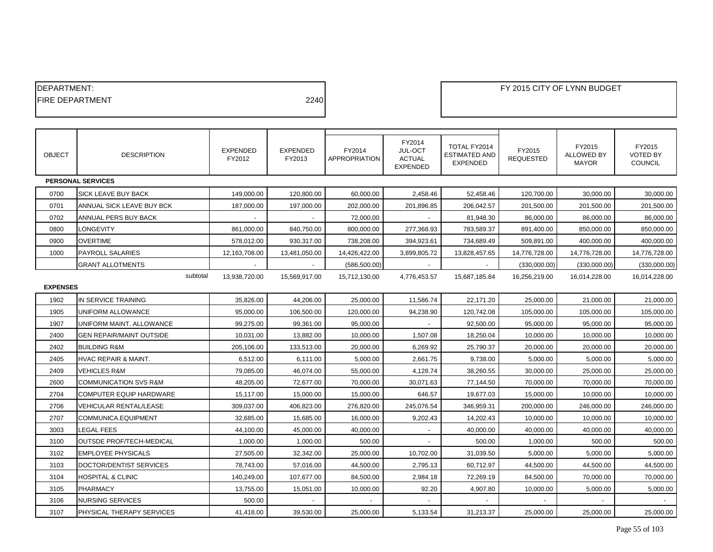| DEPARTMENT:            |                                  |                           |                           |                         |                                                       |                                                  |                            | FY 2015 CITY OF LYNN BUDGET          |                                             |
|------------------------|----------------------------------|---------------------------|---------------------------|-------------------------|-------------------------------------------------------|--------------------------------------------------|----------------------------|--------------------------------------|---------------------------------------------|
| <b>FIRE DEPARTMENT</b> |                                  |                           | 2240                      |                         |                                                       |                                                  |                            |                                      |                                             |
|                        |                                  |                           |                           |                         |                                                       |                                                  |                            |                                      |                                             |
|                        |                                  |                           |                           |                         |                                                       |                                                  |                            |                                      |                                             |
| <b>OBJECT</b>          | <b>DESCRIPTION</b>               | <b>EXPENDED</b><br>FY2012 | <b>EXPENDED</b><br>FY2013 | FY2014<br>APPROPRIATION | FY2014<br>JUL-OCT<br><b>ACTUAL</b><br><b>EXPENDED</b> | TOTAL FY2014<br>ESTIMATED AND<br><b>EXPENDED</b> | FY2015<br><b>REQUESTED</b> | FY2015<br>ALLOWED BY<br><b>MAYOR</b> | FY2015<br><b>VOTED BY</b><br><b>COUNCIL</b> |
|                        | PERSONAL SERVICES                |                           |                           |                         |                                                       |                                                  |                            |                                      |                                             |
| 0700                   | SICK LEAVE BUY BACK              | 149,000.00                | 120,800.00                | 60,000.00               | 2,458.46                                              | 52,458.46                                        | 120,700.00                 | 30,000.00                            | 30,000.00                                   |
| 0701                   | ANNUAL SICK LEAVE BUY BCK        | 187,000.00                | 197,000.00                | 202,000.00              | 201,896.85                                            | 206,042.57                                       | 201,500.00                 | 201,500.00                           | 201,500.00                                  |
| 0702                   | ANNUAL PERS BUY BACK             |                           |                           | 72,000.00               |                                                       | 81,948.30                                        | 86,000.00                  | 86,000.00                            | 86,000.00                                   |
| 0800                   | LONGEVITY                        | 861,000.00                | 840,750.00                | 800,000.00              | 277,368.93                                            | 783,589.37                                       | 891,400.00                 | 850,000.00                           | 850,000.00                                  |
| 0900                   | <b>OVERTIME</b>                  | 578,012.00                | 930,317.00                | 738,208.00              | 394,923.61                                            | 734,689.49                                       | 509,891.00                 | 400,000.00                           | 400,000.00                                  |
| 1000                   | PAYROLL SALARIES                 | 12,163,708.00             | 13,481,050.00             | 14,426,422.00           | 3,899,805.72                                          | 13,828,457.65                                    | 14,776,728.00              | 14,776,728.00                        | 14,776,728.00                               |
|                        | <b>GRANT ALLOTMENTS</b>          |                           |                           | (586, 500.00)           |                                                       |                                                  | (330,000.00)               | (330,000.00)                         | (330,000.00)                                |
|                        | subtotal                         | 13,938,720.00             | 15,569,917.00             | 15,712,130.00           | 4,776,453.57                                          | 15,687,185.84                                    | 16,256,219.00              | 16,014,228.00                        | 16,014,228.00                               |
| <b>EXPENSES</b>        |                                  |                           |                           |                         |                                                       |                                                  |                            |                                      |                                             |
| 1902                   | IN SERVICE TRAINING              | 35,826.00                 | 44,206.00                 | 25,000.00               | 11,586.74                                             | 22,171.20                                        | 25,000.00                  | 21,000.00                            | 21,000.00                                   |
| 1905                   | UNIFORM ALLOWANCE                | 95,000.00                 | 106,500.00                | 120,000.00              | 94,238.90                                             | 120,742.08                                       | 105,000.00                 | 105,000.00                           | 105,000.00                                  |
| 1907                   | UNIFORM MAINT. ALLOWANCE         | 99,275.00                 | 99,361.00                 | 95,000.00               |                                                       | 92,500.00                                        | 95,000.00                  | 95,000.00                            | 95,000.00                                   |
| 2400                   | <b>GEN REPAIR/MAINT OUTSIDE</b>  | 10,031.00                 | 13,882.00                 | 10,000.00               | 1,507.08                                              | 18,250.04                                        | 10,000.00                  | 10,000.00                            | 10,000.00                                   |
| 2402                   | <b>BUILDING R&amp;M</b>          | 205,106.00                | 133,513.00                | 20,000.00               | 6,269.92                                              | 25,790.37                                        | 20,000.00                  | 20,000.00                            | 20,000.00                                   |
| 2405                   | HVAC REPAIR & MAINT.             | 6,512.00                  | 6,111.00                  | 5,000.00                | 2,661.75                                              | 9,738.00                                         | 5,000.00                   | 5,000.00                             | 5,000.00                                    |
| 2409                   | <b>VEHICLES R&amp;M</b>          | 79,085.00                 | 46,074.00                 | 55,000.00               | 4,128.74                                              | 38,260.55                                        | 30,000.00                  | 25,000.00                            | 25,000.00                                   |
| 2600                   | <b>COMMUNICATION SVS R&amp;M</b> | 48,205.00                 | 72,677.00                 | 70,000.00               | 30,071.63                                             | 77,144.50                                        | 70,000.00                  | 70,000.00                            | 70,000.00                                   |
| 2704                   | COMPUTER EQUIP HARDWARE          | 15,117.00                 | 15,000.00                 | 15,000.00               | 646.57                                                | 19,677.03                                        | 15,000.00                  | 10,000.00                            | 10,000.00                                   |
| 2706                   | VEHICULAR RENTAL/LEASE           | 309,037.00                | 406,823.00                | 276,820.00              | 245,076.54                                            | 346,959.31                                       | 200,000.00                 | 246,000.00                           | 246,000.00                                  |
| 2707                   | COMMUNICA.EQUIPMENT              | 32,685.00                 | 15,685.00                 | 16,000.00               | 9,202.43                                              | 14,202.43                                        | 10,000.00                  | 10,000.00                            | 10,000.00                                   |
| 3003                   | LEGAL FEES                       | 44,100.00                 | 45,000.00                 | 40,000.00               |                                                       | 40,000.00                                        | 40,000.00                  | 40,000.00                            | 40,000.00                                   |
| 3100                   | OUTSDE PROF/TECH-MEDICAL         | 1,000.00                  | 1,000.00                  | 500.00                  |                                                       | 500.00                                           | 1,000.00                   | 500.00                               | 500.00                                      |
| 3102                   | <b>EMPLOYEE PHYSICALS</b>        | 27,505.00                 | 32,342.00                 | 25,000.00               | 10,702.00                                             | 31,039.50                                        | 5,000.00                   | 5,000.00                             | 5,000.00                                    |
| 3103                   | DOCTOR/DENTIST SERVICES          | 78,743.00                 | 57,016.00                 | 44,500.00               | 2,795.13                                              | 60,712.97                                        | 44,500.00                  | 44,500.00                            | 44,500.00                                   |
| 3104                   | <b>HOSPITAL &amp; CLINIC</b>     | 140,249.00                | 107,677.00                | 84,500.00               | 2,984.18                                              | 72,269.19                                        | 84,500.00                  | 70,000.00                            | 70,000.00                                   |
| 3105                   | <b>PHARMACY</b>                  | 13,755.00                 | 15,051.00                 | 10,000.00               | 92.20                                                 | 4,907.80                                         | 10,000.00                  | 5,000.00                             | 5,000.00                                    |
| 3106                   | <b>NURSING SERVICES</b>          | 500.00                    |                           |                         |                                                       |                                                  |                            |                                      |                                             |
| 3107                   | PHYSICAL THERAPY SERVICES        | 41,418.00                 | 39,530.00                 | 25,000.00               | 5,133.54                                              | 31,213.37                                        | 25,000.00                  | 25,000.00                            | 25,000.00                                   |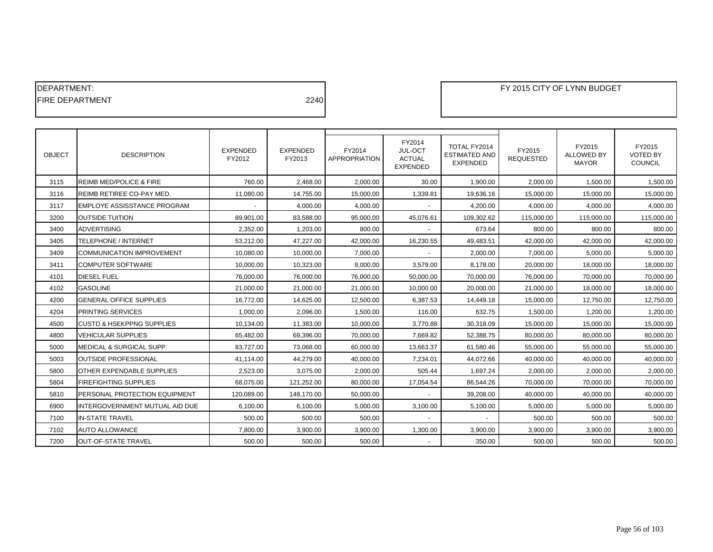| <b>IDEPARTMENT:</b>     |      |
|-------------------------|------|
| <b>IFIRE DEPARTMENT</b> | 2240 |

| <b>OBJECT</b> | <b>DESCRIPTION</b>                   | <b>EXPENDED</b><br>FY2012 | <b>EXPENDED</b><br>FY2013 | FY2014<br><b>APPROPRIATION</b> | FY2014<br>JUL-OCT<br><b>ACTUAL</b><br><b>EXPENDED</b> | TOTAL FY2014<br><b>ESTIMATED AND</b><br>EXPENDED | FY2015<br><b>REQUESTED</b> | FY2015<br><b>ALLOWED BY</b><br><b>MAYOR</b> | FY2015<br><b>VOTED BY</b><br>COUNCIL |
|---------------|--------------------------------------|---------------------------|---------------------------|--------------------------------|-------------------------------------------------------|--------------------------------------------------|----------------------------|---------------------------------------------|--------------------------------------|
| 3115          | <b>REIMB MED/POLICE &amp; FIRE</b>   | 760.00                    | 2,468.00                  | 2.000.00                       | 30.00                                                 | 1,900.00                                         | 2,000.00                   | 1,500.00                                    | 1,500.00                             |
| 3116          | <b>REIMB RETIREE CO-PAY MED.</b>     | 11,080.00                 | 14,755.00                 | 15,000.00                      | 1,339.81                                              | 19,636.16                                        | 15,000.00                  | 15,000.00                                   | 15,000.00                            |
| 3117          | <b>EMPLOYE ASSISSTANCE PROGRAM</b>   |                           | 4,000.00                  | 4,000.00                       |                                                       | 4,200.00                                         | 4,000.00                   | 4,000.00                                    | 4,000.00                             |
| 3200          | <b>OUTSIDE TUITION</b>               | 89,901.00                 | 83,588.00                 | 95,000.00                      | 45,076.61                                             | 109,302.62                                       | 115,000.00                 | 115,000.00                                  | 115,000.00                           |
| 3400          | <b>ADVERTISING</b>                   | 2,352.00                  | 1,203.00                  | 800.00                         |                                                       | 673.64                                           | 800.00                     | 800.00                                      | 800.00                               |
| 3405          | TELEPHONE / INTERNET                 | 53,212.00                 | 47,227.00                 | 42,000.00                      | 16,230.55                                             | 49,483.51                                        | 42,000.00                  | 42,000.00                                   | 42,000.00                            |
| 3409          | <b>COMMUNICATION IMPROVEMENT</b>     | 10,080.00                 | 10,000.00                 | 7,000.00                       |                                                       | 2,000.00                                         | 7,000.00                   | 5,000.00                                    | 5,000.00                             |
| 3411          | <b>COMPUTER SOFTWARE</b>             | 10,000.00                 | 10,323.00                 | 8,000.00                       | 3,579.00                                              | 8,178.00                                         | 20,000.00                  | 18,000.00                                   | 18,000.00                            |
| 4101          | <b>DIESEL FUEL</b>                   | 76,000.00                 | 76,000.00                 | 76,000.00                      | 50,000.00                                             | 70,000.00                                        | 76,000.00                  | 70,000.00                                   | 70,000.00                            |
| 4102          | <b>GASOLINE</b>                      | 21,000.00                 | 21,000.00                 | 21,000.00                      | 10,000.00                                             | 20,000.00                                        | 21,000.00                  | 18,000.00                                   | 18,000.00                            |
| 4200          | <b>GENERAL OFFICE SUPPLIES</b>       | 16,772.00                 | 14,625.00                 | 12,500.00                      | 6,387.53                                              | 14,449.18                                        | 15,000.00                  | 12,750.00                                   | 12,750.00                            |
| 4204          | <b>PRINTING SERVICES</b>             | 1,000.00                  | 2,096.00                  | 1,500.00                       | 116.00                                                | 632.75                                           | 1,500.00                   | 1,200.00                                    | 1,200.00                             |
| 4500          | <b>CUSTD &amp; HSEKPPNG SUPPLIES</b> | 10,134.00                 | 11,383.00                 | 10,000.00                      | 3,770.88                                              | 30,318.09                                        | 15,000.00                  | 15,000.00                                   | 15,000.00                            |
| 4800          | <b>VEHICULAR SUPPLIES</b>            | 65,482.00                 | 69,396.00                 | 70,000.00                      | 7,669.82                                              | 52,388.75                                        | 80,000.00                  | 80,000.00                                   | 80,000.00                            |
| 5000          | MEDICAL & SURGICAL SUPP.             | 83.727.00                 | 73.068.00                 | 60.000.00                      | 13,663.37                                             | 61.580.46                                        | 55.000.00                  | 55,000.00                                   | 55.000.00                            |
| 5003          | <b>OUTSIDE PROFESSIONAL</b>          | 41.114.00                 | 44.279.00                 | 40.000.00                      | 7.234.01                                              | 44.072.66                                        | 40.000.00                  | 40.000.00                                   | 40.000.00                            |
| 5800          | <b>OTHER EXPENDABLE SUPPLIES</b>     | 2,523.00                  | 3.075.00                  | 2.000.00                       | 505.44                                                | 1,697.24                                         | 2.000.00                   | 2,000.00                                    | 2.000.00                             |
| 5804          | <b>FIREFIGHTING SUPPLIES</b>         | 68.075.00                 | 121,252.00                | 80.000.00                      | 17,054.54                                             | 86,544.26                                        | 70.000.00                  | 70,000.00                                   | 70.000.00                            |
| 5810          | PERSONAL PROTECTION EQUIPMENT        | 120.089.00                | 148.170.00                | 50.000.00                      |                                                       | 39.208.00                                        | 40,000.00                  | 40,000.00                                   | 40,000.00                            |
| 6900          | INTERGOVERNMENT MUTUAL AID DUE       | 6.100.00                  | 6.100.00                  | 5.000.00                       | 3,100.00                                              | 5,100.00                                         | 5.000.00                   | 5.000.00                                    | 5.000.00                             |
| 7100          | <b>IN-STATE TRAVEL</b>               | 500.00                    | 500.00                    | 500.00                         |                                                       |                                                  | 500.00                     | 500.00                                      | 500.00                               |
| 7102          | <b>AUTO ALLOWANCE</b>                | 7,800.00                  | 3,900.00                  | 3,900.00                       | 1,300.00                                              | 3,900.00                                         | 3,900.00                   | 3,900.00                                    | 3,900.00                             |
| 7200          | <b>OUT-OF-STATE TRAVEL</b>           | 500.00                    | 500.00                    | 500.00                         |                                                       | 350.00                                           | 500.00                     | 500.00                                      | 500.00                               |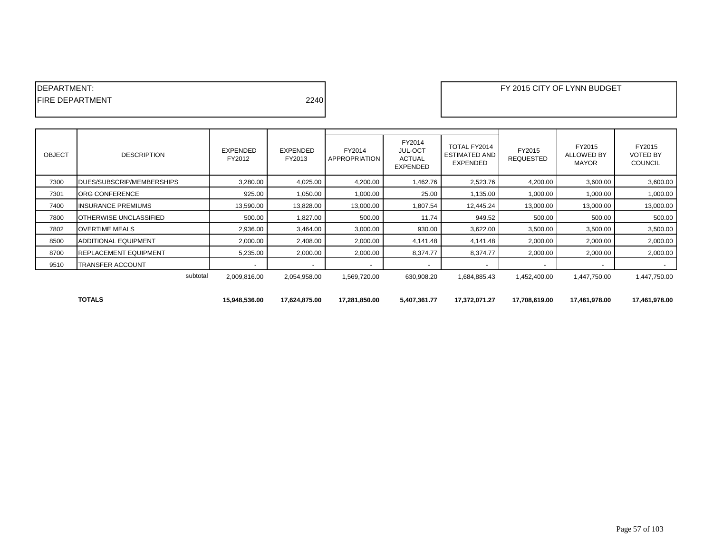| IDEPARTMENT:            |      |  |
|-------------------------|------|--|
| <b>IFIRE DEPARTMENT</b> | 2240 |  |
|                         |      |  |

| <b>OBJECT</b> | <b>DESCRIPTION</b>                | <b>EXPENDED</b><br>FY2012 | <b>EXPENDED</b><br>FY2013 | FY2014<br><b>APPROPRIATION</b> | FY2014<br><b>JUL-OCT</b><br><b>ACTUAL</b><br><b>EXPENDED</b> | TOTAL FY2014<br><b>ESTIMATED AND</b><br><b>EXPENDED</b> | FY2015<br><b>REQUESTED</b> | FY2015<br>ALLOWED BY<br><b>MAYOR</b> | FY2015<br><b>VOTED BY</b><br><b>COUNCIL</b> |
|---------------|-----------------------------------|---------------------------|---------------------------|--------------------------------|--------------------------------------------------------------|---------------------------------------------------------|----------------------------|--------------------------------------|---------------------------------------------|
| 7300          | <b>IDUES/SUBSCRIP/MEMBERSHIPS</b> | 3,280.00                  | 4,025.00                  | 4,200.00                       | 1,462.76                                                     | 2,523.76                                                | 4,200.00                   | 3,600.00                             | 3,600.00                                    |
| 7301          | <b>ORG CONFERENCE</b>             | 925.00                    | 1,050.00                  | 1,000.00                       | 25.00                                                        | 1,135.00                                                | 1,000.00                   | 1,000.00                             | 1,000.00                                    |
| 7400          | <b>INSURANCE PREMIUMS</b>         | 13,590.00                 | 13,828.00                 | 13,000.00                      | 1,807.54                                                     | 12,445.24                                               | 13,000.00                  | 13,000.00                            | 13,000.00                                   |
| 7800          | <b>IOTHERWISE UNCLASSIFIED</b>    | 500.00                    | 1,827.00                  | 500.00                         | 11.74                                                        | 949.52                                                  | 500.00                     | 500.00                               | 500.00                                      |
| 7802          | <b>OVERTIME MEALS</b>             | 2,936.00                  | 3,464.00                  | 3,000.00                       | 930.00                                                       | 3,622.00                                                | 3,500.00                   | 3,500.00                             | 3,500.00                                    |
| 8500          | <b>ADDITIONAL EQUIPMENT</b>       | 2,000.00                  | 2,408.00                  | 2,000.00                       | 4,141.48                                                     | 4,141.48                                                | 2,000.00                   | 2,000.00                             | 2,000.00                                    |
| 8700          | <b>REPLACEMENT EQUIPMENT</b>      | 5,235.00                  | 2,000.00                  | 2,000.00                       | 8,374.77                                                     | 8,374.77                                                | 2,000.00                   | 2,000.00                             | 2,000.00                                    |
| 9510          | <b>TRANSFER ACCOUNT</b>           |                           |                           |                                |                                                              |                                                         |                            |                                      |                                             |
|               | subtotal                          | 2,009,816.00              | 2,054,958.00              | 1,569,720.00                   | 630,908.20                                                   | 1,684,885.43                                            | 1,452,400.00               | 1,447,750.00                         | 1,447,750.00                                |
|               | <b>TOTALS</b>                     | 15,948,536.00             | 17,624,875.00             | 17,281,850.00                  | 5,407,361.77                                                 | 17,372,071.27                                           | 17,708,619.00              | 17,461,978.00                        | 17,461,978.00                               |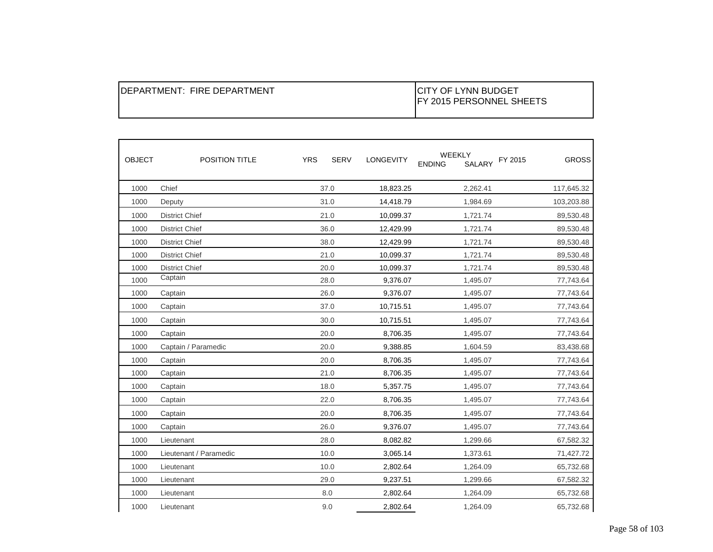| IDEPARTMENT: FIRE DEPARTMENT | <b>ICITY OF LYNN BUDGET</b><br>IFY 2015 PERSONNEL SHEETS |
|------------------------------|----------------------------------------------------------|
|------------------------------|----------------------------------------------------------|

| <b>OBJECT</b> | <b>POSITION TITLE</b>  | <b>YRS</b><br><b>SERV</b> | <b>LONGEVITY</b> | WEEKLY<br><b>SALARY</b><br><b>ENDING</b> | <b>GROSS</b><br>FY 2015 |
|---------------|------------------------|---------------------------|------------------|------------------------------------------|-------------------------|
| 1000          | Chief                  | 37.0                      | 18,823.25        | 2,262.41                                 | 117,645.32              |
| 1000          | Deputy                 | 31.0                      | 14,418.79        | 1,984.69                                 | 103,203.88              |
| 1000          | <b>District Chief</b>  | 21.0                      | 10,099.37        | 1,721.74                                 | 89,530.48               |
| 1000          | <b>District Chief</b>  | 36.0                      | 12,429.99        | 1,721.74                                 | 89,530.48               |
| 1000          | <b>District Chief</b>  | 38.0                      | 12,429.99        | 1,721.74                                 | 89,530.48               |
| 1000          | <b>District Chief</b>  | 21.0                      | 10,099.37        | 1,721.74                                 | 89,530.48               |
| 1000          | <b>District Chief</b>  | 20.0                      | 10,099.37        | 1,721.74                                 | 89,530.48               |
| 1000          | Captain                | 28.0                      | 9,376.07         | 1,495.07                                 | 77,743.64               |
| 1000          | Captain                | 26.0                      | 9,376.07         | 1,495.07                                 | 77,743.64               |
| 1000          | Captain                | 37.0                      | 10,715.51        | 1,495.07                                 | 77,743.64               |
| 1000          | Captain                | 30.0                      | 10,715.51        | 1,495.07                                 | 77,743.64               |
| 1000          | Captain                | 20.0                      | 8,706.35         | 1,495.07                                 | 77,743.64               |
| 1000          | Captain / Paramedic    | 20.0                      | 9,388.85         | 1,604.59                                 | 83,438.68               |
| 1000          | Captain                | 20.0                      | 8,706.35         | 1,495.07                                 | 77,743.64               |
| 1000          | Captain                | 21.0                      | 8,706.35         | 1,495.07                                 | 77,743.64               |
| 1000          | Captain                | 18.0                      | 5,357.75         | 1,495.07                                 | 77,743.64               |
| 1000          | Captain                | 22.0                      | 8,706.35         | 1,495.07                                 | 77,743.64               |
| 1000          | Captain                | 20.0                      | 8,706.35         | 1,495.07                                 | 77,743.64               |
| 1000          | Captain                | 26.0                      | 9,376.07         | 1,495.07                                 | 77,743.64               |
| 1000          | Lieutenant             | 28.0                      | 8,082.82         | 1,299.66                                 | 67,582.32               |
| 1000          | Lieutenant / Paramedic | 10.0                      | 3,065.14         | 1,373.61                                 | 71,427.72               |
| 1000          | Lieutenant             | 10.0                      | 2,802.64         | 1,264.09                                 | 65,732.68               |
| 1000          | Lieutenant             | 29.0                      | 9,237.51         | 1,299.66                                 | 67,582.32               |
| 1000          | Lieutenant             | 8.0                       | 2,802.64         | 1,264.09                                 | 65,732.68               |
| 1000          | Lieutenant             | 9.0                       | 2,802.64         | 1,264.09                                 | 65,732.68               |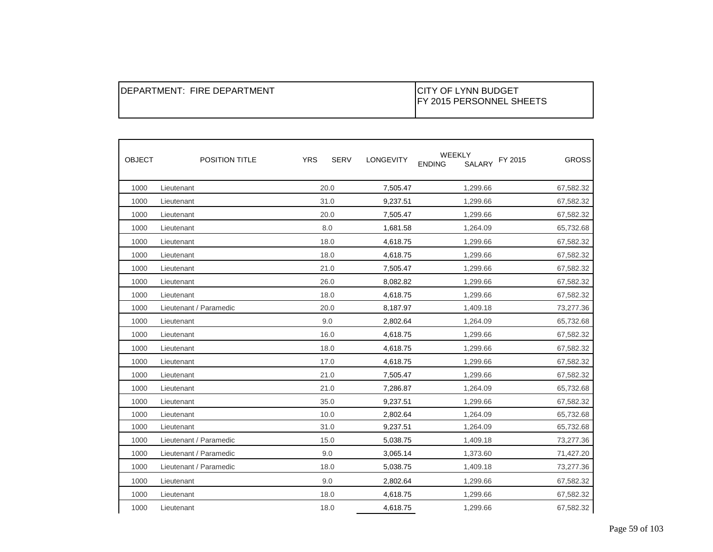| <b>OBJECT</b> | POSITION TITLE         | <b>YRS</b> | <b>SERV</b> | LONGEVITY | WEEKLY<br>SALARY<br><b>ENDING</b> | <b>GROSS</b><br>FY 2015 |
|---------------|------------------------|------------|-------------|-----------|-----------------------------------|-------------------------|
| 1000          | Lieutenant             |            | 20.0        | 7,505.47  | 1,299.66                          | 67,582.32               |
| 1000          | Lieutenant             |            | 31.0        | 9,237.51  | 1,299.66                          | 67,582.32               |
| 1000          | Lieutenant             |            | 20.0        | 7,505.47  | 1,299.66                          | 67,582.32               |
| 1000          | Lieutenant             |            | 8.0         | 1,681.58  | 1,264.09                          | 65,732.68               |
| 1000          | Lieutenant             |            | 18.0        | 4,618.75  | 1,299.66                          | 67,582.32               |
| 1000          | Lieutenant             |            | 18.0        | 4,618.75  | 1,299.66                          | 67,582.32               |
| 1000          | Lieutenant             |            | 21.0        | 7,505.47  | 1,299.66                          | 67,582.32               |
| 1000          | Lieutenant             |            | 26.0        | 8,082.82  | 1,299.66                          | 67,582.32               |
| 1000          | Lieutenant             |            | 18.0        | 4,618.75  | 1,299.66                          | 67,582.32               |
| 1000          | Lieutenant / Paramedic |            | 20.0        | 8,187.97  | 1,409.18                          | 73,277.36               |
| 1000          | Lieutenant             |            | 9.0         | 2,802.64  | 1,264.09                          | 65,732.68               |
| 1000          | Lieutenant             |            | 16.0        | 4,618.75  | 1,299.66                          | 67,582.32               |
| 1000          | Lieutenant             |            | 18.0        | 4,618.75  | 1,299.66                          | 67,582.32               |
| 1000          | Lieutenant             |            | 17.0        | 4,618.75  | 1,299.66                          | 67,582.32               |
| 1000          | Lieutenant             |            | 21.0        | 7,505.47  | 1,299.66                          | 67,582.32               |
| 1000          | Lieutenant             |            | 21.0        | 7,286.87  | 1,264.09                          | 65,732.68               |
| 1000          | Lieutenant             |            | 35.0        | 9,237.51  | 1,299.66                          | 67,582.32               |
| 1000          | Lieutenant             |            | 10.0        | 2,802.64  | 1,264.09                          | 65,732.68               |
| 1000          | Lieutenant             |            | 31.0        | 9,237.51  | 1,264.09                          | 65,732.68               |
| 1000          | Lieutenant / Paramedic |            | 15.0        | 5,038.75  | 1,409.18                          | 73,277.36               |
| 1000          | Lieutenant / Paramedic |            | 9.0         | 3,065.14  | 1,373.60                          | 71,427.20               |
| 1000          | Lieutenant / Paramedic |            | 18.0        | 5,038.75  | 1,409.18                          | 73,277.36               |
| 1000          | Lieutenant             |            | 9.0         | 2,802.64  | 1,299.66                          | 67,582.32               |
| 1000          | Lieutenant             |            | 18.0        | 4,618.75  | 1,299.66                          | 67,582.32               |
| 1000          | Lieutenant             |            | 18.0        | 4,618.75  | 1,299.66                          | 67,582.32               |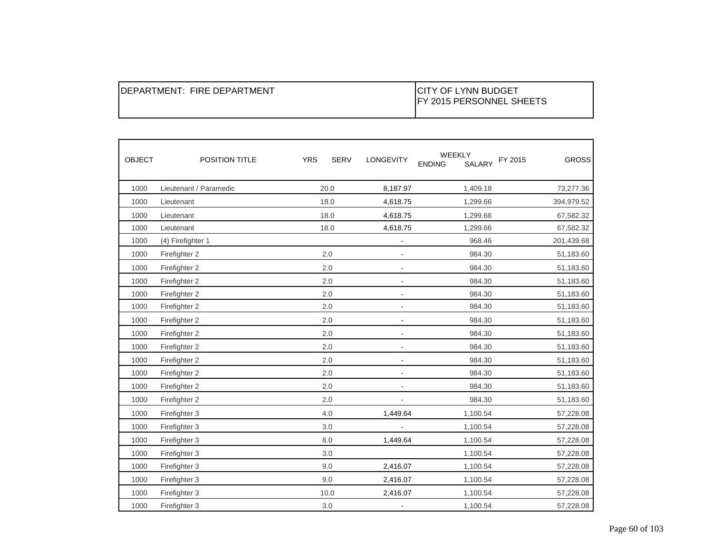| <b>OBJECT</b> | <b>POSITION TITLE</b>  | <b>YRS</b> | <b>SERV</b> | LONGEVITY                | WEEKLY<br>SALARY<br><b>ENDING</b> | FY 2015<br><b>GROSS</b> |
|---------------|------------------------|------------|-------------|--------------------------|-----------------------------------|-------------------------|
| 1000          | Lieutenant / Paramedic | 20.0       |             | 8,187.97                 | 1,409.18                          | 73,277.36               |
| 1000          | Lieutenant             | 18.0       |             | 4,618.75                 | 1,299.66                          | 394,979.52              |
| 1000          | Lieutenant             | 18.0       |             | 4,618.75                 | 1,299.66                          | 67,582.32               |
| 1000          | Lieutenant             | 18.0       |             | 4,618.75                 | 1,299.66                          | 67,582.32               |
| 1000          | (4) Firefighter 1      |            |             | $\blacksquare$           | 968.46                            | 201,439.68              |
| 1000          | Firefighter 2          | 2.0        |             |                          | 984.30                            | 51,183.60               |
| 1000          | Firefighter 2          | 2.0        |             | $\blacksquare$           | 984.30                            | 51,183.60               |
| 1000          | Firefighter 2          | 2.0        |             |                          | 984.30                            | 51,183.60               |
| 1000          | Firefighter 2          | 2.0        |             |                          | 984.30                            | 51,183.60               |
| 1000          | Firefighter 2          | 2.0        |             | $\blacksquare$           | 984.30                            | 51,183.60               |
| 1000          | Firefighter 2          | 2.0        |             | $\blacksquare$           | 984.30                            | 51,183.60               |
| 1000          | Firefighter 2          | 2.0        |             |                          | 984.30                            | 51,183.60               |
| 1000          | Firefighter 2          | 2.0        |             | $\overline{\phantom{a}}$ | 984.30                            | 51,183.60               |
| 1000          | Firefighter 2          | 2.0        |             |                          | 984.30                            | 51,183.60               |
| 1000          | Firefighter 2          | 2.0        |             | $\blacksquare$           | 984.30                            | 51,183.60               |
| 1000          | Firefighter 2          | 2.0        |             |                          | 984.30                            | 51,183.60               |
| 1000          | Firefighter 2          | 2.0        |             |                          | 984.30                            | 51,183.60               |
| 1000          | Firefighter 3          | 4.0        |             | 1,449.64                 | 1,100.54                          | 57,228.08               |
| 1000          | Firefighter 3          | 3.0        |             |                          | 1,100.54                          | 57,228.08               |
| 1000          | Firefighter 3          | 8.0        |             | 1,449.64                 | 1,100.54                          | 57,228.08               |
| 1000          | Firefighter 3          | 3.0        |             |                          | 1,100.54                          | 57,228.08               |
| 1000          | Firefighter 3          | 9.0        |             | 2,416.07                 | 1,100.54                          | 57,228.08               |
| 1000          | Firefighter 3          | 9.0        |             | 2,416.07                 | 1,100.54                          | 57,228.08               |
| 1000          | Firefighter 3          | 10.0       |             | 2,416.07                 | 1,100.54                          | 57,228.08               |
| 1000          | Firefighter 3          | 3.0        |             | $\blacksquare$           | 1,100.54                          | 57,228.08               |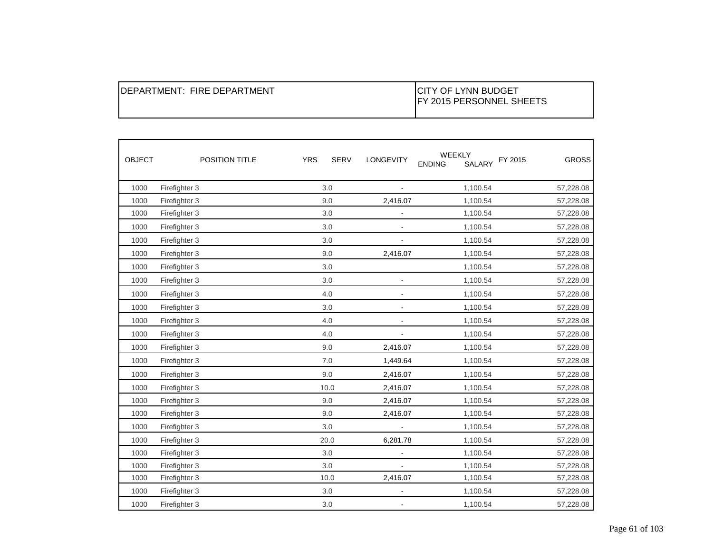| <b>OBJECT</b> | POSITION TITLE | <b>YRS</b><br><b>SERV</b> | LONGEVITY      | WEEKLY<br>FY 2015<br>SALARY<br><b>ENDING</b> | <b>GROSS</b> |
|---------------|----------------|---------------------------|----------------|----------------------------------------------|--------------|
| 1000          | Firefighter 3  | 3.0                       |                | 1,100.54                                     | 57,228.08    |
| 1000          | Firefighter 3  | 9.0                       | 2,416.07       | 1,100.54                                     | 57,228.08    |
| 1000          | Firefighter 3  | 3.0                       |                | 1,100.54                                     | 57,228.08    |
| 1000          | Firefighter 3  | 3.0                       |                | 1,100.54                                     | 57,228.08    |
| 1000          | Firefighter 3  | 3.0                       | $\blacksquare$ | 1,100.54                                     | 57,228.08    |
| 1000          | Firefighter 3  | 9.0                       | 2,416.07       | 1,100.54                                     | 57,228.08    |
| 1000          | Firefighter 3  | 3.0                       |                | 1,100.54                                     | 57,228.08    |
| 1000          | Firefighter 3  | 3.0                       |                | 1,100.54                                     | 57,228.08    |
| 1000          | Firefighter 3  | 4.0                       | $\blacksquare$ | 1,100.54                                     | 57,228.08    |
| 1000          | Firefighter 3  | 3.0                       |                | 1,100.54                                     | 57,228.08    |
| 1000          | Firefighter 3  | 4.0                       |                | 1,100.54                                     | 57,228.08    |
| 1000          | Firefighter 3  | 4.0                       |                | 1,100.54                                     | 57,228.08    |
| 1000          | Firefighter 3  | 9.0                       | 2,416.07       | 1,100.54                                     | 57,228.08    |
| 1000          | Firefighter 3  | 7.0                       | 1,449.64       | 1,100.54                                     | 57,228.08    |
| 1000          | Firefighter 3  | 9.0                       | 2,416.07       | 1,100.54                                     | 57,228.08    |
| 1000          | Firefighter 3  | 10.0                      | 2,416.07       | 1,100.54                                     | 57,228.08    |
| 1000          | Firefighter 3  | 9.0                       | 2,416.07       | 1,100.54                                     | 57,228.08    |
| 1000          | Firefighter 3  | 9.0                       | 2,416.07       | 1,100.54                                     | 57,228.08    |
| 1000          | Firefighter 3  | 3.0                       | $\blacksquare$ | 1,100.54                                     | 57,228.08    |
| 1000          | Firefighter 3  | 20.0                      | 6,281.78       | 1,100.54                                     | 57,228.08    |
| 1000          | Firefighter 3  | 3.0                       |                | 1,100.54                                     | 57,228.08    |
| 1000          | Firefighter 3  | 3.0                       |                | 1,100.54                                     | 57,228.08    |
| 1000          | Firefighter 3  | 10.0                      | 2,416.07       | 1,100.54                                     | 57,228.08    |
| 1000          | Firefighter 3  | 3.0                       | $\frac{1}{2}$  | 1,100.54                                     | 57,228.08    |
| 1000          | Firefighter 3  | 3.0                       |                | 1,100.54                                     | 57,228.08    |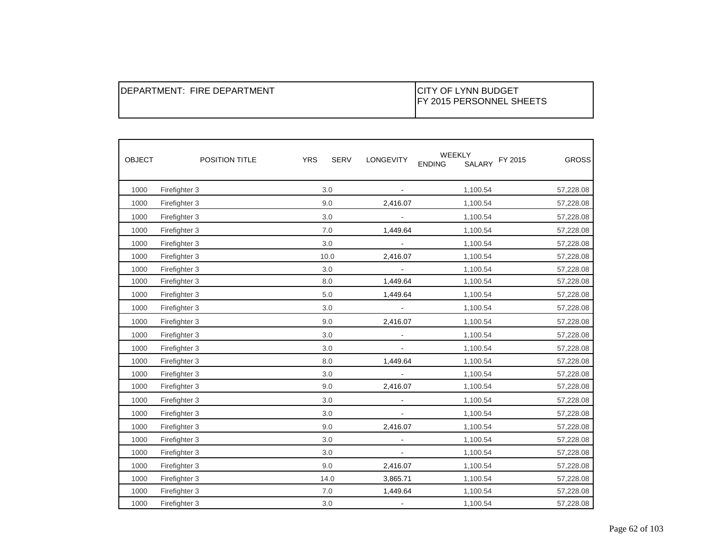| IDEPARTMENT: FIRE DEPARTMENT | ICITY OF LYNN BUDGET<br><b>IFY 2015 PERSONNEL SHEETS</b> |
|------------------------------|----------------------------------------------------------|
|------------------------------|----------------------------------------------------------|

| <b>OBJECT</b> | POSITION TITLE | <b>SERV</b><br><b>YRS</b> | LONGEVITY      | <b>WEEKLY</b><br>SALARY FY 2015<br><b>ENDING</b> | <b>GROSS</b> |
|---------------|----------------|---------------------------|----------------|--------------------------------------------------|--------------|
| 1000          | Firefighter 3  | 3.0                       | $\sim$         | 1,100.54                                         | 57,228.08    |
| 1000          | Firefighter 3  | 9.0                       | 2,416.07       | 1,100.54                                         | 57,228.08    |
| 1000          | Firefighter 3  | 3.0                       |                | 1,100.54                                         | 57,228.08    |
| 1000          | Firefighter 3  | 7.0                       | 1,449.64       | 1,100.54                                         | 57,228.08    |
| 1000          | Firefighter 3  | 3.0                       |                | 1,100.54                                         | 57,228.08    |
| 1000          | Firefighter 3  | 10.0                      | 2,416.07       | 1,100.54                                         | 57,228.08    |
| 1000          | Firefighter 3  | 3.0                       | $\blacksquare$ | 1,100.54                                         | 57,228.08    |
| 1000          | Firefighter 3  | 8.0                       | 1,449.64       | 1,100.54                                         | 57,228.08    |
| 1000          | Firefighter 3  | $5.0$                     | 1,449.64       | 1,100.54                                         | 57,228.08    |
| 1000          | Firefighter 3  | 3.0                       | $\blacksquare$ | 1,100.54                                         | 57,228.08    |
| 1000          | Firefighter 3  | 9.0                       | 2,416.07       | 1,100.54                                         | 57,228.08    |
| 1000          | Firefighter 3  | 3.0                       |                | 1,100.54                                         | 57,228.08    |
| 1000          | Firefighter 3  | 3.0                       | $\blacksquare$ | 1,100.54                                         | 57,228.08    |
| 1000          | Firefighter 3  | 8.0                       | 1,449.64       | 1,100.54                                         | 57,228.08    |
| 1000          | Firefighter 3  | 3.0                       | $\omega$       | 1,100.54                                         | 57,228.08    |
| 1000          | Firefighter 3  | 9.0                       | 2,416.07       | 1,100.54                                         | 57,228.08    |
| 1000          | Firefighter 3  | 3.0                       |                | 1,100.54                                         | 57,228.08    |
| 1000          | Firefighter 3  | 3.0                       |                | 1,100.54                                         | 57,228.08    |
| 1000          | Firefighter 3  | 9.0                       | 2,416.07       | 1,100.54                                         | 57,228.08    |
| 1000          | Firefighter 3  | 3.0                       |                | 1,100.54                                         | 57,228.08    |
| 1000          | Firefighter 3  | 3.0                       |                | 1,100.54                                         | 57,228.08    |
| 1000          | Firefighter 3  | 9.0                       | 2,416.07       | 1,100.54                                         | 57,228.08    |
| 1000          | Firefighter 3  | 14.0                      | 3,865.71       | 1,100.54                                         | 57,228.08    |
| 1000          | Firefighter 3  | 7.0                       | 1,449.64       | 1,100.54                                         | 57,228.08    |
| 1000          | Firefighter 3  | 3.0                       | $\blacksquare$ | 1,100.54                                         | 57,228.08    |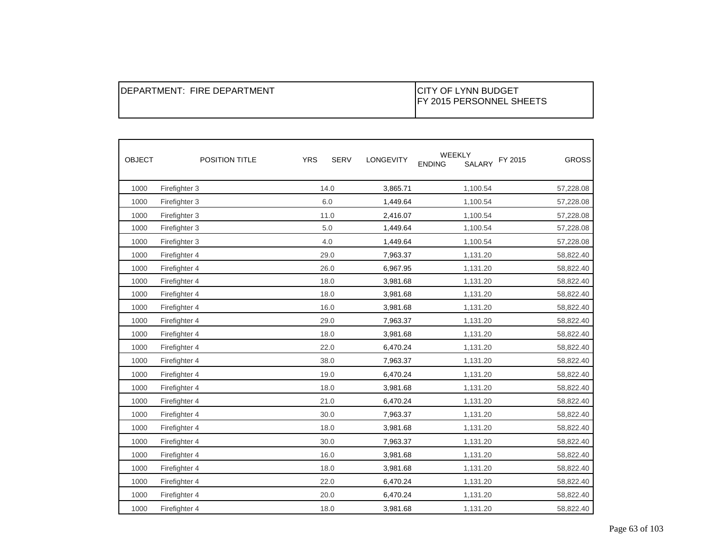| IDEPARTMENT: FIRE DEPARTMENT | <b>ICITY OF LYNN BUDGET</b><br><b>IFY 2015 PERSONNEL SHEETS</b> |
|------------------------------|-----------------------------------------------------------------|
|------------------------------|-----------------------------------------------------------------|

| <b>OBJECT</b> | POSITION TITLE | <b>YRS</b> | <b>SERV</b><br><b>LONGEVITY</b> | WEEKLY<br>SALARY<br><b>ENDING</b> | <b>GROSS</b><br>FY 2015 |
|---------------|----------------|------------|---------------------------------|-----------------------------------|-------------------------|
| 1000          | Firefighter 3  | 14.0       | 3,865.71                        | 1,100.54                          | 57,228.08               |
| 1000          | Firefighter 3  | 6.0        | 1,449.64                        | 1,100.54                          | 57,228.08               |
| 1000          | Firefighter 3  | 11.0       | 2,416.07                        | 1,100.54                          | 57,228.08               |
| 1000          | Firefighter 3  | 5.0        | 1,449.64                        | 1,100.54                          | 57,228.08               |
| 1000          | Firefighter 3  | 4.0        | 1,449.64                        | 1,100.54                          | 57,228.08               |
| 1000          | Firefighter 4  | 29.0       | 7,963.37                        | 1,131.20                          | 58,822.40               |
| 1000          | Firefighter 4  | 26.0       | 6,967.95                        | 1,131.20                          | 58,822.40               |
| 1000          | Firefighter 4  | 18.0       | 3,981.68                        | 1,131.20                          | 58,822.40               |
| 1000          | Firefighter 4  | 18.0       | 3,981.68                        | 1,131.20                          | 58,822.40               |
| 1000          | Firefighter 4  | 16.0       | 3,981.68                        | 1,131.20                          | 58,822.40               |
| 1000          | Firefighter 4  | 29.0       | 7,963.37                        | 1,131.20                          | 58,822.40               |
| 1000          | Firefighter 4  | 18.0       | 3,981.68                        | 1,131.20                          | 58,822.40               |
| 1000          | Firefighter 4  | 22.0       | 6,470.24                        | 1,131.20                          | 58,822.40               |
| 1000          | Firefighter 4  | 38.0       | 7,963.37                        | 1,131.20                          | 58,822.40               |
| 1000          | Firefighter 4  | 19.0       | 6,470.24                        | 1,131.20                          | 58,822.40               |
| 1000          | Firefighter 4  | 18.0       | 3,981.68                        | 1,131.20                          | 58,822.40               |
| 1000          | Firefighter 4  | 21.0       | 6,470.24                        | 1,131.20                          | 58,822.40               |
| 1000          | Firefighter 4  | 30.0       | 7,963.37                        | 1,131.20                          | 58,822.40               |
| 1000          | Firefighter 4  | 18.0       | 3,981.68                        | 1,131.20                          | 58,822.40               |
| 1000          | Firefighter 4  | 30.0       | 7,963.37                        | 1,131.20                          | 58,822.40               |
| 1000          | Firefighter 4  | 16.0       | 3,981.68                        | 1,131.20                          | 58,822.40               |
| 1000          | Firefighter 4  | 18.0       | 3,981.68                        | 1,131.20                          | 58,822.40               |
| 1000          | Firefighter 4  | 22.0       | 6,470.24                        | 1,131.20                          | 58,822.40               |
| 1000          | Firefighter 4  | 20.0       | 6,470.24                        | 1,131.20                          | 58,822.40               |
| 1000          | Firefighter 4  | 18.0       | 3,981.68                        | 1,131.20                          | 58,822.40               |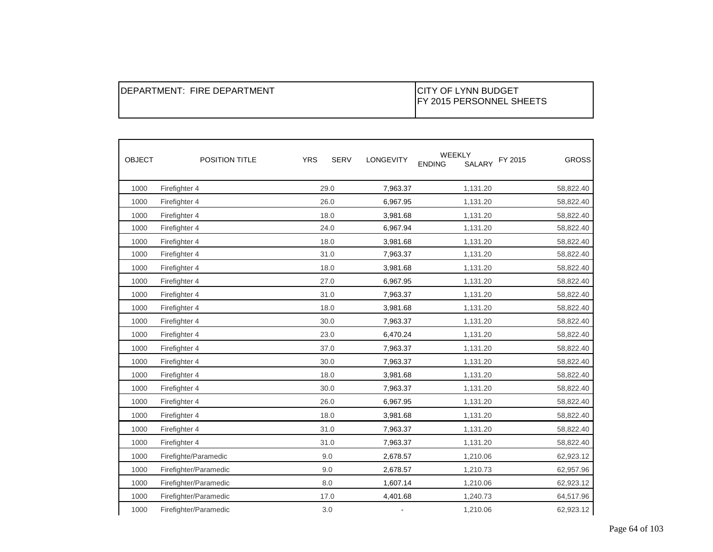| IDEPARTMENT: FIRE DEPARTMENT | <b>ICITY OF LYNN BUDGET</b><br><b>IFY 2015 PERSONNEL SHEETS</b> |
|------------------------------|-----------------------------------------------------------------|
|------------------------------|-----------------------------------------------------------------|

| <b>OBJECT</b> | POSITION TITLE        | <b>YRS</b> | <b>SERV</b> | <b>LONGEVITY</b> | <b>WEEKLY</b><br><b>ENDING</b><br>SALARY | FY 2015<br><b>GROSS</b> |
|---------------|-----------------------|------------|-------------|------------------|------------------------------------------|-------------------------|
| 1000          | Firefighter 4         |            | 29.0        | 7,963.37         | 1,131.20                                 | 58,822.40               |
| 1000          | Firefighter 4         |            | 26.0        | 6,967.95         | 1,131.20                                 | 58,822.40               |
| 1000          | Firefighter 4         |            | 18.0        | 3,981.68         | 1,131.20                                 | 58,822.40               |
| 1000          | Firefighter 4         |            | 24.0        | 6,967.94         | 1,131.20                                 | 58,822.40               |
| 1000          | Firefighter 4         |            | 18.0        | 3,981.68         | 1,131.20                                 | 58,822.40               |
| 1000          | Firefighter 4         |            | 31.0        | 7,963.37         | 1,131.20                                 | 58,822.40               |
| 1000          | Firefighter 4         |            | 18.0        | 3,981.68         | 1,131.20                                 | 58,822.40               |
| 1000          | Firefighter 4         |            | 27.0        | 6,967.95         | 1,131.20                                 | 58,822.40               |
| 1000          | Firefighter 4         |            | 31.0        | 7,963.37         | 1,131.20                                 | 58,822.40               |
| 1000          | Firefighter 4         |            | 18.0        | 3,981.68         | 1,131.20                                 | 58,822.40               |
| 1000          | Firefighter 4         |            | 30.0        | 7,963.37         | 1,131.20                                 | 58,822.40               |
| 1000          | Firefighter 4         |            | 23.0        | 6,470.24         | 1,131.20                                 | 58,822.40               |
| 1000          | Firefighter 4         |            | 37.0        | 7,963.37         | 1,131.20                                 | 58,822.40               |
| 1000          | Firefighter 4         |            | 30.0        | 7,963.37         | 1,131.20                                 | 58,822.40               |
| 1000          | Firefighter 4         |            | 18.0        | 3,981.68         | 1,131.20                                 | 58,822.40               |
| 1000          | Firefighter 4         |            | 30.0        | 7,963.37         | 1,131.20                                 | 58,822.40               |
| 1000          | Firefighter 4         |            | 26.0        | 6,967.95         | 1,131.20                                 | 58,822.40               |
| 1000          | Firefighter 4         |            | 18.0        | 3,981.68         | 1,131.20                                 | 58,822.40               |
| 1000          | Firefighter 4         |            | 31.0        | 7,963.37         | 1,131.20                                 | 58,822.40               |
| 1000          | Firefighter 4         |            | 31.0        | 7,963.37         | 1,131.20                                 | 58,822.40               |
| 1000          | Firefighte/Paramedic  |            | 9.0         | 2,678.57         | 1,210.06                                 | 62,923.12               |
| 1000          | Firefighter/Paramedic |            | 9.0         | 2,678.57         | 1,210.73                                 | 62,957.96               |
| 1000          | Firefighter/Paramedic |            | 8.0         | 1,607.14         | 1,210.06                                 | 62,923.12               |
| 1000          | Firefighter/Paramedic |            | 17.0        | 4,401.68         | 1,240.73                                 | 64,517.96               |
| 1000          | Firefighter/Paramedic |            | 3.0         |                  | 1,210.06                                 | 62,923.12               |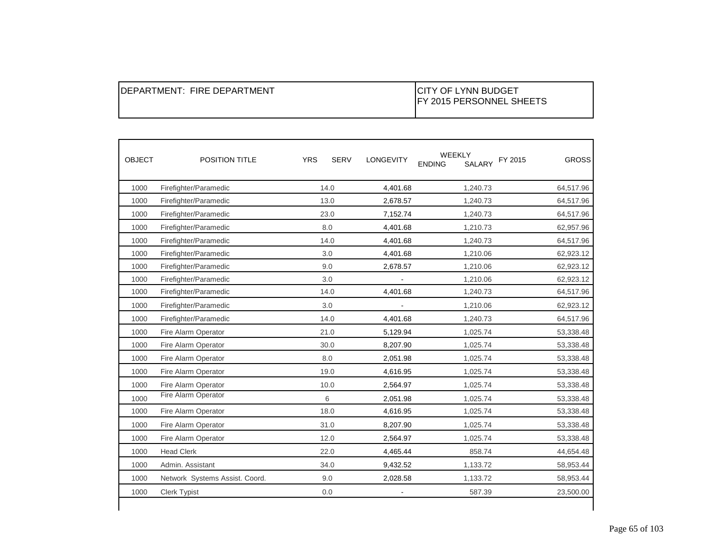| IDEPARTMENT: FIRE DEPARTMENT | <b>ICITY OF LYNN BUDGET</b><br>IFY 2015 PERSONNEL SHEETS |
|------------------------------|----------------------------------------------------------|
|------------------------------|----------------------------------------------------------|

| <b>OBJECT</b> | <b>POSITION TITLE</b>          | <b>YRS</b> | <b>SERV</b> | <b>LONGEVITY</b> | <b>WEEKLY</b><br>SALARY<br><b>ENDING</b> | <b>GROSS</b><br>FY 2015 |
|---------------|--------------------------------|------------|-------------|------------------|------------------------------------------|-------------------------|
| 1000          | Firefighter/Paramedic          |            | 14.0        | 4,401.68         | 1,240.73                                 | 64,517.96               |
| 1000          | Firefighter/Paramedic          |            | 13.0        | 2,678.57         | 1,240.73                                 | 64,517.96               |
| 1000          | Firefighter/Paramedic          |            | 23.0        | 7,152.74         | 1,240.73                                 | 64,517.96               |
| 1000          | Firefighter/Paramedic          |            | 8.0         | 4,401.68         | 1,210.73                                 | 62,957.96               |
| 1000          | Firefighter/Paramedic          |            | 14.0        | 4,401.68         | 1,240.73                                 | 64,517.96               |
| 1000          | Firefighter/Paramedic          |            | 3.0         | 4,401.68         | 1,210.06                                 | 62,923.12               |
| 1000          | Firefighter/Paramedic          |            | 9.0         | 2,678.57         | 1,210.06                                 | 62,923.12               |
| 1000          | Firefighter/Paramedic          |            | 3.0         | $\blacksquare$   | 1,210.06                                 | 62,923.12               |
| 1000          | Firefighter/Paramedic          |            | 14.0        | 4,401.68         | 1,240.73                                 | 64,517.96               |
| 1000          | Firefighter/Paramedic          |            | 3.0         |                  | 1,210.06                                 | 62,923.12               |
| 1000          | Firefighter/Paramedic          |            | 14.0        | 4,401.68         | 1,240.73                                 | 64,517.96               |
| 1000          | Fire Alarm Operator            |            | 21.0        | 5,129.94         | 1,025.74                                 | 53,338.48               |
| 1000          | Fire Alarm Operator            |            | 30.0        | 8,207.90         | 1,025.74                                 | 53,338.48               |
| 1000          | Fire Alarm Operator            |            | 8.0         | 2,051.98         | 1,025.74                                 | 53,338.48               |
| 1000          | Fire Alarm Operator            |            | 19.0        | 4,616.95         | 1,025.74                                 | 53,338.48               |
| 1000          | Fire Alarm Operator            |            | 10.0        | 2,564.97         | 1,025.74                                 | 53,338.48               |
| 1000          | Fire Alarm Operator            |            | 6           | 2,051.98         | 1,025.74                                 | 53,338.48               |
| 1000          | Fire Alarm Operator            |            | 18.0        | 4,616.95         | 1,025.74                                 | 53,338.48               |
| 1000          | Fire Alarm Operator            |            | 31.0        | 8,207.90         | 1,025.74                                 | 53,338.48               |
| 1000          | Fire Alarm Operator            |            | 12.0        | 2,564.97         | 1,025.74                                 | 53,338.48               |
| 1000          | <b>Head Clerk</b>              |            | 22.0        | 4,465.44         | 858.74                                   | 44,654.48               |
| 1000          | Admin. Assistant               |            | 34.0        | 9,432.52         | 1,133.72                                 | 58,953.44               |
| 1000          | Network Systems Assist. Coord. |            | 9.0         | 2,028.58         | 1,133.72                                 | 58,953.44               |
| 1000          | Clerk Typist                   |            | 0.0         |                  | 587.39                                   | 23,500.00               |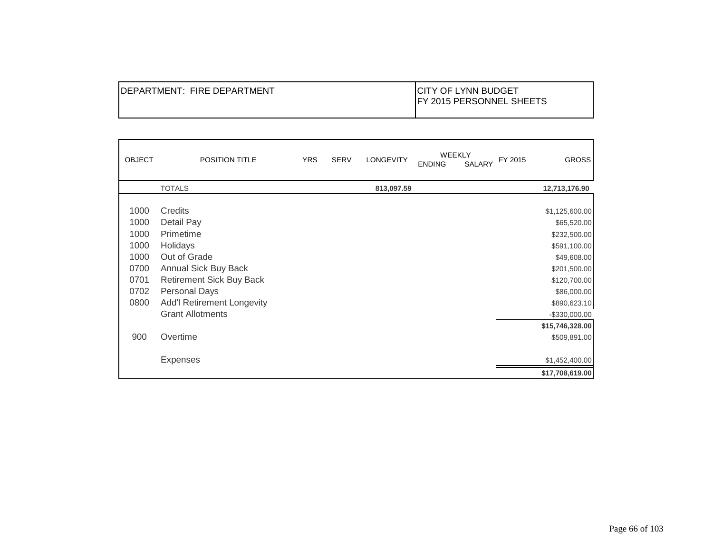| IDEPARTMENT: FIRE DEPARTMENT | <b>ICITY OF LYNN BUDGET</b><br><b>IFY 2015 PERSONNEL SHEETS</b> |
|------------------------------|-----------------------------------------------------------------|
|------------------------------|-----------------------------------------------------------------|

| <b>OBJECT</b> | <b>POSITION TITLE</b>             | <b>YRS</b> | <b>SERV</b> | <b>LONGEVITY</b> | <b>WEEKLY</b><br><b>ENDING</b> | <b>SALARY</b> | FY 2015 | <b>GROSS</b>     |
|---------------|-----------------------------------|------------|-------------|------------------|--------------------------------|---------------|---------|------------------|
|               | <b>TOTALS</b>                     |            |             | 813,097.59       |                                |               |         | 12,713,176.90    |
| 1000          | Credits                           |            |             |                  |                                |               |         | \$1,125,600.00   |
| 1000          | Detail Pay                        |            |             |                  |                                |               |         | \$65,520.00      |
| 1000          | Primetime                         |            |             |                  |                                |               |         | \$232,500.00     |
| 1000          | Holidays                          |            |             |                  |                                |               |         | \$591,100.00     |
| 1000          | Out of Grade                      |            |             |                  |                                |               |         | \$49,608.00      |
| 0700          | Annual Sick Buy Back              |            |             |                  |                                |               |         | \$201,500.00     |
| 0701          | <b>Retirement Sick Buy Back</b>   |            |             |                  |                                |               |         | \$120,700.00     |
| 0702          | <b>Personal Days</b>              |            |             |                  |                                |               |         | \$86,000.00      |
| 0800          | <b>Add'l Retirement Longevity</b> |            |             |                  |                                |               |         | \$890,623.10     |
|               | <b>Grant Allotments</b>           |            |             |                  |                                |               |         | $-$ \$330,000.00 |
|               |                                   |            |             |                  |                                |               |         | \$15,746,328.00  |
| 900           | Overtime                          |            |             |                  |                                |               |         | \$509,891.00     |
|               |                                   |            |             |                  |                                |               |         |                  |
|               | <b>Expenses</b>                   |            |             |                  |                                |               |         | \$1,452,400.00   |
|               |                                   |            |             |                  |                                |               |         | \$17,708,619.00  |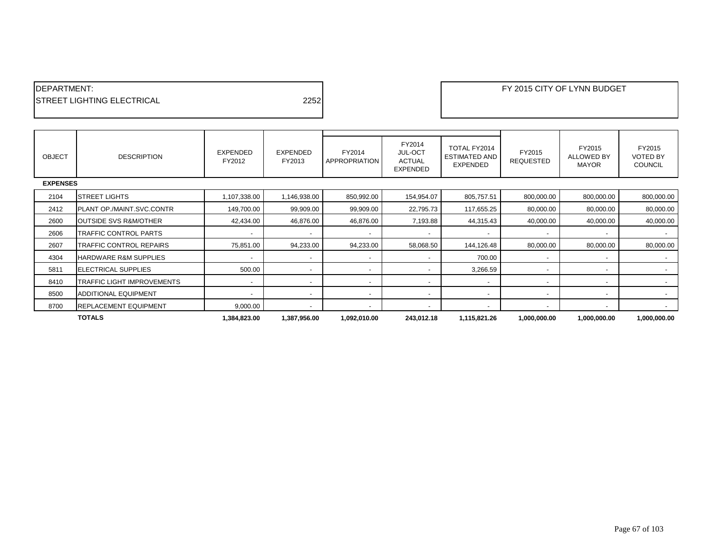| <b>IDEPARTMENT:</b>                |      |
|------------------------------------|------|
| <b>ISTREET LIGHTING ELECTRICAL</b> | 2252 |

| <b>OBJECT</b> | <b>DESCRIPTION</b>               | EXPENDED<br>FY2012       | <b>EXPENDED</b><br>FY2013 | FY2014<br>APPROPRIATION  | FY2014<br><b>JUL-OCT</b><br><b>ACTUAL</b><br><b>EXPENDED</b> | TOTAL FY2014<br><b>ESTIMATED AND</b><br><b>EXPENDED</b> | FY2015<br><b>REQUESTED</b> | FY2015<br><b>ALLOWED BY</b><br><b>MAYOR</b> | FY2015<br><b>VOTED BY</b><br><b>COUNCIL</b> |  |
|---------------|----------------------------------|--------------------------|---------------------------|--------------------------|--------------------------------------------------------------|---------------------------------------------------------|----------------------------|---------------------------------------------|---------------------------------------------|--|
|               | <b>EXPENSES</b>                  |                          |                           |                          |                                                              |                                                         |                            |                                             |                                             |  |
| 2104          | <b>ISTREET LIGHTS</b>            | 1,107,338.00             | 1,146,938.00              | 850,992.00               | 154,954.07                                                   | 805,757.51                                              | 800,000.00                 | 800,000.00                                  | 800,000.00                                  |  |
| 2412          | PLANT OP./MAINT.SVC.CONTR        | 149,700.00               | 99,909.00                 | 99,909.00                | 22,795.73                                                    | 117,655.25                                              | 80,000.00                  | 80,000.00                                   | 80,000.00                                   |  |
| 2600          | <b>OUTSIDE SVS R&amp;M/OTHER</b> | 42,434.00                | 46,876.00                 | 46,876.00                | 7,193.88                                                     | 44,315.43                                               | 40,000.00                  | 40,000.00                                   | 40,000.00                                   |  |
| 2606          | TRAFFIC CONTROL PARTS            |                          |                           |                          |                                                              |                                                         |                            |                                             |                                             |  |
| 2607          | TRAFFIC CONTROL REPAIRS          | 75,851.00                | 94,233.00                 | 94,233.00                | 58,068.50                                                    | 144,126.48                                              | 80,000.00                  | 80,000.00                                   | 80,000.00                                   |  |
| 4304          | <b>HARDWARE R&amp;M SUPPLIES</b> |                          | $\overline{\phantom{a}}$  | $\overline{\phantom{a}}$ | $\overline{\phantom{a}}$                                     | 700.00                                                  |                            |                                             |                                             |  |
| 5811          | <b>IELECTRICAL SUPPLIES</b>      | 500.00                   | $\overline{\phantom{a}}$  |                          |                                                              | 3,266.59                                                |                            |                                             |                                             |  |
| 8410          | TRAFFIC LIGHT IMPROVEMENTS       | $\overline{\phantom{0}}$ | $\overline{\phantom{a}}$  |                          |                                                              |                                                         |                            |                                             |                                             |  |
| 8500          | <b>ADDITIONAL EQUIPMENT</b>      | $\overline{\phantom{a}}$ | $\overline{\phantom{a}}$  | $\overline{\phantom{a}}$ | $\overline{a}$                                               | $\overline{\phantom{a}}$                                |                            | $\overline{\phantom{a}}$                    |                                             |  |
| 8700          | <b>REPLACEMENT EQUIPMENT</b>     | 9,000.00                 | $\overline{\phantom{a}}$  |                          |                                                              |                                                         |                            |                                             |                                             |  |
|               | <b>TOTALS</b>                    | 1,384,823.00             | 1,387,956.00              | 1,092,010.00             | 243,012.18                                                   | 1,115,821.26                                            | 1,000,000.00               | 1,000,000.00                                | 1,000,000.00                                |  |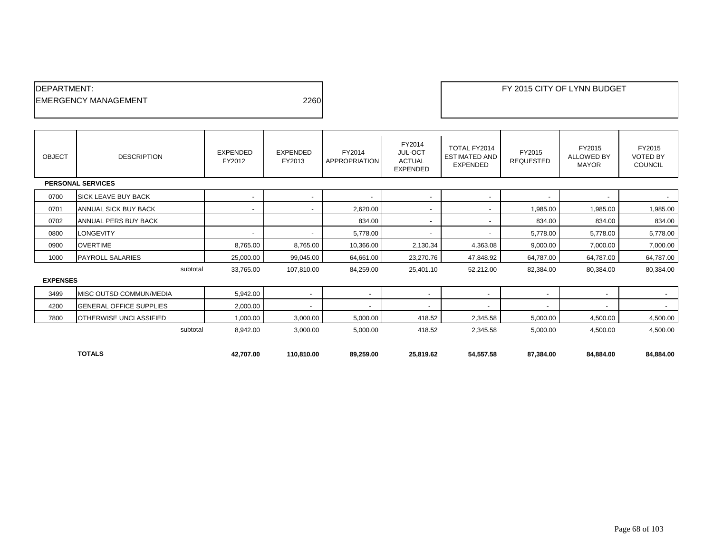| <b>IDEPARTMENT:</b>          |      |  |
|------------------------------|------|--|
| <b>IEMERGENCY MANAGEMENT</b> | 2260 |  |
|                              |      |  |

| <b>OBJECT</b>   | <b>DESCRIPTION</b>             | <b>EXPENDED</b><br>FY2012 | <b>EXPENDED</b><br>FY2013 | FY2014<br><b>APPROPRIATION</b> | FY2014<br>JUL-OCT<br><b>ACTUAL</b><br><b>EXPENDED</b> | TOTAL FY2014<br><b>ESTIMATED AND</b><br><b>EXPENDED</b> | FY2015<br><b>REQUESTED</b> | FY2015<br>ALLOWED BY<br><b>MAYOR</b> | FY2015<br><b>VOTED BY</b><br><b>COUNCIL</b> |
|-----------------|--------------------------------|---------------------------|---------------------------|--------------------------------|-------------------------------------------------------|---------------------------------------------------------|----------------------------|--------------------------------------|---------------------------------------------|
|                 | <b>PERSONAL SERVICES</b>       |                           |                           |                                |                                                       |                                                         |                            |                                      |                                             |
| 0700            | <b>SICK LEAVE BUY BACK</b>     |                           | $\overline{\phantom{a}}$  | $\overline{\phantom{a}}$       | $\sim$                                                |                                                         | $\overline{\phantom{a}}$   | $\overline{\phantom{a}}$             | $\sim$                                      |
| 0701            | ANNUAL SICK BUY BACK           | $\overline{\phantom{a}}$  | $\overline{\phantom{a}}$  | 2,620.00                       | $\sim$                                                |                                                         | 1,985.00                   | 1,985.00                             | 1,985.00                                    |
| 0702            | <b>ANNUAL PERS BUY BACK</b>    |                           |                           | 834.00                         | $\blacksquare$                                        |                                                         | 834.00                     | 834.00                               | 834.00                                      |
| 0800            | <b>LONGEVITY</b>               |                           | ۰                         | 5,778.00                       | $\sim$                                                |                                                         | 5,778.00                   | 5,778.00                             | 5,778.00                                    |
| 0900            | <b>OVERTIME</b>                | 8,765.00                  | 8,765.00                  | 10,366.00                      | 2,130.34                                              | 4,363.08                                                | 9,000.00                   | 7,000.00                             | 7,000.00                                    |
| 1000            | <b>PAYROLL SALARIES</b>        | 25,000.00                 | 99,045.00                 | 64,661.00                      | 23,270.76                                             | 47,848.92                                               | 64,787.00                  | 64,787.00                            | 64,787.00                                   |
|                 | subtotal                       | 33,765.00                 | 107,810.00                | 84,259.00                      | 25,401.10                                             | 52,212.00                                               | 82,384.00                  | 80,384.00                            | 80,384.00                                   |
| <b>EXPENSES</b> |                                |                           |                           |                                |                                                       |                                                         |                            |                                      |                                             |
| 3499            | MISC OUTSD COMMUN/MEDIA        | 5,942.00                  | $\blacksquare$            |                                | $\qquad \qquad \blacksquare$                          |                                                         | $\overline{\phantom{a}}$   | $\overline{\phantom{a}}$             | $\sim$                                      |
| 4200            | <b>GENERAL OFFICE SUPPLIES</b> | 2,000.00                  | $\overline{\phantom{a}}$  |                                | -                                                     |                                                         | $\overline{\phantom{0}}$   | $\overline{\phantom{a}}$             | $\overline{\phantom{a}}$                    |
| 7800            | <b>OTHERWISE UNCLASSIFIED</b>  | 1,000.00                  | 3,000.00                  | 5,000.00                       | 418.52                                                | 2,345.58                                                | 5,000.00                   | 4,500.00                             | 4,500.00                                    |
|                 | subtotal                       | 8,942.00                  | 3,000.00                  | 5,000.00                       | 418.52                                                | 2,345.58                                                | 5,000.00                   | 4,500.00                             | 4,500.00                                    |
|                 |                                |                           |                           |                                |                                                       |                                                         |                            |                                      |                                             |
|                 | <b>TOTALS</b>                  | 42.707.00                 | 110.810.00                | 89,259.00                      | 25,819.62                                             | 54,557.58                                               | 87,384.00                  | 84,884.00                            | 84.884.00                                   |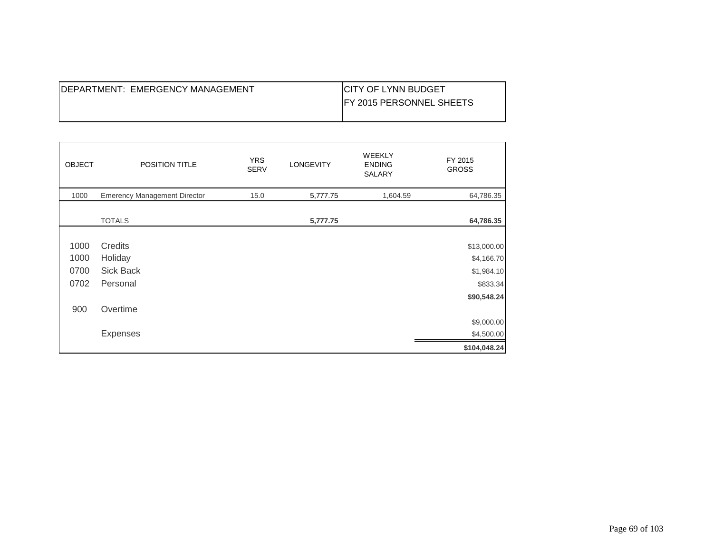| IDEPARTMENT: EMERGENCY MANAGEMENT | <b>ICITY OF LYNN BUDGET</b>      |
|-----------------------------------|----------------------------------|
|                                   | <b>IFY 2015 PERSONNEL SHEETS</b> |
|                                   |                                  |

| <b>OBJECT</b> | POSITION TITLE                      | <b>YRS</b><br><b>SERV</b> | <b>LONGEVITY</b> | <b>WEEKLY</b><br><b>ENDING</b><br><b>SALARY</b> | FY 2015<br><b>GROSS</b>   |
|---------------|-------------------------------------|---------------------------|------------------|-------------------------------------------------|---------------------------|
| 1000          | <b>Emerency Management Director</b> | 15.0                      | 5,777.75         | 1,604.59                                        | 64,786.35                 |
|               | <b>TOTALS</b>                       |                           | 5,777.75         |                                                 | 64,786.35                 |
| 1000<br>1000  | Credits<br>Holiday                  |                           |                  |                                                 | \$13,000.00<br>\$4,166.70 |
| 0700          | Sick Back                           |                           |                  |                                                 | \$1,984.10                |
| 0702          | Personal                            |                           |                  |                                                 | \$833.34                  |
| 900           | Overtime                            |                           |                  |                                                 | \$90,548.24               |
|               |                                     |                           |                  |                                                 | \$9,000.00                |
|               | <b>Expenses</b>                     |                           |                  |                                                 | \$4,500.00                |
|               |                                     |                           |                  |                                                 | \$104,048.24              |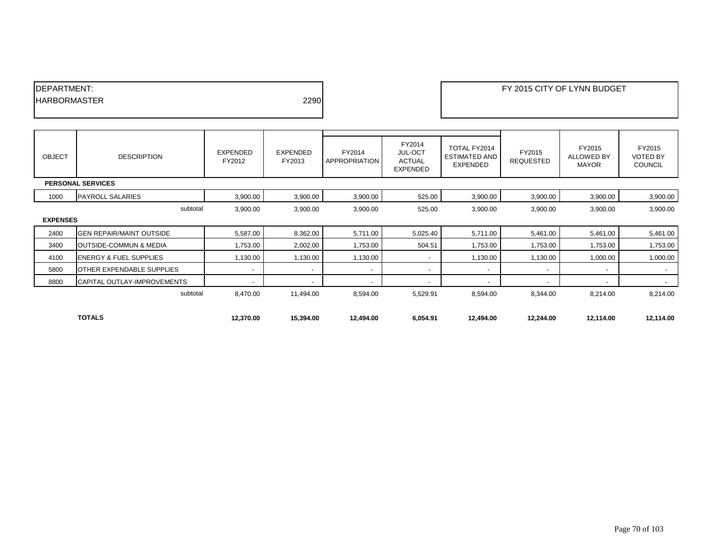| <b>IDEPARTMENT:</b>  |      |
|----------------------|------|
| <b>IHARBORMASTER</b> | 2290 |
|                      |      |

| <b>OBJECT</b>            | <b>DESCRIPTION</b>                 | EXPENDED<br>FY2012       | EXPENDED<br>FY2013       | FY2014<br>APPROPRIATION | FY2014<br>JUL-OCT<br><b>ACTUAL</b><br>EXPENDED | TOTAL FY2014<br><b>ESTIMATED AND</b><br><b>EXPENDED</b> | FY2015<br><b>REQUESTED</b> | FY2015<br><b>ALLOWED BY</b><br><b>MAYOR</b> | FY2015<br><b>VOTED BY</b><br><b>COUNCIL</b> |
|--------------------------|------------------------------------|--------------------------|--------------------------|-------------------------|------------------------------------------------|---------------------------------------------------------|----------------------------|---------------------------------------------|---------------------------------------------|
| <b>PERSONAL SERVICES</b> |                                    |                          |                          |                         |                                                |                                                         |                            |                                             |                                             |
| 1000                     | <b>PAYROLL SALARIES</b>            | 3,900.00                 | 3,900.00                 | 3,900.00                | 525.00                                         | 3,900.00                                                | 3,900.00                   | 3,900.00                                    | 3,900.00                                    |
|                          | subtotal                           | 3,900.00                 | 3,900.00                 | 3,900.00                | 525.00                                         | 3,900.00                                                | 3,900.00                   | 3,900.00                                    | 3,900.00                                    |
| <b>EXPENSES</b>          |                                    |                          |                          |                         |                                                |                                                         |                            |                                             |                                             |
| 2400                     | <b>GEN REPAIR/MAINT OUTSIDE</b>    | 5,587.00                 | 8,362.00                 | 5,711.00                | 5,025.40                                       | 5,711.00                                                | 5,461.00                   | 5,461.00                                    | 5,461.00                                    |
| 3400                     | OUTSIDE-COMMUN & MEDIA             | 1,753.00                 | 2,002.00                 | 1,753.00                | 504.51                                         | 1,753.00                                                | 1,753.00                   | 1,753.00                                    | 1,753.00                                    |
| 4100                     | <b>ENERGY &amp; FUEL SUPPLIES</b>  | 1,130.00                 | 1,130.00                 | 1,130.00                | $\overline{\phantom{a}}$                       | 1,130.00                                                | 1,130.00                   | 1,000.00                                    | 1,000.00                                    |
| 5800                     | <b>OTHER EXPENDABLE SUPPLIES</b>   | $\overline{\phantom{a}}$ | $\overline{\phantom{a}}$ | $\sim$                  | $\overline{\phantom{a}}$                       |                                                         | $\overline{\phantom{a}}$   | $\overline{\phantom{a}}$                    | $\sim$                                      |
| 8800                     | <b>CAPITAL OUTLAY-IMPROVEMENTS</b> |                          | $\overline{\phantom{a}}$ |                         |                                                |                                                         | $\overline{\phantom{0}}$   | $\overline{\phantom{0}}$                    | $\sim$                                      |
|                          | subtotal                           | 8,470.00                 | 11,494.00                | 8,594.00                | 5,529.91                                       | 8,594.00                                                | 8,344.00                   | 8,214.00                                    | 8,214.00                                    |
|                          |                                    |                          |                          |                         |                                                |                                                         |                            |                                             |                                             |
|                          | <b>TOTALS</b>                      | 12,370.00                | 15,394.00                | 12,494.00               | 6,054.91                                       | 12,494.00                                               | 12,244.00                  | 12,114.00                                   | 12,114.00                                   |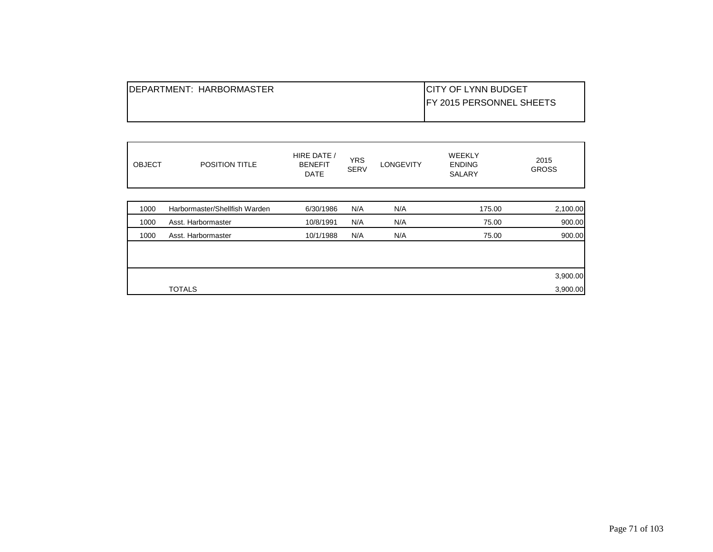| IDEPARTMENT: HARBORMASTER | ICITY OF LYNN BUDGET             |
|---------------------------|----------------------------------|
|                           | <b>IFY 2015 PERSONNEL SHEETS</b> |
|                           |                                  |

| <b>OBJECT</b> | <b>POSITION TITLE</b>         | HIRE DATE /<br><b>BENEFIT</b><br><b>DATE</b> | <b>YRS</b><br><b>SERV</b> | <b>LONGEVITY</b> | <b>WEEKLY</b><br><b>ENDING</b><br><b>SALARY</b> | 2015<br><b>GROSS</b> |
|---------------|-------------------------------|----------------------------------------------|---------------------------|------------------|-------------------------------------------------|----------------------|
| 1000          | Harbormaster/Shellfish Warden | 6/30/1986                                    | N/A                       | N/A              | 175.00                                          |                      |
|               |                               |                                              |                           |                  |                                                 | 2,100.00             |
| 1000          | Asst. Harbormaster            | 10/8/1991                                    | N/A                       | N/A              | 75.00                                           | 900.00               |
| 1000          | Asst. Harbormaster            | 10/1/1988                                    | N/A                       | N/A              | 75.00                                           | 900.00               |
|               |                               |                                              |                           |                  |                                                 |                      |
|               |                               |                                              |                           |                  |                                                 |                      |
|               |                               |                                              |                           |                  |                                                 | 3,900.00             |
|               | <b>TOTALS</b>                 |                                              |                           |                  |                                                 | 3,900.00             |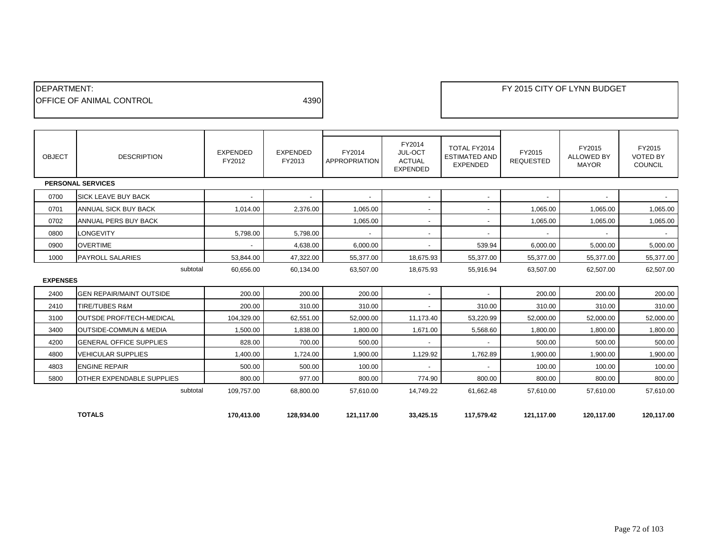| <b>IDEPARTMENT:</b>              |      |
|----------------------------------|------|
| <b>IOFFICE OF ANIMAL CONTROL</b> | 4390 |
|                                  |      |

| <b>OBJECT</b>   | <b>DESCRIPTION</b>                | <b>EXPENDED</b><br>FY2012 | <b>EXPENDED</b><br>FY2013 | FY2014<br>APPROPRIATION | FY2014<br><b>JUL-OCT</b><br><b>ACTUAL</b><br><b>EXPENDED</b> | TOTAL FY2014<br><b>ESTIMATED AND</b><br><b>EXPENDED</b> | FY2015<br><b>REQUESTED</b> | FY2015<br><b>ALLOWED BY</b><br><b>MAYOR</b> | FY2015<br><b>VOTED BY</b><br><b>COUNCIL</b> |
|-----------------|-----------------------------------|---------------------------|---------------------------|-------------------------|--------------------------------------------------------------|---------------------------------------------------------|----------------------------|---------------------------------------------|---------------------------------------------|
|                 | <b>PERSONAL SERVICES</b>          |                           |                           |                         |                                                              |                                                         |                            |                                             |                                             |
| 0700            | <b>SICK LEAVE BUY BACK</b>        | $\overline{\phantom{a}}$  | $\blacksquare$            | $\blacksquare$          | $\overline{\phantom{a}}$                                     |                                                         | $\blacksquare$             | $\overline{\phantom{a}}$                    | $\sim$                                      |
| 0701            | ANNUAL SICK BUY BACK              | 1,014.00                  | 2,376.00                  | 1,065.00                | $\overline{\phantom{a}}$                                     |                                                         | 1,065.00                   | 1,065.00                                    | 1,065.00                                    |
| 0702            | ANNUAL PERS BUY BACK              |                           |                           | 1,065.00                | $\overline{\phantom{a}}$                                     |                                                         | 1,065.00                   | 1,065.00                                    | 1,065.00                                    |
| 0800            | <b>LONGEVITY</b>                  | 5,798.00                  | 5.798.00                  |                         | $\overline{\phantom{a}}$                                     |                                                         |                            |                                             | $\sim$                                      |
| 0900            | <b>OVERTIME</b>                   |                           | 4,638.00                  | 6,000.00                | $\overline{\phantom{a}}$                                     | 539.94                                                  | 6,000.00                   | 5,000.00                                    | 5,000.00                                    |
| 1000            | <b>PAYROLL SALARIES</b>           | 53,844.00                 | 47,322.00                 | 55,377.00               | 18,675.93                                                    | 55,377.00                                               | 55,377.00                  | 55,377.00                                   | 55,377.00                                   |
| <b>EXPENSES</b> | subtotal                          | 60.656.00                 | 60.134.00                 | 63.507.00               | 18.675.93                                                    | 55,916.94                                               | 63,507.00                  | 62.507.00                                   | 62,507.00                                   |
| 2400            | <b>GEN REPAIR/MAINT OUTSIDE</b>   | 200.00                    | 200.00                    | 200.00                  | $\overline{\phantom{a}}$                                     |                                                         | 200.00                     | 200.00                                      | 200.00                                      |
| 2410            | <b>TIRE/TUBES R&amp;M</b>         | 200.00                    | 310.00                    | 310.00                  | $\overline{\phantom{a}}$                                     | 310.00                                                  | 310.00                     | 310.00                                      | 310.00                                      |
| 3100            | OUTSDE PROF/TECH-MEDICAL          | 104.329.00                | 62,551.00                 | 52.000.00               | 11.173.40                                                    | 53,220.99                                               | 52,000.00                  | 52.000.00                                   | 52,000.00                                   |
| 3400            | <b>OUTSIDE-COMMUN &amp; MEDIA</b> | 1.500.00                  | 1.838.00                  | 1.800.00                | 1.671.00                                                     | 5.568.60                                                | 1.800.00                   | 1.800.00                                    | 1,800.00                                    |
| 4200            | <b>GENERAL OFFICE SUPPLIES</b>    | 828.00                    | 700.00                    | 500.00                  |                                                              |                                                         | 500.00                     | 500.00                                      | 500.00                                      |
| 4800            | <b>VEHICULAR SUPPLIES</b>         | 1,400.00                  | 1,724.00                  | 1,900.00                | 1,129.92                                                     | 1,762.89                                                | 1,900.00                   | 1,900.00                                    | 1,900.00                                    |
| 4803            | <b>ENGINE REPAIR</b>              | 500.00                    | 500.00                    | 100.00                  | $\overline{\phantom{a}}$                                     |                                                         | 100.00                     | 100.00                                      | 100.00                                      |
| 5800            | <b>OTHER EXPENDABLE SUPPLIES</b>  | 800.00                    | 977.00                    | 800.00                  | 774.90                                                       | 800.00                                                  | 800.00                     | 800.00                                      | 800.00                                      |
|                 | subtotal                          | 109,757.00                | 68,800.00                 | 57,610.00               | 14,749.22                                                    | 61,662.48                                               | 57,610.00                  | 57,610.00                                   | 57,610.00                                   |
|                 | <b>TOTALS</b>                     | 170,413.00                | 128,934.00                | 121,117.00              | 33,425.15                                                    | 117,579.42                                              | 121,117.00                 | 120,117.00                                  | 120,117.00                                  |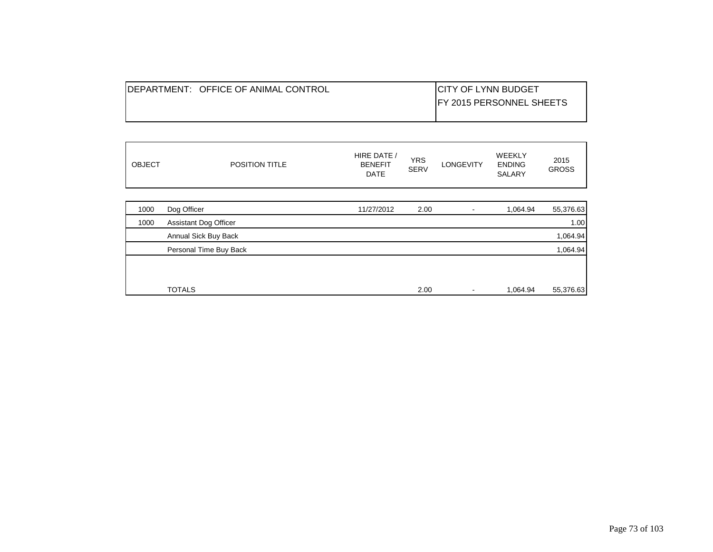| <b>IDEPARTMENT: OFFICE OF ANIMAL CONTROL</b> | <b>ICITY OF LYNN BUDGET</b>      |
|----------------------------------------------|----------------------------------|
|                                              | <b>IFY 2015 PERSONNEL SHEETS</b> |
|                                              |                                  |

| <b>OBJECT</b> | POSITION TITLE               | HIRE DATE /<br><b>BENEFIT</b><br><b>DATE</b> | <b>YRS</b><br><b>SERV</b> | <b>LONGEVITY</b> | <b>WEEKLY</b><br><b>ENDING</b><br><b>SALARY</b> | 2015<br><b>GROSS</b> |
|---------------|------------------------------|----------------------------------------------|---------------------------|------------------|-------------------------------------------------|----------------------|
|               |                              |                                              |                           |                  |                                                 |                      |
| 1000          | Dog Officer                  | 11/27/2012                                   | 2.00                      |                  | 1,064.94                                        | 55,376.63            |
| 1000          | <b>Assistant Dog Officer</b> |                                              |                           |                  |                                                 | 1.00                 |
|               | Annual Sick Buy Back         |                                              |                           |                  |                                                 | 1,064.94             |
|               | Personal Time Buy Back       |                                              |                           |                  |                                                 | 1,064.94             |
|               |                              |                                              |                           |                  |                                                 |                      |
|               | <b>TOTALS</b>                |                                              | 2.00                      |                  | 1,064.94                                        | 55,376.63            |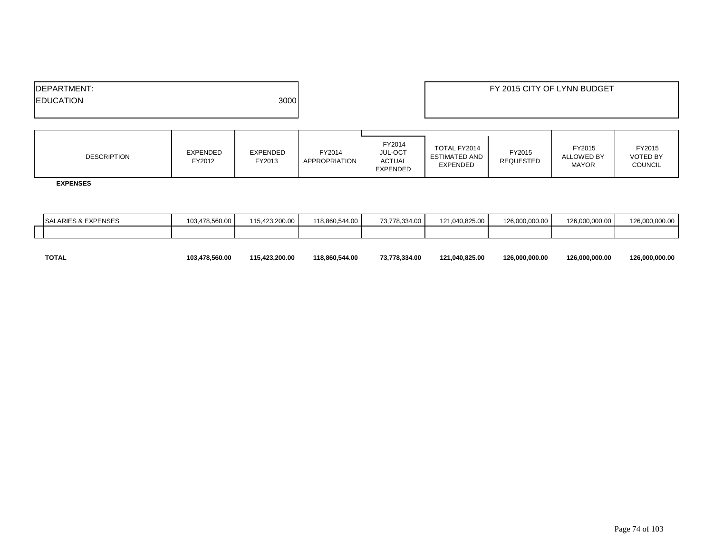| <b>IDEPARTMENT:</b>      | FY 2015 CITY OF LYNN BUDGET |
|--------------------------|-----------------------------|
| 3000<br><b>EDUCATION</b> |                             |
|                          |                             |

| <b>EXPENDED</b><br>EXPENDED<br><b>DESCRIPTION</b><br>FY2012<br>FY2013 | FY2014<br>JUL-OCT<br>FY2014<br>ACTUAL<br>APPROPRIATION<br>EXPENDED | TOTAL FY2014<br>FY2015<br>ESTIMATED AND<br><b>REQUESTED</b><br><b>EXPENDED</b> | FY2015<br><b>ALLOWED BY</b><br><b>MAYOR</b> | FY2015<br><b>VOTED BY</b><br><b>COUNCIL</b> |
|-----------------------------------------------------------------------|--------------------------------------------------------------------|--------------------------------------------------------------------------------|---------------------------------------------|---------------------------------------------|
|-----------------------------------------------------------------------|--------------------------------------------------------------------|--------------------------------------------------------------------------------|---------------------------------------------|---------------------------------------------|

 **EXPENSES**

| ALARIES & EXPENSES<br><b>SA</b> | 103,478,560.00 | 115.423.200.00 | 118,860,544.00 | 73,778,334.00 | 121,040,825.00 | 126.000.000.00 | 126.000.000.00 | 126.000.000.00 |
|---------------------------------|----------------|----------------|----------------|---------------|----------------|----------------|----------------|----------------|
|                                 |                |                |                |               |                |                |                |                |
|                                 |                |                |                |               |                |                |                |                |

|  | <b>TOTAL</b> | 103,478,560.00 | 115,423,200.00 | 118,860,544.00 | 73,778,334.00 | 121,040,825.00 | 126,000,000.00 | 126,000,000.00 | 126,000,000.00 |
|--|--------------|----------------|----------------|----------------|---------------|----------------|----------------|----------------|----------------|
|--|--------------|----------------|----------------|----------------|---------------|----------------|----------------|----------------|----------------|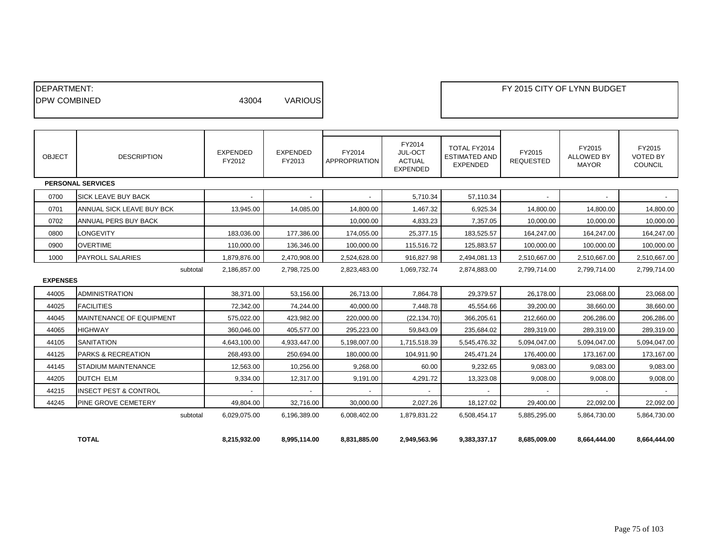| <b>IDEPARTMENT:</b><br><b>IDPW COMBINED</b> |                                  | 43004                     | <b>VARIOUS</b>            |                                |                                                       |                                                         |                            | FY 2015 CITY OF LYNN BUDGET                 |                                             |
|---------------------------------------------|----------------------------------|---------------------------|---------------------------|--------------------------------|-------------------------------------------------------|---------------------------------------------------------|----------------------------|---------------------------------------------|---------------------------------------------|
|                                             |                                  |                           |                           |                                |                                                       |                                                         |                            |                                             |                                             |
| <b>OBJECT</b>                               | <b>DESCRIPTION</b>               | <b>EXPENDED</b><br>FY2012 | <b>EXPENDED</b><br>FY2013 | FY2014<br><b>APPROPRIATION</b> | FY2014<br>JUL-OCT<br><b>ACTUAL</b><br><b>EXPENDED</b> | TOTAL FY2014<br><b>ESTIMATED AND</b><br><b>EXPENDED</b> | FY2015<br><b>REQUESTED</b> | FY2015<br><b>ALLOWED BY</b><br><b>MAYOR</b> | FY2015<br><b>VOTED BY</b><br><b>COUNCIL</b> |
|                                             | <b>PERSONAL SERVICES</b>         |                           |                           |                                |                                                       |                                                         |                            |                                             |                                             |
| 0700                                        | SICK LEAVE BUY BACK              |                           |                           |                                | 5,710.34                                              | 57,110.34                                               |                            |                                             |                                             |
| 0701                                        | ANNUAL SICK LEAVE BUY BCK        | 13,945.00                 | 14,085.00                 | 14,800.00                      | 1,467.32                                              | 6,925.34                                                | 14,800.00                  | 14,800.00                                   | 14,800.00                                   |
| 0702                                        | ANNUAL PERS BUY BACK             |                           |                           | 10,000.00                      | 4,833.23                                              | 7,357.05                                                | 10,000.00                  | 10,000.00                                   | 10,000.00                                   |
| 0800                                        | <b>LONGEVITY</b>                 | 183,036.00                | 177,386.00                | 174,055.00                     | 25,377.15                                             | 183,525.57                                              | 164,247.00                 | 164,247.00                                  | 164,247.00                                  |
| 0900                                        | <b>OVERTIME</b>                  | 110,000.00                | 136,346.00                | 100,000.00                     | 115,516.72                                            | 125,883.57                                              | 100,000.00                 | 100,000.00                                  | 100,000.00                                  |
| 1000                                        | <b>PAYROLL SALARIES</b>          | 1,879,876.00              | 2,470,908.00              | 2,524,628.00                   | 916,827.98                                            | 2,494,081.13                                            | 2,510,667.00               | 2,510,667.00                                | 2,510,667.00                                |
| <b>EXPENSES</b>                             | subtotal                         | 2,186,857.00              | 2,798,725.00              | 2,823,483.00                   | 1,069,732.74                                          | 2,874,883.00                                            | 2,799,714.00               | 2,799,714.00                                | 2,799,714.00                                |
| 44005                                       | <b>ADMINISTRATION</b>            | 38,371.00                 | 53,156.00                 | 26,713.00                      | 7,864.78                                              | 29,379.57                                               | 26,178.00                  | 23,068.00                                   | 23,068.00                                   |
| 44025                                       | <b>FACILITIES</b>                | 72,342.00                 | 74,244.00                 | 40,000.00                      | 7,448.78                                              | 45,554.66                                               | 39,200.00                  | 38,660.00                                   | 38,660.00                                   |
| 44045                                       | <b>MAINTENANCE OF EQUIPMENT</b>  | 575,022.00                | 423,982.00                | 220,000.00                     | (22, 134.70)                                          | 366,205.61                                              | 212,660.00                 | 206,286.00                                  | 206,286.00                                  |
| 44065                                       | <b>HIGHWAY</b>                   | 360,046.00                | 405,577.00                | 295,223.00                     | 59,843.09                                             | 235,684.02                                              | 289,319.00                 | 289,319.00                                  | 289,319.00                                  |
| 44105                                       | <b>SANITATION</b>                | 4,643,100.00              | 4,933,447.00              | 5,198,007.00                   | 1,715,518.39                                          | 5,545,476.32                                            | 5,094,047.00               | 5,094,047.00                                | 5,094,047.00                                |
| 44125                                       | <b>PARKS &amp; RECREATION</b>    | 268,493.00                | 250,694.00                | 180,000.00                     | 104,911.90                                            | 245,471.24                                              | 176,400.00                 | 173,167.00                                  | 173,167.00                                  |
| 44145                                       | STADIUM MAINTENANCE              | 12,563.00                 | 10,256.00                 | 9,268.00                       | 60.00                                                 | 9,232.65                                                | 9,083.00                   | 9,083.00                                    | 9,083.00                                    |
| 44205                                       | <b>DUTCH ELM</b>                 | 9,334.00                  | 12,317.00                 | 9,191.00                       | 4,291.72                                              | 13,323.08                                               | 9,008.00                   | 9,008.00                                    | 9,008.00                                    |
| 44215                                       | <b>INSECT PEST &amp; CONTROL</b> |                           |                           |                                |                                                       |                                                         |                            |                                             |                                             |
| 44245                                       | <b>PINE GROVE CEMETERY</b>       | 49,804.00                 | 32,716.00                 | 30,000.00                      | 2,027.26                                              | 18,127.02                                               | 29,400.00                  | 22,092.00                                   | 22,092.00                                   |
|                                             | subtotal                         | 6,029,075.00              | 6,196,389.00              | 6,008,402.00                   | 1,879,831.22                                          | 6,508,454.17                                            | 5,885,295.00               | 5,864,730.00                                | 5,864,730.00                                |
|                                             | <b>TOTAL</b>                     | 8,215,932.00              | 8,995,114.00              | 8,831,885.00                   | 2,949,563.96                                          | 9,383,337.17                                            | 8,685,009.00               | 8,664,444.00                                | 8,664,444.00                                |

┓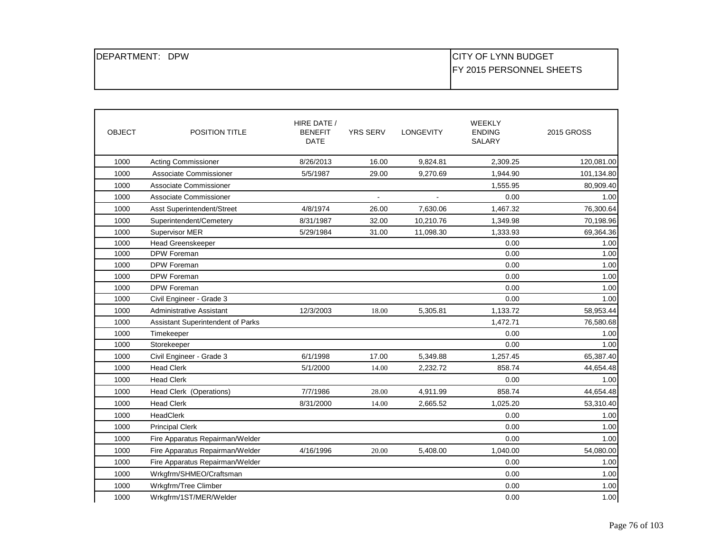| <b>DPW</b><br>IDEPARTMENT: | <b>CITY OF LYNN BUDGET</b>       |
|----------------------------|----------------------------------|
|                            | <b>IFY 2015 PERSONNEL SHEETS</b> |
|                            |                                  |

| <b>OBJECT</b> | <b>POSITION TITLE</b>             | HIRE DATE /<br><b>BENEFIT</b><br><b>DATE</b> | <b>YRS SERV</b> | <b>LONGEVITY</b> | <b>WEEKLY</b><br><b>ENDING</b><br><b>SALARY</b> | 2015 GROSS |
|---------------|-----------------------------------|----------------------------------------------|-----------------|------------------|-------------------------------------------------|------------|
| 1000          | <b>Acting Commissioner</b>        | 8/26/2013                                    | 16.00           | 9,824.81         | 2,309.25                                        | 120,081.00 |
| 1000          | Associate Commissioner            | 5/5/1987                                     | 29.00           | 9,270.69         | 1,944.90                                        | 101,134.80 |
| 1000          | Associate Commissioner            |                                              |                 |                  | 1,555.95                                        | 80,909.40  |
| 1000          | Associate Commissioner            |                                              | $\blacksquare$  | $\blacksquare$   | 0.00                                            | 1.00       |
| 1000          | Asst Superintendent/Street        | 4/8/1974                                     | 26.00           | 7.630.06         | 1,467.32                                        | 76,300.64  |
| 1000          | Superintendent/Cemetery           | 8/31/1987                                    | 32.00           | 10,210.76        | 1,349.98                                        | 70,198.96  |
| 1000          | Supervisor MER                    | 5/29/1984                                    | 31.00           | 11,098.30        | 1,333.93                                        | 69,364.36  |
| 1000          | <b>Head Greenskeeper</b>          |                                              |                 |                  | 0.00                                            | 1.00       |
| 1000          | DPW Foreman                       |                                              |                 |                  | 0.00                                            | 1.00       |
| 1000          | DPW Foreman                       |                                              |                 |                  | 0.00                                            | 1.00       |
| 1000          | <b>DPW Foreman</b>                |                                              |                 |                  | 0.00                                            | 1.00       |
| 1000          | DPW Foreman                       |                                              |                 |                  | 0.00                                            | 1.00       |
| 1000          | Civil Engineer - Grade 3          |                                              |                 |                  | 0.00                                            | 1.00       |
| 1000          | Administrative Assistant          | 12/3/2003                                    | 18.00           | 5,305.81         | 1,133.72                                        | 58,953.44  |
| 1000          | Assistant Superintendent of Parks |                                              |                 |                  | 1,472.71                                        | 76,580.68  |
| 1000          | Timekeeper                        |                                              |                 |                  | 0.00                                            | 1.00       |
| 1000          | Storekeeper                       |                                              |                 |                  | 0.00                                            | 1.00       |
| 1000          | Civil Engineer - Grade 3          | 6/1/1998                                     | 17.00           | 5,349.88         | 1,257.45                                        | 65,387.40  |
| 1000          | <b>Head Clerk</b>                 | 5/1/2000                                     | 14.00           | 2,232.72         | 858.74                                          | 44,654.48  |
| 1000          | <b>Head Clerk</b>                 |                                              |                 |                  | 0.00                                            | 1.00       |
| 1000          | Head Clerk (Operations)           | 7/7/1986                                     | 28.00           | 4,911.99         | 858.74                                          | 44,654.48  |
| 1000          | <b>Head Clerk</b>                 | 8/31/2000                                    | 14.00           | 2,665.52         | 1,025.20                                        | 53,310.40  |
| 1000          | HeadClerk                         |                                              |                 |                  | 0.00                                            | 1.00       |
| 1000          | <b>Principal Clerk</b>            |                                              |                 |                  | 0.00                                            | 1.00       |
| 1000          | Fire Apparatus Repairman/Welder   |                                              |                 |                  | 0.00                                            | 1.00       |
| 1000          | Fire Apparatus Repairman/Welder   | 4/16/1996                                    | 20.00           | 5,408.00         | 1,040.00                                        | 54,080.00  |
| 1000          | Fire Apparatus Repairman/Welder   |                                              |                 |                  | 0.00                                            | 1.00       |
| 1000          | Wrkgfrm/SHMEO/Craftsman           |                                              |                 |                  | 0.00                                            | 1.00       |
| 1000          | Wrkgfrm/Tree Climber              |                                              |                 |                  | 0.00                                            | 1.00       |
| 1000          | Wrkgfrm/1ST/MER/Welder            |                                              |                 |                  | 0.00                                            | 1.00       |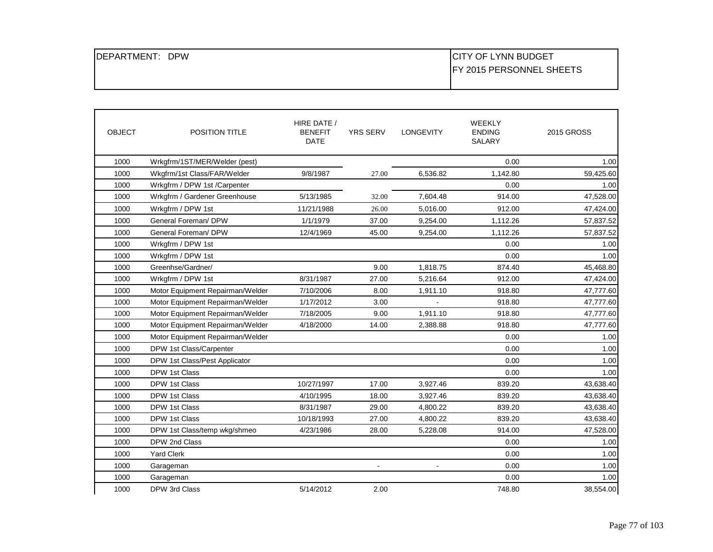| IDEPARTMENT: DPW |  |
|------------------|--|
|------------------|--|

## CITY OF LYNN BUDGET FY 2015 PERSONNEL SHEETS

| <b>OBJECT</b> | <b>POSITION TITLE</b>            | HIRE DATE /<br><b>BENEFIT</b><br><b>DATE</b> | <b>YRS SERV</b> | <b>LONGEVITY</b> | <b>WEEKLY</b><br><b>ENDING</b><br><b>SALARY</b> | <b>2015 GROSS</b> |
|---------------|----------------------------------|----------------------------------------------|-----------------|------------------|-------------------------------------------------|-------------------|
| 1000          | Wrkgfrm/1ST/MER/Welder (pest)    |                                              |                 |                  | 0.00                                            | 1.00              |
| 1000          | Wkgfrm/1st Class/FAR/Welder      | 9/8/1987                                     | 27.00           | 6,536.82         | 1,142.80                                        | 59,425.60         |
| 1000          | Wrkgfrm / DPW 1st /Carpenter     |                                              |                 |                  | 0.00                                            | 1.00              |
| 1000          | Wrkgfrm / Gardener Greenhouse    | 5/13/1985                                    | 32.00           | 7,604.48         | 914.00                                          | 47,528.00         |
| 1000          | Wrkgfrm / DPW 1st                | 11/21/1988                                   | 26.00           | 5.016.00         | 912.00                                          | 47,424.00         |
| 1000          | General Foreman/ DPW             | 1/1/1979                                     | 37.00           | 9,254.00         | 1,112.26                                        | 57,837.52         |
| 1000          | General Foreman/ DPW             | 12/4/1969                                    | 45.00           | 9,254.00         | 1,112.26                                        | 57,837.52         |
| 1000          | Wrkgfrm / DPW 1st                |                                              |                 |                  | 0.00                                            | 1.00              |
| 1000          | Wrkgfrm / DPW 1st                |                                              |                 |                  | 0.00                                            | 1.00              |
| 1000          | Greenhse/Gardner/                |                                              | 9.00            | 1,818.75         | 874.40                                          | 45,468.80         |
| 1000          | Wrkgfrm / DPW 1st                | 8/31/1987                                    | 27.00           | 5,216.64         | 912.00                                          | 47,424.00         |
| 1000          | Motor Equipment Repairman/Welder | 7/10/2006                                    | 8.00            | 1,911.10         | 918.80                                          | 47,777.60         |
| 1000          | Motor Equipment Repairman/Welder | 1/17/2012                                    | 3.00            |                  | 918.80                                          | 47,777.60         |
| 1000          | Motor Equipment Repairman/Welder | 7/18/2005                                    | 9.00            | 1,911.10         | 918.80                                          | 47,777.60         |
| 1000          | Motor Equipment Repairman/Welder | 4/18/2000                                    | 14.00           | 2,388.88         | 918.80                                          | 47,777.60         |
| 1000          | Motor Equipment Repairman/Welder |                                              |                 |                  | 0.00                                            | 1.00              |
| 1000          | DPW 1st Class/Carpenter          |                                              |                 |                  | 0.00                                            | 1.00              |
| 1000          | DPW 1st Class/Pest Applicator    |                                              |                 |                  | 0.00                                            | 1.00              |
| 1000          | DPW 1st Class                    |                                              |                 |                  | 0.00                                            | 1.00              |
| 1000          | DPW 1st Class                    | 10/27/1997                                   | 17.00           | 3,927.46         | 839.20                                          | 43,638.40         |
| 1000          | DPW 1st Class                    | 4/10/1995                                    | 18.00           | 3,927.46         | 839.20                                          | 43,638.40         |
| 1000          | DPW 1st Class                    | 8/31/1987                                    | 29.00           | 4,800.22         | 839.20                                          | 43,638.40         |
| 1000          | DPW 1st Class                    | 10/18/1993                                   | 27.00           | 4,800.22         | 839.20                                          | 43,638.40         |
| 1000          | DPW 1st Class/temp wkg/shmeo     | 4/23/1986                                    | 28.00           | 5,228.08         | 914.00                                          | 47,528.00         |
| 1000          | DPW 2nd Class                    |                                              |                 |                  | 0.00                                            | 1.00              |
| 1000          | <b>Yard Clerk</b>                |                                              |                 |                  | 0.00                                            | 1.00              |
| 1000          | Garageman                        |                                              | $\blacksquare$  | $\blacksquare$   | 0.00                                            | 1.00              |
| 1000          | Garageman                        |                                              |                 |                  | 0.00                                            | 1.00              |
| 1000          | DPW 3rd Class                    | 5/14/2012                                    | 2.00            |                  | 748.80                                          | 38,554.00         |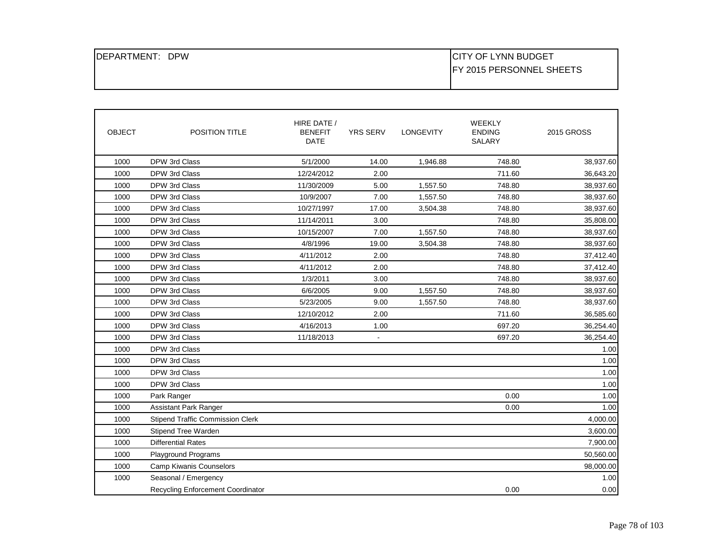| DEPARTMENT:<br><b>DPW</b> | <b>CITY OF LYNN BUDGET</b>       |
|---------------------------|----------------------------------|
|                           | <b>IFY 2015 PERSONNEL SHEETS</b> |
|                           |                                  |

| <b>OBJECT</b> | POSITION TITLE                          | HIRE DATE /<br><b>BENEFIT</b><br><b>DATE</b> | <b>YRS SERV</b> | <b>LONGEVITY</b> | WEEKLY<br><b>ENDING</b><br>SALARY | <b>2015 GROSS</b> |
|---------------|-----------------------------------------|----------------------------------------------|-----------------|------------------|-----------------------------------|-------------------|
| 1000          | DPW 3rd Class                           | 5/1/2000                                     | 14.00           | 1,946.88         | 748.80                            | 38,937.60         |
| 1000          | DPW 3rd Class                           | 12/24/2012                                   | 2.00            |                  | 711.60                            | 36,643.20         |
| 1000          | DPW 3rd Class                           | 11/30/2009                                   | 5.00            | 1,557.50         | 748.80                            | 38,937.60         |
| 1000          | DPW 3rd Class                           | 10/9/2007                                    | 7.00            | 1,557.50         | 748.80                            | 38,937.60         |
| 1000          | DPW 3rd Class                           | 10/27/1997                                   | 17.00           | 3,504.38         | 748.80                            | 38,937.60         |
| 1000          | DPW 3rd Class                           | 11/14/2011                                   | 3.00            |                  | 748.80                            | 35,808.00         |
| 1000          | DPW 3rd Class                           | 10/15/2007                                   | 7.00            | 1,557.50         | 748.80                            | 38,937.60         |
| 1000          | DPW 3rd Class                           | 4/8/1996                                     | 19.00           | 3,504.38         | 748.80                            | 38,937.60         |
| 1000          | DPW 3rd Class                           | 4/11/2012                                    | 2.00            |                  | 748.80                            | 37,412.40         |
| 1000          | DPW 3rd Class                           | 4/11/2012                                    | 2.00            |                  | 748.80                            | 37,412.40         |
| 1000          | DPW 3rd Class                           | 1/3/2011                                     | 3.00            |                  | 748.80                            | 38,937.60         |
| 1000          | DPW 3rd Class                           | 6/6/2005                                     | 9.00            | 1,557.50         | 748.80                            | 38,937.60         |
| 1000          | DPW 3rd Class                           | 5/23/2005                                    | 9.00            | 1,557.50         | 748.80                            | 38,937.60         |
| 1000          | DPW 3rd Class                           | 12/10/2012                                   | 2.00            |                  | 711.60                            | 36,585.60         |
| 1000          | DPW 3rd Class                           | 4/16/2013                                    | 1.00            |                  | 697.20                            | 36,254.40         |
| 1000          | DPW 3rd Class                           | 11/18/2013                                   | $\blacksquare$  |                  | 697.20                            | 36,254.40         |
| 1000          | DPW 3rd Class                           |                                              |                 |                  |                                   | 1.00              |
| 1000          | DPW 3rd Class                           |                                              |                 |                  |                                   | 1.00              |
| 1000          | DPW 3rd Class                           |                                              |                 |                  |                                   | 1.00              |
| 1000          | DPW 3rd Class                           |                                              |                 |                  |                                   | 1.00              |
| 1000          | Park Ranger                             |                                              |                 |                  | 0.00                              | 1.00              |
| 1000          | <b>Assistant Park Ranger</b>            |                                              |                 |                  | 0.00                              | 1.00              |
| 1000          | <b>Stipend Traffic Commission Clerk</b> |                                              |                 |                  |                                   | 4,000.00          |
| 1000          | Stipend Tree Warden                     |                                              |                 |                  |                                   | 3,600.00          |
| 1000          | <b>Differential Rates</b>               |                                              |                 |                  |                                   | 7,900.00          |
| 1000          | <b>Playground Programs</b>              |                                              |                 |                  |                                   | 50,560.00         |
| 1000          | Camp Kiwanis Counselors                 |                                              |                 |                  |                                   | 98,000.00         |
| 1000          | Seasonal / Emergency                    |                                              |                 |                  |                                   | 1.00              |
|               | Recycling Enforcement Coordinator       |                                              |                 |                  | 0.00                              | 0.00              |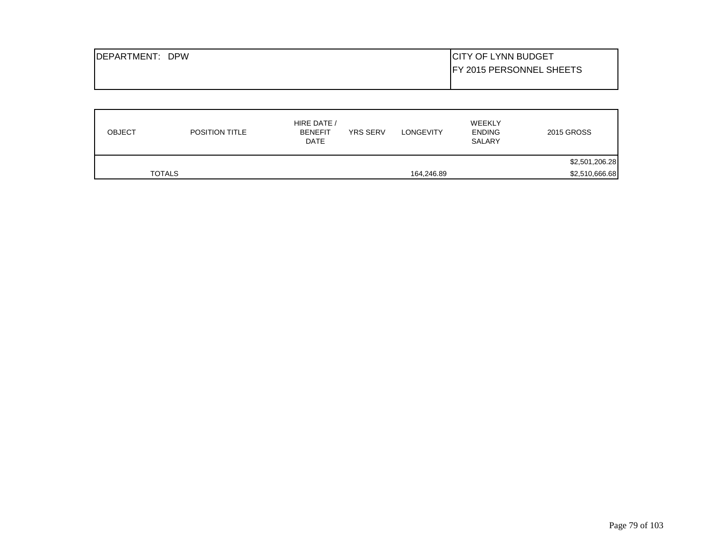| <b>IDEPARTMENT: DPW</b> | <b>CITY OF LYNN BUDGET</b>      |
|-------------------------|---------------------------------|
|                         | <b>FY 2015 PERSONNEL SHEETS</b> |
|                         |                                 |

| <b>OBJECT</b> | <b>POSITION TITLE</b> | HIRE DATE /<br><b>YRS SERV</b><br><b>BENEFIT</b><br><b>DATE</b> | <b>LONGEVITY</b> | WEEKLY<br><b>ENDING</b><br>SALARY | 2015 GROSS     |
|---------------|-----------------------|-----------------------------------------------------------------|------------------|-----------------------------------|----------------|
|               |                       |                                                                 |                  |                                   | \$2,501,206.28 |
|               | <b>TOTALS</b>         |                                                                 | 164,246.89       |                                   | \$2,510,666.68 |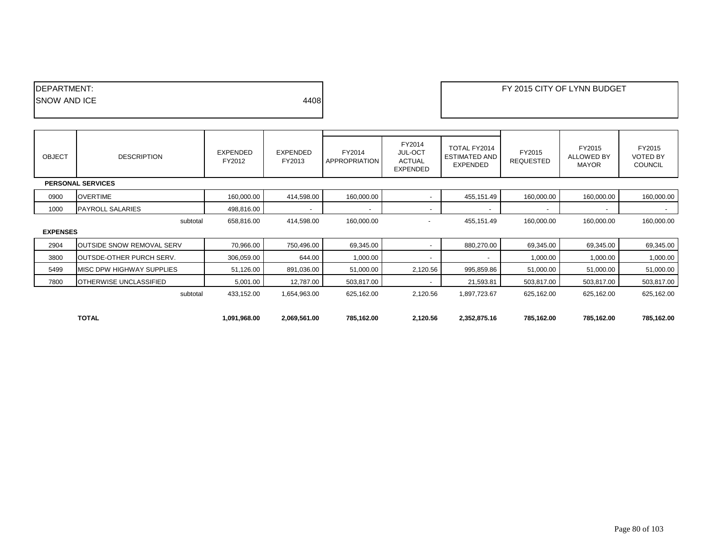| <b>IDEPARTMENT:</b> |      |
|---------------------|------|
| <b>SNOW AND ICE</b> | 4408 |
|                     |      |

| <b>OBJECT</b>   | <b>DESCRIPTION</b>               | EXPENDED<br>FY2012 | EXPENDED<br>FY2013       | FY2014<br>APPROPRIATION  | FY2014<br><b>JUL-OCT</b><br><b>ACTUAL</b><br>EXPENDED | TOTAL FY2014<br><b>ESTIMATED AND</b><br><b>EXPENDED</b> | FY2015<br><b>REQUESTED</b> | FY2015<br><b>ALLOWED BY</b><br><b>MAYOR</b> | FY2015<br><b>VOTED BY</b><br><b>COUNCIL</b> |
|-----------------|----------------------------------|--------------------|--------------------------|--------------------------|-------------------------------------------------------|---------------------------------------------------------|----------------------------|---------------------------------------------|---------------------------------------------|
|                 | <b>PERSONAL SERVICES</b>         |                    |                          |                          |                                                       |                                                         |                            |                                             |                                             |
| 0900            | <b>OVERTIME</b>                  | 160,000.00         | 414,598.00               | 160,000.00               |                                                       | 455,151.49                                              | 160,000.00                 | 160,000.00                                  | 160,000.00                                  |
| 1000            | <b>PAYROLL SALARIES</b>          | 498,816.00         | $\overline{\phantom{a}}$ | $\overline{\phantom{a}}$ | $\blacksquare$                                        |                                                         |                            | $\overline{\phantom{a}}$                    | $\sim$                                      |
|                 | subtotal                         | 658,816.00         | 414,598.00               | 160,000.00               | $\overline{\phantom{a}}$                              | 455,151.49                                              | 160,000.00                 | 160,000.00                                  | 160,000.00                                  |
| <b>EXPENSES</b> |                                  |                    |                          |                          |                                                       |                                                         |                            |                                             |                                             |
| 2904            | <b>OUTSIDE SNOW REMOVAL SERV</b> | 70,966.00          | 750,496.00               | 69,345.00                | $\overline{\phantom{0}}$                              | 880,270.00                                              | 69,345.00                  | 69,345.00                                   | 69,345.00                                   |
| 3800            | OUTSDE-OTHER PURCH SERV.         | 306,059.00         | 644.00                   | 1,000.00                 | $\overline{\phantom{a}}$                              |                                                         | 1,000.00                   | 1,000.00                                    | 1,000.00                                    |
| 5499            | <b>MISC DPW HIGHWAY SUPPLIES</b> | 51,126.00          | 891,036.00               | 51,000.00                | 2,120.56                                              | 995,859.86                                              | 51,000.00                  | 51,000.00                                   | 51,000.00                                   |
| 7800            | OTHERWISE UNCLASSIFIED           | 5,001.00           | 12,787.00                | 503,817.00               | $\overline{\phantom{a}}$                              | 21,593.81                                               | 503,817.00                 | 503,817.00                                  | 503,817.00                                  |
|                 | subtotal                         | 433,152.00         | 1,654,963.00             | 625,162.00               | 2,120.56                                              | 1,897,723.67                                            | 625,162.00                 | 625,162.00                                  | 625,162.00                                  |
|                 |                                  |                    |                          |                          |                                                       |                                                         |                            |                                             |                                             |
|                 | <b>TOTAL</b>                     | 1,091,968.00       | 2,069,561.00             | 785,162.00               | 2,120.56                                              | 2,352,875.16                                            | 785,162.00                 | 785,162.00                                  | 785,162.00                                  |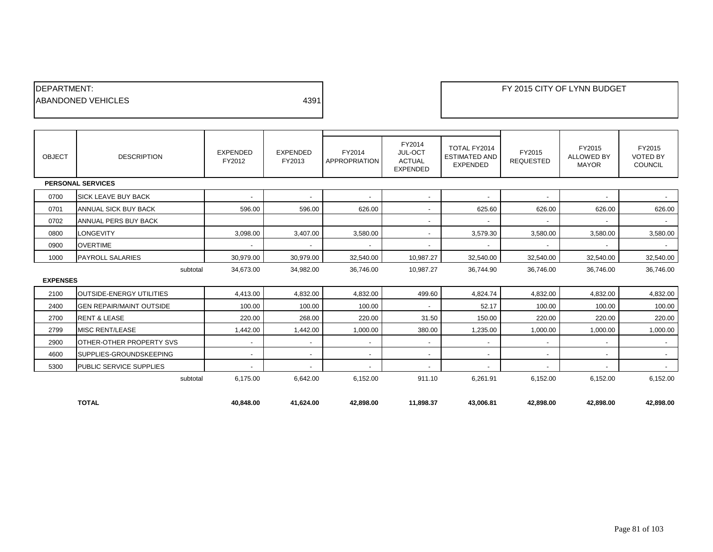| <b>IDEPARTMENT:</b>        |      |
|----------------------------|------|
| <b>IABANDONED VEHICLES</b> | 4391 |
|                            |      |

| OBJECT          | <b>DESCRIPTION</b>              | <b>EXPENDED</b><br>FY2012 | <b>EXPENDED</b><br>FY2013 | FY2014<br>APPROPRIATION | FY2014<br><b>JUL-OCT</b><br><b>ACTUAL</b><br><b>EXPENDED</b> | TOTAL FY2014<br><b>ESTIMATED AND</b><br><b>EXPENDED</b> | FY2015<br><b>REQUESTED</b> | FY2015<br><b>ALLOWED BY</b><br><b>MAYOR</b> | FY2015<br><b>VOTED BY</b><br>COUNCIL |
|-----------------|---------------------------------|---------------------------|---------------------------|-------------------------|--------------------------------------------------------------|---------------------------------------------------------|----------------------------|---------------------------------------------|--------------------------------------|
|                 | <b>PERSONAL SERVICES</b>        |                           |                           |                         |                                                              |                                                         |                            |                                             |                                      |
| 0700            | <b>SICK LEAVE BUY BACK</b>      | $\overline{\phantom{a}}$  | $\blacksquare$            |                         | $\overline{\phantom{a}}$                                     |                                                         | $\overline{\phantom{a}}$   | $\overline{\phantom{a}}$                    |                                      |
| 0701            | ANNUAL SICK BUY BACK            | 596.00                    | 596.00                    | 626.00                  | $\sim$                                                       | 625.60                                                  | 626.00                     | 626.00                                      | 626.00                               |
| 0702            | ANNUAL PERS BUY BACK            |                           |                           |                         | $\overline{\phantom{a}}$                                     |                                                         | $\overline{\phantom{a}}$   | $\overline{\phantom{a}}$                    | $\sim$                               |
| 0800            | <b>LONGEVITY</b>                | 3,098.00                  | 3,407.00                  | 3,580.00                | $\overline{\phantom{a}}$                                     | 3,579.30                                                | 3,580.00                   | 3,580.00                                    | 3,580.00                             |
| 0900            | <b>OVERTIME</b>                 | $\blacksquare$            | $\overline{\phantom{a}}$  |                         | $\overline{\phantom{a}}$                                     |                                                         | $\overline{\phantom{a}}$   |                                             | $\sim$                               |
| 1000            | <b>PAYROLL SALARIES</b>         | 30.979.00                 | 30,979.00                 | 32,540.00               | 10,987.27                                                    | 32,540.00                                               | 32,540.00                  | 32,540.00                                   | 32,540.00                            |
|                 | subtotal                        | 34,673.00                 | 34,982.00                 | 36,746.00               | 10,987.27                                                    | 36,744.90                                               | 36,746.00                  | 36,746.00                                   | 36,746.00                            |
| <b>EXPENSES</b> |                                 |                           |                           |                         |                                                              |                                                         |                            |                                             |                                      |
| 2100            | OUTSIDE-ENERGY UTILITIES        | 4,413.00                  | 4,832.00                  | 4,832.00                | 499.60                                                       | 4,824.74                                                | 4,832.00                   | 4,832.00                                    | 4,832.00                             |
| 2400            | <b>GEN REPAIR/MAINT OUTSIDE</b> | 100.00                    | 100.00                    | 100.00                  | $\sim$                                                       | 52.17                                                   | 100.00                     | 100.00                                      | 100.00                               |
| 2700            | <b>RENT &amp; LEASE</b>         | 220.00                    | 268.00                    | 220.00                  | 31.50                                                        | 150.00                                                  | 220.00                     | 220.00                                      | 220.00                               |
| 2799            | <b>MISC RENT/LEASE</b>          | 1,442.00                  | 1,442.00                  | 1,000.00                | 380.00                                                       | 1,235.00                                                | 1,000.00                   | 1,000.00                                    | 1,000.00                             |
| 2900            | OTHER-OTHER PROPERTY SVS        | $\overline{\phantom{a}}$  | $\overline{\phantom{a}}$  |                         | $\overline{\phantom{a}}$                                     |                                                         | $\overline{\phantom{a}}$   | $\overline{\phantom{a}}$                    | $\overline{\phantom{a}}$             |
| 4600            | SUPPLIES-GROUNDSKEEPING         | $\overline{\phantom{a}}$  | $\overline{\phantom{a}}$  | $\blacksquare$          | $\sim$                                                       | $\sim$                                                  | $\overline{\phantom{a}}$   | $\overline{\phantom{a}}$                    | $\sim$                               |
| 5300            | PUBLIC SERVICE SUPPLIES         | $\blacksquare$            | $\blacksquare$            |                         | $\blacksquare$                                               |                                                         | $\overline{\phantom{a}}$   |                                             | $\sim$                               |
|                 | subtotal                        | 6,175.00                  | 6,642.00                  | 6,152.00                | 911.10                                                       | 6,261.91                                                | 6,152.00                   | 6,152.00                                    | 6,152.00                             |
|                 |                                 |                           |                           |                         |                                                              |                                                         |                            |                                             |                                      |
|                 | <b>TOTAL</b>                    | 40,848.00                 | 41,624.00                 | 42,898.00               | 11,898.37                                                    | 43,006.81                                               | 42,898.00                  | 42,898.00                                   | 42,898.00                            |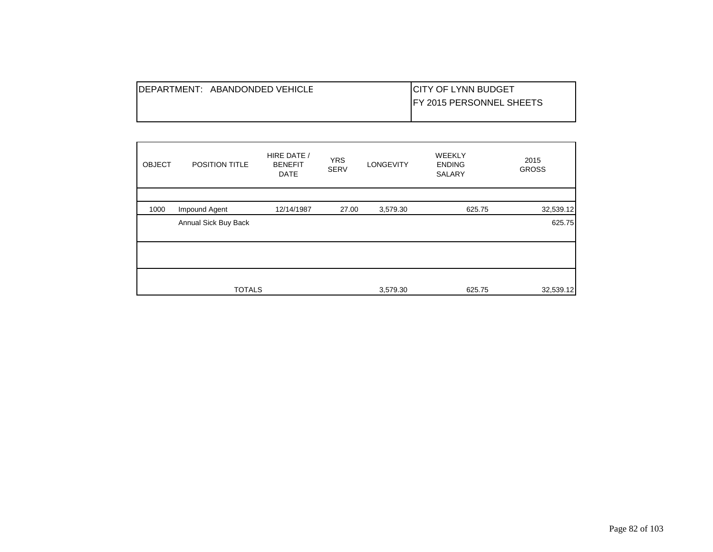| IDEPARTMENT: ABANDONDED VEHICLE | ICITY OF LYNN BUDGET             |
|---------------------------------|----------------------------------|
|                                 | <b>IFY 2015 PERSONNEL SHEETS</b> |
|                                 |                                  |

| <b>OBJECT</b> | POSITION TITLE       | HIRE DATE /<br><b>BENEFIT</b><br><b>DATE</b> | <b>YRS</b><br><b>SERV</b> | LONGEVITY | <b>WEEKLY</b><br><b>ENDING</b><br>SALARY | 2015<br><b>GROSS</b> |
|---------------|----------------------|----------------------------------------------|---------------------------|-----------|------------------------------------------|----------------------|
| 1000          | Impound Agent        | 12/14/1987                                   | 27.00                     | 3,579.30  | 625.75                                   | 32,539.12            |
|               | Annual Sick Buy Back |                                              |                           |           |                                          | 625.75               |
|               |                      |                                              |                           |           |                                          |                      |
|               | <b>TOTALS</b>        |                                              |                           | 3,579.30  | 625.75                                   | 32,539.12            |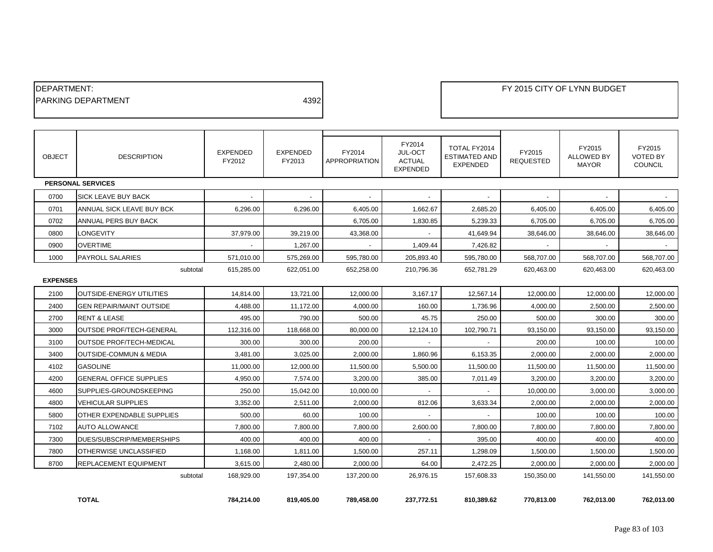| <b>IDEPARTMENT:</b>        |      |
|----------------------------|------|
| <b>IPARKING DEPARTMENT</b> | 4392 |
|                            |      |

| <b>OBJECT</b>   | <b>DESCRIPTION</b>                | <b>EXPENDED</b><br>FY2012 | <b>EXPENDED</b><br>FY2013 | FY2014<br><b>APPROPRIATION</b> | FY2014<br>JUL-OCT<br><b>ACTUAL</b><br><b>EXPENDED</b> | TOTAL FY2014<br><b>ESTIMATED AND</b><br><b>EXPENDED</b> | FY2015<br><b>REQUESTED</b> | FY2015<br>ALLOWED BY<br><b>MAYOR</b> | FY2015<br><b>VOTED BY</b><br><b>COUNCIL</b> |
|-----------------|-----------------------------------|---------------------------|---------------------------|--------------------------------|-------------------------------------------------------|---------------------------------------------------------|----------------------------|--------------------------------------|---------------------------------------------|
|                 | <b>PERSONAL SERVICES</b>          |                           |                           |                                |                                                       |                                                         |                            |                                      |                                             |
| 0700            | SICK LEAVE BUY BACK               |                           |                           |                                |                                                       |                                                         |                            |                                      |                                             |
| 0701            | ANNUAL SICK LEAVE BUY BCK         | 6,296.00                  | 6,296.00                  | 6,405.00                       | 1,662.67                                              | 2,685.20                                                | 6,405.00                   | 6,405.00                             | 6,405.00                                    |
| 0702            | ANNUAL PERS BUY BACK              |                           |                           | 6,705.00                       | 1,830.85                                              | 5,239.33                                                | 6,705.00                   | 6,705.00                             | 6,705.00                                    |
| 0800            | <b>LONGEVITY</b>                  | 37,979.00                 | 39,219.00                 | 43,368.00                      |                                                       | 41,649.94                                               | 38,646.00                  | 38,646.00                            | 38,646.00                                   |
| 0900            | <b>OVERTIME</b>                   |                           | 1,267.00                  |                                | 1,409.44                                              | 7,426.82                                                |                            |                                      |                                             |
| 1000            | <b>PAYROLL SALARIES</b>           | 571,010.00                | 575,269.00                | 595,780.00                     | 205,893.40                                            | 595,780.00                                              | 568,707.00                 | 568,707.00                           | 568.707.00                                  |
|                 | subtotal                          | 615,285.00                | 622.051.00                | 652.258.00                     | 210.796.36                                            | 652.781.29                                              | 620,463.00                 | 620.463.00                           | 620,463.00                                  |
| <b>EXPENSES</b> |                                   |                           |                           |                                |                                                       |                                                         |                            |                                      |                                             |
| 2100            | OUTSIDE-ENERGY UTILITIES          | 14,814.00                 | 13,721.00                 | 12,000.00                      | 3,167.17                                              | 12,567.14                                               | 12,000.00                  | 12,000.00                            | 12,000.00                                   |
| 2400            | <b>GEN REPAIR/MAINT OUTSIDE</b>   | 4,488.00                  | 11,172.00                 | 4,000.00                       | 160.00                                                | 1,736.96                                                | 4,000.00                   | 2,500.00                             | 2,500.00                                    |
| 2700            | <b>RENT &amp; LEASE</b>           | 495.00                    | 790.00                    | 500.00                         | 45.75                                                 | 250.00                                                  | 500.00                     | 300.00                               | 300.00                                      |
| 3000            | OUTSDE PROF/TECH-GENERAL          | 112,316.00                | 118,668.00                | 80,000.00                      | 12,124.10                                             | 102,790.71                                              | 93,150.00                  | 93,150.00                            | 93,150.00                                   |
| 3100            | <b>OUTSDE PROF/TECH-MEDICAL</b>   | 300.00                    | 300.00                    | 200.00                         |                                                       |                                                         | 200.00                     | 100.00                               | 100.00                                      |
| 3400            | <b>OUTSIDE-COMMUN &amp; MEDIA</b> | 3.481.00                  | 3,025.00                  | 2.000.00                       | 1.860.96                                              | 6,153.35                                                | 2.000.00                   | 2,000.00                             | 2,000.00                                    |
| 4102            | <b>GASOLINE</b>                   | 11.000.00                 | 12.000.00                 | 11,500.00                      | 5,500.00                                              | 11.500.00                                               | 11,500.00                  | 11.500.00                            | 11,500.00                                   |
| 4200            | <b>GENERAL OFFICE SUPPLIES</b>    | 4,950.00                  | 7,574.00                  | 3,200.00                       | 385.00                                                | 7,011.49                                                | 3,200.00                   | 3,200.00                             | 3,200.00                                    |
| 4600            | SUPPLIES-GROUNDSKEEPING           | 250.00                    | 15,042.00                 | 10,000.00                      |                                                       |                                                         | 10,000.00                  | 3,000.00                             | 3,000.00                                    |
| 4800            | <b>VEHICULAR SUPPLIES</b>         | 3,352.00                  | 2,511.00                  | 2,000.00                       | 812.06                                                | 3,633.34                                                | 2,000.00                   | 2,000.00                             | 2,000.00                                    |
| 5800            | OTHER EXPENDABLE SUPPLIES         | 500.00                    | 60.00                     | 100.00                         | $\sim$                                                | $\sim$                                                  | 100.00                     | 100.00                               | 100.00                                      |
| 7102            | <b>AUTO ALLOWANCE</b>             | 7,800.00                  | 7,800.00                  | 7,800.00                       | 2,600.00                                              | 7,800.00                                                | 7,800.00                   | 7,800.00                             | 7,800.00                                    |
| 7300            | DUES/SUBSCRIP/MEMBERSHIPS         | 400.00                    | 400.00                    | 400.00                         | $\sim$                                                | 395.00                                                  | 400.00                     | 400.00                               | 400.00                                      |
| 7800            | OTHERWISE UNCLASSIFIED            | 1,168.00                  | 1,811.00                  | 1.500.00                       | 257.11                                                | 1,298.09                                                | 1,500.00                   | 1,500.00                             | 1,500.00                                    |
| 8700            | REPLACEMENT EQUIPMENT             | 3,615.00                  | 2,480.00                  | 2,000.00                       | 64.00                                                 | 2,472.25                                                | 2,000.00                   | 2,000.00                             | 2,000.00                                    |
|                 | subtotal                          | 168,929.00                | 197,354.00                | 137,200.00                     | 26,976.15                                             | 157,608.33                                              | 150,350.00                 | 141,550.00                           | 141,550.00                                  |
|                 |                                   |                           |                           |                                |                                                       |                                                         |                            |                                      |                                             |

**TOTAL 784,214.00 819,405.00 789,458.00 237,772.51 810,389.62 770,813.00 762,013.00 762,013.00**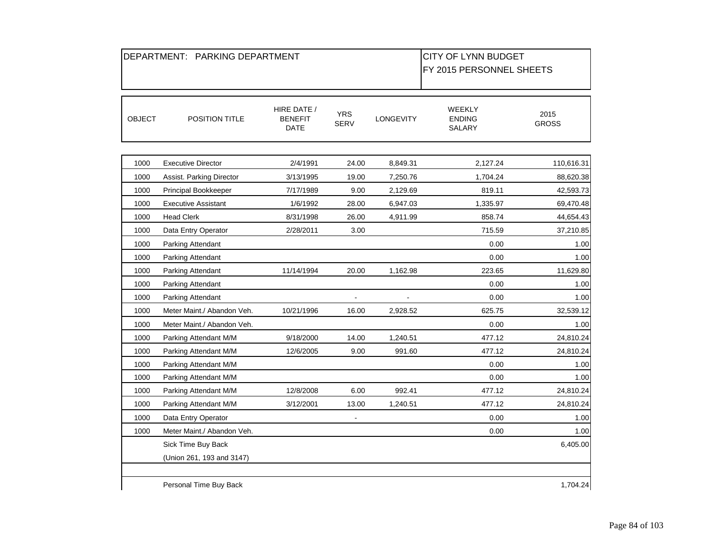|               | DEPARTMENT: PARKING DEPARTMENT         | <b>CITY OF LYNN BUDGET</b>     |                           |                  |                                   |                      |
|---------------|----------------------------------------|--------------------------------|---------------------------|------------------|-----------------------------------|----------------------|
|               |                                        |                                |                           |                  | FY 2015 PERSONNEL SHEETS          |                      |
|               |                                        |                                |                           |                  |                                   |                      |
| <b>OBJECT</b> | POSITION TITLE                         | HIRE DATE /<br>BENEFIT<br>DATE | <b>YRS</b><br><b>SERV</b> | <b>LONGEVITY</b> | WEEKLY<br><b>ENDING</b><br>SALARY | 2015<br><b>GROSS</b> |
| 1000          | <b>Executive Director</b>              | 2/4/1991                       | 24.00                     | 8,849.31         | 2,127.24                          | 110,616.31           |
|               |                                        |                                |                           |                  |                                   |                      |
| 1000          | Assist. Parking Director               | 3/13/1995                      | 19.00                     | 7,250.76         | 1,704.24                          | 88,620.38            |
| 1000<br>1000  | Principal Bookkeeper                   | 7/17/1989                      | 9.00                      | 2,129.69         | 819.11                            | 42,593.73            |
| 1000          | <b>Executive Assistant</b>             | 1/6/1992                       | 28.00                     | 6,947.03         | 1,335.97<br>858.74                | 69,470.48            |
| 1000          | <b>Head Clerk</b>                      | 8/31/1998                      | 26.00                     | 4,911.99         |                                   | 44,654.43            |
| 1000          | Data Entry Operator                    | 2/28/2011                      | 3.00                      |                  | 715.59<br>0.00                    | 37,210.85<br>1.00    |
| 1000          | Parking Attendant<br>Parking Attendant |                                |                           |                  | 0.00                              | 1.00                 |
| 1000          | Parking Attendant                      | 11/14/1994                     | 20.00                     | 1,162.98         | 223.65                            | 11,629.80            |
| 1000          | Parking Attendant                      |                                |                           |                  | 0.00                              | 1.00                 |
| 1000          | Parking Attendant                      |                                | $\blacksquare$            | $\blacksquare$   | 0.00                              | 1.00                 |
| 1000          | Meter Maint./ Abandon Veh.             | 10/21/1996                     | 16.00                     | 2,928.52         | 625.75                            | 32,539.12            |
| 1000          | Meter Maint./ Abandon Veh.             |                                |                           |                  | 0.00                              | 1.00                 |
| 1000          | Parking Attendant M/M                  | 9/18/2000                      | 14.00                     | 1,240.51         | 477.12                            | 24,810.24            |
| 1000          | Parking Attendant M/M                  | 12/6/2005                      | 9.00                      | 991.60           | 477.12                            | 24,810.24            |
| 1000          | Parking Attendant M/M                  |                                |                           |                  | 0.00                              | 1.00                 |
| 1000          | Parking Attendant M/M                  |                                |                           |                  | 0.00                              | 1.00                 |
| 1000          | Parking Attendant M/M                  | 12/8/2008                      | 6.00                      | 992.41           | 477.12                            | 24,810.24            |
| 1000          | Parking Attendant M/M                  | 3/12/2001                      | 13.00                     | 1,240.51         | 477.12                            | 24,810.24            |
| 1000          | Data Entry Operator                    |                                |                           |                  | 0.00                              | 1.00                 |
| 1000          | Meter Maint./ Abandon Veh.             |                                |                           |                  | 0.00                              | 1.00                 |
|               | Sick Time Buy Back                     |                                |                           |                  |                                   | 6,405.00             |
|               | (Union 261, 193 and 3147)              |                                |                           |                  |                                   |                      |
|               | Personal Time Buy Back                 |                                |                           |                  |                                   | 1,704.24             |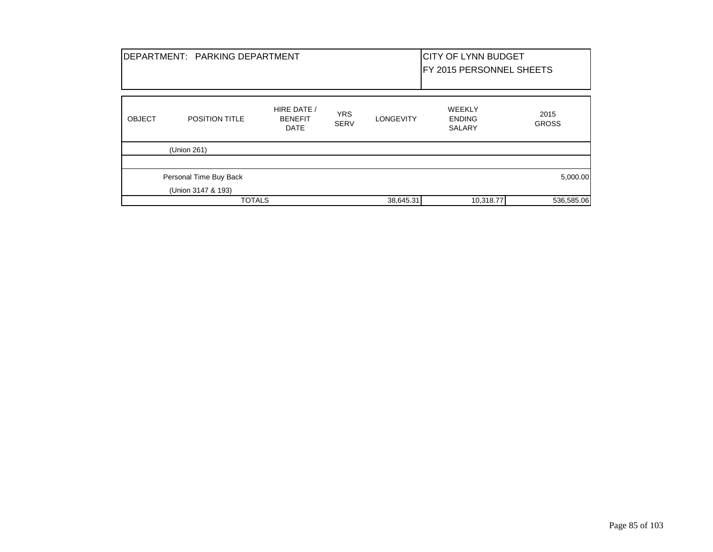|               | DEPARTMENT: PARKING DEPARTMENT |                                              |                           | <b>CITY OF LYNN BUDGET</b><br>FY 2015 PERSONNEL SHEETS |                                                 |                      |  |
|---------------|--------------------------------|----------------------------------------------|---------------------------|--------------------------------------------------------|-------------------------------------------------|----------------------|--|
| <b>OBJECT</b> | <b>POSITION TITLE</b>          | HIRE DATE /<br><b>BENEFIT</b><br><b>DATE</b> | <b>YRS</b><br><b>SERV</b> | <b>LONGEVITY</b>                                       | <b>WEEKLY</b><br><b>ENDING</b><br><b>SALARY</b> | 2015<br><b>GROSS</b> |  |
|               | (Union 261)                    |                                              |                           |                                                        |                                                 |                      |  |
|               | Personal Time Buy Back         |                                              |                           |                                                        |                                                 | 5,000.00             |  |
|               | (Union 3147 & 193)             |                                              |                           |                                                        |                                                 |                      |  |
|               | <b>TOTALS</b>                  |                                              |                           | 38,645.31                                              | 10,318.77                                       | 536,585.06           |  |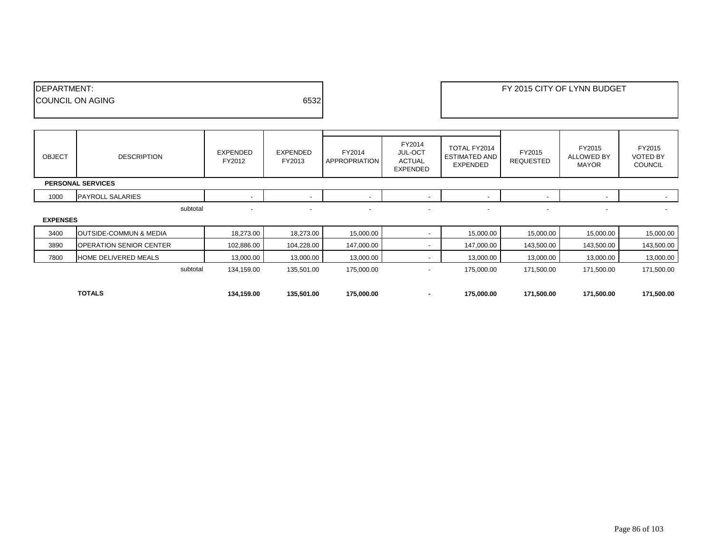| <b>IDEPARTMENT:</b>     |      | FY 2015 CITY OF LYNN BUDGET |
|-------------------------|------|-----------------------------|
| <b>COUNCIL ON AGING</b> | 6532 |                             |
|                         |      |                             |

| OBJECT          | <b>DESCRIPTION</b>                | EXPENDED<br>FY2012 | <b>EXPENDED</b><br>FY2013 | FY2014<br><b>APPROPRIATION</b> | FY2014<br><b>JUL-OCT</b><br>ACTUAL<br><b>EXPENDED</b> | TOTAL FY2014<br><b>ESTIMATED AND</b><br>EXPENDED | FY2015<br><b>REQUESTED</b> | FY2015<br>ALLOWED BY<br><b>MAYOR</b> | FY2015<br><b>VOTED BY</b><br><b>COUNCIL</b> |
|-----------------|-----------------------------------|--------------------|---------------------------|--------------------------------|-------------------------------------------------------|--------------------------------------------------|----------------------------|--------------------------------------|---------------------------------------------|
|                 | <b>PERSONAL SERVICES</b>          |                    |                           |                                |                                                       |                                                  |                            |                                      |                                             |
| 1000            | <b>PAYROLL SALARIES</b>           |                    | $\overline{\phantom{a}}$  |                                |                                                       |                                                  |                            | $\overline{\phantom{a}}$             |                                             |
|                 | subtotal                          |                    | $\overline{\phantom{a}}$  |                                | $\overline{\phantom{a}}$                              | $\overline{\phantom{a}}$                         |                            | $\overline{\phantom{0}}$             |                                             |
| <b>EXPENSES</b> |                                   |                    |                           |                                |                                                       |                                                  |                            |                                      |                                             |
| 3400            | <b>OUTSIDE-COMMUN &amp; MEDIA</b> | 18,273.00          | 18,273.00                 | 15,000.00                      |                                                       | 15,000.00                                        | 15,000.00                  | 15,000.00                            | 15,000.00                                   |
| 3890            | OPERATION SENIOR CENTER           | 102,886.00         | 104,228.00                | 147,000.00                     |                                                       | 147,000.00                                       | 143,500.00                 | 143,500.00                           | 143,500.00                                  |
| 7800            | HOME DELIVERED MEALS              | 13,000.00          | 13,000.00                 | 13,000.00                      |                                                       | 13,000.00                                        | 13,000.00                  | 13,000.00                            | 13,000.00                                   |
|                 | subtotal                          | 134,159.00         | 135,501.00                | 175,000.00                     | $\overline{\phantom{a}}$                              | 175,000.00                                       | 171,500.00                 | 171,500.00                           | 171,500.00                                  |

| <b>TOTALS</b> | 134,159.00 | 135.501.00 | 175.000.00 | 175,000.00 | 171,500.00 | 171,500.00 | 171,500.00 |
|---------------|------------|------------|------------|------------|------------|------------|------------|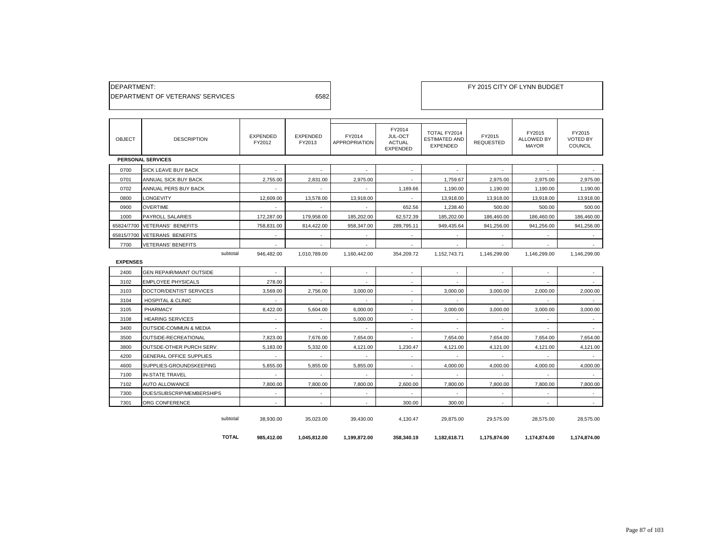| DEPARTMENT:                      |      |
|----------------------------------|------|
| DEPARTMENT OF VETERANS' SERVICES | 6582 |

| <b>OBJECT</b>   | <b>DESCRIPTION</b>                | <b>EXPENDED</b><br>FY2012 | <b>EXPENDED</b><br>FY2013 | FY2014<br><b>APPROPRIATION</b> | FY2014<br>JUL-OCT<br><b>ACTUAL</b><br><b>EXPENDED</b> | TOTAL FY2014<br><b>ESTIMATED AND</b><br><b>EXPENDED</b> | FY2015<br><b>REQUESTED</b> | FY2015<br>ALLOWED BY<br><b>MAYOR</b> | FY2015<br><b>VOTED BY</b><br><b>COUNCIL</b> |
|-----------------|-----------------------------------|---------------------------|---------------------------|--------------------------------|-------------------------------------------------------|---------------------------------------------------------|----------------------------|--------------------------------------|---------------------------------------------|
|                 | <b>PERSONAL SERVICES</b>          |                           |                           |                                |                                                       |                                                         |                            |                                      |                                             |
| 0700            | <b>SICK LEAVE BUY BACK</b>        | ×.                        | $\sim$                    | $\sim$                         |                                                       |                                                         |                            | ×.                                   |                                             |
| 0701            | ANNUAL SICK BUY BACK              | 2.755.00                  | 2,831.00                  | 2,975.00                       | $\sim$                                                | 1,759.67                                                | 2,975.00                   | 2,975.00                             | 2.975.00                                    |
| 0702            | ANNUAL PERS BUY BACK              |                           |                           |                                | 1,189.66                                              | 1,190.00                                                | 1,190.00                   | 1,190.00                             | 1,190.00                                    |
| 0800            | LONGEVITY                         | 12.609.00                 | 13,578.00                 | 13,918.00                      |                                                       | 13,918.00                                               | 13,918.00                  | 13,918.00                            | 13,918.00                                   |
| 0900            | <b>OVERTIME</b>                   | $\sim$                    | $\sim$                    | $\sim$                         | 652.56                                                | 1.238.40                                                | 500.00                     | 500.00                               | 500.00                                      |
| 1000            | <b>PAYROLL SALARIES</b>           | 172,287.00                | 179,958.00                | 185,202.00                     | 62,572.39                                             | 185,202.00                                              | 186,460.00                 | 186,460.00                           | 186,460.00                                  |
| 65824/7700      | <b>VETERANS' BENEFITS</b>         | 758.831.00                | 814,422.00                | 958,347.00                     | 289.795.11                                            | 949,435.64                                              | 941.256.00                 | 941,256.00                           | 941,256.00                                  |
| 65815/7700      | <b>VETERANS BENEFITS</b>          | $\sim$                    | ٠                         |                                |                                                       |                                                         |                            |                                      |                                             |
| 7700            | <b>VETERANS' BENEFITS</b>         | $\sim$                    | $\sim$                    | $\sim$                         | $\sim$                                                | $\sim$                                                  | $\sim$                     | $\sim$                               | $\sim$                                      |
|                 | subtotal                          | 946,482.00                | 1,010,789.00              | 1,160,442.00                   | 354,209.72                                            | 1,152,743.71                                            | 1,146,299.00               | 1,146,299.00                         | 1,146,299.00                                |
| <b>EXPENSES</b> |                                   |                           |                           |                                |                                                       |                                                         |                            |                                      |                                             |
| 2400            | <b>GEN REPAIR/MAINT OUTSIDE</b>   | ×.                        | $\overline{\phantom{a}}$  | $\sim$                         |                                                       |                                                         |                            | $\sim$                               |                                             |
| 3102            | <b>EMPLOYEE PHYSICALS</b>         | 278.00                    | $\sim$                    | $\sim$                         | $\overline{\phantom{a}}$                              | $\sim$                                                  | $\sim$                     | $\sim$                               | $\sim$                                      |
| 3103            | DOCTOR/DENTIST SERVICES           | 3,569.00                  | 2,756.00                  | 3,000.00                       |                                                       | 3,000.00                                                | 3,000.00                   | 2,000.00                             | 2,000.00                                    |
| 3104            | <b>HOSPITAL &amp; CLINIC</b>      | $\sim$                    | $\sim$                    | $\sim$                         | $\sim$                                                | $\sim$                                                  | $\sim$                     | $\sim$                               |                                             |
| 3105            | PHARMACY                          | 8,422.00                  | 5,604.00                  | 6,000.00                       |                                                       | 3,000.00                                                | 3,000.00                   | 3,000.00                             | 3,000.00                                    |
| 3108            | <b>HEARING SERVICES</b>           | $\sim$                    | $\sim$                    | 5,000.00                       | $\overline{\phantom{a}}$                              | $\overline{\phantom{a}}$                                | $\sim$                     | $\sim$                               | $\sim$                                      |
| 3400            | <b>OUTSIDE-COMMUN &amp; MEDIA</b> | $\sim$                    | $\sim$                    |                                |                                                       |                                                         |                            |                                      | $\sim$                                      |
| 3500            | OUTSIDE-RECREATIONAL              | 7,823.00                  | 7,676.00                  | 7,654.00                       | $\sim$                                                | 7,654.00                                                | 7,654.00                   | 7,654.00                             | 7,654.00                                    |
| 3800            | <b>OUTSDE-OTHER PURCH SERV.</b>   | 5,183.00                  | 5,332.00                  | 4,121.00                       | 1,230.47                                              | 4,121.00                                                | 4,121.00                   | 4,121.00                             | 4,121.00                                    |
| 4200            | <b>GENERAL OFFICE SUPPLIES</b>    | $\sim$                    | $\sim$                    | $\sim$                         |                                                       | $\sim$                                                  | $\sim$                     | $\sim$                               | $\sim$                                      |
| 4600            | SUPPLIES-GROUNDSKEEPING           | 5,855.00                  | 5,855.00                  | 5,855.00                       |                                                       | 4,000.00                                                | 4,000.00                   | 4,000.00                             | 4,000.00                                    |
| 7100            | <b>IN-STATE TRAVEL</b>            | $\sim$                    | $\sim$                    |                                |                                                       |                                                         |                            | $\sim$                               |                                             |
| 7102            | <b>AUTO ALLOWANCE</b>             | 7.800.00                  | 7.800.00                  | 7.800.00                       | 2.600.00                                              | 7.800.00                                                | 7.800.00                   | 7.800.00                             | 7.800.00                                    |
| 7300            | DUES/SUBSCRIP/MEMBERSHIPS         | $\sim$                    | $\overline{\phantom{a}}$  |                                |                                                       |                                                         |                            |                                      | $\sim$                                      |
| 7301            | ORG CONFERENCE                    | $\sim$                    | $\sim$                    | $\overline{\phantom{a}}$       | 300.00                                                | 300.00                                                  | $\sim$                     |                                      | $\sim$                                      |
|                 | subtotal                          | 38,930.00                 | 35,023.00                 | 39,430.00                      | 4,130.47                                              | 29,875.00                                               | 29,575.00                  | 28,575.00                            | 28,575.00                                   |

**TOTAL 985,412.00 1,045,812.00 1,199,872.00 358,340.19 1,182,618.71 1,175,874.00 1,174,874.00 1,174,874.00**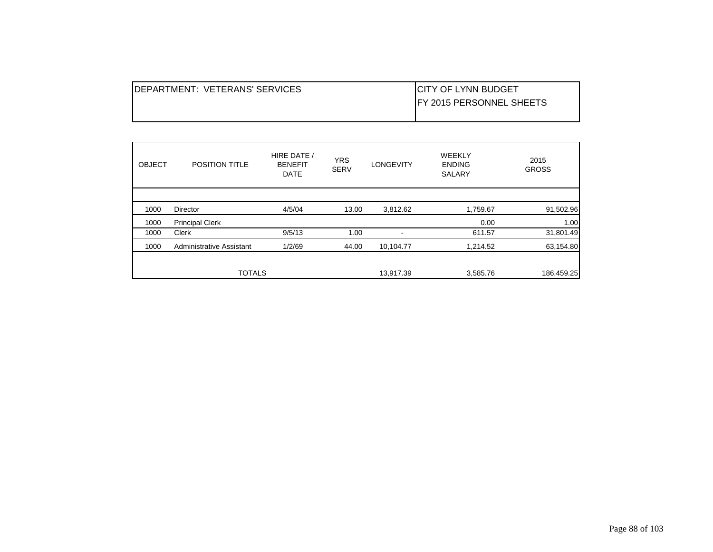| <b>IDEPARTMENT: VETERANS' SERVICES</b> | <b>ICITY OF LYNN BUDGET</b>      |
|----------------------------------------|----------------------------------|
|                                        | <b>IFY 2015 PERSONNEL SHEETS</b> |
|                                        |                                  |

| <b>OBJECT</b> | <b>POSITION TITLE</b>           | HIRE DATE /<br><b>BENEFIT</b><br><b>DATE</b> | <b>YRS</b><br><b>SERV</b> | <b>LONGEVITY</b> | <b>WEEKLY</b><br><b>ENDING</b><br><b>SALARY</b> | 2015<br><b>GROSS</b> |
|---------------|---------------------------------|----------------------------------------------|---------------------------|------------------|-------------------------------------------------|----------------------|
|               |                                 |                                              |                           |                  |                                                 |                      |
| 1000          | <b>Director</b>                 | 4/5/04                                       | 13.00                     | 3,812.62         | 1,759.67                                        | 91,502.96            |
| 1000          | <b>Principal Clerk</b>          |                                              |                           |                  | 0.00                                            | 1.00                 |
| 1000          | Clerk                           | 9/5/13                                       | 1.00                      |                  | 611.57                                          | 31,801.49            |
| 1000          | <b>Administrative Assistant</b> | 1/2/69                                       | 44.00                     | 10,104.77        | 1,214.52                                        | 63,154.80            |
|               |                                 |                                              |                           |                  |                                                 |                      |
|               | <b>TOTALS</b>                   |                                              |                           | 13,917.39        | 3,585.76                                        | 186,459.25           |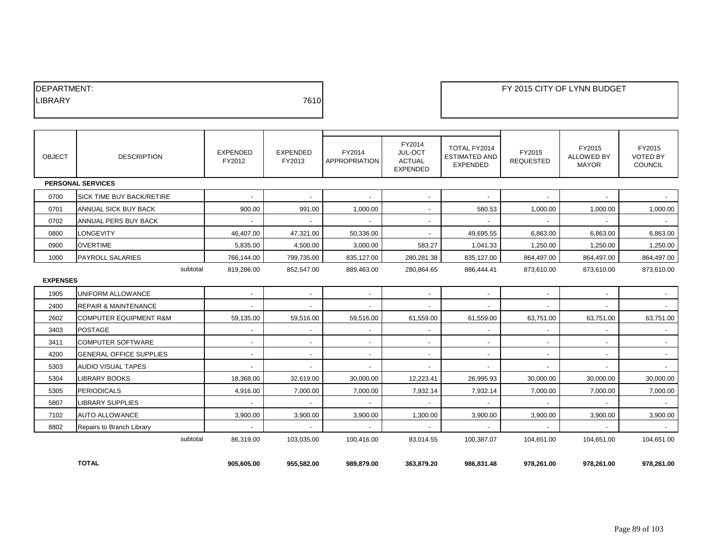| <b>IDEPARTMENT:</b> |      |
|---------------------|------|
| <b>ILIBRARY</b>     | 7610 |
|                     |      |

| <b>OBJECT</b>   | <b>DESCRIPTION</b>                | <b>EXPENDED</b><br>FY2012 | <b>EXPENDED</b><br>FY2013 | FY2014<br>APPROPRIATION  | FY2014<br>JUL-OCT<br><b>ACTUAL</b><br><b>EXPENDED</b> | TOTAL FY2014<br><b>ESTIMATED AND</b><br><b>EXPENDED</b> | FY2015<br><b>REQUESTED</b> | FY2015<br><b>ALLOWED BY</b><br><b>MAYOR</b> | FY2015<br><b>VOTED BY</b><br><b>COUNCIL</b> |
|-----------------|-----------------------------------|---------------------------|---------------------------|--------------------------|-------------------------------------------------------|---------------------------------------------------------|----------------------------|---------------------------------------------|---------------------------------------------|
|                 | <b>PERSONAL SERVICES</b>          |                           |                           |                          |                                                       |                                                         |                            |                                             |                                             |
| 0700            | SICK TIME BUY BACK/RETIRE         |                           |                           |                          |                                                       |                                                         |                            |                                             |                                             |
| 0701            | ANNUAL SICK BUY BACK              | 900.00                    | 991.00                    | 1,000.00                 | $\overline{\phantom{a}}$                              | 580.53                                                  | 1,000.00                   | 1,000.00                                    | 1,000.00                                    |
| 0702            | ANNUAL PERS BUY BACK              | $\sim$                    | $\sim$                    | $\sim$                   | $\overline{\phantom{a}}$                              | $\sim$                                                  | $\sim$                     | $\sim$                                      | $\sim$                                      |
| 0800            | <b>LONGEVITY</b>                  | 46,407.00                 | 47,321.00                 | 50,336.00                |                                                       | 49,695.55                                               | 6,863.00                   | 6,863.00                                    | 6,863.00                                    |
| 0900            | <b>OVERTIME</b>                   | 5,835.00                  | 4,500.00                  | 3,000.00                 | 583.27                                                | 1,041.33                                                | 1,250.00                   | 1,250.00                                    | 1,250.00                                    |
| 1000            | <b>PAYROLL SALARIES</b>           | 766,144.00                | 799,735.00                | 835.127.00               | 280,281.38                                            | 835.127.00                                              | 864,497.00                 | 864,497.00                                  | 864,497.00                                  |
| <b>EXPENSES</b> | subtotal                          | 819,286.00                | 852,547.00                | 889,463.00               | 280,864.65                                            | 886,444.41                                              | 873,610.00                 | 873,610.00                                  | 873,610.00                                  |
| 1905            | UNIFORM ALLOWANCE                 | $\sim$                    | $\sim$                    | $\sim$                   | $\overline{\phantom{a}}$                              | $\sim$                                                  | $\sim$                     | $\overline{\phantom{a}}$                    | $\sim$                                      |
| 2400            | <b>REPAIR &amp; MAINTENANCE</b>   | $\overline{\phantom{a}}$  | $\sim$                    | $\sim$                   | $\overline{\phantom{a}}$                              |                                                         | $\overline{\phantom{a}}$   | $\overline{\phantom{a}}$                    |                                             |
| 2602            | <b>COMPUTER EQUIPMENT R&amp;M</b> | 59,135.00                 | 59,516.00                 | 59,516.00                | 61,559.00                                             | 61,559.00                                               | 63,751.00                  | 63,751.00                                   | 63,751.00                                   |
| 3403            | <b>POSTAGE</b>                    | $\blacksquare$            | $\overline{\phantom{a}}$  | $\overline{\phantom{a}}$ | $\blacksquare$                                        |                                                         | $\blacksquare$             | $\blacksquare$                              | $\sim$                                      |
| 3411            | <b>COMPUTER SOFTWARE</b>          | $\sim$                    | $\sim$                    | $\sim$                   | $\sim$                                                | $\overline{\phantom{a}}$                                | $\overline{\phantom{a}}$   | $\overline{\phantom{a}}$                    | $\sim$                                      |
| 4200            | <b>GENERAL OFFICE SUPPLIES</b>    | $\overline{\phantom{a}}$  | $\sim$                    | $\sim$                   | $\overline{\phantom{a}}$                              |                                                         | $\overline{\phantom{a}}$   | $\sim$                                      | $\sim$                                      |
| 5303            | <b>AUDIO VISUAL TAPES</b>         | $\sim$                    | $\overline{\phantom{a}}$  | $\sim$                   | $\overline{a}$                                        |                                                         |                            | $\blacksquare$                              | $\sim$                                      |
| 5304            | <b>LIBRARY BOOKS</b>              | 18,368.00                 | 32,619.00                 | 30,000.00                | 12,223.41                                             | 26,995.93                                               | 30,000.00                  | 30,000.00                                   | 30,000.00                                   |
| 5305            | <b>PERIODICALS</b>                | 4,916.00                  | 7,000.00                  | 7,000.00                 | 7,932.14                                              | 7,932.14                                                | 7,000.00                   | 7,000.00                                    | 7,000.00                                    |
| 5807            | <b>LIBRARY SUPPLIES</b>           |                           | $\overline{\phantom{a}}$  |                          |                                                       |                                                         |                            |                                             | $\sim$                                      |
| 7102            | <b>AUTO ALLOWANCE</b>             | 3,900.00                  | 3,900.00                  | 3,900.00                 | 1,300.00                                              | 3,900.00                                                | 3,900.00                   | 3,900.00                                    | 3,900.00                                    |
| 8802            | Repairs to Branch Library         | $\overline{\phantom{a}}$  | $\overline{\phantom{a}}$  | $\sim$                   | $\sim$                                                |                                                         | $\blacksquare$             | $\overline{\phantom{a}}$                    | $\sim$                                      |
|                 | subtotal                          | 86,319.00                 | 103,035.00                | 100,416.00               | 83,014.55                                             | 100,387.07                                              | 104,651.00                 | 104,651.00                                  | 104,651.00                                  |
|                 | <b>TOTAL</b>                      | 905,605.00                | 955,582.00                | 989,879.00               | 363,879.20                                            | 986,831.48                                              | 978,261.00                 | 978,261.00                                  | 978,261.00                                  |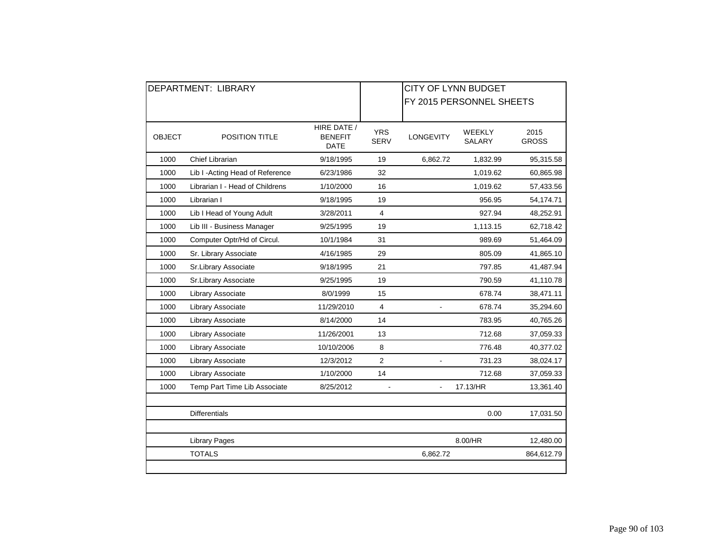|               | <b>DEPARTMENT: LIBRARY</b>       |                                              | <b>CITY OF LYNN BUDGET</b> |                  |                                |                      |  |  |
|---------------|----------------------------------|----------------------------------------------|----------------------------|------------------|--------------------------------|----------------------|--|--|
|               |                                  |                                              |                            |                  | FY 2015 PERSONNEL SHEETS       |                      |  |  |
|               |                                  |                                              |                            |                  |                                |                      |  |  |
| <b>OBJECT</b> | <b>POSITION TITLE</b>            | HIRE DATE /<br><b>BENEFIT</b><br><b>DATE</b> | <b>YRS</b><br><b>SERV</b>  | <b>LONGEVITY</b> | <b>WEEKLY</b><br><b>SALARY</b> | 2015<br><b>GROSS</b> |  |  |
| 1000          | <b>Chief Librarian</b>           | 9/18/1995                                    | 19                         | 6,862.72         | 1,832.99                       | 95,315.58            |  |  |
| 1000          | Lib I - Acting Head of Reference | 6/23/1986                                    | 32                         |                  | 1,019.62                       | 60,865.98            |  |  |
| 1000          | Librarian I - Head of Childrens  | 1/10/2000                                    | 16                         |                  | 1,019.62                       | 57,433.56            |  |  |
| 1000          | Librarian I                      | 9/18/1995                                    | 19                         |                  | 956.95                         | 54,174.71            |  |  |
| 1000          | Lib I Head of Young Adult        | 3/28/2011                                    | 4                          |                  | 927.94                         | 48,252.91            |  |  |
| 1000          | Lib III - Business Manager       | 9/25/1995                                    | 19                         |                  | 1,113.15                       | 62,718.42            |  |  |
| 1000          | Computer Optr/Hd of Circul.      | 10/1/1984                                    | 31                         |                  | 989.69                         | 51,464.09            |  |  |
| 1000          | Sr. Library Associate            | 4/16/1985                                    | 29                         |                  | 805.09                         | 41,865.10            |  |  |
| 1000          | Sr.Library Associate             | 9/18/1995                                    | 21                         |                  | 797.85                         | 41,487.94            |  |  |
| 1000          | Sr.Library Associate             | 9/25/1995                                    | 19                         |                  | 790.59                         | 41,110.78            |  |  |
| 1000          | Library Associate                | 8/0/1999                                     | 15                         |                  | 678.74                         | 38,471.11            |  |  |
| 1000          | Library Associate                | 11/29/2010                                   | 4                          | ÷,               | 678.74                         | 35,294.60            |  |  |
| 1000          | Library Associate                | 8/14/2000                                    | 14                         |                  | 783.95                         | 40,765.26            |  |  |
| 1000          | Library Associate                | 11/26/2001                                   | 13                         |                  | 712.68                         | 37,059.33            |  |  |
| 1000          | Library Associate                | 10/10/2006                                   | 8                          |                  | 776.48                         | 40,377.02            |  |  |
| 1000          | Library Associate                | 12/3/2012                                    | $\overline{2}$             |                  | 731.23                         | 38,024.17            |  |  |
| 1000          | Library Associate                | 1/10/2000                                    | 14                         |                  | 712.68                         | 37,059.33            |  |  |
| 1000          | Temp Part Time Lib Associate     | 8/25/2012                                    |                            |                  | 17.13/HR                       | 13,361.40            |  |  |
|               |                                  |                                              |                            |                  |                                |                      |  |  |
|               | <b>Differentials</b>             |                                              |                            |                  | 0.00                           | 17,031.50            |  |  |
|               | <b>Library Pages</b>             |                                              |                            |                  | 8.00/HR                        | 12,480.00            |  |  |
|               | <b>TOTALS</b>                    |                                              |                            | 6,862.72         |                                | 864,612.79           |  |  |
|               |                                  |                                              |                            |                  |                                |                      |  |  |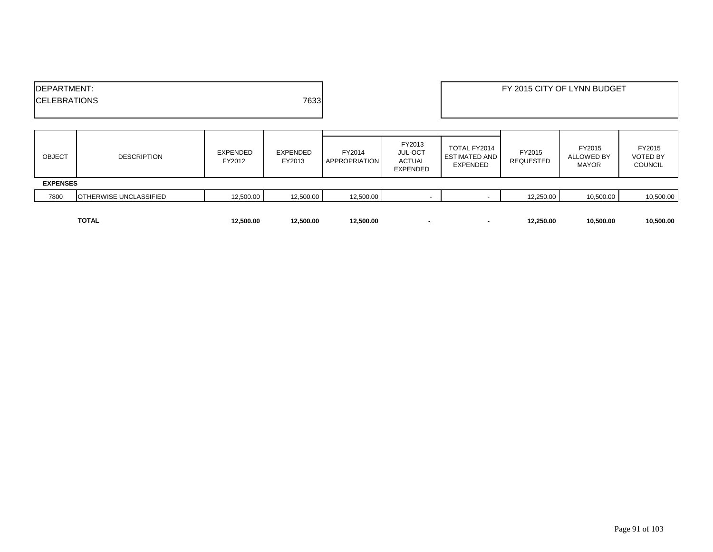| <b>IDEPARTMENT:</b><br><b>ICELEBRATIONS</b> |                               |                           | 7633                      |                                |                                                       |                                                         |                            | FY 2015 CITY OF LYNN BUDGET                 |                                             |
|---------------------------------------------|-------------------------------|---------------------------|---------------------------|--------------------------------|-------------------------------------------------------|---------------------------------------------------------|----------------------------|---------------------------------------------|---------------------------------------------|
| <b>OBJECT</b>                               | <b>DESCRIPTION</b>            | <b>EXPENDED</b><br>FY2012 | <b>EXPENDED</b><br>FY2013 | FY2014<br><b>APPROPRIATION</b> | FY2013<br><b>JUL-OCT</b><br><b>ACTUAL</b><br>EXPENDED | TOTAL FY2014<br><b>ESTIMATED AND</b><br><b>EXPENDED</b> | FY2015<br><b>REQUESTED</b> | FY2015<br><b>ALLOWED BY</b><br><b>MAYOR</b> | FY2015<br><b>VOTED BY</b><br><b>COUNCIL</b> |
| <b>EXPENSES</b>                             |                               |                           |                           |                                |                                                       |                                                         |                            |                                             |                                             |
| 7800                                        | <b>OTHERWISE UNCLASSIFIED</b> | 12,500.00                 | 12,500.00                 | 12,500.00                      |                                                       | $\overline{\phantom{a}}$                                | 12,250.00                  | 10,500.00                                   | 10,500.00                                   |
|                                             | <b>TOTAL</b>                  | 12,500.00                 | 12.500.00                 | 12,500.00                      |                                                       | $\blacksquare$                                          | 12,250.00                  | 10,500.00                                   | 10,500.00                                   |

Page 91 of 103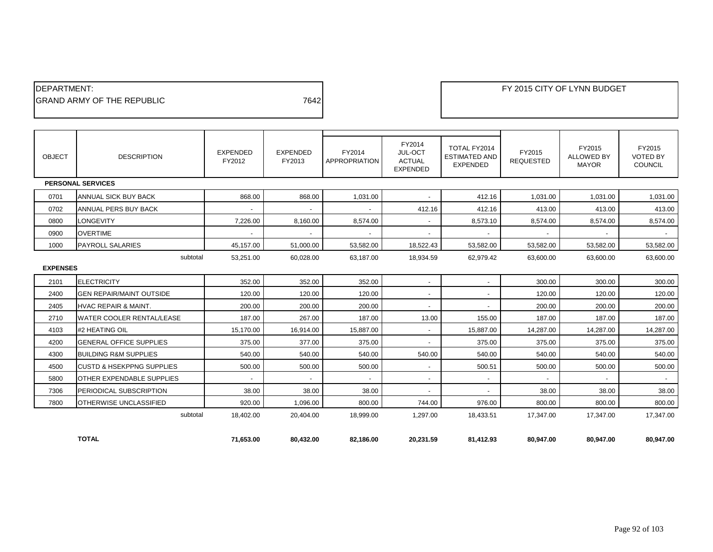| <b>IDEPARTMENT:</b>         |      |
|-----------------------------|------|
| IGRAND ARMY OF THE REPUBLIC | 7642 |
|                             |      |

| <b>OBJECT</b>   | <b>DESCRIPTION</b>                    | <b>EXPENDED</b><br>FY2012 | <b>EXPENDED</b><br>FY2013 | FY2014<br><b>APPROPRIATION</b> | FY2014<br>JUL-OCT<br><b>ACTUAL</b><br><b>EXPENDED</b> | TOTAL FY2014<br><b>ESTIMATED AND</b><br><b>EXPENDED</b> | FY2015<br><b>REQUESTED</b> | FY2015<br><b>ALLOWED BY</b><br><b>MAYOR</b> | FY2015<br><b>VOTED BY</b><br><b>COUNCIL</b> |
|-----------------|---------------------------------------|---------------------------|---------------------------|--------------------------------|-------------------------------------------------------|---------------------------------------------------------|----------------------------|---------------------------------------------|---------------------------------------------|
|                 | <b>PERSONAL SERVICES</b>              |                           |                           |                                |                                                       |                                                         |                            |                                             |                                             |
| 0701            | ANNUAL SICK BUY BACK                  | 868.00                    | 868.00                    | 1,031.00                       | $\overline{\phantom{a}}$                              | 412.16                                                  | 1,031.00                   | 1,031.00                                    | 1,031.00                                    |
| 0702            | <b>ANNUAL PERS BUY BACK</b>           | $\overline{\phantom{a}}$  |                           |                                | 412.16                                                | 412.16                                                  | 413.00                     | 413.00                                      | 413.00                                      |
| 0800            | <b>LONGEVITY</b>                      | 7,226.00                  | 8.160.00                  | 8,574.00                       |                                                       | 8,573.10                                                | 8,574.00                   | 8,574.00                                    | 8,574.00                                    |
| 0900            | <b>OVERTIME</b>                       | $\overline{\phantom{a}}$  |                           |                                | $\overline{\phantom{0}}$                              |                                                         |                            |                                             |                                             |
| 1000            | <b>PAYROLL SALARIES</b>               | 45,157.00                 | 51,000.00                 | 53,582.00                      | 18,522.43                                             | 53,582.00                                               | 53,582.00                  | 53,582.00                                   | 53,582.00                                   |
|                 | subtotal                              | 53,251.00                 | 60,028.00                 | 63,187.00                      | 18,934.59                                             | 62,979.42                                               | 63,600.00                  | 63,600.00                                   | 63,600.00                                   |
| <b>EXPENSES</b> |                                       |                           |                           |                                |                                                       |                                                         |                            |                                             |                                             |
| 2101            | <b>ELECTRICITY</b>                    | 352.00                    | 352.00                    | 352.00                         | $\overline{\phantom{a}}$                              | $\overline{\phantom{a}}$                                | 300.00                     | 300.00                                      | 300.00                                      |
| 2400            | <b>GEN REPAIR/MAINT OUTSIDE</b>       | 120.00                    | 120.00                    | 120.00                         | $\sim$                                                | $\overline{a}$                                          | 120.00                     | 120.00                                      | 120.00                                      |
| 2405            | <b>HVAC REPAIR &amp; MAINT.</b>       | 200.00                    | 200.00                    | 200.00                         | $\sim$                                                | $\overline{\phantom{a}}$                                | 200.00                     | 200.00                                      | 200.00                                      |
| 2710            | <b>WATER COOLER RENTAL/LEASE</b>      | 187.00                    | 267.00                    | 187.00                         | 13.00                                                 | 155.00                                                  | 187.00                     | 187.00                                      | 187.00                                      |
| 4103            | #2 HEATING OIL                        | 15,170.00                 | 16,914.00                 | 15,887.00                      | $\overline{\phantom{a}}$                              | 15,887.00                                               | 14,287.00                  | 14,287.00                                   | 14,287.00                                   |
| 4200            | <b>GENERAL OFFICE SUPPLIES</b>        | 375.00                    | 377.00                    | 375.00                         |                                                       | 375.00                                                  | 375.00                     | 375.00                                      | 375.00                                      |
| 4300            | <b>BUILDING R&amp;M SUPPLIES</b>      | 540.00                    | 540.00                    | 540.00                         | 540.00                                                | 540.00                                                  | 540.00                     | 540.00                                      | 540.00                                      |
| 4500            | <b>ICUSTD &amp; HSEKPPNG SUPPLIES</b> | 500.00                    | 500.00                    | 500.00                         | $\overline{\phantom{a}}$                              | 500.51                                                  | 500.00                     | 500.00                                      | 500.00                                      |
| 5800            | <b>OTHER EXPENDABLE SUPPLIES</b>      | $\overline{\phantom{a}}$  |                           |                                | $\overline{\phantom{a}}$                              |                                                         |                            |                                             |                                             |
| 7306            | <b>PERIODICAL SUBSCRIPTION</b>        | 38.00                     | 38.00                     | 38.00                          | $\overline{\phantom{a}}$                              |                                                         | 38.00                      | 38.00                                       | 38.00                                       |
| 7800            | OTHERWISE UNCLASSIFIED                | 920.00                    | 1.096.00                  | 800.00                         | 744.00                                                | 976.00                                                  | 800.00                     | 800.00                                      | 800.00                                      |
|                 | subtotal                              | 18,402.00                 | 20,404.00                 | 18,999.00                      | 1,297.00                                              | 18,433.51                                               | 17,347.00                  | 17,347.00                                   | 17,347.00                                   |
|                 | <b>TOTAL</b>                          | 71.653.00                 | 80.432.00                 | 82.186.00                      | 20.231.59                                             | 81.412.93                                               | 80.947.00                  | 80.947.00                                   | 80.947.00                                   |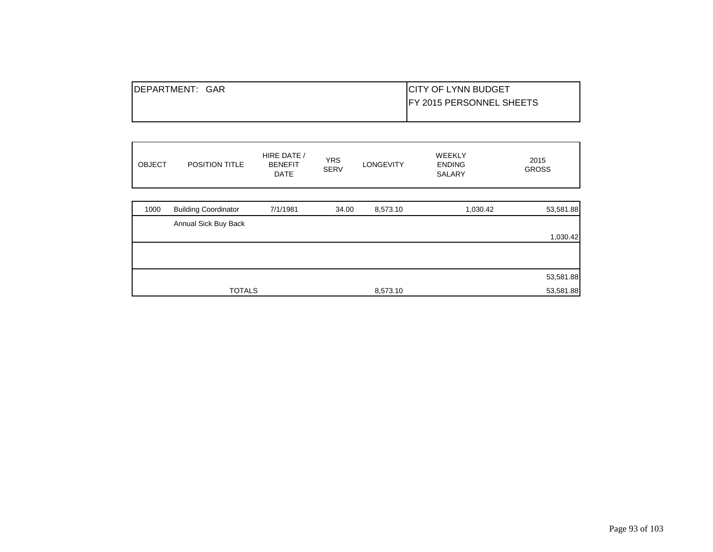| <b>IDEPARTMENT:</b><br>GAR | <b>CITY OF LYNN BUDGET</b>       |
|----------------------------|----------------------------------|
|                            | <b>IFY 2015 PERSONNEL SHEETS</b> |
|                            |                                  |

| <b>OBJECT</b> | POSITION TITLE              | HIRE DATE /<br><b>BENEFIT</b><br><b>DATE</b> | <b>YRS</b><br><b>SERV</b> | <b>LONGEVITY</b> | WEEKLY<br><b>ENDING</b><br>SALARY | 2015<br><b>GROSS</b> |
|---------------|-----------------------------|----------------------------------------------|---------------------------|------------------|-----------------------------------|----------------------|
| 1000          | <b>Building Coordinator</b> | 7/1/1981                                     | 34.00                     | 8,573.10         | 1,030.42                          | 53,581.88            |
|               | Annual Sick Buy Back        |                                              |                           |                  |                                   |                      |
|               |                             |                                              |                           |                  |                                   | 1,030.42             |
|               |                             |                                              |                           |                  |                                   |                      |
|               |                             |                                              |                           |                  |                                   | 53,581.88            |
|               | <b>TOTALS</b>               |                                              |                           | 8,573.10         |                                   | 53,581.88            |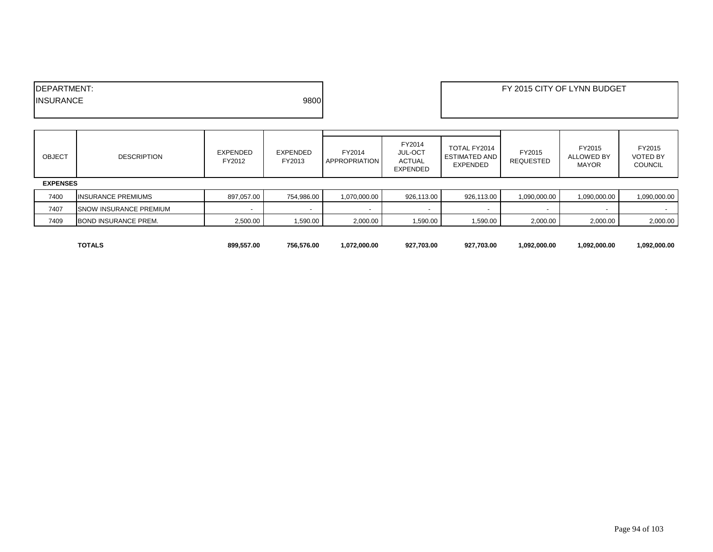| <b>FPARTMENT:</b>         | FY 2015 CITY OF LYNN BUDGET |
|---------------------------|-----------------------------|
| 9800<br><b>IINSURANCE</b> |                             |
|                           |                             |

| <b>OBJECT</b>   | <b>DESCRIPTION</b>            | EXPENDED<br>FY2012 | <b>EXPENDED</b><br>FY2013 | FY2014<br><b>APPROPRIATION</b> | FY2014<br>JUL-OCT<br><b>ACTUAL</b><br><b>EXPENDED</b> | TOTAL FY2014<br><b>ESTIMATED AND</b><br>EXPENDED | FY2015<br><b>REQUESTED</b> | FY2015<br>ALLOWED BY<br><b>MAYOR</b> | FY2015<br><b>VOTED BY</b><br><b>COUNCIL</b> |
|-----------------|-------------------------------|--------------------|---------------------------|--------------------------------|-------------------------------------------------------|--------------------------------------------------|----------------------------|--------------------------------------|---------------------------------------------|
| <b>EXPENSES</b> |                               |                    |                           |                                |                                                       |                                                  |                            |                                      |                                             |
| 7400            | <b>INSURANCE PREMIUMS</b>     | 897,057.00         | 754,986.00                | 1,070,000.00                   | 926,113.00                                            | 926,113.00                                       | 090,000.00                 | 1,090,000.00                         | 090,000.00                                  |
| 7407            | <b>SNOW INSURANCE PREMIUM</b> |                    | $\overline{\phantom{a}}$  |                                |                                                       |                                                  |                            |                                      |                                             |
| 7409            | <b>BOND INSURANCE PREM.</b>   | 2,500.00           | 1,590.00                  | 2,000.00                       | 1,590.00                                              | 1,590.00                                         | 2,000.00                   | 2,000.00                             | 2,000.00                                    |

| <b>TOTALS</b> | 899.557.00 | 756.576.00 | 1.072.000.00 | 927.703.00 | 927,703.00 | 1.092.000.00 | 1,092,000.00 | 1.092.000.00 |
|---------------|------------|------------|--------------|------------|------------|--------------|--------------|--------------|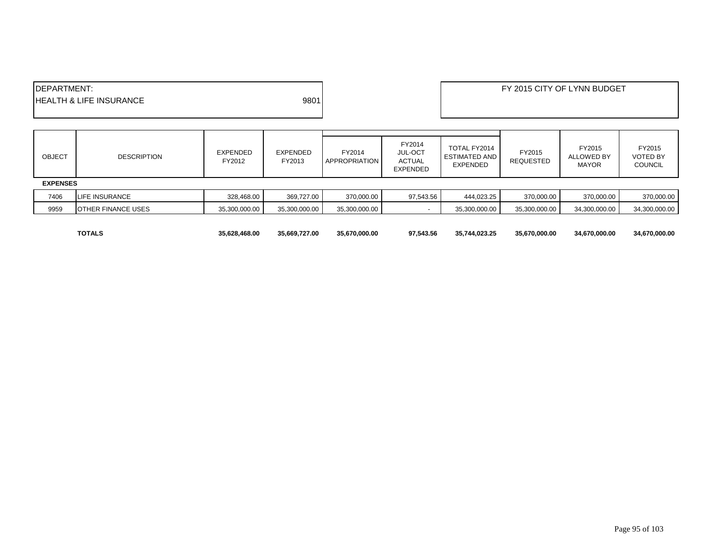| <b>IDEPARTMENT:</b>                |      | FY 2015 CITY OF LYNN BUDGET |
|------------------------------------|------|-----------------------------|
| <b>HEALTH &amp; LIFE INSURANCE</b> | 9801 |                             |
|                                    |      |                             |

| <b>OBJECT</b>   | <b>DESCRIPTION</b>        | EXPENDED<br>FY2012 | EXPENDED<br>FY2013 | FY2014<br><b>APPROPRIATION</b> | FY2014<br>JUL-OCT<br><b>ACTUAL</b><br><b>EXPENDED</b> | TOTAL FY2014<br><b>ESTIMATED AND</b><br><b>EXPENDED</b> | FY2015<br><b>REQUESTED</b> | FY2015<br><b>ALLOWED BY</b><br><b>MAYOR</b> | FY2015<br><b>VOTED BY</b><br><b>COUNCIL</b> |
|-----------------|---------------------------|--------------------|--------------------|--------------------------------|-------------------------------------------------------|---------------------------------------------------------|----------------------------|---------------------------------------------|---------------------------------------------|
| <b>EXPENSES</b> |                           |                    |                    |                                |                                                       |                                                         |                            |                                             |                                             |
| 7406            | LIFE INSURANCE            | 328,468.00         | 369,727.00         | 370,000.00                     | 97,543.56                                             | 444,023.25                                              | 370,000.00                 | 370,000.00                                  | 370,000.00                                  |
| 9959            | <b>OTHER FINANCE USES</b> | 35,300,000.00      | 35,300,000.00      | 35,300,000.00                  |                                                       | 35,300,000.00                                           | 35,300,000.00              | 34,300,000.00                               | 34,300,000.00                               |
|                 |                           |                    |                    |                                |                                                       |                                                         |                            |                                             |                                             |

**TOTALS 35,628,468.00 35,669,727.00 35,670,000.00 97,543.56 35,744,023.25 35,670,000.00 34,670,000.00 34,670,000.00**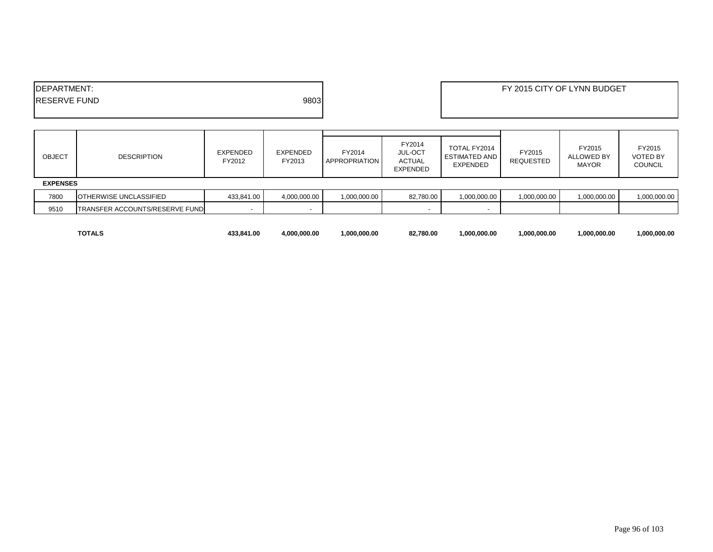| PARTMENT:<br>DEP/ |      | FY 2015 CITY OF LYNN BUDGET |
|-------------------|------|-----------------------------|
| ERVE FUND<br>IRE  | 9803 |                             |
|                   |      |                             |

| <b>OBJECT</b>   | <b>DESCRIPTION</b>             | EXPENDED<br>FY2012 | EXPENDED<br>FY2013       | FY2014<br><b>APPROPRIATION</b> | FY2014<br>JUL-OCT<br>ACTUAL<br><b>EXPENDED</b> | TOTAL FY2014<br><b>ESTIMATED AND</b><br>EXPENDED | FY2015<br><b>REQUESTED</b> | FY2015<br><b>ALLOWED BY</b><br><b>MAYOR</b> | FY2015<br><b>VOTED BY</b><br><b>COUNCIL</b> |
|-----------------|--------------------------------|--------------------|--------------------------|--------------------------------|------------------------------------------------|--------------------------------------------------|----------------------------|---------------------------------------------|---------------------------------------------|
| <b>EXPENSES</b> |                                |                    |                          |                                |                                                |                                                  |                            |                                             |                                             |
| 7800            | <b>IOTHERWISE UNCLASSIFIED</b> | 433,841.00         | 4,000,000.00             | 1,000,000.00                   | 82,780.00                                      | 1,000,000.00                                     | 1,000,000.00               | 1,000,000.00                                | 1,000,000.00                                |
| 9510            | TRANSFER ACCOUNTS/RESERVE FUND | $\sim$             | $\overline{\phantom{a}}$ |                                |                                                |                                                  |                            |                                             |                                             |
|                 |                                |                    |                          |                                |                                                |                                                  |                            |                                             |                                             |

| $\tau$ - $\tau$<br>TOTAL | 433.841.00 | 1.000.000.00 | 1.000.000.00 | 82,780.00 | .000.000.00 | .000.000.00 | 1.000.000.00 | .000.000.00 |
|--------------------------|------------|--------------|--------------|-----------|-------------|-------------|--------------|-------------|
|                          |            |              |              |           |             |             |              |             |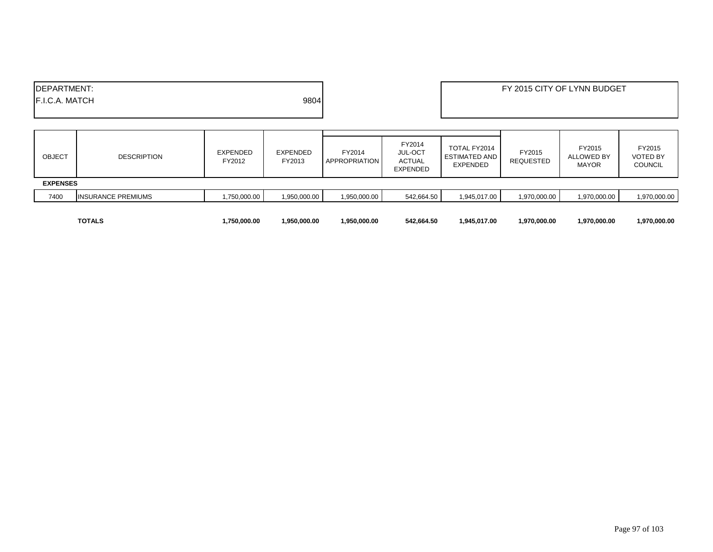|                                                       | <b>TOTALS</b>             | 1.750.000.00       | 1,950,000.00       | 1.950.000.00                   | 542.664.50                                            | 1,945,017.00                                     | 1.970.000.00        | 1,970,000.00                                | 1.970.000.00                                |
|-------------------------------------------------------|---------------------------|--------------------|--------------------|--------------------------------|-------------------------------------------------------|--------------------------------------------------|---------------------|---------------------------------------------|---------------------------------------------|
| 7400                                                  | <b>INSURANCE PREMIUMS</b> | 00.000.00, 750,    | 1,950,000.00       | 1,950,000.00                   | 542,664.50                                            | 1,945,017.00                                     | 1,970,000.00        | 1,970,000.00                                | 1,970,000.00                                |
| <b>EXPENSES</b>                                       |                           |                    |                    |                                |                                                       |                                                  |                     |                                             |                                             |
| <b>OBJECT</b>                                         | <b>DESCRIPTION</b>        | EXPENDED<br>FY2012 | EXPENDED<br>FY2013 | FY2014<br><b>APPROPRIATION</b> | FY2014<br><b>JUL-OCT</b><br>ACTUAL<br><b>EXPENDED</b> | TOTAL FY2014<br><b>ESTIMATED AND</b><br>EXPENDED | FY2015<br>REQUESTED | FY2015<br><b>ALLOWED BY</b><br><b>MAYOR</b> | FY2015<br><b>VOTED BY</b><br><b>COUNCIL</b> |
| <b>IDEPARTMENT:</b><br>9804<br><b>IF.I.C.A. MATCH</b> |                           |                    |                    |                                |                                                       |                                                  |                     |                                             |                                             |
|                                                       |                           |                    |                    |                                | FY 2015 CITY OF LYNN BUDGET                           |                                                  |                     |                                             |                                             |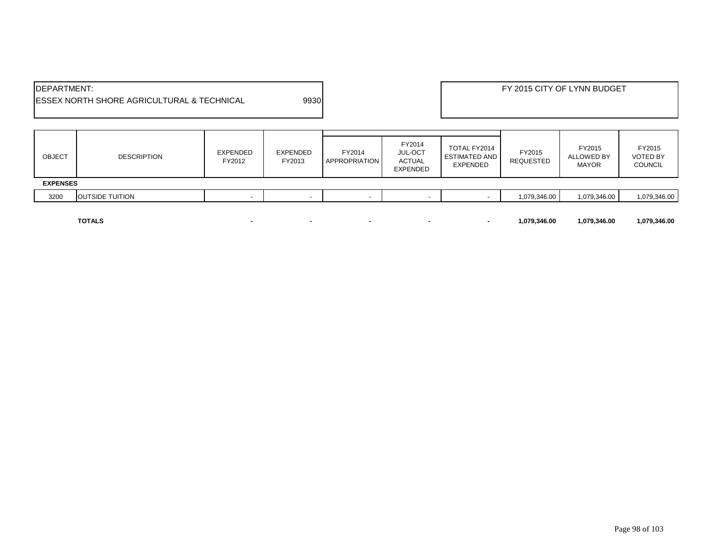| <b>IDEPARTMENT:</b>                                    |      |
|--------------------------------------------------------|------|
| <b>IESSEX NORTH SHORE AGRICULTURAL &amp; TECHNICAL</b> | 9930 |
|                                                        |      |

| <b>OBJECT</b>   | <b>DESCRIPTION</b>     | EXPENDED<br>FY2012 | EXPENDED<br>FY2013 | FY2014<br><b>APPROPRIATION</b> | FY2014<br><b>JUL-OCT</b><br><b>ACTUAL</b><br>EXPENDED | TOTAL FY2014<br><b>ESTIMATED AND</b><br>EXPENDED | FY2015<br><b>REQUESTED</b> | FY2015<br>ALLOWED BY<br><b>MAYOR</b> | FY2015<br><b>VOTED BY</b><br><b>COUNCIL</b> |
|-----------------|------------------------|--------------------|--------------------|--------------------------------|-------------------------------------------------------|--------------------------------------------------|----------------------------|--------------------------------------|---------------------------------------------|
| <b>EXPENSES</b> |                        |                    |                    |                                |                                                       |                                                  |                            |                                      |                                             |
| 3200            | <b>OUTSIDE TUITION</b> |                    |                    |                                |                                                       |                                                  | 1,079,346.00               | 1,079,346.00                         | 1,079,346.00                                |
|                 |                        |                    |                    |                                |                                                       |                                                  |                            |                                      |                                             |

**TOTALS - - - - - 1,079,346.00 1,079,346.00 1,079,346.00**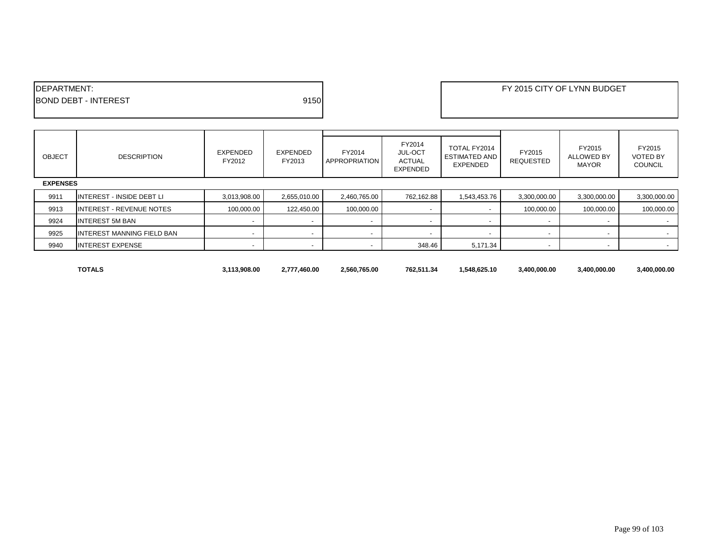| <b>IDEPARTMENT:</b>         |      | FY 2015 CITY OF LYNN BUDGET |
|-----------------------------|------|-----------------------------|
| <b>BOND DEBT - INTEREST</b> | 9150 |                             |
|                             |      |                             |

| <b>OBJECT</b>   | <b>DESCRIPTION</b>                | EXPENDED<br>FY2012 | EXPENDED<br>FY2013       | FY2014<br>APPROPRIATION | FY2014<br><b>JUL-OCT</b><br><b>ACTUAL</b><br><b>EXPENDED</b> | TOTAL FY2014<br><b>ESTIMATED AND</b><br>EXPENDED | FY2015<br><b>REQUESTED</b> | FY2015<br><b>ALLOWED BY</b><br><b>MAYOR</b> | FY2015<br><b>VOTED BY</b><br><b>COUNCIL</b> |
|-----------------|-----------------------------------|--------------------|--------------------------|-------------------------|--------------------------------------------------------------|--------------------------------------------------|----------------------------|---------------------------------------------|---------------------------------------------|
| <b>EXPENSES</b> |                                   |                    |                          |                         |                                                              |                                                  |                            |                                             |                                             |
| 9911            | <b>INTEREST - INSIDE DEBT LI</b>  | 3,013,908.00       | 2,655,010.00             | 2,460,765.00            | 762,162.88                                                   | 1,543,453.76                                     | 3,300,000.00               | 3,300,000.00                                | 3,300,000.00                                |
| 9913            | <b>INTEREST - REVENUE NOTES</b>   | 100,000.00         | 122.450.00               | 100,000.00              |                                                              |                                                  | 100,000.00                 | 100,000.00                                  | 100,000.00                                  |
| 9924            | <b>INTEREST 5M BAN</b>            |                    |                          |                         |                                                              |                                                  |                            |                                             |                                             |
| 9925            | <b>INTEREST MANNING FIELD BAN</b> |                    | $\overline{\phantom{a}}$ |                         |                                                              |                                                  |                            |                                             | $\sim$                                      |
| 9940            | <b>INTEREST EXPENSE</b>           |                    |                          |                         | 348.46                                                       | 5,171.34                                         |                            |                                             | $\sim$                                      |
|                 |                                   |                    |                          |                         |                                                              |                                                  |                            |                                             |                                             |

П

**TOTALS 3,113,908.00 2,777,460.00 2,560,765.00 762,511.34 1,548,625.10 3,400,000.00 3,400,000.00 3,400,000.00**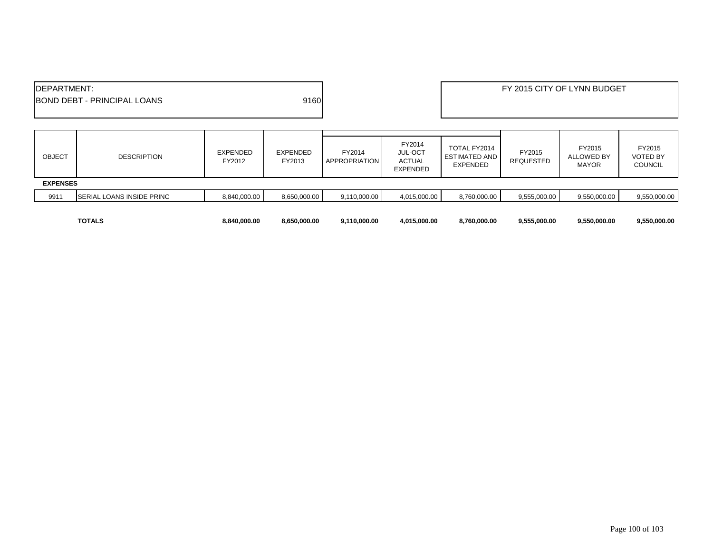| <b>IDEPARTMENT:</b><br>9160<br><b>IBOND DEBT - PRINCIPAL LOANS</b> |                                  |                           |                           |                         |                                                              |                                                  |                            | FY 2015 CITY OF LYNN BUDGET                 |                                             |
|--------------------------------------------------------------------|----------------------------------|---------------------------|---------------------------|-------------------------|--------------------------------------------------------------|--------------------------------------------------|----------------------------|---------------------------------------------|---------------------------------------------|
| <b>OBJECT</b>                                                      | <b>DESCRIPTION</b>               | <b>EXPENDED</b><br>FY2012 | <b>EXPENDED</b><br>FY2013 | FY2014<br>APPROPRIATION | FY2014<br><b>JUL-OCT</b><br><b>ACTUAL</b><br><b>EXPENDED</b> | TOTAL FY2014<br><b>ESTIMATED AND</b><br>EXPENDED | FY2015<br><b>REQUESTED</b> | FY2015<br><b>ALLOWED BY</b><br><b>MAYOR</b> | FY2015<br><b>VOTED BY</b><br><b>COUNCIL</b> |
| <b>EXPENSES</b>                                                    |                                  |                           |                           |                         |                                                              |                                                  |                            |                                             |                                             |
| 9911                                                               | <b>SERIAL LOANS INSIDE PRINC</b> | 8,840,000.00              | 8,650,000.00              | 9,110,000.00            | 4,015,000.00                                                 | 8,760,000.00                                     | 9,555,000.00               | 9,550,000.00                                | 9,550,000.00                                |
|                                                                    | <b>TOTALS</b>                    | 8,840,000.00              | 8,650,000.00              | 9,110,000.00            | 4,015,000.00                                                 | 8,760,000.00                                     | 9,555,000.00               | 9,550,000.00                                | 9,550,000.00                                |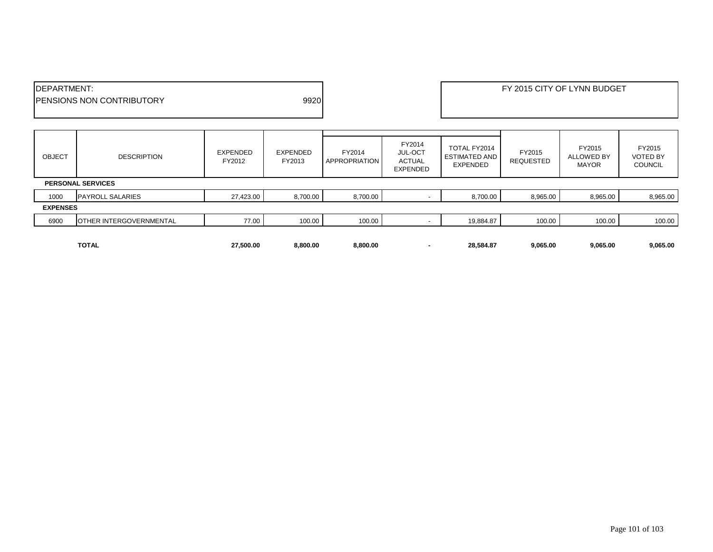| <b>IDEPARTMENT:</b>                       | FY 2015 CITY OF LYNN BUDGET |
|-------------------------------------------|-----------------------------|
| 9920<br><b>IPENSIONS NON CONTRIBUTORY</b> |                             |
|                                           |                             |

| <b>OBJECT</b>   | <b>DESCRIPTION</b>       | <b>EXPENDED</b><br>FY2012 | EXPENDED<br>FY2013 | FY2014<br>APPROPRIATION | FY2014<br><b>JUL-OCT</b><br><b>ACTUAL</b><br><b>EXPENDED</b> | TOTAL FY2014<br>ESTIMATED AND<br><b>EXPENDED</b> | FY2015<br><b>REQUESTED</b> | FY2015<br><b>ALLOWED BY</b><br><b>MAYOR</b> | FY2015<br><b>VOTED BY</b><br><b>COUNCIL</b> |
|-----------------|--------------------------|---------------------------|--------------------|-------------------------|--------------------------------------------------------------|--------------------------------------------------|----------------------------|---------------------------------------------|---------------------------------------------|
|                 | <b>PERSONAL SERVICES</b> |                           |                    |                         |                                                              |                                                  |                            |                                             |                                             |
| 1000            | <b>PAYROLL SALARIES</b>  | 27,423.00                 | 8,700.00           | 8,700.00                |                                                              | 8,700.00                                         | 8,965.00                   | 8,965.00                                    | 8,965.00                                    |
| <b>EXPENSES</b> |                          |                           |                    |                         |                                                              |                                                  |                            |                                             |                                             |
| 6900            | OTHER INTERGOVERNMENTAL  | 77.00                     | 100.00             | 100.00                  |                                                              | 19,884.87                                        | 100.00                     | 100.00                                      | 100.00                                      |
|                 |                          |                           |                    |                         |                                                              |                                                  |                            |                                             |                                             |
|                 | <b>TOTAL</b>             | 27.500.00                 | 8,800.00           | 8,800.00                |                                                              | 28.584.87                                        | 9,065.00                   | 9,065.00                                    | 9,065.00                                    |